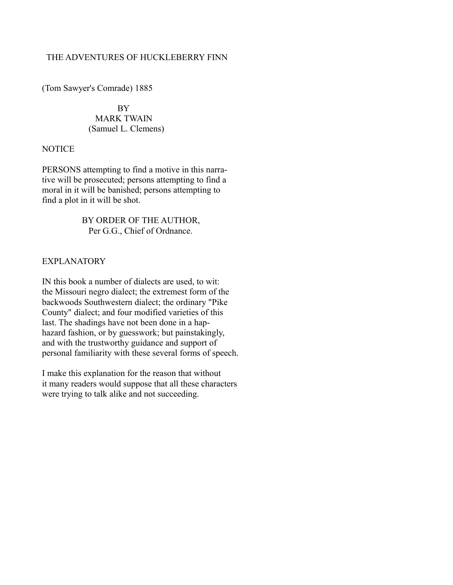## THE ADVENTURES OF HUCKLEBERRY FINN

(Tom Sawyer's Comrade) 1885

 BY MARK TWAIN (Samuel L. Clemens)

### **NOTICE**

PERSONS attempting to find a motive in this narrative will be prosecuted; persons attempting to find a moral in it will be banished; persons attempting to find a plot in it will be shot.

> BY ORDER OF THE AUTHOR, Per G.G., Chief of Ordnance.

# EXPLANATORY

IN this book a number of dialects are used, to wit: the Missouri negro dialect; the extremest form of the backwoods Southwestern dialect; the ordinary "Pike County" dialect; and four modified varieties of this last. The shadings have not been done in a haphazard fashion, or by guesswork; but painstakingly, and with the trustworthy guidance and support of personal familiarity with these several forms of speech.

I make this explanation for the reason that without it many readers would suppose that all these characters were trying to talk alike and not succeeding.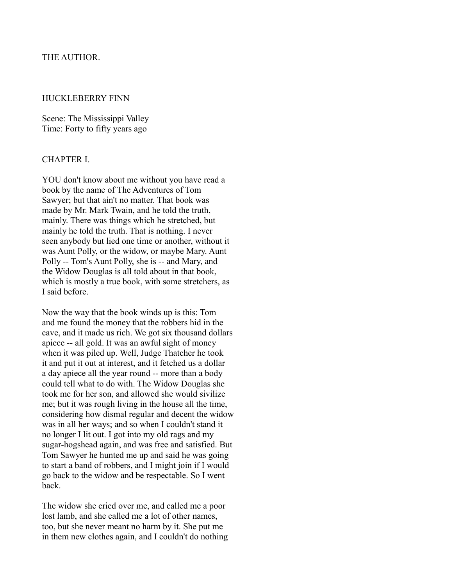### THE AUTHOR.

#### HUCKLEBERRY FINN

Scene: The Mississippi Valley Time: Forty to fifty years ago

### CHAPTER I.

YOU don't know about me without you have read a book by the name of The Adventures of Tom Sawyer; but that ain't no matter. That book was made by Mr. Mark Twain, and he told the truth, mainly. There was things which he stretched, but mainly he told the truth. That is nothing. I never seen anybody but lied one time or another, without it was Aunt Polly, or the widow, or maybe Mary. Aunt Polly -- Tom's Aunt Polly, she is -- and Mary, and the Widow Douglas is all told about in that book, which is mostly a true book, with some stretchers, as I said before.

Now the way that the book winds up is this: Tom and me found the money that the robbers hid in the cave, and it made us rich. We got six thousand dollars apiece -- all gold. It was an awful sight of money when it was piled up. Well, Judge Thatcher he took it and put it out at interest, and it fetched us a dollar a day apiece all the year round -- more than a body could tell what to do with. The Widow Douglas she took me for her son, and allowed she would sivilize me; but it was rough living in the house all the time, considering how dismal regular and decent the widow was in all her ways; and so when I couldn't stand it no longer I lit out. I got into my old rags and my sugar-hogshead again, and was free and satisfied. But Tom Sawyer he hunted me up and said he was going to start a band of robbers, and I might join if I would go back to the widow and be respectable. So I went back.

The widow she cried over me, and called me a poor lost lamb, and she called me a lot of other names, too, but she never meant no harm by it. She put me in them new clothes again, and I couldn't do nothing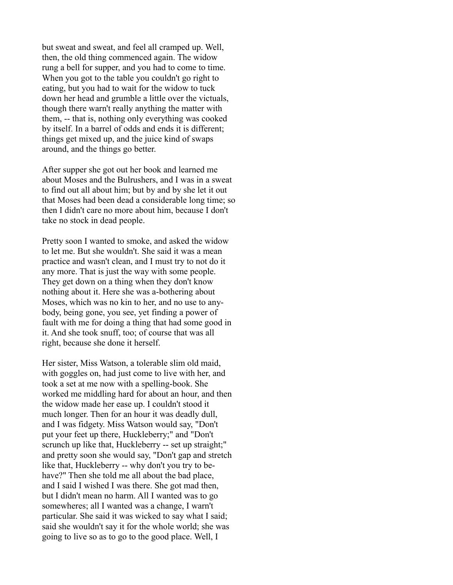but sweat and sweat, and feel all cramped up. Well, then, the old thing commenced again. The widow rung a bell for supper, and you had to come to time. When you got to the table you couldn't go right to eating, but you had to wait for the widow to tuck down her head and grumble a little over the victuals, though there warn't really anything the matter with them, -- that is, nothing only everything was cooked by itself. In a barrel of odds and ends it is different; things get mixed up, and the juice kind of swaps around, and the things go better.

After supper she got out her book and learned me about Moses and the Bulrushers, and I was in a sweat to find out all about him; but by and by she let it out that Moses had been dead a considerable long time; so then I didn't care no more about him, because I don't take no stock in dead people.

Pretty soon I wanted to smoke, and asked the widow to let me. But she wouldn't. She said it was a mean practice and wasn't clean, and I must try to not do it any more. That is just the way with some people. They get down on a thing when they don't know nothing about it. Here she was a-bothering about Moses, which was no kin to her, and no use to anybody, being gone, you see, yet finding a power of fault with me for doing a thing that had some good in it. And she took snuff, too; of course that was all right, because she done it herself.

Her sister, Miss Watson, a tolerable slim old maid, with goggles on, had just come to live with her, and took a set at me now with a spelling-book. She worked me middling hard for about an hour, and then the widow made her ease up. I couldn't stood it much longer. Then for an hour it was deadly dull, and I was fidgety. Miss Watson would say, "Don't put your feet up there, Huckleberry;" and "Don't scrunch up like that, Huckleberry -- set up straight;" and pretty soon she would say, "Don't gap and stretch like that, Huckleberry -- why don't you try to behave?" Then she told me all about the bad place, and I said I wished I was there. She got mad then, but I didn't mean no harm. All I wanted was to go somewheres; all I wanted was a change, I warn't particular. She said it was wicked to say what I said; said she wouldn't say it for the whole world; she was going to live so as to go to the good place. Well, I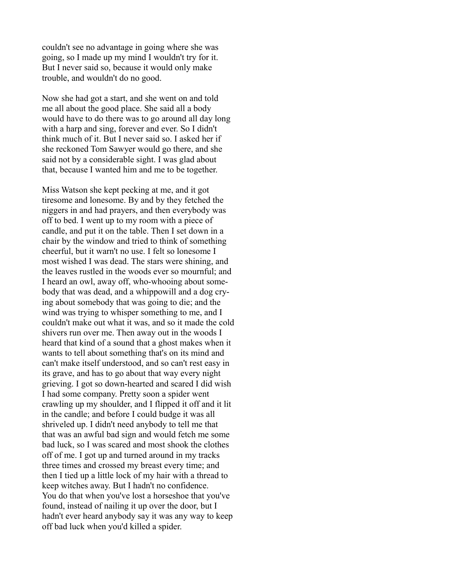couldn't see no advantage in going where she was going, so I made up my mind I wouldn't try for it. But I never said so, because it would only make trouble, and wouldn't do no good.

Now she had got a start, and she went on and told me all about the good place. She said all a body would have to do there was to go around all day long with a harp and sing, forever and ever. So I didn't think much of it. But I never said so. I asked her if she reckoned Tom Sawyer would go there, and she said not by a considerable sight. I was glad about that, because I wanted him and me to be together.

Miss Watson she kept pecking at me, and it got tiresome and lonesome. By and by they fetched the niggers in and had prayers, and then everybody was off to bed. I went up to my room with a piece of candle, and put it on the table. Then I set down in a chair by the window and tried to think of something cheerful, but it warn't no use. I felt so lonesome I most wished I was dead. The stars were shining, and the leaves rustled in the woods ever so mournful; and I heard an owl, away off, who-whooing about somebody that was dead, and a whippowill and a dog crying about somebody that was going to die; and the wind was trying to whisper something to me, and I couldn't make out what it was, and so it made the cold shivers run over me. Then away out in the woods I heard that kind of a sound that a ghost makes when it wants to tell about something that's on its mind and can't make itself understood, and so can't rest easy in its grave, and has to go about that way every night grieving. I got so down-hearted and scared I did wish I had some company. Pretty soon a spider went crawling up my shoulder, and I flipped it off and it lit in the candle; and before I could budge it was all shriveled up. I didn't need anybody to tell me that that was an awful bad sign and would fetch me some bad luck, so I was scared and most shook the clothes off of me. I got up and turned around in my tracks three times and crossed my breast every time; and then I tied up a little lock of my hair with a thread to keep witches away. But I hadn't no confidence. You do that when you've lost a horseshoe that you've found, instead of nailing it up over the door, but I hadn't ever heard anybody say it was any way to keep off bad luck when you'd killed a spider.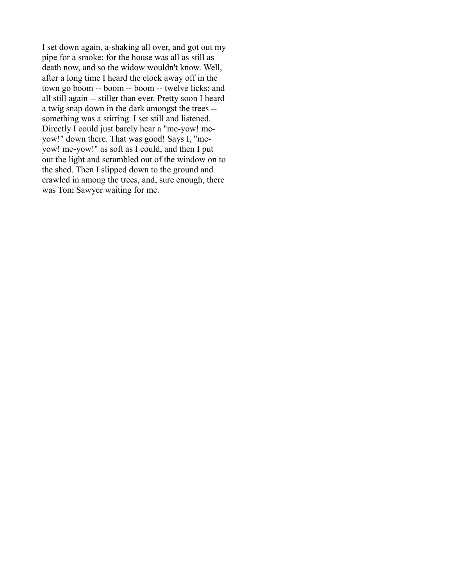I set down again, a-shaking all over, and got out my pipe for a smoke; for the house was all as still as death now, and so the widow wouldn't know. Well, after a long time I heard the clock away off in the town go boom -- boom -- boom -- twelve licks; and all still again -- stiller than ever. Pretty soon I heard a twig snap down in the dark amongst the trees - something was a stirring. I set still and listened. Directly I could just barely hear a "me-yow! meyow!" down there. That was good! Says I, "meyow! me-yow!" as soft as I could, and then I put out the light and scrambled out of the window on to the shed. Then I slipped down to the ground and crawled in among the trees, and, sure enough, there was Tom Sawyer waiting for me.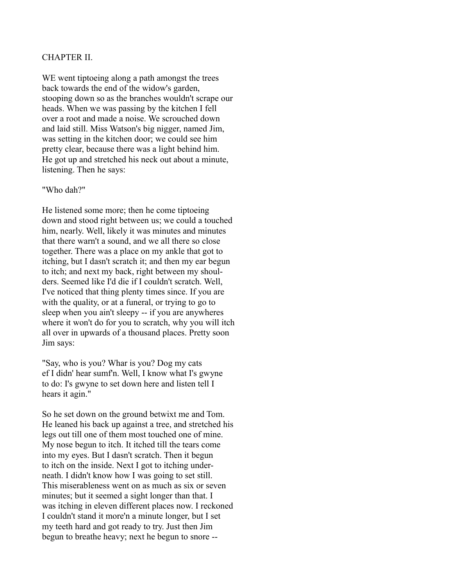### CHAPTER II.

WE went tiptoeing along a path amongst the trees back towards the end of the widow's garden, stooping down so as the branches wouldn't scrape our heads. When we was passing by the kitchen I fell over a root and made a noise. We scrouched down and laid still. Miss Watson's big nigger, named Jim, was setting in the kitchen door; we could see him pretty clear, because there was a light behind him. He got up and stretched his neck out about a minute, listening. Then he says:

#### "Who dah?"

He listened some more; then he come tiptoeing down and stood right between us; we could a touched him, nearly. Well, likely it was minutes and minutes that there warn't a sound, and we all there so close together. There was a place on my ankle that got to itching, but I dasn't scratch it; and then my ear begun to itch; and next my back, right between my shoulders. Seemed like I'd die if I couldn't scratch. Well, I've noticed that thing plenty times since. If you are with the quality, or at a funeral, or trying to go to sleep when you ain't sleepy -- if you are anywheres where it won't do for you to scratch, why you will itch all over in upwards of a thousand places. Pretty soon Jim says:

"Say, who is you? Whar is you? Dog my cats ef I didn' hear sumf'n. Well, I know what I's gwyne to do: I's gwyne to set down here and listen tell I hears it agin."

So he set down on the ground betwixt me and Tom. He leaned his back up against a tree, and stretched his legs out till one of them most touched one of mine. My nose begun to itch. It itched till the tears come into my eyes. But I dasn't scratch. Then it begun to itch on the inside. Next I got to itching underneath. I didn't know how I was going to set still. This miserableness went on as much as six or seven minutes; but it seemed a sight longer than that. I was itching in eleven different places now. I reckoned I couldn't stand it more'n a minute longer, but I set my teeth hard and got ready to try. Just then Jim begun to breathe heavy; next he begun to snore --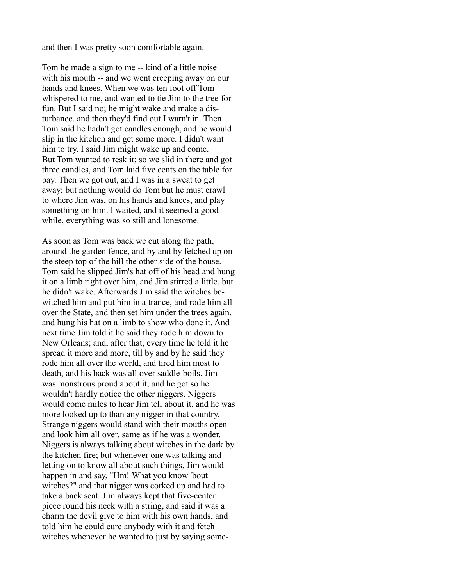and then I was pretty soon comfortable again.

Tom he made a sign to me -- kind of a little noise with his mouth -- and we went creeping away on our hands and knees. When we was ten foot off Tom whispered to me, and wanted to tie Jim to the tree for fun. But I said no; he might wake and make a disturbance, and then they'd find out I warn't in. Then Tom said he hadn't got candles enough, and he would slip in the kitchen and get some more. I didn't want him to try. I said Jim might wake up and come. But Tom wanted to resk it; so we slid in there and got three candles, and Tom laid five cents on the table for pay. Then we got out, and I was in a sweat to get away; but nothing would do Tom but he must crawl to where Jim was, on his hands and knees, and play something on him. I waited, and it seemed a good while, everything was so still and lonesome.

As soon as Tom was back we cut along the path, around the garden fence, and by and by fetched up on the steep top of the hill the other side of the house. Tom said he slipped Jim's hat off of his head and hung it on a limb right over him, and Jim stirred a little, but he didn't wake. Afterwards Jim said the witches bewitched him and put him in a trance, and rode him all over the State, and then set him under the trees again, and hung his hat on a limb to show who done it. And next time Jim told it he said they rode him down to New Orleans; and, after that, every time he told it he spread it more and more, till by and by he said they rode him all over the world, and tired him most to death, and his back was all over saddle-boils. Jim was monstrous proud about it, and he got so he wouldn't hardly notice the other niggers. Niggers would come miles to hear Jim tell about it, and he was more looked up to than any nigger in that country. Strange niggers would stand with their mouths open and look him all over, same as if he was a wonder. Niggers is always talking about witches in the dark by the kitchen fire; but whenever one was talking and letting on to know all about such things, Jim would happen in and say, "Hm! What you know 'bout witches?" and that nigger was corked up and had to take a back seat. Jim always kept that five-center piece round his neck with a string, and said it was a charm the devil give to him with his own hands, and told him he could cure anybody with it and fetch witches whenever he wanted to just by saying some-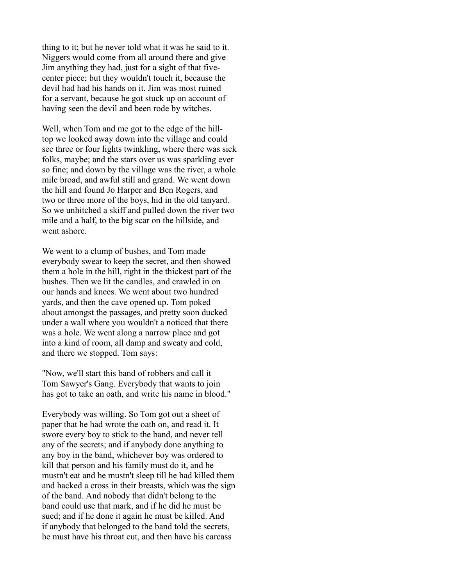thing to it; but he never told what it was he said to it. Niggers would come from all around there and give Jim anything they had, just for a sight of that fivecenter piece; but they wouldn't touch it, because the devil had had his hands on it. Jim was most ruined for a servant, because he got stuck up on account of having seen the devil and been rode by witches.

Well, when Tom and me got to the edge of the hilltop we looked away down into the village and could see three or four lights twinkling, where there was sick folks, maybe; and the stars over us was sparkling ever so fine; and down by the village was the river, a whole mile broad, and awful still and grand. We went down the hill and found Jo Harper and Ben Rogers, and two or three more of the boys, hid in the old tanyard. So we unhitched a skiff and pulled down the river two mile and a half, to the big scar on the hillside, and went ashore.

We went to a clump of bushes, and Tom made everybody swear to keep the secret, and then showed them a hole in the hill, right in the thickest part of the bushes. Then we lit the candles, and crawled in on our hands and knees. We went about two hundred yards, and then the cave opened up. Tom poked about amongst the passages, and pretty soon ducked under a wall where you wouldn't a noticed that there was a hole. We went along a narrow place and got into a kind of room, all damp and sweaty and cold, and there we stopped. Tom says:

"Now, we'll start this band of robbers and call it Tom Sawyer's Gang. Everybody that wants to join has got to take an oath, and write his name in blood."

Everybody was willing. So Tom got out a sheet of paper that he had wrote the oath on, and read it. It swore every boy to stick to the band, and never tell any of the secrets; and if anybody done anything to any boy in the band, whichever boy was ordered to kill that person and his family must do it, and he mustn't eat and he mustn't sleep till he had killed them and hacked a cross in their breasts, which was the sign of the band. And nobody that didn't belong to the band could use that mark, and if he did he must be sued; and if he done it again he must be killed. And if anybody that belonged to the band told the secrets, he must have his throat cut, and then have his carcass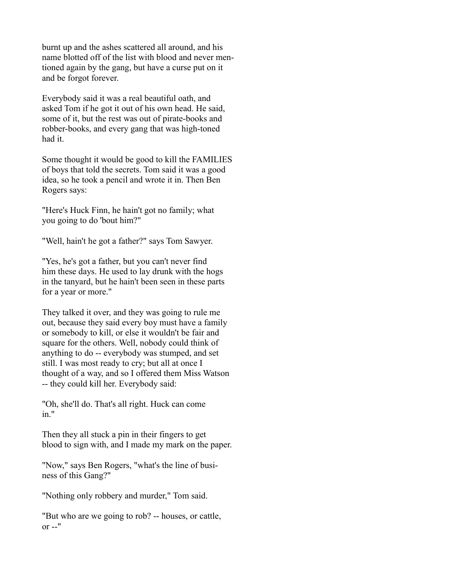burnt up and the ashes scattered all around, and his name blotted off of the list with blood and never mentioned again by the gang, but have a curse put on it and be forgot forever.

Everybody said it was a real beautiful oath, and asked Tom if he got it out of his own head. He said, some of it, but the rest was out of pirate-books and robber-books, and every gang that was high-toned had it.

Some thought it would be good to kill the FAMILIES of boys that told the secrets. Tom said it was a good idea, so he took a pencil and wrote it in. Then Ben Rogers says:

"Here's Huck Finn, he hain't got no family; what you going to do 'bout him?"

"Well, hain't he got a father?" says Tom Sawyer.

"Yes, he's got a father, but you can't never find him these days. He used to lay drunk with the hogs in the tanyard, but he hain't been seen in these parts for a year or more."

They talked it over, and they was going to rule me out, because they said every boy must have a family or somebody to kill, or else it wouldn't be fair and square for the others. Well, nobody could think of anything to do -- everybody was stumped, and set still. I was most ready to cry; but all at once I thought of a way, and so I offered them Miss Watson -- they could kill her. Everybody said:

"Oh, she'll do. That's all right. Huck can come in."

Then they all stuck a pin in their fingers to get blood to sign with, and I made my mark on the paper.

"Now," says Ben Rogers, "what's the line of business of this Gang?"

"Nothing only robbery and murder," Tom said.

"But who are we going to rob? -- houses, or cattle, or  $-$ "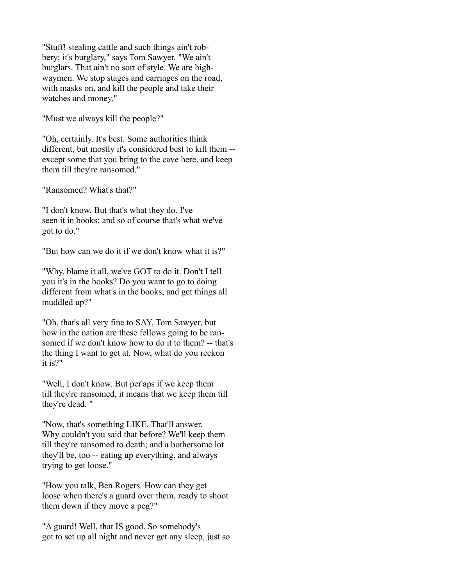"Stuff! stealing cattle and such things ain't robbery; it's burglary," says Tom Sawyer. "We ain't burglars. That ain't no sort of style. We are highwaymen. We stop stages and carriages on the road, with masks on, and kill the people and take their watches and money."

"Must we always kill the people?"

"Oh, certainly. It's best. Some authorities think different, but mostly it's considered best to kill them - except some that you bring to the cave here, and keep them till they're ransomed."

"Ransomed? What's that?"

"I don't know. But that's what they do. I've seen it in books; and so of course that's what we've got to do."

"But how can we do it if we don't know what it is?"

"Why, blame it all, we've GOT to do it. Don't I tell you it's in the books? Do you want to go to doing different from what's in the books, and get things all muddled up?"

"Oh, that's all very fine to SAY, Tom Sawyer, but how in the nation are these fellows going to be ransomed if we don't know how to do it to them? -- that's the thing I want to get at. Now, what do you reckon it is?"

"Well, I don't know. But per'aps if we keep them till they're ransomed, it means that we keep them till they're dead. "

"Now, that's something LIKE. That'll answer. Why couldn't you said that before? We'll keep them till they're ransomed to death; and a bothersome lot they'll be, too -- eating up everything, and always trying to get loose."

"How you talk, Ben Rogers. How can they get loose when there's a guard over them, ready to shoot them down if they move a peg?"

"A guard! Well, that IS good. So somebody's got to set up all night and never get any sleep, just so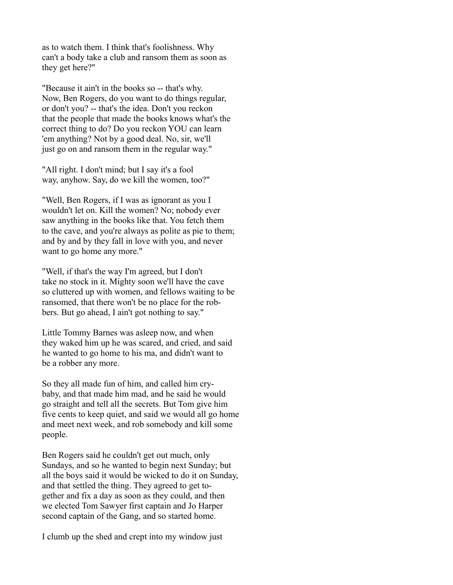as to watch them. I think that's foolishness. Why can't a body take a club and ransom them as soon as they get here?"

"Because it ain't in the books so -- that's why. Now, Ben Rogers, do you want to do things regular, or don't you? -- that's the idea. Don't you reckon that the people that made the books knows what's the correct thing to do? Do you reckon YOU can learn 'em anything? Not by a good deal. No, sir, we'll just go on and ransom them in the regular way."

"All right. I don't mind; but I say it's a fool way, anyhow. Say, do we kill the women, too?"

"Well, Ben Rogers, if I was as ignorant as you I wouldn't let on. Kill the women? No; nobody ever saw anything in the books like that. You fetch them to the cave, and you're always as polite as pie to them; and by and by they fall in love with you, and never want to go home any more."

"Well, if that's the way I'm agreed, but I don't take no stock in it. Mighty soon we'll have the cave so cluttered up with women, and fellows waiting to be ransomed, that there won't be no place for the robbers. But go ahead, I ain't got nothing to say."

Little Tommy Barnes was asleep now, and when they waked him up he was scared, and cried, and said he wanted to go home to his ma, and didn't want to be a robber any more.

So they all made fun of him, and called him crybaby, and that made him mad, and he said he would go straight and tell all the secrets. But Tom give him five cents to keep quiet, and said we would all go home and meet next week, and rob somebody and kill some people.

Ben Rogers said he couldn't get out much, only Sundays, and so he wanted to begin next Sunday; but all the boys said it would be wicked to do it on Sunday, and that settled the thing. They agreed to get together and fix a day as soon as they could, and then we elected Tom Sawyer first captain and Jo Harper second captain of the Gang, and so started home.

I clumb up the shed and crept into my window just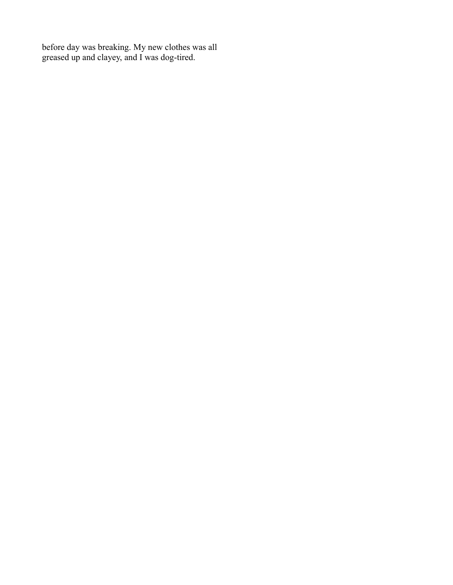before day was breaking. My new clothes was all greased up and clayey, and I was dog-tired.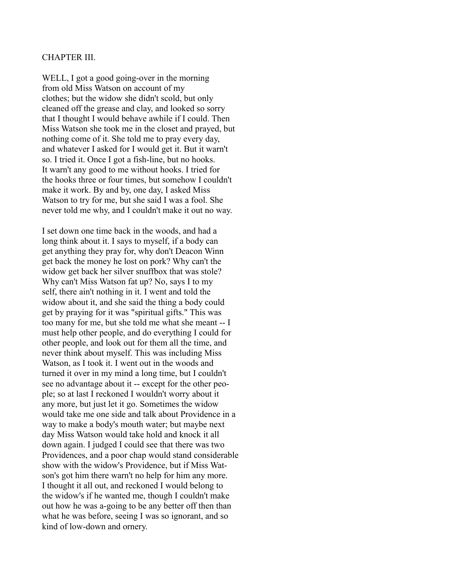### CHAPTER III.

WELL, I got a good going-over in the morning from old Miss Watson on account of my clothes; but the widow she didn't scold, but only cleaned off the grease and clay, and looked so sorry that I thought I would behave awhile if I could. Then Miss Watson she took me in the closet and prayed, but nothing come of it. She told me to pray every day, and whatever I asked for I would get it. But it warn't so. I tried it. Once I got a fish-line, but no hooks. It warn't any good to me without hooks. I tried for the hooks three or four times, but somehow I couldn't make it work. By and by, one day, I asked Miss Watson to try for me, but she said I was a fool. She never told me why, and I couldn't make it out no way.

I set down one time back in the woods, and had a long think about it. I says to myself, if a body can get anything they pray for, why don't Deacon Winn get back the money he lost on pork? Why can't the widow get back her silver snuffbox that was stole? Why can't Miss Watson fat up? No, says I to my self, there ain't nothing in it. I went and told the widow about it, and she said the thing a body could get by praying for it was "spiritual gifts." This was too many for me, but she told me what she meant -- I must help other people, and do everything I could for other people, and look out for them all the time, and never think about myself. This was including Miss Watson, as I took it. I went out in the woods and turned it over in my mind a long time, but I couldn't see no advantage about it -- except for the other people; so at last I reckoned I wouldn't worry about it any more, but just let it go. Sometimes the widow would take me one side and talk about Providence in a way to make a body's mouth water; but maybe next day Miss Watson would take hold and knock it all down again. I judged I could see that there was two Providences, and a poor chap would stand considerable show with the widow's Providence, but if Miss Watson's got him there warn't no help for him any more. I thought it all out, and reckoned I would belong to the widow's if he wanted me, though I couldn't make out how he was a-going to be any better off then than what he was before, seeing I was so ignorant, and so kind of low-down and ornery.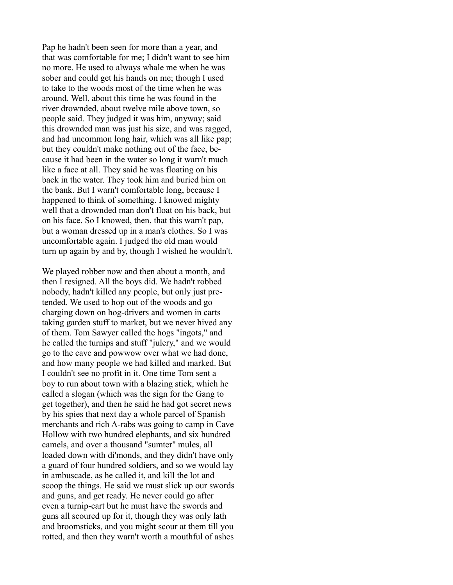Pap he hadn't been seen for more than a year, and that was comfortable for me; I didn't want to see him no more. He used to always whale me when he was sober and could get his hands on me; though I used to take to the woods most of the time when he was around. Well, about this time he was found in the river drownded, about twelve mile above town, so people said. They judged it was him, anyway; said this drownded man was just his size, and was ragged, and had uncommon long hair, which was all like pap; but they couldn't make nothing out of the face, because it had been in the water so long it warn't much like a face at all. They said he was floating on his back in the water. They took him and buried him on the bank. But I warn't comfortable long, because I happened to think of something. I knowed mighty well that a drownded man don't float on his back, but on his face. So I knowed, then, that this warn't pap, but a woman dressed up in a man's clothes. So I was uncomfortable again. I judged the old man would turn up again by and by, though I wished he wouldn't.

We played robber now and then about a month, and then I resigned. All the boys did. We hadn't robbed nobody, hadn't killed any people, but only just pretended. We used to hop out of the woods and go charging down on hog-drivers and women in carts taking garden stuff to market, but we never hived any of them. Tom Sawyer called the hogs "ingots," and he called the turnips and stuff "julery," and we would go to the cave and powwow over what we had done, and how many people we had killed and marked. But I couldn't see no profit in it. One time Tom sent a boy to run about town with a blazing stick, which he called a slogan (which was the sign for the Gang to get together), and then he said he had got secret news by his spies that next day a whole parcel of Spanish merchants and rich A-rabs was going to camp in Cave Hollow with two hundred elephants, and six hundred camels, and over a thousand "sumter" mules, all loaded down with di'monds, and they didn't have only a guard of four hundred soldiers, and so we would lay in ambuscade, as he called it, and kill the lot and scoop the things. He said we must slick up our swords and guns, and get ready. He never could go after even a turnip-cart but he must have the swords and guns all scoured up for it, though they was only lath and broomsticks, and you might scour at them till you rotted, and then they warn't worth a mouthful of ashes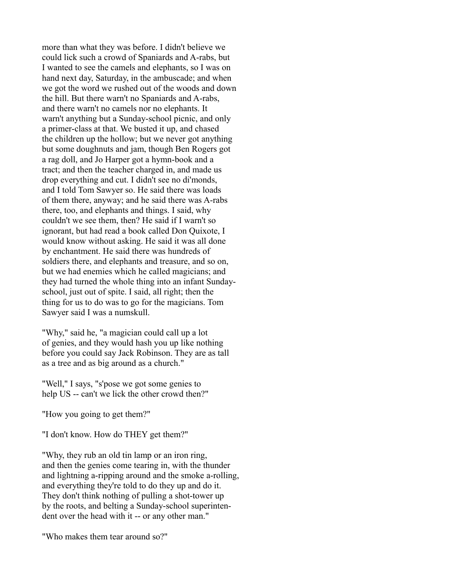more than what they was before. I didn't believe we could lick such a crowd of Spaniards and A-rabs, but I wanted to see the camels and elephants, so I was on hand next day, Saturday, in the ambuscade; and when we got the word we rushed out of the woods and down the hill. But there warn't no Spaniards and A-rabs, and there warn't no camels nor no elephants. It warn't anything but a Sunday-school picnic, and only a primer-class at that. We busted it up, and chased the children up the hollow; but we never got anything but some doughnuts and jam, though Ben Rogers got a rag doll, and Jo Harper got a hymn-book and a tract; and then the teacher charged in, and made us drop everything and cut. I didn't see no di'monds, and I told Tom Sawyer so. He said there was loads of them there, anyway; and he said there was A-rabs there, too, and elephants and things. I said, why couldn't we see them, then? He said if I warn't so ignorant, but had read a book called Don Quixote, I would know without asking. He said it was all done by enchantment. He said there was hundreds of soldiers there, and elephants and treasure, and so on, but we had enemies which he called magicians; and they had turned the whole thing into an infant Sundayschool, just out of spite. I said, all right; then the thing for us to do was to go for the magicians. Tom Sawyer said I was a numskull.

"Why," said he, "a magician could call up a lot of genies, and they would hash you up like nothing before you could say Jack Robinson. They are as tall as a tree and as big around as a church."

"Well," I says, "s'pose we got some genies to help US -- can't we lick the other crowd then?"

"How you going to get them?"

"I don't know. How do THEY get them?"

"Why, they rub an old tin lamp or an iron ring, and then the genies come tearing in, with the thunder and lightning a-ripping around and the smoke a-rolling, and everything they're told to do they up and do it. They don't think nothing of pulling a shot-tower up by the roots, and belting a Sunday-school superintendent over the head with it -- or any other man."

"Who makes them tear around so?"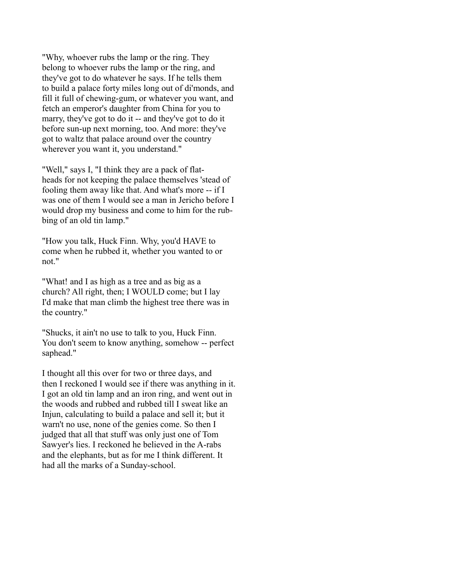"Why, whoever rubs the lamp or the ring. They belong to whoever rubs the lamp or the ring, and they've got to do whatever he says. If he tells them to build a palace forty miles long out of di'monds, and fill it full of chewing-gum, or whatever you want, and fetch an emperor's daughter from China for you to marry, they've got to do it -- and they've got to do it before sun-up next morning, too. And more: they've got to waltz that palace around over the country wherever you want it, you understand."

"Well," says I, "I think they are a pack of flatheads for not keeping the palace themselves 'stead of fooling them away like that. And what's more -- if I was one of them I would see a man in Jericho before I would drop my business and come to him for the rubbing of an old tin lamp."

"How you talk, Huck Finn. Why, you'd HAVE to come when he rubbed it, whether you wanted to or not."

"What! and I as high as a tree and as big as a church? All right, then; I WOULD come; but I lay I'd make that man climb the highest tree there was in the country."

"Shucks, it ain't no use to talk to you, Huck Finn. You don't seem to know anything, somehow -- perfect saphead."

I thought all this over for two or three days, and then I reckoned I would see if there was anything in it. I got an old tin lamp and an iron ring, and went out in the woods and rubbed and rubbed till I sweat like an Injun, calculating to build a palace and sell it; but it warn't no use, none of the genies come. So then I judged that all that stuff was only just one of Tom Sawyer's lies. I reckoned he believed in the A-rabs and the elephants, but as for me I think different. It had all the marks of a Sunday-school.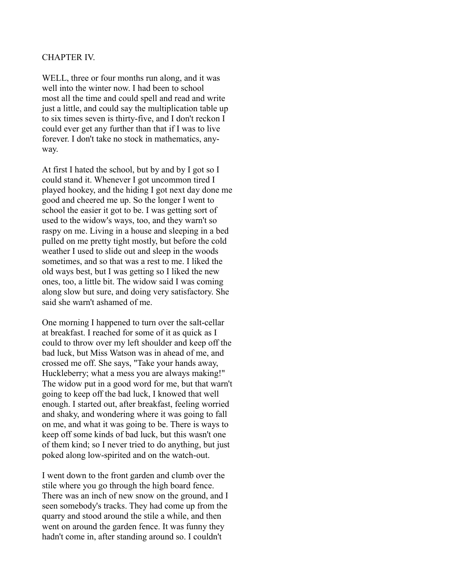## CHAPTER IV.

WELL, three or four months run along, and it was well into the winter now. I had been to school most all the time and could spell and read and write just a little, and could say the multiplication table up to six times seven is thirty-five, and I don't reckon I could ever get any further than that if I was to live forever. I don't take no stock in mathematics, anyway.

At first I hated the school, but by and by I got so I could stand it. Whenever I got uncommon tired I played hookey, and the hiding I got next day done me good and cheered me up. So the longer I went to school the easier it got to be. I was getting sort of used to the widow's ways, too, and they warn't so raspy on me. Living in a house and sleeping in a bed pulled on me pretty tight mostly, but before the cold weather I used to slide out and sleep in the woods sometimes, and so that was a rest to me. I liked the old ways best, but I was getting so I liked the new ones, too, a little bit. The widow said I was coming along slow but sure, and doing very satisfactory. She said she warn't ashamed of me.

One morning I happened to turn over the salt-cellar at breakfast. I reached for some of it as quick as I could to throw over my left shoulder and keep off the bad luck, but Miss Watson was in ahead of me, and crossed me off. She says, "Take your hands away, Huckleberry; what a mess you are always making!" The widow put in a good word for me, but that warn't going to keep off the bad luck, I knowed that well enough. I started out, after breakfast, feeling worried and shaky, and wondering where it was going to fall on me, and what it was going to be. There is ways to keep off some kinds of bad luck, but this wasn't one of them kind; so I never tried to do anything, but just poked along low-spirited and on the watch-out.

I went down to the front garden and clumb over the stile where you go through the high board fence. There was an inch of new snow on the ground, and I seen somebody's tracks. They had come up from the quarry and stood around the stile a while, and then went on around the garden fence. It was funny they hadn't come in, after standing around so. I couldn't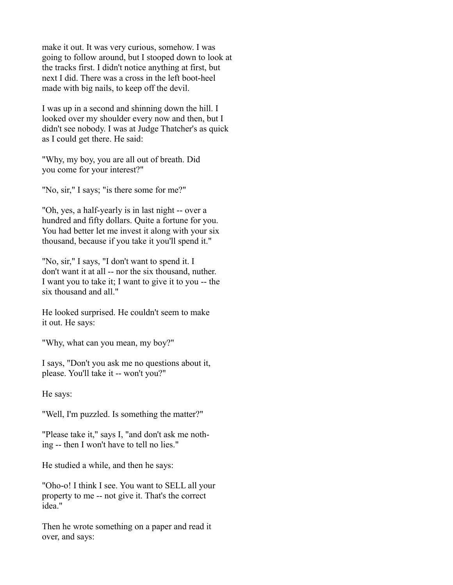make it out. It was very curious, somehow. I was going to follow around, but I stooped down to look at the tracks first. I didn't notice anything at first, but next I did. There was a cross in the left boot-heel made with big nails, to keep off the devil.

I was up in a second and shinning down the hill. I looked over my shoulder every now and then, but I didn't see nobody. I was at Judge Thatcher's as quick as I could get there. He said:

"Why, my boy, you are all out of breath. Did you come for your interest?"

"No, sir," I says; "is there some for me?"

"Oh, yes, a half-yearly is in last night -- over a hundred and fifty dollars. Quite a fortune for you. You had better let me invest it along with your six thousand, because if you take it you'll spend it."

"No, sir," I says, "I don't want to spend it. I don't want it at all -- nor the six thousand, nuther. I want you to take it; I want to give it to you -- the six thousand and all."

He looked surprised. He couldn't seem to make it out. He says:

"Why, what can you mean, my boy?"

I says, "Don't you ask me no questions about it, please. You'll take it -- won't you?"

He says:

"Well, I'm puzzled. Is something the matter?"

"Please take it," says I, "and don't ask me nothing -- then I won't have to tell no lies."

He studied a while, and then he says:

"Oho-o! I think I see. You want to SELL all your property to me -- not give it. That's the correct idea."

Then he wrote something on a paper and read it over, and says: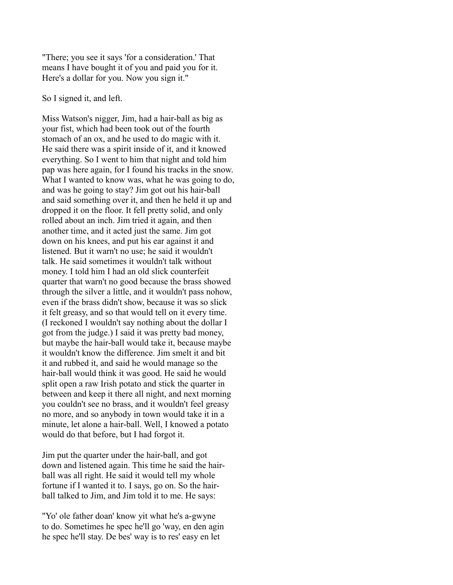"There; you see it says 'for a consideration.' That means I have bought it of you and paid you for it. Here's a dollar for you. Now you sign it."

### So I signed it, and left.

Miss Watson's nigger, Jim, had a hair-ball as big as your fist, which had been took out of the fourth stomach of an ox, and he used to do magic with it. He said there was a spirit inside of it, and it knowed everything. So I went to him that night and told him pap was here again, for I found his tracks in the snow. What I wanted to know was, what he was going to do, and was he going to stay? Jim got out his hair-ball and said something over it, and then he held it up and dropped it on the floor. It fell pretty solid, and only rolled about an inch. Jim tried it again, and then another time, and it acted just the same. Jim got down on his knees, and put his ear against it and listened. But it warn't no use; he said it wouldn't talk. He said sometimes it wouldn't talk without money. I told him I had an old slick counterfeit quarter that warn't no good because the brass showed through the silver a little, and it wouldn't pass nohow, even if the brass didn't show, because it was so slick it felt greasy, and so that would tell on it every time. (I reckoned I wouldn't say nothing about the dollar I got from the judge.) I said it was pretty bad money, but maybe the hair-ball would take it, because maybe it wouldn't know the difference. Jim smelt it and bit it and rubbed it, and said he would manage so the hair-ball would think it was good. He said he would split open a raw Irish potato and stick the quarter in between and keep it there all night, and next morning you couldn't see no brass, and it wouldn't feel greasy no more, and so anybody in town would take it in a minute, let alone a hair-ball. Well, I knowed a potato would do that before, but I had forgot it.

Jim put the quarter under the hair-ball, and got down and listened again. This time he said the hairball was all right. He said it would tell my whole fortune if I wanted it to. I says, go on. So the hairball talked to Jim, and Jim told it to me. He says:

"Yo' ole father doan' know yit what he's a-gwyne to do. Sometimes he spec he'll go 'way, en den agin he spec he'll stay. De bes' way is to res' easy en let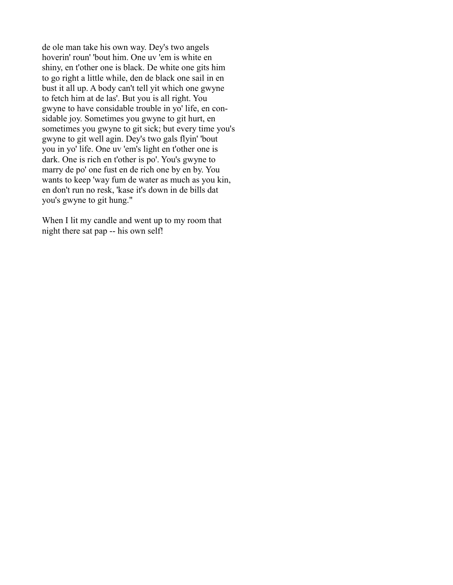de ole man take his own way. Dey's two angels hoverin' roun' 'bout him. One uv 'em is white en shiny, en t'other one is black. De white one gits him to go right a little while, den de black one sail in en bust it all up. A body can't tell yit which one gwyne to fetch him at de las'. But you is all right. You gwyne to have considable trouble in yo' life, en considable joy. Sometimes you gwyne to git hurt, en sometimes you gwyne to git sick; but every time you's gwyne to git well agin. Dey's two gals flyin' 'bout you in yo' life. One uv 'em's light en t'other one is dark. One is rich en t'other is po'. You's gwyne to marry de po' one fust en de rich one by en by. You wants to keep 'way fum de water as much as you kin, en don't run no resk, 'kase it's down in de bills dat you's gwyne to git hung."

When I lit my candle and went up to my room that night there sat pap -- his own self!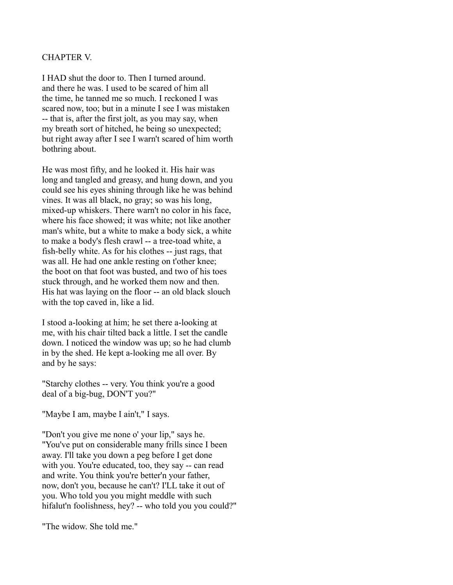# CHAPTER V.

I HAD shut the door to. Then I turned around. and there he was. I used to be scared of him all the time, he tanned me so much. I reckoned I was scared now, too; but in a minute I see I was mistaken -- that is, after the first jolt, as you may say, when my breath sort of hitched, he being so unexpected; but right away after I see I warn't scared of him worth bothring about.

He was most fifty, and he looked it. His hair was long and tangled and greasy, and hung down, and you could see his eyes shining through like he was behind vines. It was all black, no gray; so was his long, mixed-up whiskers. There warn't no color in his face, where his face showed; it was white; not like another man's white, but a white to make a body sick, a white to make a body's flesh crawl -- a tree-toad white, a fish-belly white. As for his clothes -- just rags, that was all. He had one ankle resting on t'other knee; the boot on that foot was busted, and two of his toes stuck through, and he worked them now and then. His hat was laying on the floor -- an old black slouch with the top caved in, like a lid.

I stood a-looking at him; he set there a-looking at me, with his chair tilted back a little. I set the candle down. I noticed the window was up; so he had clumb in by the shed. He kept a-looking me all over. By and by he says:

"Starchy clothes -- very. You think you're a good deal of a big-bug, DON'T you?"

"Maybe I am, maybe I ain't," I says.

"Don't you give me none o' your lip," says he. "You've put on considerable many frills since I been away. I'll take you down a peg before I get done with you. You're educated, too, they say -- can read and write. You think you're better'n your father, now, don't you, because he can't? I'LL take it out of you. Who told you you might meddle with such hifalut'n foolishness, hey? -- who told you you could?"

"The widow. She told me."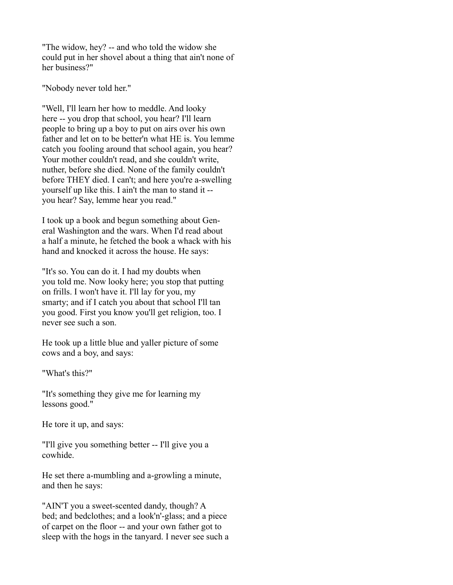"The widow, hey? -- and who told the widow she could put in her shovel about a thing that ain't none of her business?"

"Nobody never told her."

"Well, I'll learn her how to meddle. And looky here -- you drop that school, you hear? I'll learn people to bring up a boy to put on airs over his own father and let on to be better'n what HE is. You lemme catch you fooling around that school again, you hear? Your mother couldn't read, and she couldn't write, nuther, before she died. None of the family couldn't before THEY died. I can't; and here you're a-swelling yourself up like this. I ain't the man to stand it - you hear? Say, lemme hear you read."

I took up a book and begun something about General Washington and the wars. When I'd read about a half a minute, he fetched the book a whack with his hand and knocked it across the house. He says:

"It's so. You can do it. I had my doubts when you told me. Now looky here; you stop that putting on frills. I won't have it. I'll lay for you, my smarty; and if I catch you about that school I'll tan you good. First you know you'll get religion, too. I never see such a son.

He took up a little blue and yaller picture of some cows and a boy, and says:

"What's this?"

"It's something they give me for learning my lessons good."

He tore it up, and says:

"I'll give you something better -- I'll give you a cowhide.

He set there a-mumbling and a-growling a minute, and then he says:

"AIN'T you a sweet-scented dandy, though? A bed; and bedclothes; and a look'n'-glass; and a piece of carpet on the floor -- and your own father got to sleep with the hogs in the tanyard. I never see such a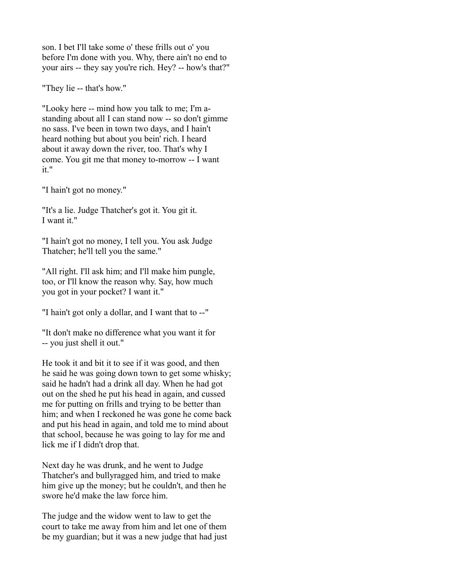son. I bet I'll take some o' these frills out o' you before I'm done with you. Why, there ain't no end to your airs -- they say you're rich. Hey? -- how's that?"

"They lie -- that's how."

"Looky here -- mind how you talk to me; I'm astanding about all I can stand now -- so don't gimme no sass. I've been in town two days, and I hain't heard nothing but about you bein' rich. I heard about it away down the river, too. That's why I come. You git me that money to-morrow -- I want it."

"I hain't got no money."

"It's a lie. Judge Thatcher's got it. You git it. I want it."

"I hain't got no money, I tell you. You ask Judge Thatcher; he'll tell you the same."

"All right. I'll ask him; and I'll make him pungle, too, or I'll know the reason why. Say, how much you got in your pocket? I want it."

"I hain't got only a dollar, and I want that to --"

"It don't make no difference what you want it for -- you just shell it out."

He took it and bit it to see if it was good, and then he said he was going down town to get some whisky; said he hadn't had a drink all day. When he had got out on the shed he put his head in again, and cussed me for putting on frills and trying to be better than him; and when I reckoned he was gone he come back and put his head in again, and told me to mind about that school, because he was going to lay for me and lick me if I didn't drop that.

Next day he was drunk, and he went to Judge Thatcher's and bullyragged him, and tried to make him give up the money; but he couldn't, and then he swore he'd make the law force him.

The judge and the widow went to law to get the court to take me away from him and let one of them be my guardian; but it was a new judge that had just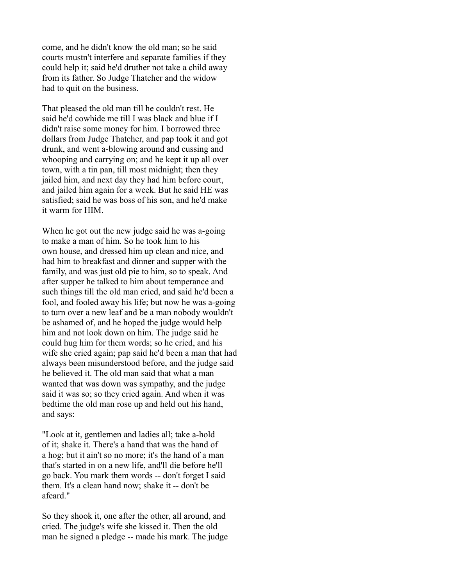come, and he didn't know the old man; so he said courts mustn't interfere and separate families if they could help it; said he'd druther not take a child away from its father. So Judge Thatcher and the widow had to quit on the business.

That pleased the old man till he couldn't rest. He said he'd cowhide me till I was black and blue if I didn't raise some money for him. I borrowed three dollars from Judge Thatcher, and pap took it and got drunk, and went a-blowing around and cussing and whooping and carrying on; and he kept it up all over town, with a tin pan, till most midnight; then they jailed him, and next day they had him before court, and jailed him again for a week. But he said HE was satisfied; said he was boss of his son, and he'd make it warm for HIM.

When he got out the new judge said he was a-going to make a man of him. So he took him to his own house, and dressed him up clean and nice, and had him to breakfast and dinner and supper with the family, and was just old pie to him, so to speak. And after supper he talked to him about temperance and such things till the old man cried, and said he'd been a fool, and fooled away his life; but now he was a-going to turn over a new leaf and be a man nobody wouldn't be ashamed of, and he hoped the judge would help him and not look down on him. The judge said he could hug him for them words; so he cried, and his wife she cried again; pap said he'd been a man that had always been misunderstood before, and the judge said he believed it. The old man said that what a man wanted that was down was sympathy, and the judge said it was so; so they cried again. And when it was bedtime the old man rose up and held out his hand, and says:

"Look at it, gentlemen and ladies all; take a-hold of it; shake it. There's a hand that was the hand of a hog; but it ain't so no more; it's the hand of a man that's started in on a new life, and'll die before he'll go back. You mark them words -- don't forget I said them. It's a clean hand now; shake it -- don't be afeard."

So they shook it, one after the other, all around, and cried. The judge's wife she kissed it. Then the old man he signed a pledge -- made his mark. The judge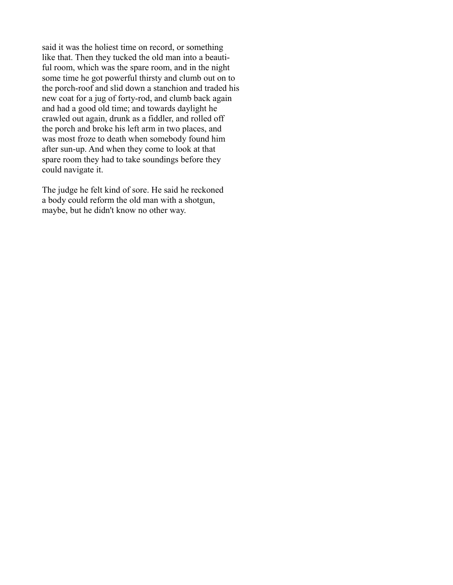said it was the holiest time on record, or something like that. Then they tucked the old man into a beautiful room, which was the spare room, and in the night some time he got powerful thirsty and clumb out on to the porch-roof and slid down a stanchion and traded his new coat for a jug of forty-rod, and clumb back again and had a good old time; and towards daylight he crawled out again, drunk as a fiddler, and rolled off the porch and broke his left arm in two places, and was most froze to death when somebody found him after sun-up. And when they come to look at that spare room they had to take soundings before they could navigate it.

The judge he felt kind of sore. He said he reckoned a body could reform the old man with a shotgun, maybe, but he didn't know no other way.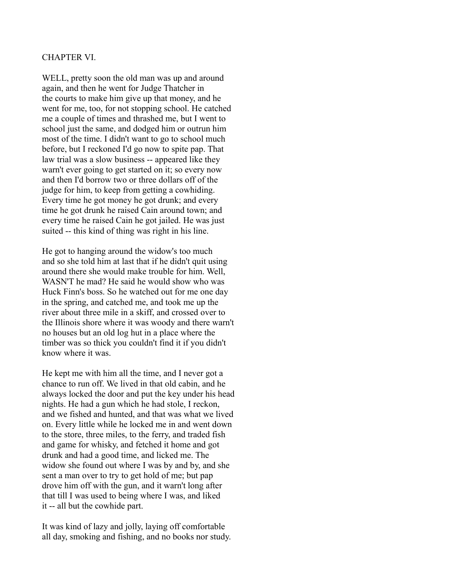## CHAPTER VI.

WELL, pretty soon the old man was up and around again, and then he went for Judge Thatcher in the courts to make him give up that money, and he went for me, too, for not stopping school. He catched me a couple of times and thrashed me, but I went to school just the same, and dodged him or outrun him most of the time. I didn't want to go to school much before, but I reckoned I'd go now to spite pap. That law trial was a slow business -- appeared like they warn't ever going to get started on it; so every now and then I'd borrow two or three dollars off of the judge for him, to keep from getting a cowhiding. Every time he got money he got drunk; and every time he got drunk he raised Cain around town; and every time he raised Cain he got jailed. He was just suited -- this kind of thing was right in his line.

He got to hanging around the widow's too much and so she told him at last that if he didn't quit using around there she would make trouble for him. Well, WASN'T he mad? He said he would show who was Huck Finn's boss. So he watched out for me one day in the spring, and catched me, and took me up the river about three mile in a skiff, and crossed over to the Illinois shore where it was woody and there warn't no houses but an old log hut in a place where the timber was so thick you couldn't find it if you didn't know where it was.

He kept me with him all the time, and I never got a chance to run off. We lived in that old cabin, and he always locked the door and put the key under his head nights. He had a gun which he had stole, I reckon, and we fished and hunted, and that was what we lived on. Every little while he locked me in and went down to the store, three miles, to the ferry, and traded fish and game for whisky, and fetched it home and got drunk and had a good time, and licked me. The widow she found out where I was by and by, and she sent a man over to try to get hold of me; but pap drove him off with the gun, and it warn't long after that till I was used to being where I was, and liked it -- all but the cowhide part.

It was kind of lazy and jolly, laying off comfortable all day, smoking and fishing, and no books nor study.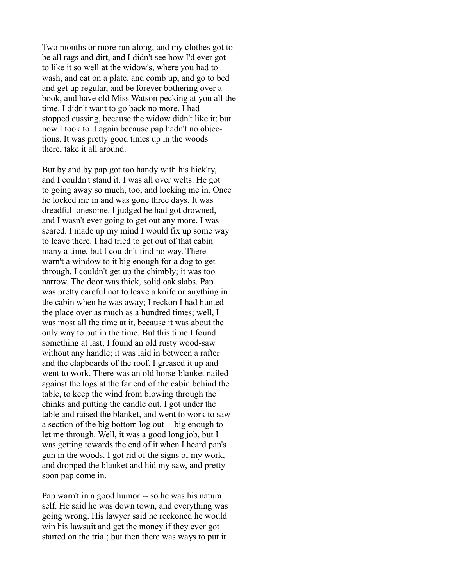Two months or more run along, and my clothes got to be all rags and dirt, and I didn't see how I'd ever got to like it so well at the widow's, where you had to wash, and eat on a plate, and comb up, and go to bed and get up regular, and be forever bothering over a book, and have old Miss Watson pecking at you all the time. I didn't want to go back no more. I had stopped cussing, because the widow didn't like it; but now I took to it again because pap hadn't no objections. It was pretty good times up in the woods there, take it all around.

But by and by pap got too handy with his hick'ry, and I couldn't stand it. I was all over welts. He got to going away so much, too, and locking me in. Once he locked me in and was gone three days. It was dreadful lonesome. I judged he had got drowned, and I wasn't ever going to get out any more. I was scared. I made up my mind I would fix up some way to leave there. I had tried to get out of that cabin many a time, but I couldn't find no way. There warn't a window to it big enough for a dog to get through. I couldn't get up the chimbly; it was too narrow. The door was thick, solid oak slabs. Pap was pretty careful not to leave a knife or anything in the cabin when he was away; I reckon I had hunted the place over as much as a hundred times; well, I was most all the time at it, because it was about the only way to put in the time. But this time I found something at last; I found an old rusty wood-saw without any handle; it was laid in between a rafter and the clapboards of the roof. I greased it up and went to work. There was an old horse-blanket nailed against the logs at the far end of the cabin behind the table, to keep the wind from blowing through the chinks and putting the candle out. I got under the table and raised the blanket, and went to work to saw a section of the big bottom log out -- big enough to let me through. Well, it was a good long job, but I was getting towards the end of it when I heard pap's gun in the woods. I got rid of the signs of my work, and dropped the blanket and hid my saw, and pretty soon pap come in.

Pap warn't in a good humor -- so he was his natural self. He said he was down town, and everything was going wrong. His lawyer said he reckoned he would win his lawsuit and get the money if they ever got started on the trial; but then there was ways to put it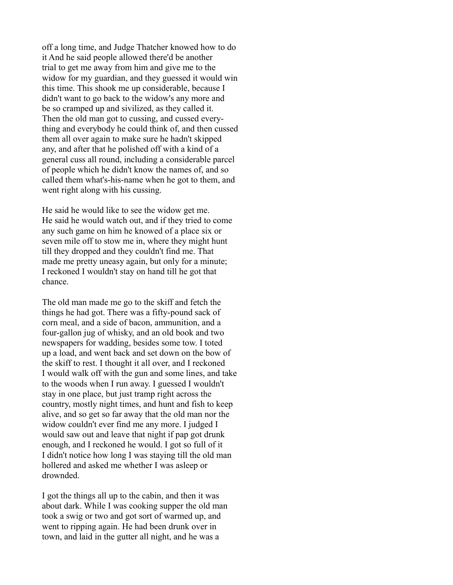off a long time, and Judge Thatcher knowed how to do it And he said people allowed there'd be another trial to get me away from him and give me to the widow for my guardian, and they guessed it would win this time. This shook me up considerable, because I didn't want to go back to the widow's any more and be so cramped up and sivilized, as they called it. Then the old man got to cussing, and cussed everything and everybody he could think of, and then cussed them all over again to make sure he hadn't skipped any, and after that he polished off with a kind of a general cuss all round, including a considerable parcel of people which he didn't know the names of, and so called them what's-his-name when he got to them, and went right along with his cussing.

He said he would like to see the widow get me. He said he would watch out, and if they tried to come any such game on him he knowed of a place six or seven mile off to stow me in, where they might hunt till they dropped and they couldn't find me. That made me pretty uneasy again, but only for a minute; I reckoned I wouldn't stay on hand till he got that chance.

The old man made me go to the skiff and fetch the things he had got. There was a fifty-pound sack of corn meal, and a side of bacon, ammunition, and a four-gallon jug of whisky, and an old book and two newspapers for wadding, besides some tow. I toted up a load, and went back and set down on the bow of the skiff to rest. I thought it all over, and I reckoned I would walk off with the gun and some lines, and take to the woods when I run away. I guessed I wouldn't stay in one place, but just tramp right across the country, mostly night times, and hunt and fish to keep alive, and so get so far away that the old man nor the widow couldn't ever find me any more. I judged I would saw out and leave that night if pap got drunk enough, and I reckoned he would. I got so full of it I didn't notice how long I was staying till the old man hollered and asked me whether I was asleep or drownded.

I got the things all up to the cabin, and then it was about dark. While I was cooking supper the old man took a swig or two and got sort of warmed up, and went to ripping again. He had been drunk over in town, and laid in the gutter all night, and he was a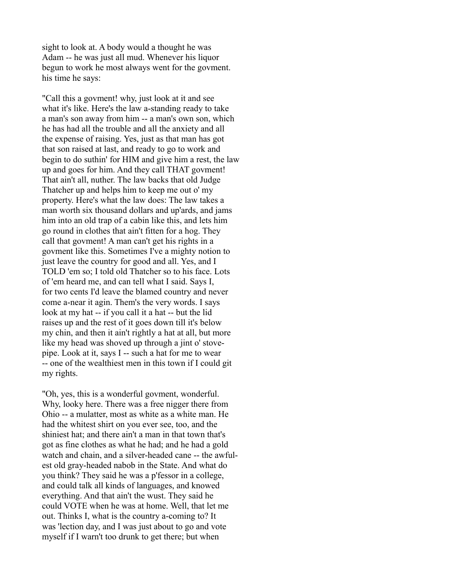sight to look at. A body would a thought he was Adam -- he was just all mud. Whenever his liquor begun to work he most always went for the govment. his time he says:

"Call this a govment! why, just look at it and see what it's like. Here's the law a-standing ready to take a man's son away from him -- a man's own son, which he has had all the trouble and all the anxiety and all the expense of raising. Yes, just as that man has got that son raised at last, and ready to go to work and begin to do suthin' for HIM and give him a rest, the law up and goes for him. And they call THAT govment! That ain't all, nuther. The law backs that old Judge Thatcher up and helps him to keep me out o' my property. Here's what the law does: The law takes a man worth six thousand dollars and up'ards, and jams him into an old trap of a cabin like this, and lets him go round in clothes that ain't fitten for a hog. They call that govment! A man can't get his rights in a govment like this. Sometimes I've a mighty notion to just leave the country for good and all. Yes, and I TOLD 'em so; I told old Thatcher so to his face. Lots of 'em heard me, and can tell what I said. Says I, for two cents I'd leave the blamed country and never come a-near it agin. Them's the very words. I says look at my hat -- if you call it a hat -- but the lid raises up and the rest of it goes down till it's below my chin, and then it ain't rightly a hat at all, but more like my head was shoved up through a jint o' stovepipe. Look at it, says I -- such a hat for me to wear -- one of the wealthiest men in this town if I could git my rights.

"Oh, yes, this is a wonderful govment, wonderful. Why, looky here. There was a free nigger there from Ohio -- a mulatter, most as white as a white man. He had the whitest shirt on you ever see, too, and the shiniest hat; and there ain't a man in that town that's got as fine clothes as what he had; and he had a gold watch and chain, and a silver-headed cane -- the awfulest old gray-headed nabob in the State. And what do you think? They said he was a p'fessor in a college, and could talk all kinds of languages, and knowed everything. And that ain't the wust. They said he could VOTE when he was at home. Well, that let me out. Thinks I, what is the country a-coming to? It was 'lection day, and I was just about to go and vote myself if I warn't too drunk to get there; but when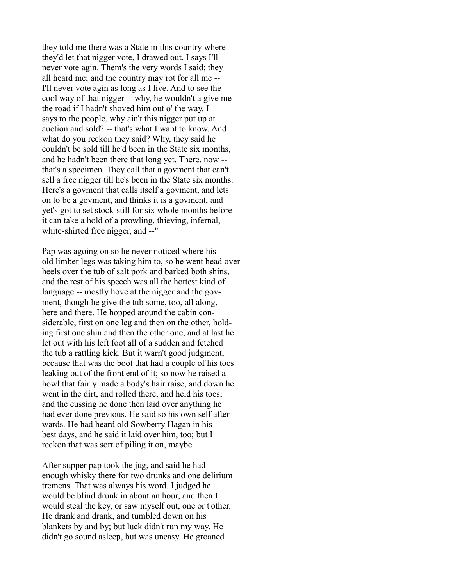they told me there was a State in this country where they'd let that nigger vote, I drawed out. I says I'll never vote agin. Them's the very words I said; they all heard me; and the country may rot for all me -- I'll never vote agin as long as I live. And to see the cool way of that nigger -- why, he wouldn't a give me the road if I hadn't shoved him out o' the way. I says to the people, why ain't this nigger put up at auction and sold? -- that's what I want to know. And what do you reckon they said? Why, they said he couldn't be sold till he'd been in the State six months, and he hadn't been there that long yet. There, now - that's a specimen. They call that a govment that can't sell a free nigger till he's been in the State six months. Here's a govment that calls itself a govment, and lets on to be a govment, and thinks it is a govment, and yet's got to set stock-still for six whole months before it can take a hold of a prowling, thieving, infernal, white-shirted free nigger, and --"

Pap was agoing on so he never noticed where his old limber legs was taking him to, so he went head over heels over the tub of salt pork and barked both shins, and the rest of his speech was all the hottest kind of language -- mostly hove at the nigger and the govment, though he give the tub some, too, all along, here and there. He hopped around the cabin considerable, first on one leg and then on the other, holding first one shin and then the other one, and at last he let out with his left foot all of a sudden and fetched the tub a rattling kick. But it warn't good judgment, because that was the boot that had a couple of his toes leaking out of the front end of it; so now he raised a howl that fairly made a body's hair raise, and down he went in the dirt, and rolled there, and held his toes; and the cussing he done then laid over anything he had ever done previous. He said so his own self afterwards. He had heard old Sowberry Hagan in his best days, and he said it laid over him, too; but I reckon that was sort of piling it on, maybe.

After supper pap took the jug, and said he had enough whisky there for two drunks and one delirium tremens. That was always his word. I judged he would be blind drunk in about an hour, and then I would steal the key, or saw myself out, one or t'other. He drank and drank, and tumbled down on his blankets by and by; but luck didn't run my way. He didn't go sound asleep, but was uneasy. He groaned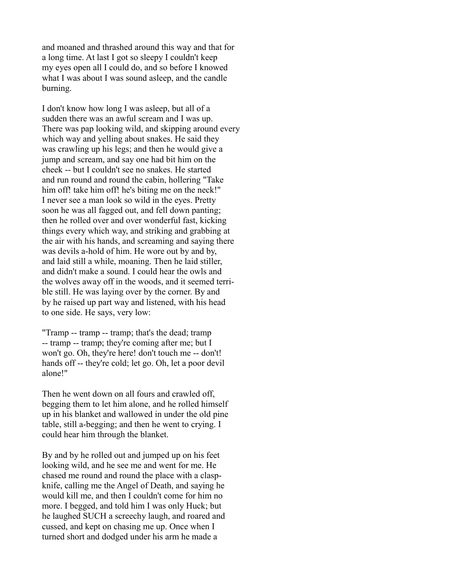and moaned and thrashed around this way and that for a long time. At last I got so sleepy I couldn't keep my eyes open all I could do, and so before I knowed what I was about I was sound asleep, and the candle burning.

I don't know how long I was asleep, but all of a sudden there was an awful scream and I was up. There was pap looking wild, and skipping around every which way and yelling about snakes. He said they was crawling up his legs; and then he would give a jump and scream, and say one had bit him on the cheek -- but I couldn't see no snakes. He started and run round and round the cabin, hollering "Take him off! take him off! he's biting me on the neck!" I never see a man look so wild in the eyes. Pretty soon he was all fagged out, and fell down panting; then he rolled over and over wonderful fast, kicking things every which way, and striking and grabbing at the air with his hands, and screaming and saying there was devils a-hold of him. He wore out by and by, and laid still a while, moaning. Then he laid stiller, and didn't make a sound. I could hear the owls and the wolves away off in the woods, and it seemed terrible still. He was laying over by the corner. By and by he raised up part way and listened, with his head to one side. He says, very low:

"Tramp -- tramp -- tramp; that's the dead; tramp -- tramp -- tramp; they're coming after me; but I won't go. Oh, they're here! don't touch me -- don't! hands off -- they're cold; let go. Oh, let a poor devil alone!"

Then he went down on all fours and crawled off, begging them to let him alone, and he rolled himself up in his blanket and wallowed in under the old pine table, still a-begging; and then he went to crying. I could hear him through the blanket.

By and by he rolled out and jumped up on his feet looking wild, and he see me and went for me. He chased me round and round the place with a claspknife, calling me the Angel of Death, and saying he would kill me, and then I couldn't come for him no more. I begged, and told him I was only Huck; but he laughed SUCH a screechy laugh, and roared and cussed, and kept on chasing me up. Once when I turned short and dodged under his arm he made a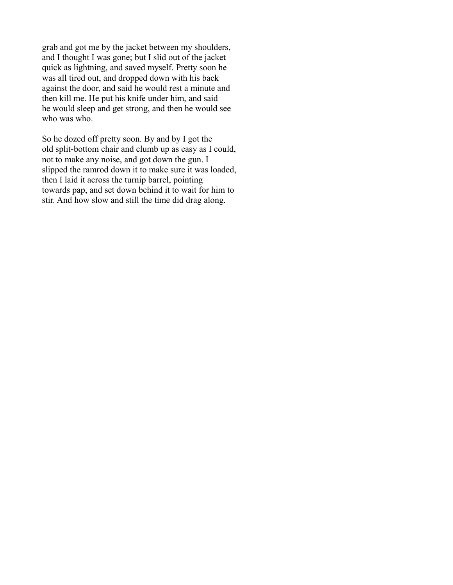grab and got me by the jacket between my shoulders, and I thought I was gone; but I slid out of the jacket quick as lightning, and saved myself. Pretty soon he was all tired out, and dropped down with his back against the door, and said he would rest a minute and then kill me. He put his knife under him, and said he would sleep and get strong, and then he would see who was who.

So he dozed off pretty soon. By and by I got the old split-bottom chair and clumb up as easy as I could, not to make any noise, and got down the gun. I slipped the ramrod down it to make sure it was loaded, then I laid it across the turnip barrel, pointing towards pap, and set down behind it to wait for him to stir. And how slow and still the time did drag along.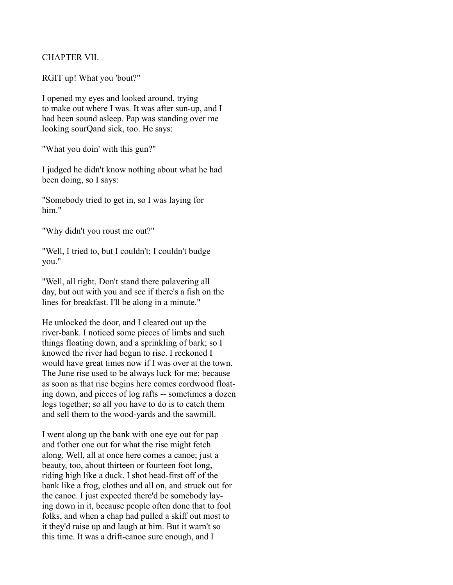## CHAPTER VII.

RGIT up! What you 'bout?"

I opened my eyes and looked around, trying to make out where I was. It was after sun-up, and I had been sound asleep. Pap was standing over me looking sourQand sick, too. He says:

"What you doin' with this gun?"

I judged he didn't know nothing about what he had been doing, so I says:

"Somebody tried to get in, so I was laying for him."

"Why didn't you roust me out?"

"Well, I tried to, but I couldn't; I couldn't budge you."

"Well, all right. Don't stand there palavering all day, but out with you and see if there's a fish on the lines for breakfast. I'll be along in a minute."

He unlocked the door, and I cleared out up the river-bank. I noticed some pieces of limbs and such things floating down, and a sprinkling of bark; so I knowed the river had begun to rise. I reckoned I would have great times now if I was over at the town. The June rise used to be always luck for me; because as soon as that rise begins here comes cordwood floating down, and pieces of log rafts -- sometimes a dozen logs together; so all you have to do is to catch them and sell them to the wood-yards and the sawmill.

I went along up the bank with one eye out for pap and t'other one out for what the rise might fetch along. Well, all at once here comes a canoe; just a beauty, too, about thirteen or fourteen foot long, riding high like a duck. I shot head-first off of the bank like a frog, clothes and all on, and struck out for the canoe. I just expected there'd be somebody laying down in it, because people often done that to fool folks, and when a chap had pulled a skiff out most to it they'd raise up and laugh at him. But it warn't so this time. It was a drift-canoe sure enough, and I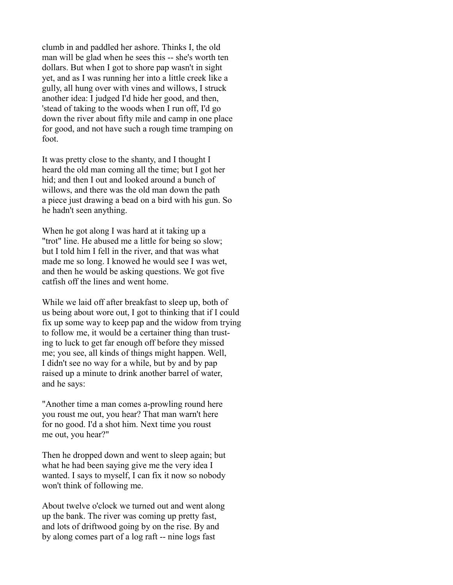clumb in and paddled her ashore. Thinks I, the old man will be glad when he sees this -- she's worth ten dollars. But when I got to shore pap wasn't in sight yet, and as I was running her into a little creek like a gully, all hung over with vines and willows, I struck another idea: I judged I'd hide her good, and then, 'stead of taking to the woods when I run off, I'd go down the river about fifty mile and camp in one place for good, and not have such a rough time tramping on foot.

It was pretty close to the shanty, and I thought I heard the old man coming all the time; but I got her hid; and then I out and looked around a bunch of willows, and there was the old man down the path a piece just drawing a bead on a bird with his gun. So he hadn't seen anything.

When he got along I was hard at it taking up a "trot" line. He abused me a little for being so slow; but I told him I fell in the river, and that was what made me so long. I knowed he would see I was wet, and then he would be asking questions. We got five catfish off the lines and went home.

While we laid off after breakfast to sleep up, both of us being about wore out, I got to thinking that if I could fix up some way to keep pap and the widow from trying to follow me, it would be a certainer thing than trusting to luck to get far enough off before they missed me; you see, all kinds of things might happen. Well, I didn't see no way for a while, but by and by pap raised up a minute to drink another barrel of water, and he says:

"Another time a man comes a-prowling round here you roust me out, you hear? That man warn't here for no good. I'd a shot him. Next time you roust me out, you hear?"

Then he dropped down and went to sleep again; but what he had been saying give me the very idea I wanted. I says to myself, I can fix it now so nobody won't think of following me.

About twelve o'clock we turned out and went along up the bank. The river was coming up pretty fast, and lots of driftwood going by on the rise. By and by along comes part of a log raft -- nine logs fast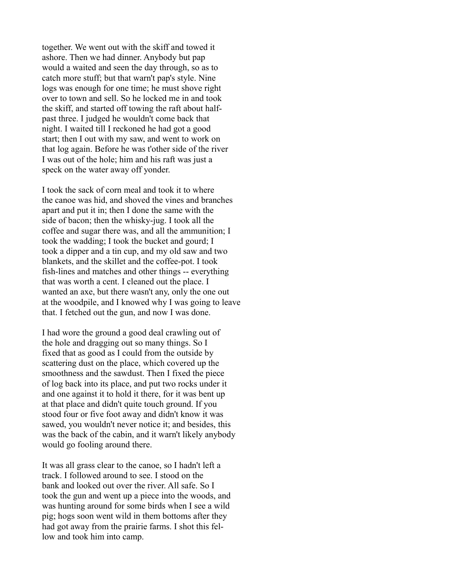together. We went out with the skiff and towed it ashore. Then we had dinner. Anybody but pap would a waited and seen the day through, so as to catch more stuff; but that warn't pap's style. Nine logs was enough for one time; he must shove right over to town and sell. So he locked me in and took the skiff, and started off towing the raft about halfpast three. I judged he wouldn't come back that night. I waited till I reckoned he had got a good start; then I out with my saw, and went to work on that log again. Before he was t'other side of the river I was out of the hole; him and his raft was just a speck on the water away off yonder.

I took the sack of corn meal and took it to where the canoe was hid, and shoved the vines and branches apart and put it in; then I done the same with the side of bacon; then the whisky-jug. I took all the coffee and sugar there was, and all the ammunition; I took the wadding; I took the bucket and gourd; I took a dipper and a tin cup, and my old saw and two blankets, and the skillet and the coffee-pot. I took fish-lines and matches and other things -- everything that was worth a cent. I cleaned out the place. I wanted an axe, but there wasn't any, only the one out at the woodpile, and I knowed why I was going to leave that. I fetched out the gun, and now I was done.

I had wore the ground a good deal crawling out of the hole and dragging out so many things. So I fixed that as good as I could from the outside by scattering dust on the place, which covered up the smoothness and the sawdust. Then I fixed the piece of log back into its place, and put two rocks under it and one against it to hold it there, for it was bent up at that place and didn't quite touch ground. If you stood four or five foot away and didn't know it was sawed, you wouldn't never notice it; and besides, this was the back of the cabin, and it warn't likely anybody would go fooling around there.

It was all grass clear to the canoe, so I hadn't left a track. I followed around to see. I stood on the bank and looked out over the river. All safe. So I took the gun and went up a piece into the woods, and was hunting around for some birds when I see a wild pig; hogs soon went wild in them bottoms after they had got away from the prairie farms. I shot this fellow and took him into camp.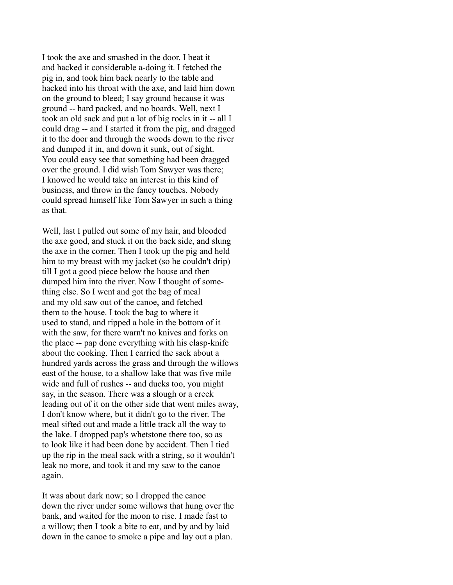I took the axe and smashed in the door. I beat it and hacked it considerable a-doing it. I fetched the pig in, and took him back nearly to the table and hacked into his throat with the axe, and laid him down on the ground to bleed; I say ground because it was ground -- hard packed, and no boards. Well, next I took an old sack and put a lot of big rocks in it -- all I could drag -- and I started it from the pig, and dragged it to the door and through the woods down to the river and dumped it in, and down it sunk, out of sight. You could easy see that something had been dragged over the ground. I did wish Tom Sawyer was there; I knowed he would take an interest in this kind of business, and throw in the fancy touches. Nobody could spread himself like Tom Sawyer in such a thing as that.

Well, last I pulled out some of my hair, and blooded the axe good, and stuck it on the back side, and slung the axe in the corner. Then I took up the pig and held him to my breast with my jacket (so he couldn't drip) till I got a good piece below the house and then dumped him into the river. Now I thought of something else. So I went and got the bag of meal and my old saw out of the canoe, and fetched them to the house. I took the bag to where it used to stand, and ripped a hole in the bottom of it with the saw, for there warn't no knives and forks on the place -- pap done everything with his clasp-knife about the cooking. Then I carried the sack about a hundred yards across the grass and through the willows east of the house, to a shallow lake that was five mile wide and full of rushes -- and ducks too, you might say, in the season. There was a slough or a creek leading out of it on the other side that went miles away, I don't know where, but it didn't go to the river. The meal sifted out and made a little track all the way to the lake. I dropped pap's whetstone there too, so as to look like it had been done by accident. Then I tied up the rip in the meal sack with a string, so it wouldn't leak no more, and took it and my saw to the canoe again.

It was about dark now; so I dropped the canoe down the river under some willows that hung over the bank, and waited for the moon to rise. I made fast to a willow; then I took a bite to eat, and by and by laid down in the canoe to smoke a pipe and lay out a plan.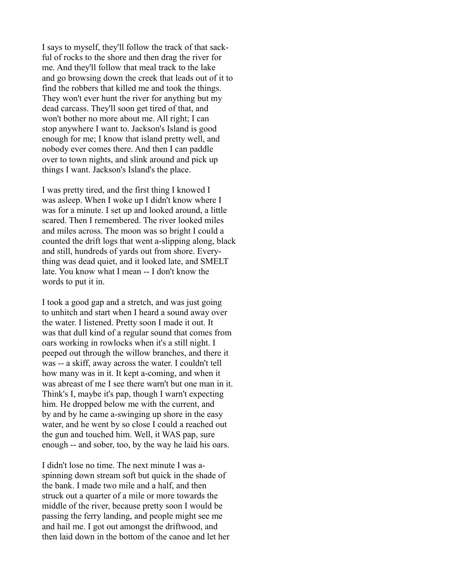I says to myself, they'll follow the track of that sackful of rocks to the shore and then drag the river for me. And they'll follow that meal track to the lake and go browsing down the creek that leads out of it to find the robbers that killed me and took the things. They won't ever hunt the river for anything but my dead carcass. They'll soon get tired of that, and won't bother no more about me. All right; I can stop anywhere I want to. Jackson's Island is good enough for me; I know that island pretty well, and nobody ever comes there. And then I can paddle over to town nights, and slink around and pick up things I want. Jackson's Island's the place.

I was pretty tired, and the first thing I knowed I was asleep. When I woke up I didn't know where I was for a minute. I set up and looked around, a little scared. Then I remembered. The river looked miles and miles across. The moon was so bright I could a counted the drift logs that went a-slipping along, black and still, hundreds of yards out from shore. Everything was dead quiet, and it looked late, and SMELT late. You know what I mean -- I don't know the words to put it in.

I took a good gap and a stretch, and was just going to unhitch and start when I heard a sound away over the water. I listened. Pretty soon I made it out. It was that dull kind of a regular sound that comes from oars working in rowlocks when it's a still night. I peeped out through the willow branches, and there it was -- a skiff, away across the water. I couldn't tell how many was in it. It kept a-coming, and when it was abreast of me I see there warn't but one man in it. Think's I, maybe it's pap, though I warn't expecting him. He dropped below me with the current, and by and by he came a-swinging up shore in the easy water, and he went by so close I could a reached out the gun and touched him. Well, it WAS pap, sure enough -- and sober, too, by the way he laid his oars.

I didn't lose no time. The next minute I was aspinning down stream soft but quick in the shade of the bank. I made two mile and a half, and then struck out a quarter of a mile or more towards the middle of the river, because pretty soon I would be passing the ferry landing, and people might see me and hail me. I got out amongst the driftwood, and then laid down in the bottom of the canoe and let her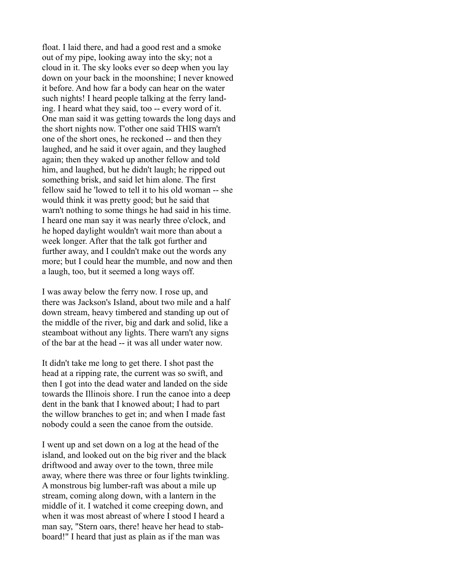float. I laid there, and had a good rest and a smoke out of my pipe, looking away into the sky; not a cloud in it. The sky looks ever so deep when you lay down on your back in the moonshine; I never knowed it before. And how far a body can hear on the water such nights! I heard people talking at the ferry landing. I heard what they said, too -- every word of it. One man said it was getting towards the long days and the short nights now. T'other one said THIS warn't one of the short ones, he reckoned -- and then they laughed, and he said it over again, and they laughed again; then they waked up another fellow and told him, and laughed, but he didn't laugh; he ripped out something brisk, and said let him alone. The first fellow said he 'lowed to tell it to his old woman -- she would think it was pretty good; but he said that warn't nothing to some things he had said in his time. I heard one man say it was nearly three o'clock, and he hoped daylight wouldn't wait more than about a week longer. After that the talk got further and further away, and I couldn't make out the words any more; but I could hear the mumble, and now and then a laugh, too, but it seemed a long ways off.

I was away below the ferry now. I rose up, and there was Jackson's Island, about two mile and a half down stream, heavy timbered and standing up out of the middle of the river, big and dark and solid, like a steamboat without any lights. There warn't any signs of the bar at the head -- it was all under water now.

It didn't take me long to get there. I shot past the head at a ripping rate, the current was so swift, and then I got into the dead water and landed on the side towards the Illinois shore. I run the canoe into a deep dent in the bank that I knowed about; I had to part the willow branches to get in; and when I made fast nobody could a seen the canoe from the outside.

I went up and set down on a log at the head of the island, and looked out on the big river and the black driftwood and away over to the town, three mile away, where there was three or four lights twinkling. A monstrous big lumber-raft was about a mile up stream, coming along down, with a lantern in the middle of it. I watched it come creeping down, and when it was most abreast of where I stood I heard a man say, "Stern oars, there! heave her head to stabboard!" I heard that just as plain as if the man was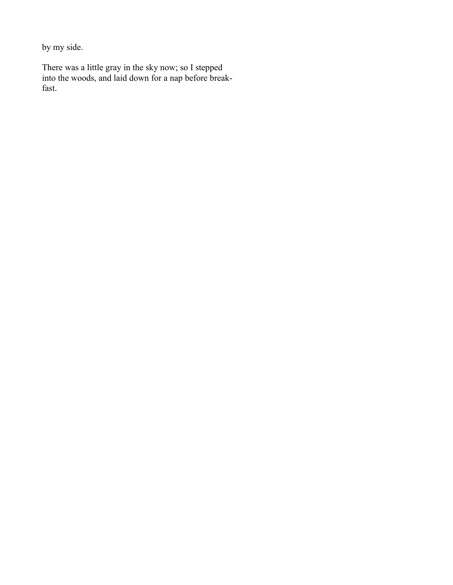by my side.

There was a little gray in the sky now; so I stepped into the woods, and laid down for a nap before breakfast.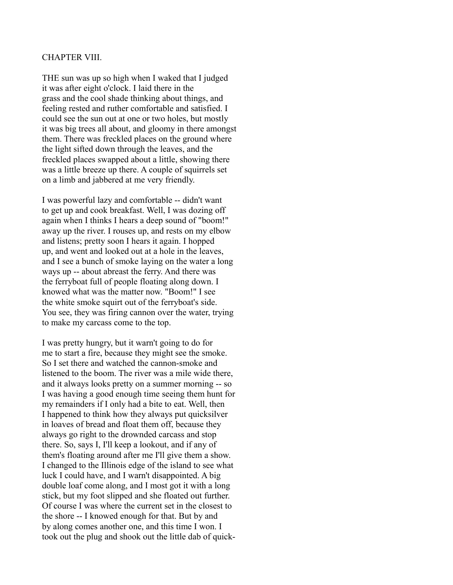#### CHAPTER VIII.

THE sun was up so high when I waked that I judged it was after eight o'clock. I laid there in the grass and the cool shade thinking about things, and feeling rested and ruther comfortable and satisfied. I could see the sun out at one or two holes, but mostly it was big trees all about, and gloomy in there amongst them. There was freckled places on the ground where the light sifted down through the leaves, and the freckled places swapped about a little, showing there was a little breeze up there. A couple of squirrels set on a limb and jabbered at me very friendly.

I was powerful lazy and comfortable -- didn't want to get up and cook breakfast. Well, I was dozing off again when I thinks I hears a deep sound of "boom!" away up the river. I rouses up, and rests on my elbow and listens; pretty soon I hears it again. I hopped up, and went and looked out at a hole in the leaves, and I see a bunch of smoke laying on the water a long ways up -- about abreast the ferry. And there was the ferryboat full of people floating along down. I knowed what was the matter now. "Boom!" I see the white smoke squirt out of the ferryboat's side. You see, they was firing cannon over the water, trying to make my carcass come to the top.

I was pretty hungry, but it warn't going to do for me to start a fire, because they might see the smoke. So I set there and watched the cannon-smoke and listened to the boom. The river was a mile wide there, and it always looks pretty on a summer morning -- so I was having a good enough time seeing them hunt for my remainders if I only had a bite to eat. Well, then I happened to think how they always put quicksilver in loaves of bread and float them off, because they always go right to the drownded carcass and stop there. So, says I, I'll keep a lookout, and if any of them's floating around after me I'll give them a show. I changed to the Illinois edge of the island to see what luck I could have, and I warn't disappointed. A big double loaf come along, and I most got it with a long stick, but my foot slipped and she floated out further. Of course I was where the current set in the closest to the shore -- I knowed enough for that. But by and by along comes another one, and this time I won. I took out the plug and shook out the little dab of quick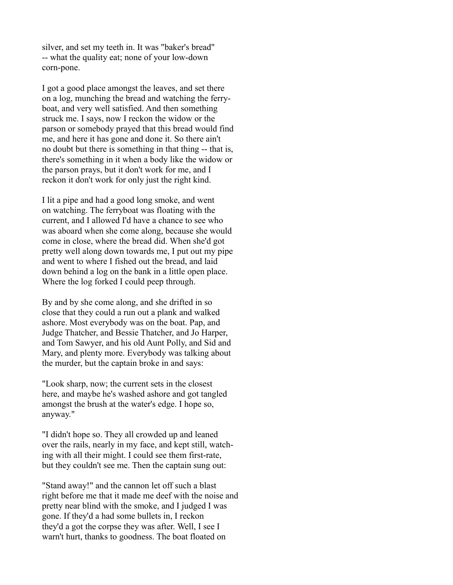silver, and set my teeth in. It was "baker's bread" -- what the quality eat; none of your low-down corn-pone.

I got a good place amongst the leaves, and set there on a log, munching the bread and watching the ferryboat, and very well satisfied. And then something struck me. I says, now I reckon the widow or the parson or somebody prayed that this bread would find me, and here it has gone and done it. So there ain't no doubt but there is something in that thing -- that is, there's something in it when a body like the widow or the parson prays, but it don't work for me, and I reckon it don't work for only just the right kind.

I lit a pipe and had a good long smoke, and went on watching. The ferryboat was floating with the current, and I allowed I'd have a chance to see who was aboard when she come along, because she would come in close, where the bread did. When she'd got pretty well along down towards me, I put out my pipe and went to where I fished out the bread, and laid down behind a log on the bank in a little open place. Where the log forked I could peep through.

By and by she come along, and she drifted in so close that they could a run out a plank and walked ashore. Most everybody was on the boat. Pap, and Judge Thatcher, and Bessie Thatcher, and Jo Harper, and Tom Sawyer, and his old Aunt Polly, and Sid and Mary, and plenty more. Everybody was talking about the murder, but the captain broke in and says:

"Look sharp, now; the current sets in the closest here, and maybe he's washed ashore and got tangled amongst the brush at the water's edge. I hope so, anyway."

"I didn't hope so. They all crowded up and leaned over the rails, nearly in my face, and kept still, watching with all their might. I could see them first-rate, but they couldn't see me. Then the captain sung out:

"Stand away!" and the cannon let off such a blast right before me that it made me deef with the noise and pretty near blind with the smoke, and I judged I was gone. If they'd a had some bullets in, I reckon they'd a got the corpse they was after. Well, I see I warn't hurt, thanks to goodness. The boat floated on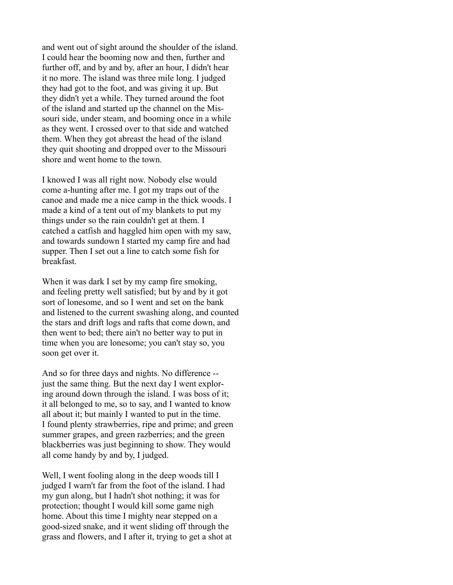and went out of sight around the shoulder of the island. I could hear the booming now and then, further and further off, and by and by, after an hour, I didn't hear it no more. The island was three mile long. I judged they had got to the foot, and was giving it up. But they didn't yet a while. They turned around the foot of the island and started up the channel on the Missouri side, under steam, and booming once in a while as they went. I crossed over to that side and watched them. When they got abreast the head of the island they quit shooting and dropped over to the Missouri shore and went home to the town.

I knowed I was all right now. Nobody else would come a-hunting after me. I got my traps out of the canoe and made me a nice camp in the thick woods. I made a kind of a tent out of my blankets to put my things under so the rain couldn't get at them. I catched a catfish and haggled him open with my saw, and towards sundown I started my camp fire and had supper. Then I set out a line to catch some fish for breakfast.

When it was dark I set by my camp fire smoking, and feeling pretty well satisfied; but by and by it got sort of lonesome, and so I went and set on the bank and listened to the current swashing along, and counted the stars and drift logs and rafts that come down, and then went to bed; there ain't no better way to put in time when you are lonesome; you can't stay so, you soon get over it.

And so for three days and nights. No difference - just the same thing. But the next day I went exploring around down through the island. I was boss of it; it all belonged to me, so to say, and I wanted to know all about it; but mainly I wanted to put in the time. I found plenty strawberries, ripe and prime; and green summer grapes, and green razberries; and the green blackberries was just beginning to show. They would all come handy by and by, I judged.

Well, I went fooling along in the deep woods till I judged I warn't far from the foot of the island. I had my gun along, but I hadn't shot nothing; it was for protection; thought I would kill some game nigh home. About this time I mighty near stepped on a good-sized snake, and it went sliding off through the grass and flowers, and I after it, trying to get a shot at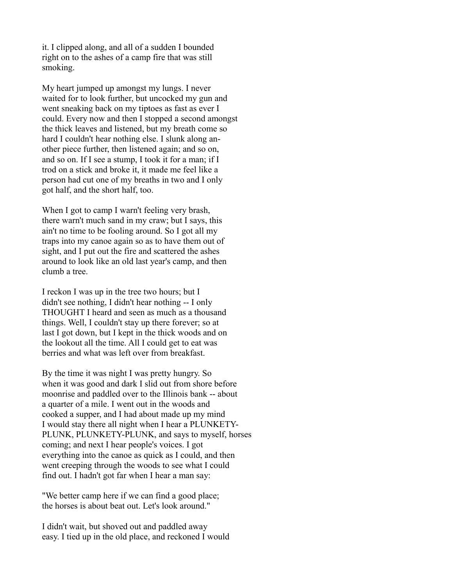it. I clipped along, and all of a sudden I bounded right on to the ashes of a camp fire that was still smoking.

My heart jumped up amongst my lungs. I never waited for to look further, but uncocked my gun and went sneaking back on my tiptoes as fast as ever I could. Every now and then I stopped a second amongst the thick leaves and listened, but my breath come so hard I couldn't hear nothing else. I slunk along another piece further, then listened again; and so on, and so on. If I see a stump, I took it for a man; if I trod on a stick and broke it, it made me feel like a person had cut one of my breaths in two and I only got half, and the short half, too.

When I got to camp I warn't feeling very brash, there warn't much sand in my craw; but I says, this ain't no time to be fooling around. So I got all my traps into my canoe again so as to have them out of sight, and I put out the fire and scattered the ashes around to look like an old last year's camp, and then clumb a tree.

I reckon I was up in the tree two hours; but I didn't see nothing, I didn't hear nothing -- I only THOUGHT I heard and seen as much as a thousand things. Well, I couldn't stay up there forever; so at last I got down, but I kept in the thick woods and on the lookout all the time. All I could get to eat was berries and what was left over from breakfast.

By the time it was night I was pretty hungry. So when it was good and dark I slid out from shore before moonrise and paddled over to the Illinois bank -- about a quarter of a mile. I went out in the woods and cooked a supper, and I had about made up my mind I would stay there all night when I hear a PLUNKETY-PLUNK, PLUNKETY-PLUNK, and says to myself, horses coming; and next I hear people's voices. I got everything into the canoe as quick as I could, and then went creeping through the woods to see what I could find out. I hadn't got far when I hear a man say:

"We better camp here if we can find a good place; the horses is about beat out. Let's look around."

I didn't wait, but shoved out and paddled away easy. I tied up in the old place, and reckoned I would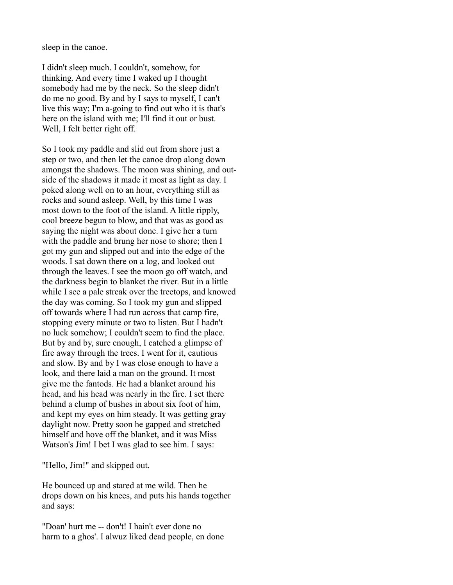sleep in the canoe.

I didn't sleep much. I couldn't, somehow, for thinking. And every time I waked up I thought somebody had me by the neck. So the sleep didn't do me no good. By and by I says to myself, I can't live this way; I'm a-going to find out who it is that's here on the island with me; I'll find it out or bust. Well, I felt better right off.

So I took my paddle and slid out from shore just a step or two, and then let the canoe drop along down amongst the shadows. The moon was shining, and outside of the shadows it made it most as light as day. I poked along well on to an hour, everything still as rocks and sound asleep. Well, by this time I was most down to the foot of the island. A little ripply, cool breeze begun to blow, and that was as good as saying the night was about done. I give her a turn with the paddle and brung her nose to shore; then I got my gun and slipped out and into the edge of the woods. I sat down there on a log, and looked out through the leaves. I see the moon go off watch, and the darkness begin to blanket the river. But in a little while I see a pale streak over the treetops, and knowed the day was coming. So I took my gun and slipped off towards where I had run across that camp fire, stopping every minute or two to listen. But I hadn't no luck somehow; I couldn't seem to find the place. But by and by, sure enough, I catched a glimpse of fire away through the trees. I went for it, cautious and slow. By and by I was close enough to have a look, and there laid a man on the ground. It most give me the fantods. He had a blanket around his head, and his head was nearly in the fire. I set there behind a clump of bushes in about six foot of him, and kept my eyes on him steady. It was getting gray daylight now. Pretty soon he gapped and stretched himself and hove off the blanket, and it was Miss Watson's Jim! I bet I was glad to see him. I says:

"Hello, Jim!" and skipped out.

He bounced up and stared at me wild. Then he drops down on his knees, and puts his hands together and says:

"Doan' hurt me -- don't! I hain't ever done no harm to a ghos'. I alwuz liked dead people, en done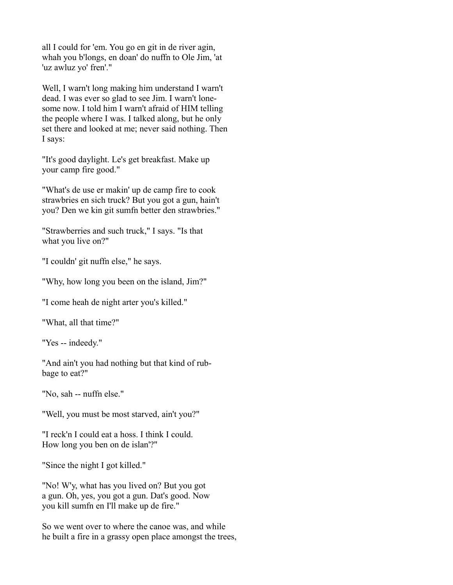all I could for 'em. You go en git in de river agin, whah you b'longs, en doan' do nuffn to Ole Jim, 'at 'uz awluz yo' fren'."

Well, I warn't long making him understand I warn't dead. I was ever so glad to see Jim. I warn't lonesome now. I told him I warn't afraid of HIM telling the people where I was. I talked along, but he only set there and looked at me; never said nothing. Then I says:

"It's good daylight. Le's get breakfast. Make up your camp fire good."

"What's de use er makin' up de camp fire to cook strawbries en sich truck? But you got a gun, hain't you? Den we kin git sumfn better den strawbries."

"Strawberries and such truck," I says. "Is that what you live on?"

"I couldn' git nuffn else," he says.

"Why, how long you been on the island, Jim?"

"I come heah de night arter you's killed."

"What, all that time?"

"Yes -- indeedy."

"And ain't you had nothing but that kind of rubbage to eat?"

"No, sah -- nuffn else."

"Well, you must be most starved, ain't you?"

"I reck'n I could eat a hoss. I think I could. How long you ben on de islan'?"

"Since the night I got killed."

"No! W'y, what has you lived on? But you got a gun. Oh, yes, you got a gun. Dat's good. Now you kill sumfn en I'll make up de fire."

So we went over to where the canoe was, and while he built a fire in a grassy open place amongst the trees,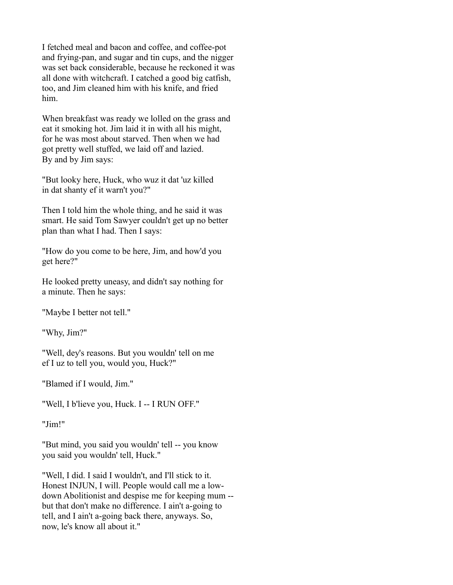I fetched meal and bacon and coffee, and coffee-pot and frying-pan, and sugar and tin cups, and the nigger was set back considerable, because he reckoned it was all done with witchcraft. I catched a good big catfish, too, and Jim cleaned him with his knife, and fried him.

When breakfast was ready we lolled on the grass and eat it smoking hot. Jim laid it in with all his might, for he was most about starved. Then when we had got pretty well stuffed, we laid off and lazied. By and by Jim says:

"But looky here, Huck, who wuz it dat 'uz killed in dat shanty ef it warn't you?"

Then I told him the whole thing, and he said it was smart. He said Tom Sawyer couldn't get up no better plan than what I had. Then I says:

"How do you come to be here, Jim, and how'd you get here?"

He looked pretty uneasy, and didn't say nothing for a minute. Then he says:

"Maybe I better not tell."

"Why, Jim?"

"Well, dey's reasons. But you wouldn' tell on me ef I uz to tell you, would you, Huck?"

"Blamed if I would, Jim."

"Well, I b'lieve you, Huck. I -- I RUN OFF."

"Jim!"

"But mind, you said you wouldn' tell -- you know you said you wouldn' tell, Huck."

"Well, I did. I said I wouldn't, and I'll stick to it. Honest INJUN, I will. People would call me a lowdown Abolitionist and despise me for keeping mum - but that don't make no difference. I ain't a-going to tell, and I ain't a-going back there, anyways. So, now, le's know all about it."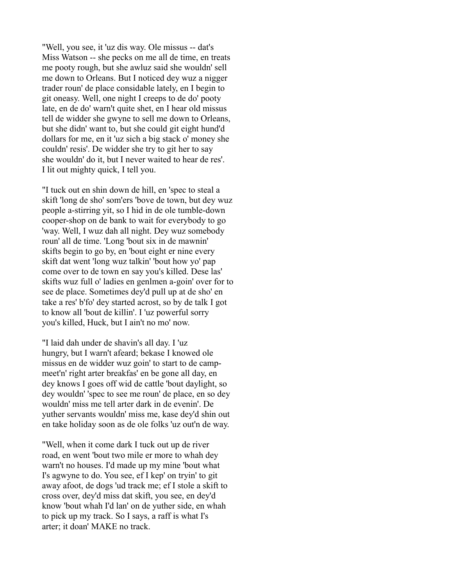"Well, you see, it 'uz dis way. Ole missus -- dat's Miss Watson -- she pecks on me all de time, en treats me pooty rough, but she awluz said she wouldn' sell me down to Orleans. But I noticed dey wuz a nigger trader roun' de place considable lately, en I begin to git oneasy. Well, one night I creeps to de do' pooty late, en de do' warn't quite shet, en I hear old missus tell de widder she gwyne to sell me down to Orleans, but she didn' want to, but she could git eight hund'd dollars for me, en it 'uz sich a big stack o' money she couldn' resis'. De widder she try to git her to say she wouldn' do it, but I never waited to hear de res'. I lit out mighty quick, I tell you.

"I tuck out en shin down de hill, en 'spec to steal a skift 'long de sho' som'ers 'bove de town, but dey wuz people a-stirring yit, so I hid in de ole tumble-down cooper-shop on de bank to wait for everybody to go 'way. Well, I wuz dah all night. Dey wuz somebody roun' all de time. 'Long 'bout six in de mawnin' skifts begin to go by, en 'bout eight er nine every skift dat went 'long wuz talkin' 'bout how yo' pap come over to de town en say you's killed. Dese las' skifts wuz full o' ladies en genlmen a-goin' over for to see de place. Sometimes dey'd pull up at de sho' en take a res' b'fo' dey started acrost, so by de talk I got to know all 'bout de killin'. I 'uz powerful sorry you's killed, Huck, but I ain't no mo' now.

"I laid dah under de shavin's all day. I 'uz hungry, but I warn't afeard; bekase I knowed ole missus en de widder wuz goin' to start to de campmeet'n' right arter breakfas' en be gone all day, en dey knows I goes off wid de cattle 'bout daylight, so dey wouldn' 'spec to see me roun' de place, en so dey wouldn' miss me tell arter dark in de evenin'. De yuther servants wouldn' miss me, kase dey'd shin out en take holiday soon as de ole folks 'uz out'n de way.

"Well, when it come dark I tuck out up de river road, en went 'bout two mile er more to whah dey warn't no houses. I'd made up my mine 'bout what I's agwyne to do. You see, ef I kep' on tryin' to git away afoot, de dogs 'ud track me; ef I stole a skift to cross over, dey'd miss dat skift, you see, en dey'd know 'bout whah I'd lan' on de yuther side, en whah to pick up my track. So I says, a raff is what I's arter; it doan' MAKE no track.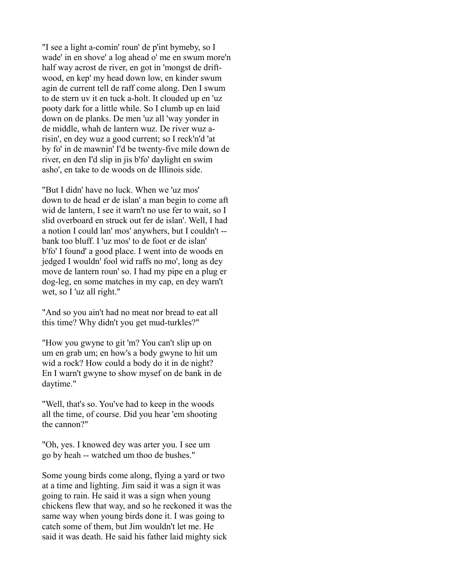"I see a light a-comin' roun' de p'int bymeby, so I wade' in en shove' a log ahead o' me en swum more'n half way acrost de river, en got in 'mongst de driftwood, en kep' my head down low, en kinder swum agin de current tell de raff come along. Den I swum to de stern uv it en tuck a-holt. It clouded up en 'uz pooty dark for a little while. So I clumb up en laid down on de planks. De men 'uz all 'way yonder in de middle, whah de lantern wuz. De river wuz arisin', en dey wuz a good current; so I reck'n'd 'at by fo' in de mawnin' I'd be twenty-five mile down de river, en den I'd slip in jis b'fo' daylight en swim asho', en take to de woods on de Illinois side.

"But I didn' have no luck. When we 'uz mos' down to de head er de islan' a man begin to come aft wid de lantern, I see it warn't no use fer to wait, so I slid overboard en struck out fer de islan'. Well, I had a notion I could lan' mos' anywhers, but I couldn't - bank too bluff. I 'uz mos' to de foot er de islan' b'fo' I found' a good place. I went into de woods en jedged I wouldn' fool wid raffs no mo', long as dey move de lantern roun' so. I had my pipe en a plug er dog-leg, en some matches in my cap, en dey warn't wet, so I 'uz all right."

"And so you ain't had no meat nor bread to eat all this time? Why didn't you get mud-turkles?"

"How you gwyne to git 'm? You can't slip up on um en grab um; en how's a body gwyne to hit um wid a rock? How could a body do it in de night? En I warn't gwyne to show mysef on de bank in de daytime."

"Well, that's so. You've had to keep in the woods all the time, of course. Did you hear 'em shooting the cannon?"

"Oh, yes. I knowed dey was arter you. I see um go by heah -- watched um thoo de bushes."

Some young birds come along, flying a yard or two at a time and lighting. Jim said it was a sign it was going to rain. He said it was a sign when young chickens flew that way, and so he reckoned it was the same way when young birds done it. I was going to catch some of them, but Jim wouldn't let me. He said it was death. He said his father laid mighty sick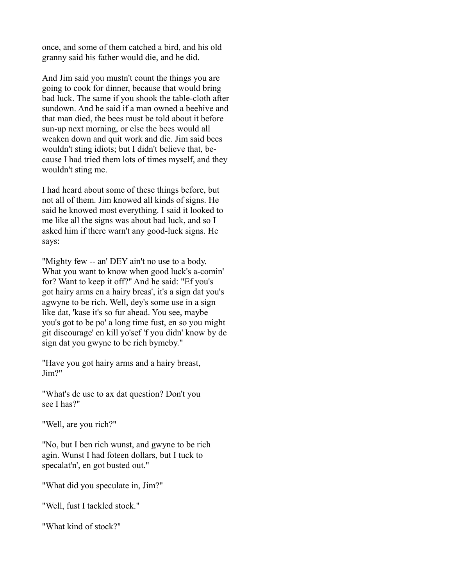once, and some of them catched a bird, and his old granny said his father would die, and he did.

And Jim said you mustn't count the things you are going to cook for dinner, because that would bring bad luck. The same if you shook the table-cloth after sundown. And he said if a man owned a beehive and that man died, the bees must be told about it before sun-up next morning, or else the bees would all weaken down and quit work and die. Jim said bees wouldn't sting idiots; but I didn't believe that, because I had tried them lots of times myself, and they wouldn't sting me.

I had heard about some of these things before, but not all of them. Jim knowed all kinds of signs. He said he knowed most everything. I said it looked to me like all the signs was about bad luck, and so I asked him if there warn't any good-luck signs. He says:

"Mighty few -- an' DEY ain't no use to a body. What you want to know when good luck's a-comin' for? Want to keep it off?" And he said: "Ef you's got hairy arms en a hairy breas', it's a sign dat you's agwyne to be rich. Well, dey's some use in a sign like dat, 'kase it's so fur ahead. You see, maybe you's got to be po' a long time fust, en so you might git discourage' en kill yo'sef 'f you didn' know by de sign dat you gwyne to be rich bymeby."

"Have you got hairy arms and a hairy breast, Jim?"

"What's de use to ax dat question? Don't you see I has?"

"Well, are you rich?"

"No, but I ben rich wunst, and gwyne to be rich agin. Wunst I had foteen dollars, but I tuck to specalat'n', en got busted out."

"What did you speculate in, Jim?"

"Well, fust I tackled stock."

"What kind of stock?"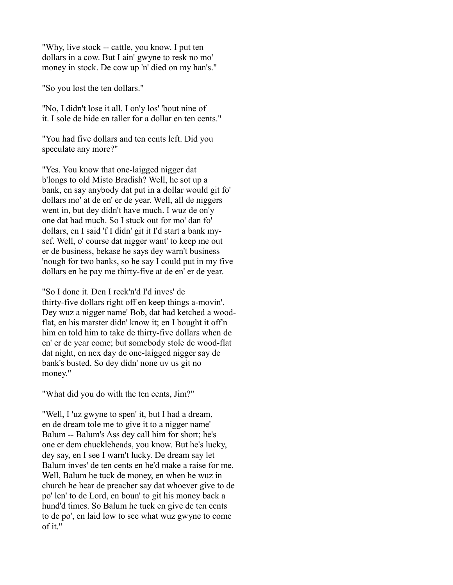"Why, live stock -- cattle, you know. I put ten dollars in a cow. But I ain' gwyne to resk no mo' money in stock. De cow up 'n' died on my han's."

"So you lost the ten dollars."

"No, I didn't lose it all. I on'y los' 'bout nine of it. I sole de hide en taller for a dollar en ten cents."

"You had five dollars and ten cents left. Did you speculate any more?"

"Yes. You know that one-laigged nigger dat b'longs to old Misto Bradish? Well, he sot up a bank, en say anybody dat put in a dollar would git fo' dollars mo' at de en' er de year. Well, all de niggers went in, but dey didn't have much. I wuz de on'y one dat had much. So I stuck out for mo' dan fo' dollars, en I said 'f I didn' git it I'd start a bank mysef. Well, o' course dat nigger want' to keep me out er de business, bekase he says dey warn't business 'nough for two banks, so he say I could put in my five dollars en he pay me thirty-five at de en' er de year.

"So I done it. Den I reck'n'd I'd inves' de thirty-five dollars right off en keep things a-movin'. Dey wuz a nigger name' Bob, dat had ketched a woodflat, en his marster didn' know it; en I bought it off'n him en told him to take de thirty-five dollars when de en' er de year come; but somebody stole de wood-flat dat night, en nex day de one-laigged nigger say de bank's busted. So dey didn' none uv us git no money."

"What did you do with the ten cents, Jim?"

"Well, I 'uz gwyne to spen' it, but I had a dream, en de dream tole me to give it to a nigger name' Balum -- Balum's Ass dey call him for short; he's one er dem chuckleheads, you know. But he's lucky, dey say, en I see I warn't lucky. De dream say let Balum inves' de ten cents en he'd make a raise for me. Well, Balum he tuck de money, en when he wuz in church he hear de preacher say dat whoever give to de po' len' to de Lord, en boun' to git his money back a hund'd times. So Balum he tuck en give de ten cents to de po', en laid low to see what wuz gwyne to come of it."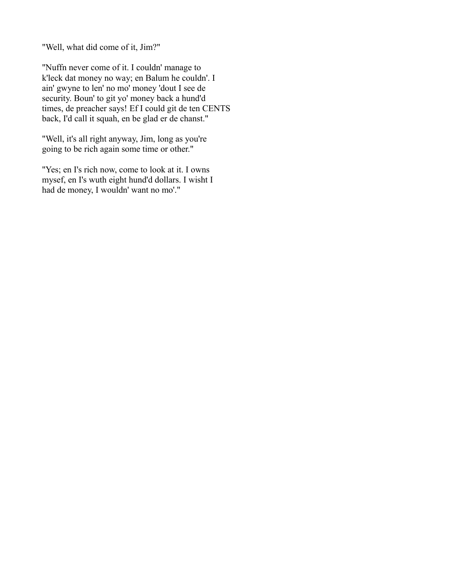"Well, what did come of it, Jim?"

"Nuffn never come of it. I couldn' manage to k'leck dat money no way; en Balum he couldn'. I ain' gwyne to len' no mo' money 'dout I see de security. Boun' to git yo' money back a hund'd times, de preacher says! Ef I could git de ten CENTS back, I'd call it squah, en be glad er de chanst."

"Well, it's all right anyway, Jim, long as you're going to be rich again some time or other."

"Yes; en I's rich now, come to look at it. I owns mysef, en I's wuth eight hund'd dollars. I wisht I had de money, I wouldn' want no mo'."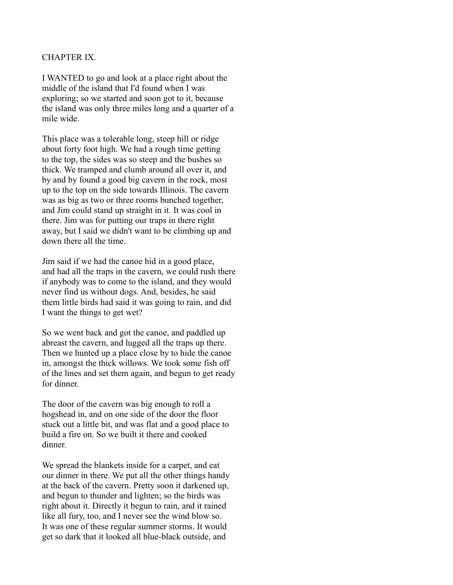# CHAPTER IX.

I WANTED to go and look at a place right about the middle of the island that I'd found when I was exploring; so we started and soon got to it, because the island was only three miles long and a quarter of a mile wide.

This place was a tolerable long, steep hill or ridge about forty foot high. We had a rough time getting to the top, the sides was so steep and the bushes so thick. We tramped and clumb around all over it, and by and by found a good big cavern in the rock, most up to the top on the side towards Illinois. The cavern was as big as two or three rooms bunched together, and Jim could stand up straight in it. It was cool in there. Jim was for putting our traps in there right away, but I said we didn't want to be climbing up and down there all the time.

Jim said if we had the canoe hid in a good place, and had all the traps in the cavern, we could rush there if anybody was to come to the island, and they would never find us without dogs. And, besides, he said them little birds had said it was going to rain, and did I want the things to get wet?

So we went back and got the canoe, and paddled up abreast the cavern, and lugged all the traps up there. Then we hunted up a place close by to hide the canoe in, amongst the thick willows. We took some fish off of the lines and set them again, and begun to get ready for dinner.

The door of the cavern was big enough to roll a hogshead in, and on one side of the door the floor stuck out a little bit, and was flat and a good place to build a fire on. So we built it there and cooked dinner.

We spread the blankets inside for a carpet, and eat our dinner in there. We put all the other things handy at the back of the cavern. Pretty soon it darkened up, and begun to thunder and lighten; so the birds was right about it. Directly it begun to rain, and it rained like all fury, too, and I never see the wind blow so. It was one of these regular summer storms. It would get so dark that it looked all blue-black outside, and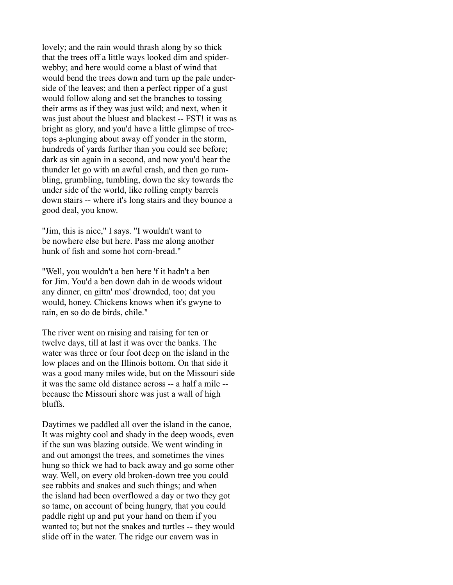lovely; and the rain would thrash along by so thick that the trees off a little ways looked dim and spiderwebby; and here would come a blast of wind that would bend the trees down and turn up the pale underside of the leaves; and then a perfect ripper of a gust would follow along and set the branches to tossing their arms as if they was just wild; and next, when it was just about the bluest and blackest -- FST! it was as bright as glory, and you'd have a little glimpse of treetops a-plunging about away off yonder in the storm, hundreds of yards further than you could see before; dark as sin again in a second, and now you'd hear the thunder let go with an awful crash, and then go rumbling, grumbling, tumbling, down the sky towards the under side of the world, like rolling empty barrels down stairs -- where it's long stairs and they bounce a good deal, you know.

"Jim, this is nice," I says. "I wouldn't want to be nowhere else but here. Pass me along another hunk of fish and some hot corn-bread."

"Well, you wouldn't a ben here 'f it hadn't a ben for Jim. You'd a ben down dah in de woods widout any dinner, en gittn' mos' drownded, too; dat you would, honey. Chickens knows when it's gwyne to rain, en so do de birds, chile."

The river went on raising and raising for ten or twelve days, till at last it was over the banks. The water was three or four foot deep on the island in the low places and on the Illinois bottom. On that side it was a good many miles wide, but on the Missouri side it was the same old distance across -- a half a mile - because the Missouri shore was just a wall of high bluffs.

Daytimes we paddled all over the island in the canoe, It was mighty cool and shady in the deep woods, even if the sun was blazing outside. We went winding in and out amongst the trees, and sometimes the vines hung so thick we had to back away and go some other way. Well, on every old broken-down tree you could see rabbits and snakes and such things; and when the island had been overflowed a day or two they got so tame, on account of being hungry, that you could paddle right up and put your hand on them if you wanted to; but not the snakes and turtles -- they would slide off in the water. The ridge our cavern was in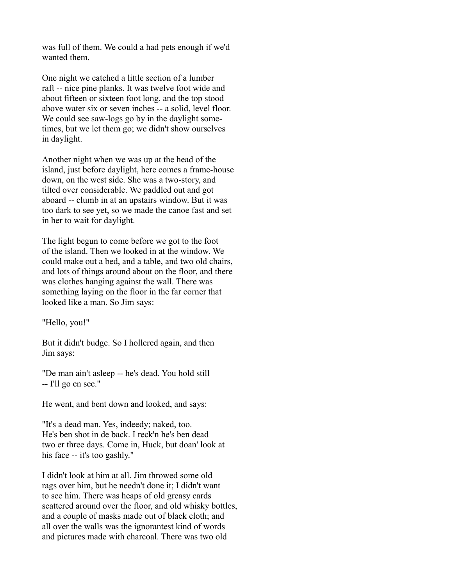was full of them. We could a had pets enough if we'd wanted them.

One night we catched a little section of a lumber raft -- nice pine planks. It was twelve foot wide and about fifteen or sixteen foot long, and the top stood above water six or seven inches -- a solid, level floor. We could see saw-logs go by in the daylight sometimes, but we let them go; we didn't show ourselves in daylight.

Another night when we was up at the head of the island, just before daylight, here comes a frame-house down, on the west side. She was a two-story, and tilted over considerable. We paddled out and got aboard -- clumb in at an upstairs window. But it was too dark to see yet, so we made the canoe fast and set in her to wait for daylight.

The light begun to come before we got to the foot of the island. Then we looked in at the window. We could make out a bed, and a table, and two old chairs, and lots of things around about on the floor, and there was clothes hanging against the wall. There was something laying on the floor in the far corner that looked like a man. So Jim says:

"Hello, you!"

But it didn't budge. So I hollered again, and then Jim says:

"De man ain't asleep -- he's dead. You hold still -- I'll go en see."

He went, and bent down and looked, and says:

"It's a dead man. Yes, indeedy; naked, too. He's ben shot in de back. I reck'n he's ben dead two er three days. Come in, Huck, but doan' look at his face -- it's too gashly."

I didn't look at him at all. Jim throwed some old rags over him, but he needn't done it; I didn't want to see him. There was heaps of old greasy cards scattered around over the floor, and old whisky bottles, and a couple of masks made out of black cloth; and all over the walls was the ignorantest kind of words and pictures made with charcoal. There was two old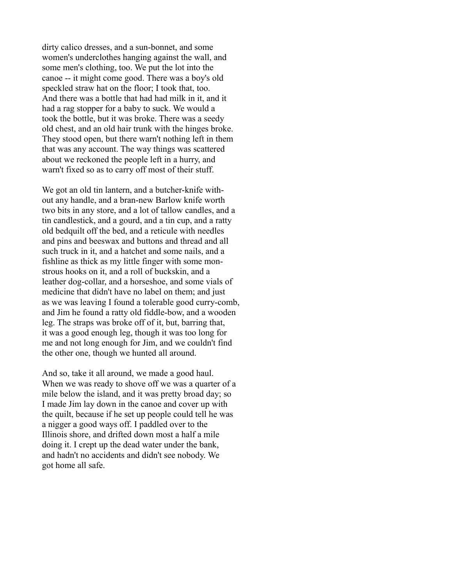dirty calico dresses, and a sun-bonnet, and some women's underclothes hanging against the wall, and some men's clothing, too. We put the lot into the canoe -- it might come good. There was a boy's old speckled straw hat on the floor; I took that, too. And there was a bottle that had had milk in it, and it had a rag stopper for a baby to suck. We would a took the bottle, but it was broke. There was a seedy old chest, and an old hair trunk with the hinges broke. They stood open, but there warn't nothing left in them that was any account. The way things was scattered about we reckoned the people left in a hurry, and warn't fixed so as to carry off most of their stuff.

We got an old tin lantern, and a butcher-knife without any handle, and a bran-new Barlow knife worth two bits in any store, and a lot of tallow candles, and a tin candlestick, and a gourd, and a tin cup, and a ratty old bedquilt off the bed, and a reticule with needles and pins and beeswax and buttons and thread and all such truck in it, and a hatchet and some nails, and a fishline as thick as my little finger with some monstrous hooks on it, and a roll of buckskin, and a leather dog-collar, and a horseshoe, and some vials of medicine that didn't have no label on them; and just as we was leaving I found a tolerable good curry-comb, and Jim he found a ratty old fiddle-bow, and a wooden leg. The straps was broke off of it, but, barring that, it was a good enough leg, though it was too long for me and not long enough for Jim, and we couldn't find the other one, though we hunted all around.

And so, take it all around, we made a good haul. When we was ready to shove off we was a quarter of a mile below the island, and it was pretty broad day; so I made Jim lay down in the canoe and cover up with the quilt, because if he set up people could tell he was a nigger a good ways off. I paddled over to the Illinois shore, and drifted down most a half a mile doing it. I crept up the dead water under the bank, and hadn't no accidents and didn't see nobody. We got home all safe.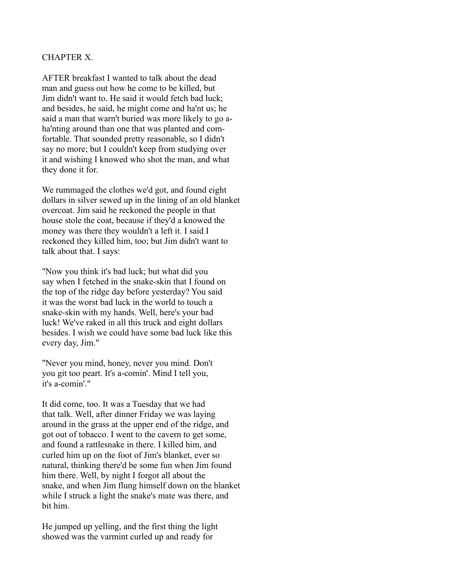# CHAPTER X.

AFTER breakfast I wanted to talk about the dead man and guess out how he come to be killed, but Jim didn't want to. He said it would fetch bad luck; and besides, he said, he might come and ha'nt us; he said a man that warn't buried was more likely to go aha'nting around than one that was planted and comfortable. That sounded pretty reasonable, so I didn't say no more; but I couldn't keep from studying over it and wishing I knowed who shot the man, and what they done it for.

We rummaged the clothes we'd got, and found eight dollars in silver sewed up in the lining of an old blanket overcoat. Jim said he reckoned the people in that house stole the coat, because if they'd a knowed the money was there they wouldn't a left it. I said I reckoned they killed him, too; but Jim didn't want to talk about that. I says:

"Now you think it's bad luck; but what did you say when I fetched in the snake-skin that I found on the top of the ridge day before yesterday? You said it was the worst bad luck in the world to touch a snake-skin with my hands. Well, here's your bad luck! We've raked in all this truck and eight dollars besides. I wish we could have some bad luck like this every day, Jim."

"Never you mind, honey, never you mind. Don't you git too peart. It's a-comin'. Mind I tell you, it's a-comin'."

It did come, too. It was a Tuesday that we had that talk. Well, after dinner Friday we was laying around in the grass at the upper end of the ridge, and got out of tobacco. I went to the cavern to get some, and found a rattlesnake in there. I killed him, and curled him up on the foot of Jim's blanket, ever so natural, thinking there'd be some fun when Jim found him there. Well, by night I forgot all about the snake, and when Jim flung himself down on the blanket while I struck a light the snake's mate was there, and bit him.

He jumped up yelling, and the first thing the light showed was the varmint curled up and ready for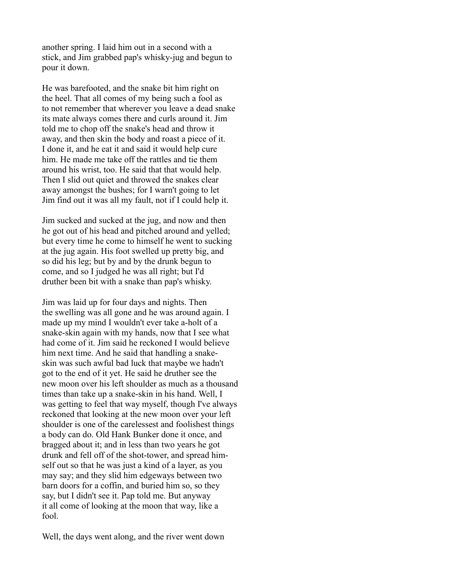another spring. I laid him out in a second with a stick, and Jim grabbed pap's whisky-jug and begun to pour it down.

He was barefooted, and the snake bit him right on the heel. That all comes of my being such a fool as to not remember that wherever you leave a dead snake its mate always comes there and curls around it. Jim told me to chop off the snake's head and throw it away, and then skin the body and roast a piece of it. I done it, and he eat it and said it would help cure him. He made me take off the rattles and tie them around his wrist, too. He said that that would help. Then I slid out quiet and throwed the snakes clear away amongst the bushes; for I warn't going to let Jim find out it was all my fault, not if I could help it.

Jim sucked and sucked at the jug, and now and then he got out of his head and pitched around and yelled; but every time he come to himself he went to sucking at the jug again. His foot swelled up pretty big, and so did his leg; but by and by the drunk begun to come, and so I judged he was all right; but I'd druther been bit with a snake than pap's whisky.

Jim was laid up for four days and nights. Then the swelling was all gone and he was around again. I made up my mind I wouldn't ever take a-holt of a snake-skin again with my hands, now that I see what had come of it. Jim said he reckoned I would believe him next time. And he said that handling a snakeskin was such awful bad luck that maybe we hadn't got to the end of it yet. He said he druther see the new moon over his left shoulder as much as a thousand times than take up a snake-skin in his hand. Well, I was getting to feel that way myself, though I've always reckoned that looking at the new moon over your left shoulder is one of the carelessest and foolishest things a body can do. Old Hank Bunker done it once, and bragged about it; and in less than two years he got drunk and fell off of the shot-tower, and spread himself out so that he was just a kind of a layer, as you may say; and they slid him edgeways between two barn doors for a coffin, and buried him so, so they say, but I didn't see it. Pap told me. But anyway it all come of looking at the moon that way, like a fool.

Well, the days went along, and the river went down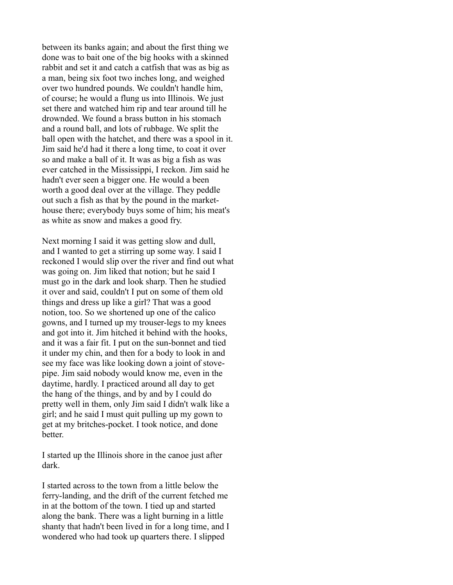between its banks again; and about the first thing we done was to bait one of the big hooks with a skinned rabbit and set it and catch a catfish that was as big as a man, being six foot two inches long, and weighed over two hundred pounds. We couldn't handle him, of course; he would a flung us into Illinois. We just set there and watched him rip and tear around till he drownded. We found a brass button in his stomach and a round ball, and lots of rubbage. We split the ball open with the hatchet, and there was a spool in it. Jim said he'd had it there a long time, to coat it over so and make a ball of it. It was as big a fish as was ever catched in the Mississippi, I reckon. Jim said he hadn't ever seen a bigger one. He would a been worth a good deal over at the village. They peddle out such a fish as that by the pound in the markethouse there; everybody buys some of him; his meat's as white as snow and makes a good fry.

Next morning I said it was getting slow and dull, and I wanted to get a stirring up some way. I said I reckoned I would slip over the river and find out what was going on. Jim liked that notion; but he said I must go in the dark and look sharp. Then he studied it over and said, couldn't I put on some of them old things and dress up like a girl? That was a good notion, too. So we shortened up one of the calico gowns, and I turned up my trouser-legs to my knees and got into it. Jim hitched it behind with the hooks, and it was a fair fit. I put on the sun-bonnet and tied it under my chin, and then for a body to look in and see my face was like looking down a joint of stovepipe. Jim said nobody would know me, even in the daytime, hardly. I practiced around all day to get the hang of the things, and by and by I could do pretty well in them, only Jim said I didn't walk like a girl; and he said I must quit pulling up my gown to get at my britches-pocket. I took notice, and done better.

I started up the Illinois shore in the canoe just after dark.

I started across to the town from a little below the ferry-landing, and the drift of the current fetched me in at the bottom of the town. I tied up and started along the bank. There was a light burning in a little shanty that hadn't been lived in for a long time, and I wondered who had took up quarters there. I slipped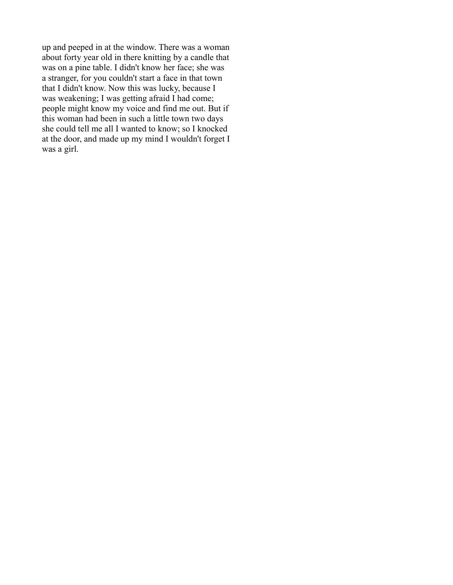up and peeped in at the window. There was a woman about forty year old in there knitting by a candle that was on a pine table. I didn't know her face; she was a stranger, for you couldn't start a face in that town that I didn't know. Now this was lucky, because I was weakening; I was getting afraid I had come; people might know my voice and find me out. But if this woman had been in such a little town two days she could tell me all I wanted to know; so I knocked at the door, and made up my mind I wouldn't forget I was a girl.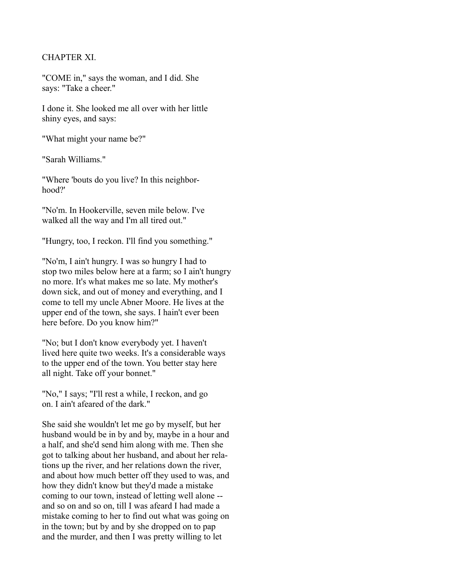### CHAPTER XI.

"COME in," says the woman, and I did. She says: "Take a cheer."

I done it. She looked me all over with her little shiny eyes, and says:

"What might your name be?"

"Sarah Williams."

"Where 'bouts do you live? In this neighborhood?'

"No'm. In Hookerville, seven mile below. I've walked all the way and I'm all tired out."

"Hungry, too, I reckon. I'll find you something."

"No'm, I ain't hungry. I was so hungry I had to stop two miles below here at a farm; so I ain't hungry no more. It's what makes me so late. My mother's down sick, and out of money and everything, and I come to tell my uncle Abner Moore. He lives at the upper end of the town, she says. I hain't ever been here before. Do you know him?"

"No; but I don't know everybody yet. I haven't lived here quite two weeks. It's a considerable ways to the upper end of the town. You better stay here all night. Take off your bonnet."

"No," I says; "I'll rest a while, I reckon, and go on. I ain't afeared of the dark."

She said she wouldn't let me go by myself, but her husband would be in by and by, maybe in a hour and a half, and she'd send him along with me. Then she got to talking about her husband, and about her relations up the river, and her relations down the river, and about how much better off they used to was, and how they didn't know but they'd made a mistake coming to our town, instead of letting well alone - and so on and so on, till I was afeard I had made a mistake coming to her to find out what was going on in the town; but by and by she dropped on to pap and the murder, and then I was pretty willing to let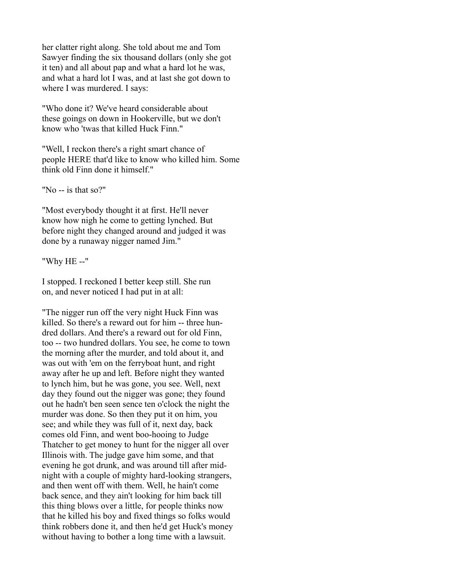her clatter right along. She told about me and Tom Sawyer finding the six thousand dollars (only she got it ten) and all about pap and what a hard lot he was, and what a hard lot I was, and at last she got down to where I was murdered. I says:

"Who done it? We've heard considerable about these goings on down in Hookerville, but we don't know who 'twas that killed Huck Finn."

"Well, I reckon there's a right smart chance of people HERE that'd like to know who killed him. Some think old Finn done it himself."

"No -- is that so?"

"Most everybody thought it at first. He'll never know how nigh he come to getting lynched. But before night they changed around and judged it was done by a runaway nigger named Jim."

"Why HE --"

I stopped. I reckoned I better keep still. She run on, and never noticed I had put in at all:

"The nigger run off the very night Huck Finn was killed. So there's a reward out for him -- three hundred dollars. And there's a reward out for old Finn, too -- two hundred dollars. You see, he come to town the morning after the murder, and told about it, and was out with 'em on the ferryboat hunt, and right away after he up and left. Before night they wanted to lynch him, but he was gone, you see. Well, next day they found out the nigger was gone; they found out he hadn't ben seen sence ten o'clock the night the murder was done. So then they put it on him, you see; and while they was full of it, next day, back comes old Finn, and went boo-hooing to Judge Thatcher to get money to hunt for the nigger all over Illinois with. The judge gave him some, and that evening he got drunk, and was around till after midnight with a couple of mighty hard-looking strangers, and then went off with them. Well, he hain't come back sence, and they ain't looking for him back till this thing blows over a little, for people thinks now that he killed his boy and fixed things so folks would think robbers done it, and then he'd get Huck's money without having to bother a long time with a lawsuit.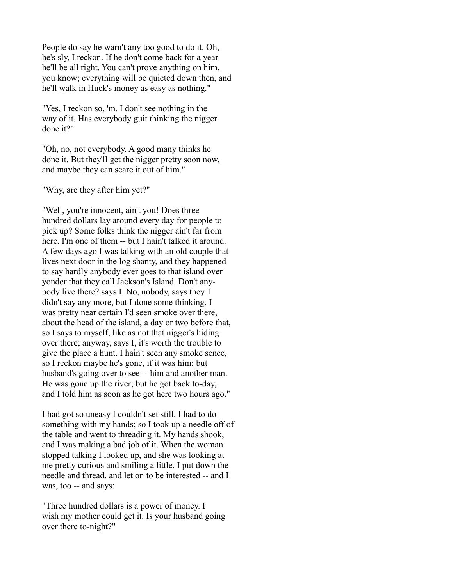People do say he warn't any too good to do it. Oh, he's sly, I reckon. If he don't come back for a year he'll be all right. You can't prove anything on him, you know; everything will be quieted down then, and he'll walk in Huck's money as easy as nothing."

"Yes, I reckon so, 'm. I don't see nothing in the way of it. Has everybody guit thinking the nigger done it?"

"Oh, no, not everybody. A good many thinks he done it. But they'll get the nigger pretty soon now, and maybe they can scare it out of him."

"Why, are they after him yet?"

"Well, you're innocent, ain't you! Does three hundred dollars lay around every day for people to pick up? Some folks think the nigger ain't far from here. I'm one of them -- but I hain't talked it around. A few days ago I was talking with an old couple that lives next door in the log shanty, and they happened to say hardly anybody ever goes to that island over yonder that they call Jackson's Island. Don't anybody live there? says I. No, nobody, says they. I didn't say any more, but I done some thinking. I was pretty near certain I'd seen smoke over there, about the head of the island, a day or two before that, so I says to myself, like as not that nigger's hiding over there; anyway, says I, it's worth the trouble to give the place a hunt. I hain't seen any smoke sence, so I reckon maybe he's gone, if it was him; but husband's going over to see -- him and another man. He was gone up the river; but he got back to-day, and I told him as soon as he got here two hours ago."

I had got so uneasy I couldn't set still. I had to do something with my hands; so I took up a needle off of the table and went to threading it. My hands shook, and I was making a bad job of it. When the woman stopped talking I looked up, and she was looking at me pretty curious and smiling a little. I put down the needle and thread, and let on to be interested -- and I was, too -- and says:

"Three hundred dollars is a power of money. I wish my mother could get it. Is your husband going over there to-night?"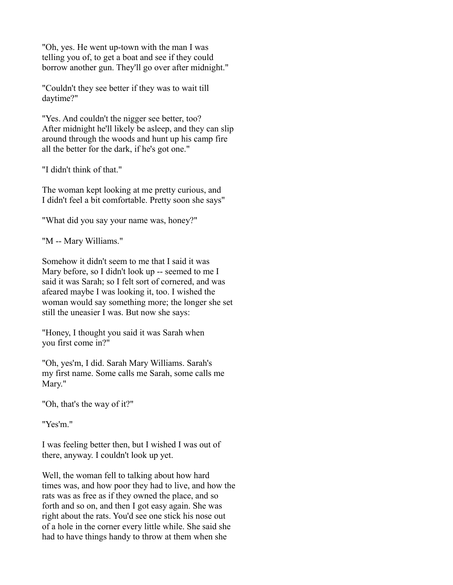"Oh, yes. He went up-town with the man I was telling you of, to get a boat and see if they could borrow another gun. They'll go over after midnight."

"Couldn't they see better if they was to wait till daytime?"

"Yes. And couldn't the nigger see better, too? After midnight he'll likely be asleep, and they can slip around through the woods and hunt up his camp fire all the better for the dark, if he's got one."

"I didn't think of that."

The woman kept looking at me pretty curious, and I didn't feel a bit comfortable. Pretty soon she says"

"What did you say your name was, honey?"

"M -- Mary Williams."

Somehow it didn't seem to me that I said it was Mary before, so I didn't look up -- seemed to me I said it was Sarah; so I felt sort of cornered, and was afeared maybe I was looking it, too. I wished the woman would say something more; the longer she set still the uneasier I was. But now she says:

"Honey, I thought you said it was Sarah when you first come in?"

"Oh, yes'm, I did. Sarah Mary Williams. Sarah's my first name. Some calls me Sarah, some calls me Mary."

"Oh, that's the way of it?"

"Yes'm."

I was feeling better then, but I wished I was out of there, anyway. I couldn't look up yet.

Well, the woman fell to talking about how hard times was, and how poor they had to live, and how the rats was as free as if they owned the place, and so forth and so on, and then I got easy again. She was right about the rats. You'd see one stick his nose out of a hole in the corner every little while. She said she had to have things handy to throw at them when she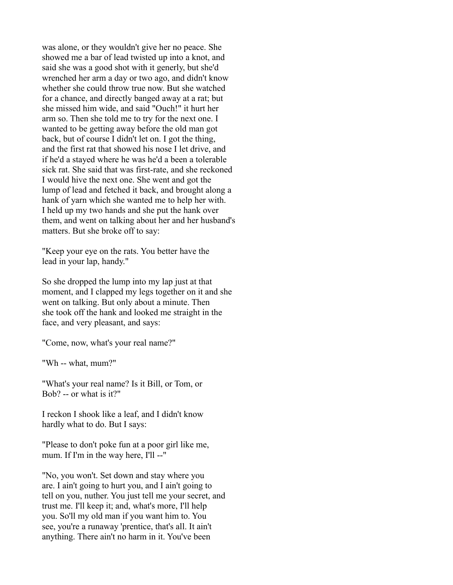was alone, or they wouldn't give her no peace. She showed me a bar of lead twisted up into a knot, and said she was a good shot with it generly, but she'd wrenched her arm a day or two ago, and didn't know whether she could throw true now. But she watched for a chance, and directly banged away at a rat; but she missed him wide, and said "Ouch!" it hurt her arm so. Then she told me to try for the next one. I wanted to be getting away before the old man got back, but of course I didn't let on. I got the thing, and the first rat that showed his nose I let drive, and if he'd a stayed where he was he'd a been a tolerable sick rat. She said that was first-rate, and she reckoned I would hive the next one. She went and got the lump of lead and fetched it back, and brought along a hank of yarn which she wanted me to help her with. I held up my two hands and she put the hank over them, and went on talking about her and her husband's matters. But she broke off to say:

"Keep your eye on the rats. You better have the lead in your lap, handy."

So she dropped the lump into my lap just at that moment, and I clapped my legs together on it and she went on talking. But only about a minute. Then she took off the hank and looked me straight in the face, and very pleasant, and says:

"Come, now, what's your real name?"

"Wh -- what, mum?"

"What's your real name? Is it Bill, or Tom, or Bob? -- or what is it?"

I reckon I shook like a leaf, and I didn't know hardly what to do. But I says:

"Please to don't poke fun at a poor girl like me, mum. If I'm in the way here, I'll --"

"No, you won't. Set down and stay where you are. I ain't going to hurt you, and I ain't going to tell on you, nuther. You just tell me your secret, and trust me. I'll keep it; and, what's more, I'll help you. So'll my old man if you want him to. You see, you're a runaway 'prentice, that's all. It ain't anything. There ain't no harm in it. You've been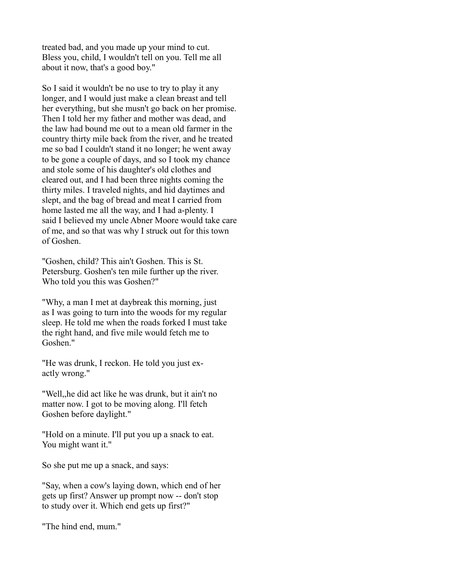treated bad, and you made up your mind to cut. Bless you, child, I wouldn't tell on you. Tell me all about it now, that's a good boy."

So I said it wouldn't be no use to try to play it any longer, and I would just make a clean breast and tell her everything, but she musn't go back on her promise. Then I told her my father and mother was dead, and the law had bound me out to a mean old farmer in the country thirty mile back from the river, and he treated me so bad I couldn't stand it no longer; he went away to be gone a couple of days, and so I took my chance and stole some of his daughter's old clothes and cleared out, and I had been three nights coming the thirty miles. I traveled nights, and hid daytimes and slept, and the bag of bread and meat I carried from home lasted me all the way, and I had a-plenty. I said I believed my uncle Abner Moore would take care of me, and so that was why I struck out for this town of Goshen.

"Goshen, child? This ain't Goshen. This is St. Petersburg. Goshen's ten mile further up the river. Who told you this was Goshen?"

"Why, a man I met at daybreak this morning, just as I was going to turn into the woods for my regular sleep. He told me when the roads forked I must take the right hand, and five mile would fetch me to Goshen"

"He was drunk, I reckon. He told you just exactly wrong."

"Well,,he did act like he was drunk, but it ain't no matter now. I got to be moving along. I'll fetch Goshen before daylight."

"Hold on a minute. I'll put you up a snack to eat. You might want it."

So she put me up a snack, and says:

"Say, when a cow's laying down, which end of her gets up first? Answer up prompt now -- don't stop to study over it. Which end gets up first?"

"The hind end, mum."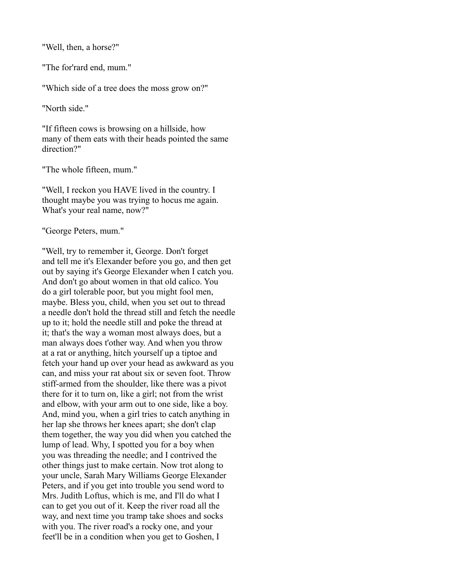"Well, then, a horse?"

"The for'rard end, mum."

"Which side of a tree does the moss grow on?"

"North side."

"If fifteen cows is browsing on a hillside, how many of them eats with their heads pointed the same direction?"

"The whole fifteen, mum."

"Well, I reckon you HAVE lived in the country. I thought maybe you was trying to hocus me again. What's your real name, now?"

"George Peters, mum."

"Well, try to remember it, George. Don't forget and tell me it's Elexander before you go, and then get out by saying it's George Elexander when I catch you. And don't go about women in that old calico. You do a girl tolerable poor, but you might fool men, maybe. Bless you, child, when you set out to thread a needle don't hold the thread still and fetch the needle up to it; hold the needle still and poke the thread at it; that's the way a woman most always does, but a man always does t'other way. And when you throw at a rat or anything, hitch yourself up a tiptoe and fetch your hand up over your head as awkward as you can, and miss your rat about six or seven foot. Throw stiff-armed from the shoulder, like there was a pivot there for it to turn on, like a girl; not from the wrist and elbow, with your arm out to one side, like a boy. And, mind you, when a girl tries to catch anything in her lap she throws her knees apart; she don't clap them together, the way you did when you catched the lump of lead. Why, I spotted you for a boy when you was threading the needle; and I contrived the other things just to make certain. Now trot along to your uncle, Sarah Mary Williams George Elexander Peters, and if you get into trouble you send word to Mrs. Judith Loftus, which is me, and I'll do what I can to get you out of it. Keep the river road all the way, and next time you tramp take shoes and socks with you. The river road's a rocky one, and your feet'll be in a condition when you get to Goshen, I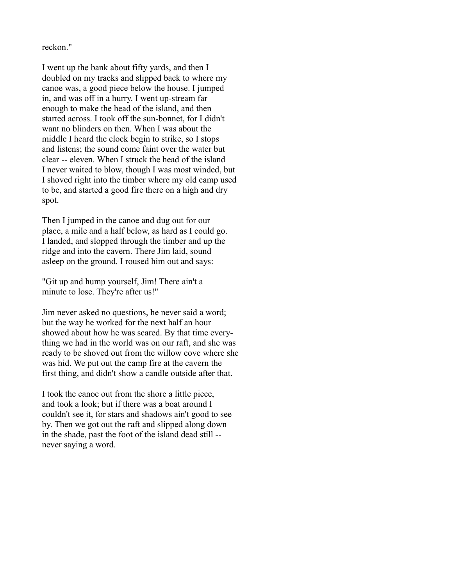reckon."

I went up the bank about fifty yards, and then I doubled on my tracks and slipped back to where my canoe was, a good piece below the house. I jumped in, and was off in a hurry. I went up-stream far enough to make the head of the island, and then started across. I took off the sun-bonnet, for I didn't want no blinders on then. When I was about the middle I heard the clock begin to strike, so I stops and listens; the sound come faint over the water but clear -- eleven. When I struck the head of the island I never waited to blow, though I was most winded, but I shoved right into the timber where my old camp used to be, and started a good fire there on a high and dry spot.

Then I jumped in the canoe and dug out for our place, a mile and a half below, as hard as I could go. I landed, and slopped through the timber and up the ridge and into the cavern. There Jim laid, sound asleep on the ground. I roused him out and says:

"Git up and hump yourself, Jim! There ain't a minute to lose. They're after us!"

Jim never asked no questions, he never said a word; but the way he worked for the next half an hour showed about how he was scared. By that time everything we had in the world was on our raft, and she was ready to be shoved out from the willow cove where she was hid. We put out the camp fire at the cavern the first thing, and didn't show a candle outside after that.

I took the canoe out from the shore a little piece, and took a look; but if there was a boat around I couldn't see it, for stars and shadows ain't good to see by. Then we got out the raft and slipped along down in the shade, past the foot of the island dead still - never saying a word.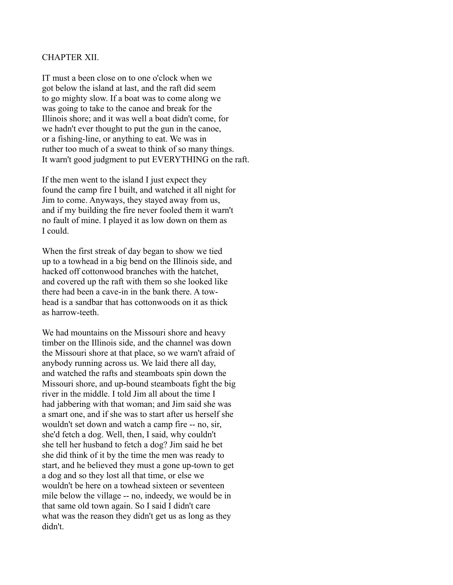#### CHAPTER XII.

IT must a been close on to one o'clock when we got below the island at last, and the raft did seem to go mighty slow. If a boat was to come along we was going to take to the canoe and break for the Illinois shore; and it was well a boat didn't come, for we hadn't ever thought to put the gun in the canoe, or a fishing-line, or anything to eat. We was in ruther too much of a sweat to think of so many things. It warn't good judgment to put EVERYTHING on the raft.

If the men went to the island I just expect they found the camp fire I built, and watched it all night for Jim to come. Anyways, they stayed away from us, and if my building the fire never fooled them it warn't no fault of mine. I played it as low down on them as I could.

When the first streak of day began to show we tied up to a towhead in a big bend on the Illinois side, and hacked off cottonwood branches with the hatchet, and covered up the raft with them so she looked like there had been a cave-in in the bank there. A towhead is a sandbar that has cottonwoods on it as thick as harrow-teeth.

We had mountains on the Missouri shore and heavy timber on the Illinois side, and the channel was down the Missouri shore at that place, so we warn't afraid of anybody running across us. We laid there all day, and watched the rafts and steamboats spin down the Missouri shore, and up-bound steamboats fight the big river in the middle. I told Jim all about the time I had jabbering with that woman; and Jim said she was a smart one, and if she was to start after us herself she wouldn't set down and watch a camp fire -- no, sir, she'd fetch a dog. Well, then, I said, why couldn't she tell her husband to fetch a dog? Jim said he bet she did think of it by the time the men was ready to start, and he believed they must a gone up-town to get a dog and so they lost all that time, or else we wouldn't be here on a towhead sixteen or seventeen mile below the village -- no, indeedy, we would be in that same old town again. So I said I didn't care what was the reason they didn't get us as long as they didn't.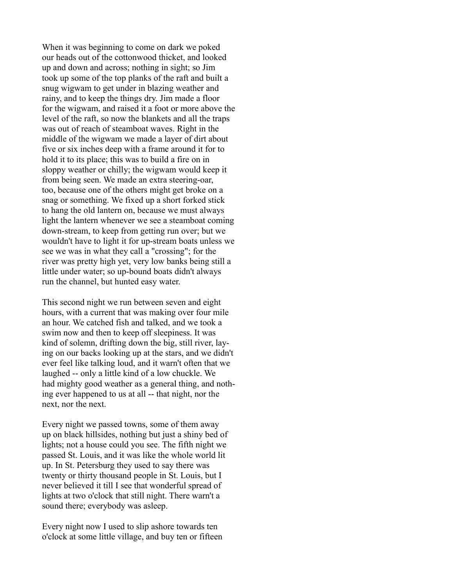When it was beginning to come on dark we poked our heads out of the cottonwood thicket, and looked up and down and across; nothing in sight; so Jim took up some of the top planks of the raft and built a snug wigwam to get under in blazing weather and rainy, and to keep the things dry. Jim made a floor for the wigwam, and raised it a foot or more above the level of the raft, so now the blankets and all the traps was out of reach of steamboat waves. Right in the middle of the wigwam we made a layer of dirt about five or six inches deep with a frame around it for to hold it to its place; this was to build a fire on in sloppy weather or chilly; the wigwam would keep it from being seen. We made an extra steering-oar, too, because one of the others might get broke on a snag or something. We fixed up a short forked stick to hang the old lantern on, because we must always light the lantern whenever we see a steamboat coming down-stream, to keep from getting run over; but we wouldn't have to light it for up-stream boats unless we see we was in what they call a "crossing"; for the river was pretty high yet, very low banks being still a little under water; so up-bound boats didn't always run the channel, but hunted easy water.

This second night we run between seven and eight hours, with a current that was making over four mile an hour. We catched fish and talked, and we took a swim now and then to keep off sleepiness. It was kind of solemn, drifting down the big, still river, laying on our backs looking up at the stars, and we didn't ever feel like talking loud, and it warn't often that we laughed -- only a little kind of a low chuckle. We had mighty good weather as a general thing, and nothing ever happened to us at all -- that night, nor the next, nor the next.

Every night we passed towns, some of them away up on black hillsides, nothing but just a shiny bed of lights; not a house could you see. The fifth night we passed St. Louis, and it was like the whole world lit up. In St. Petersburg they used to say there was twenty or thirty thousand people in St. Louis, but I never believed it till I see that wonderful spread of lights at two o'clock that still night. There warn't a sound there; everybody was asleep.

Every night now I used to slip ashore towards ten o'clock at some little village, and buy ten or fifteen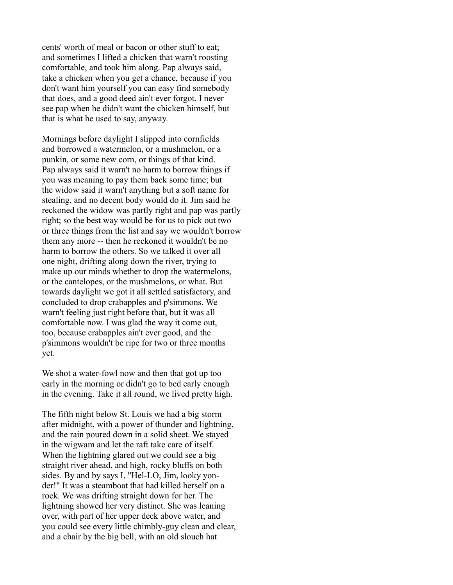cents' worth of meal or bacon or other stuff to eat; and sometimes I lifted a chicken that warn't roosting comfortable, and took him along. Pap always said, take a chicken when you get a chance, because if you don't want him yourself you can easy find somebody that does, and a good deed ain't ever forgot. I never see pap when he didn't want the chicken himself, but that is what he used to say, anyway.

Mornings before daylight I slipped into cornfields and borrowed a watermelon, or a mushmelon, or a punkin, or some new corn, or things of that kind. Pap always said it warn't no harm to borrow things if you was meaning to pay them back some time; but the widow said it warn't anything but a soft name for stealing, and no decent body would do it. Jim said he reckoned the widow was partly right and pap was partly right; so the best way would be for us to pick out two or three things from the list and say we wouldn't borrow them any more -- then he reckoned it wouldn't be no harm to borrow the others. So we talked it over all one night, drifting along down the river, trying to make up our minds whether to drop the watermelons, or the cantelopes, or the mushmelons, or what. But towards daylight we got it all settled satisfactory, and concluded to drop crabapples and p'simmons. We warn't feeling just right before that, but it was all comfortable now. I was glad the way it come out, too, because crabapples ain't ever good, and the p'simmons wouldn't be ripe for two or three months yet.

We shot a water-fowl now and then that got up too early in the morning or didn't go to bed early enough in the evening. Take it all round, we lived pretty high.

The fifth night below St. Louis we had a big storm after midnight, with a power of thunder and lightning, and the rain poured down in a solid sheet. We stayed in the wigwam and let the raft take care of itself. When the lightning glared out we could see a big straight river ahead, and high, rocky bluffs on both sides. By and by says I, "Hel-LO, Jim, looky yonder!" It was a steamboat that had killed herself on a rock. We was drifting straight down for her. The lightning showed her very distinct. She was leaning over, with part of her upper deck above water, and you could see every little chimbly-guy clean and clear, and a chair by the big bell, with an old slouch hat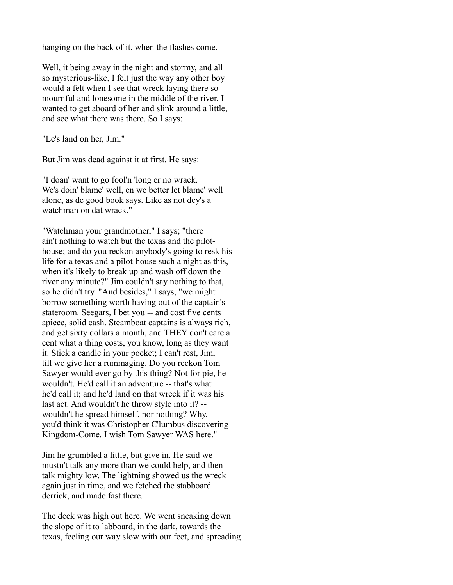hanging on the back of it, when the flashes come.

Well, it being away in the night and stormy, and all so mysterious-like, I felt just the way any other boy would a felt when I see that wreck laying there so mournful and lonesome in the middle of the river. I wanted to get aboard of her and slink around a little, and see what there was there. So I says:

"Le's land on her, Jim."

But Jim was dead against it at first. He says:

"I doan' want to go fool'n 'long er no wrack. We's doin' blame' well, en we better let blame' well alone, as de good book says. Like as not dey's a watchman on dat wrack."

"Watchman your grandmother," I says; "there ain't nothing to watch but the texas and the pilothouse; and do you reckon anybody's going to resk his life for a texas and a pilot-house such a night as this, when it's likely to break up and wash off down the river any minute?" Jim couldn't say nothing to that, so he didn't try. "And besides," I says, "we might borrow something worth having out of the captain's stateroom. Seegars, I bet you -- and cost five cents apiece, solid cash. Steamboat captains is always rich, and get sixty dollars a month, and THEY don't care a cent what a thing costs, you know, long as they want it. Stick a candle in your pocket; I can't rest, Jim, till we give her a rummaging. Do you reckon Tom Sawyer would ever go by this thing? Not for pie, he wouldn't. He'd call it an adventure -- that's what he'd call it; and he'd land on that wreck if it was his last act. And wouldn't he throw style into it? - wouldn't he spread himself, nor nothing? Why, you'd think it was Christopher C'lumbus discovering Kingdom-Come. I wish Tom Sawyer WAS here."

Jim he grumbled a little, but give in. He said we mustn't talk any more than we could help, and then talk mighty low. The lightning showed us the wreck again just in time, and we fetched the stabboard derrick, and made fast there.

The deck was high out here. We went sneaking down the slope of it to labboard, in the dark, towards the texas, feeling our way slow with our feet, and spreading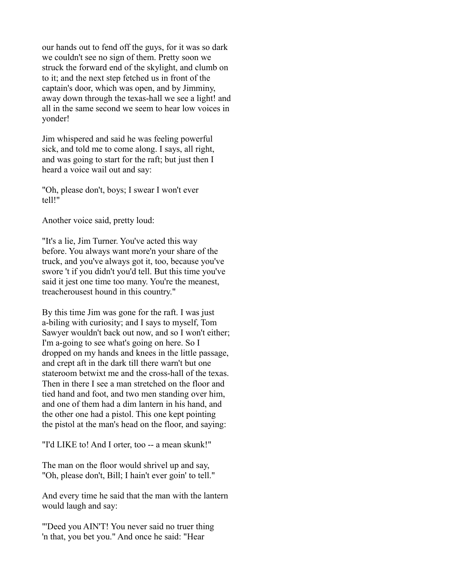our hands out to fend off the guys, for it was so dark we couldn't see no sign of them. Pretty soon we struck the forward end of the skylight, and clumb on to it; and the next step fetched us in front of the captain's door, which was open, and by Jimminy, away down through the texas-hall we see a light! and all in the same second we seem to hear low voices in yonder!

Jim whispered and said he was feeling powerful sick, and told me to come along. I says, all right, and was going to start for the raft; but just then I heard a voice wail out and say:

"Oh, please don't, boys; I swear I won't ever tell!"

Another voice said, pretty loud:

"It's a lie, Jim Turner. You've acted this way before. You always want more'n your share of the truck, and you've always got it, too, because you've swore 't if you didn't you'd tell. But this time you've said it jest one time too many. You're the meanest, treacherousest hound in this country."

By this time Jim was gone for the raft. I was just a-biling with curiosity; and I says to myself, Tom Sawyer wouldn't back out now, and so I won't either; I'm a-going to see what's going on here. So I dropped on my hands and knees in the little passage, and crept aft in the dark till there warn't but one stateroom betwixt me and the cross-hall of the texas. Then in there I see a man stretched on the floor and tied hand and foot, and two men standing over him, and one of them had a dim lantern in his hand, and the other one had a pistol. This one kept pointing the pistol at the man's head on the floor, and saying:

"I'd LIKE to! And I orter, too -- a mean skunk!"

The man on the floor would shrivel up and say, "Oh, please don't, Bill; I hain't ever goin' to tell."

And every time he said that the man with the lantern would laugh and say:

"'Deed you AIN'T! You never said no truer thing 'n that, you bet you." And once he said: "Hear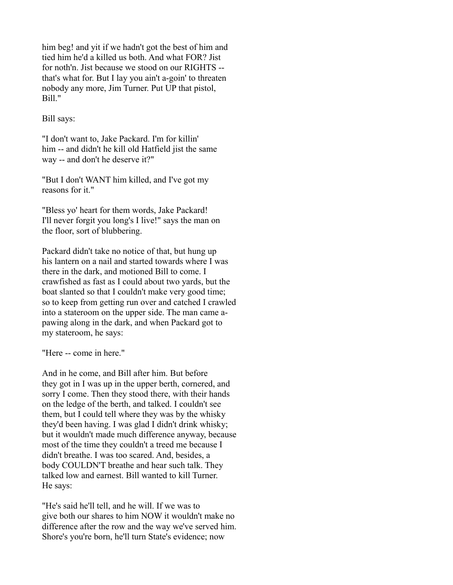him beg! and yit if we hadn't got the best of him and tied him he'd a killed us both. And what FOR? Jist for noth'n. Jist because we stood on our RIGHTS - that's what for. But I lay you ain't a-goin' to threaten nobody any more, Jim Turner. Put UP that pistol, Bill."

Bill says:

"I don't want to, Jake Packard. I'm for killin' him -- and didn't he kill old Hatfield jist the same way -- and don't he deserve it?"

"But I don't WANT him killed, and I've got my reasons for it."

"Bless yo' heart for them words, Jake Packard! I'll never forgit you long's I live!" says the man on the floor, sort of blubbering.

Packard didn't take no notice of that, but hung up his lantern on a nail and started towards where I was there in the dark, and motioned Bill to come. I crawfished as fast as I could about two yards, but the boat slanted so that I couldn't make very good time; so to keep from getting run over and catched I crawled into a stateroom on the upper side. The man came apawing along in the dark, and when Packard got to my stateroom, he says:

"Here -- come in here."

And in he come, and Bill after him. But before they got in I was up in the upper berth, cornered, and sorry I come. Then they stood there, with their hands on the ledge of the berth, and talked. I couldn't see them, but I could tell where they was by the whisky they'd been having. I was glad I didn't drink whisky; but it wouldn't made much difference anyway, because most of the time they couldn't a treed me because I didn't breathe. I was too scared. And, besides, a body COULDN'T breathe and hear such talk. They talked low and earnest. Bill wanted to kill Turner. He says:

"He's said he'll tell, and he will. If we was to give both our shares to him NOW it wouldn't make no difference after the row and the way we've served him. Shore's you're born, he'll turn State's evidence; now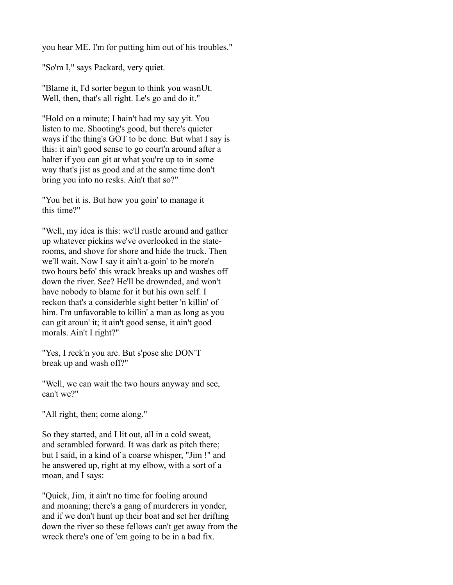you hear ME. I'm for putting him out of his troubles."

"So'm I," says Packard, very quiet.

"Blame it, I'd sorter begun to think you wasnUt. Well, then, that's all right. Le's go and do it."

"Hold on a minute; I hain't had my say yit. You listen to me. Shooting's good, but there's quieter ways if the thing's GOT to be done. But what I say is this: it ain't good sense to go court'n around after a halter if you can git at what you're up to in some way that's jist as good and at the same time don't bring you into no resks. Ain't that so?"

"You bet it is. But how you goin' to manage it this time?"

"Well, my idea is this: we'll rustle around and gather up whatever pickins we've overlooked in the staterooms, and shove for shore and hide the truck. Then we'll wait. Now I say it ain't a-goin' to be more'n two hours befo' this wrack breaks up and washes off down the river. See? He'll be drownded, and won't have nobody to blame for it but his own self. I reckon that's a considerble sight better 'n killin' of him. I'm unfavorable to killin' a man as long as you can git aroun' it; it ain't good sense, it ain't good morals. Ain't I right?"

"Yes, I reck'n you are. But s'pose she DON'T break up and wash off?"

"Well, we can wait the two hours anyway and see, can't we?"

"All right, then; come along."

So they started, and I lit out, all in a cold sweat, and scrambled forward. It was dark as pitch there; but I said, in a kind of a coarse whisper, "Jim !" and he answered up, right at my elbow, with a sort of a moan, and I says:

"Quick, Jim, it ain't no time for fooling around and moaning; there's a gang of murderers in yonder, and if we don't hunt up their boat and set her drifting down the river so these fellows can't get away from the wreck there's one of 'em going to be in a bad fix.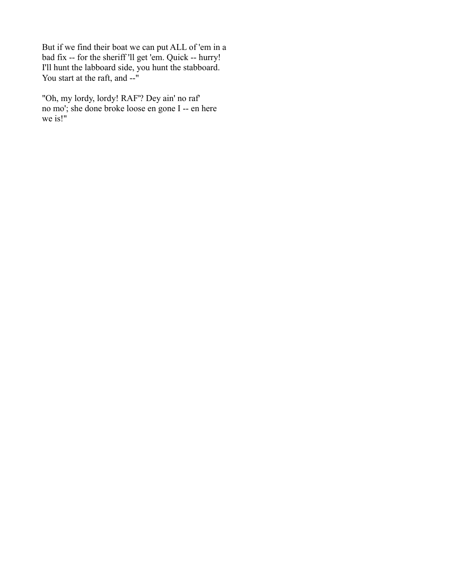But if we find their boat we can put ALL of 'em in a bad fix -- for the sheriff 'll get 'em. Quick -- hurry! I'll hunt the labboard side, you hunt the stabboard. You start at the raft, and --"

"Oh, my lordy, lordy! RAF'? Dey ain' no raf' no mo'; she done broke loose en gone I -- en here we is!"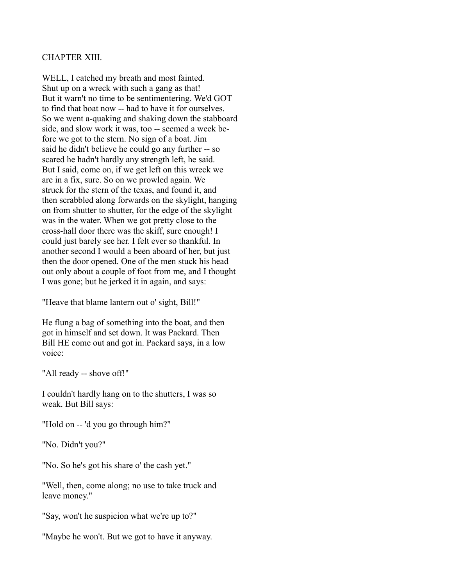# CHAPTER XIII.

WELL, I catched my breath and most fainted. Shut up on a wreck with such a gang as that! But it warn't no time to be sentimentering. We'd GOT to find that boat now -- had to have it for ourselves. So we went a-quaking and shaking down the stabboard side, and slow work it was, too -- seemed a week before we got to the stern. No sign of a boat. Jim said he didn't believe he could go any further -- so scared he hadn't hardly any strength left, he said. But I said, come on, if we get left on this wreck we are in a fix, sure. So on we prowled again. We struck for the stern of the texas, and found it, and then scrabbled along forwards on the skylight, hanging on from shutter to shutter, for the edge of the skylight was in the water. When we got pretty close to the cross-hall door there was the skiff, sure enough! I could just barely see her. I felt ever so thankful. In another second I would a been aboard of her, but just then the door opened. One of the men stuck his head out only about a couple of foot from me, and I thought I was gone; but he jerked it in again, and says:

"Heave that blame lantern out o' sight, Bill!"

He flung a bag of something into the boat, and then got in himself and set down. It was Packard. Then Bill HE come out and got in. Packard says, in a low voice:

"All ready -- shove off!"

I couldn't hardly hang on to the shutters, I was so weak. But Bill says:

"Hold on -- 'd you go through him?"

"No. Didn't you?"

"No. So he's got his share o' the cash yet."

"Well, then, come along; no use to take truck and leave money."

"Say, won't he suspicion what we're up to?"

"Maybe he won't. But we got to have it anyway.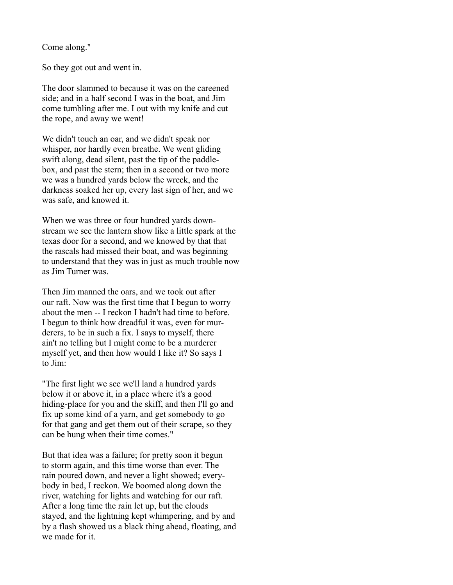Come along."

So they got out and went in.

The door slammed to because it was on the careened side; and in a half second I was in the boat, and Jim come tumbling after me. I out with my knife and cut the rope, and away we went!

We didn't touch an oar, and we didn't speak nor whisper, nor hardly even breathe. We went gliding swift along, dead silent, past the tip of the paddlebox, and past the stern; then in a second or two more we was a hundred yards below the wreck, and the darkness soaked her up, every last sign of her, and we was safe, and knowed it.

When we was three or four hundred yards downstream we see the lantern show like a little spark at the texas door for a second, and we knowed by that that the rascals had missed their boat, and was beginning to understand that they was in just as much trouble now as Jim Turner was.

Then Jim manned the oars, and we took out after our raft. Now was the first time that I begun to worry about the men -- I reckon I hadn't had time to before. I begun to think how dreadful it was, even for murderers, to be in such a fix. I says to myself, there ain't no telling but I might come to be a murderer myself yet, and then how would I like it? So says I to Jim:

"The first light we see we'll land a hundred yards below it or above it, in a place where it's a good hiding-place for you and the skiff, and then I'll go and fix up some kind of a yarn, and get somebody to go for that gang and get them out of their scrape, so they can be hung when their time comes."

But that idea was a failure; for pretty soon it begun to storm again, and this time worse than ever. The rain poured down, and never a light showed; everybody in bed, I reckon. We boomed along down the river, watching for lights and watching for our raft. After a long time the rain let up, but the clouds stayed, and the lightning kept whimpering, and by and by a flash showed us a black thing ahead, floating, and we made for it.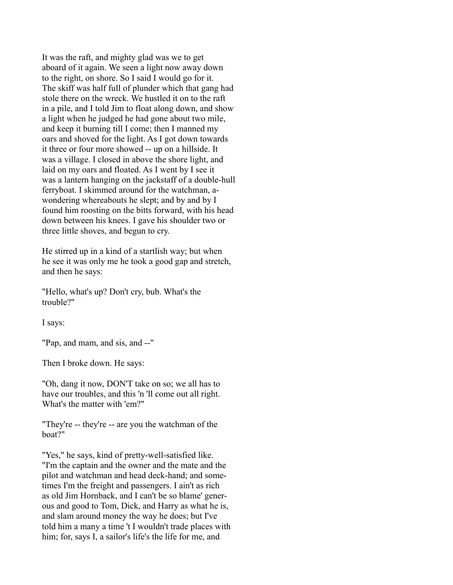It was the raft, and mighty glad was we to get aboard of it again. We seen a light now away down to the right, on shore. So I said I would go for it. The skiff was half full of plunder which that gang had stole there on the wreck. We hustled it on to the raft in a pile, and I told Jim to float along down, and show a light when he judged he had gone about two mile, and keep it burning till I come; then I manned my oars and shoved for the light. As I got down towards it three or four more showed -- up on a hillside. It was a village. I closed in above the shore light, and laid on my oars and floated. As I went by I see it was a lantern hanging on the jackstaff of a double-hull ferryboat. I skimmed around for the watchman, awondering whereabouts he slept; and by and by I found him roosting on the bitts forward, with his head down between his knees. I gave his shoulder two or three little shoves, and begun to cry.

He stirred up in a kind of a startlish way; but when he see it was only me he took a good gap and stretch, and then he says:

"Hello, what's up? Don't cry, bub. What's the trouble?"

I says:

"Pap, and mam, and sis, and --"

Then I broke down. He says:

"Oh, dang it now, DON'T take on so; we all has to have our troubles, and this 'n 'll come out all right. What's the matter with 'em?"

"They're -- they're -- are you the watchman of the boat?"

"Yes," he says, kind of pretty-well-satisfied like. "I'm the captain and the owner and the mate and the pilot and watchman and head deck-hand; and sometimes I'm the freight and passengers. I ain't as rich as old Jim Hornback, and I can't be so blame' generous and good to Tom, Dick, and Harry as what he is, and slam around money the way he does; but I've told him a many a time 't I wouldn't trade places with him; for, says I, a sailor's life's the life for me, and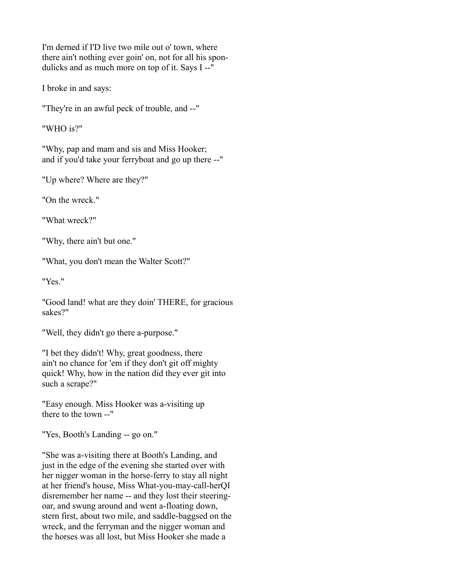I'm derned if I'D live two mile out o' town, where there ain't nothing ever goin' on, not for all his spondulicks and as much more on top of it. Says I --"

I broke in and says:

"They're in an awful peck of trouble, and --"

"WHO is?"

"Why, pap and mam and sis and Miss Hooker; and if you'd take your ferryboat and go up there --"

"Up where? Where are they?"

"On the wreck."

"What wreck?"

"Why, there ain't but one."

"What, you don't mean the Walter Scott?"

"Yes."

"Good land! what are they doin' THERE, for gracious sakes?"

"Well, they didn't go there a-purpose."

"I bet they didn't! Why, great goodness, there ain't no chance for 'em if they don't git off mighty quick! Why, how in the nation did they ever git into such a scrape?"

"Easy enough. Miss Hooker was a-visiting up there to the town --"

"Yes, Booth's Landing -- go on."

"She was a-visiting there at Booth's Landing, and just in the edge of the evening she started over with her nigger woman in the horse-ferry to stay all night at her friend's house, Miss What-you-may-call-herQI disremember her name -- and they lost their steeringoar, and swung around and went a-floating down, stern first, about two mile, and saddle-baggsed on the wreck, and the ferryman and the nigger woman and the horses was all lost, but Miss Hooker she made a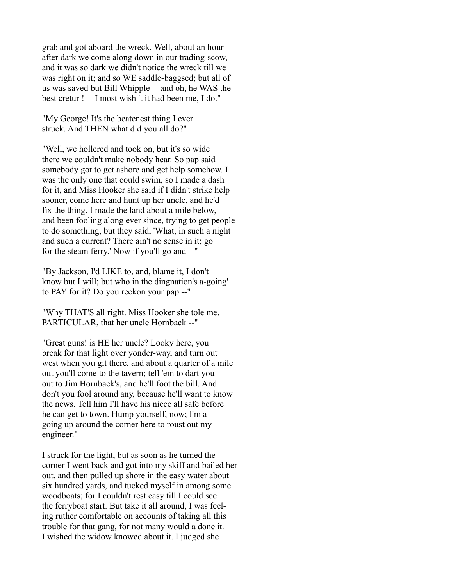grab and got aboard the wreck. Well, about an hour after dark we come along down in our trading-scow, and it was so dark we didn't notice the wreck till we was right on it; and so WE saddle-baggsed; but all of us was saved but Bill Whipple -- and oh, he WAS the best cretur ! -- I most wish 't it had been me, I do."

"My George! It's the beatenest thing I ever struck. And THEN what did you all do?"

"Well, we hollered and took on, but it's so wide there we couldn't make nobody hear. So pap said somebody got to get ashore and get help somehow. I was the only one that could swim, so I made a dash for it, and Miss Hooker she said if I didn't strike help sooner, come here and hunt up her uncle, and he'd fix the thing. I made the land about a mile below, and been fooling along ever since, trying to get people to do something, but they said, 'What, in such a night and such a current? There ain't no sense in it; go for the steam ferry.' Now if you'll go and --"

"By Jackson, I'd LIKE to, and, blame it, I don't know but I will; but who in the dingnation's a-going' to PAY for it? Do you reckon your pap --"

"Why THAT'S all right. Miss Hooker she tole me, PARTICULAR, that her uncle Hornback --"

"Great guns! is HE her uncle? Looky here, you break for that light over yonder-way, and turn out west when you git there, and about a quarter of a mile out you'll come to the tavern; tell 'em to dart you out to Jim Hornback's, and he'll foot the bill. And don't you fool around any, because he'll want to know the news. Tell him I'll have his niece all safe before he can get to town. Hump yourself, now; I'm agoing up around the corner here to roust out my engineer."

I struck for the light, but as soon as he turned the corner I went back and got into my skiff and bailed her out, and then pulled up shore in the easy water about six hundred yards, and tucked myself in among some woodboats; for I couldn't rest easy till I could see the ferryboat start. But take it all around, I was feeling ruther comfortable on accounts of taking all this trouble for that gang, for not many would a done it. I wished the widow knowed about it. I judged she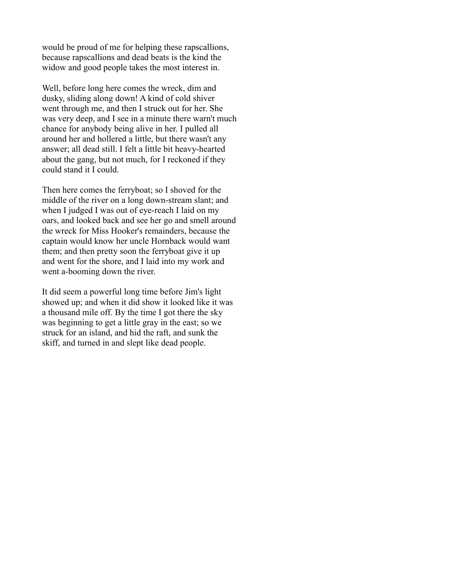would be proud of me for helping these rapscallions, because rapscallions and dead beats is the kind the widow and good people takes the most interest in.

Well, before long here comes the wreck, dim and dusky, sliding along down! A kind of cold shiver went through me, and then I struck out for her. She was very deep, and I see in a minute there warn't much chance for anybody being alive in her. I pulled all around her and hollered a little, but there wasn't any answer; all dead still. I felt a little bit heavy-hearted about the gang, but not much, for I reckoned if they could stand it I could.

Then here comes the ferryboat; so I shoved for the middle of the river on a long down-stream slant; and when I judged I was out of eye-reach I laid on my oars, and looked back and see her go and smell around the wreck for Miss Hooker's remainders, because the captain would know her uncle Hornback would want them; and then pretty soon the ferryboat give it up and went for the shore, and I laid into my work and went a-booming down the river.

It did seem a powerful long time before Jim's light showed up; and when it did show it looked like it was a thousand mile off. By the time I got there the sky was beginning to get a little gray in the east; so we struck for an island, and hid the raft, and sunk the skiff, and turned in and slept like dead people.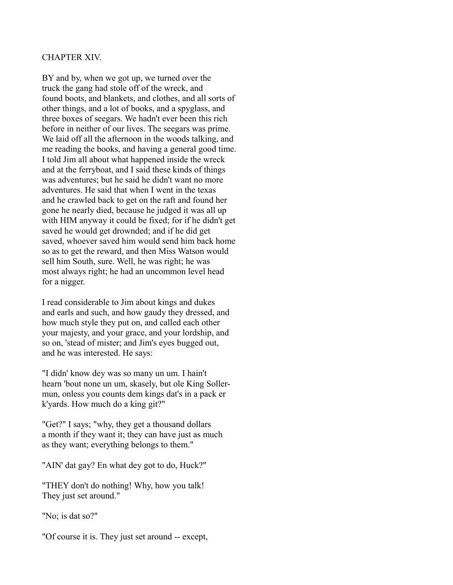### CHAPTER XIV.

BY and by, when we got up, we turned over the truck the gang had stole off of the wreck, and found boots, and blankets, and clothes, and all sorts of other things, and a lot of books, and a spyglass, and three boxes of seegars. We hadn't ever been this rich before in neither of our lives. The seegars was prime. We laid off all the afternoon in the woods talking, and me reading the books, and having a general good time. I told Jim all about what happened inside the wreck and at the ferryboat, and I said these kinds of things was adventures; but he said he didn't want no more adventures. He said that when I went in the texas and he crawled back to get on the raft and found her gone he nearly died, because he judged it was all up with HIM anyway it could be fixed; for if he didn't get saved he would get drownded; and if he did get saved, whoever saved him would send him back home so as to get the reward, and then Miss Watson would sell him South, sure. Well, he was right; he was most always right; he had an uncommon level head for a nigger.

I read considerable to Jim about kings and dukes and earls and such, and how gaudy they dressed, and how much style they put on, and called each other your majesty, and your grace, and your lordship, and so on, 'stead of mister; and Jim's eyes bugged out, and he was interested. He says:

"I didn' know dey was so many un um. I hain't hearn 'bout none un um, skasely, but ole King Sollermun, onless you counts dem kings dat's in a pack er k'yards. How much do a king git?"

"Get?" I says; "why, they get a thousand dollars a month if they want it; they can have just as much as they want; everything belongs to them."

"AIN' dat gay? En what dey got to do, Huck?"

"THEY don't do nothing! Why, how you talk! They just set around."

"No; is dat so?"

"Of course it is. They just set around -- except,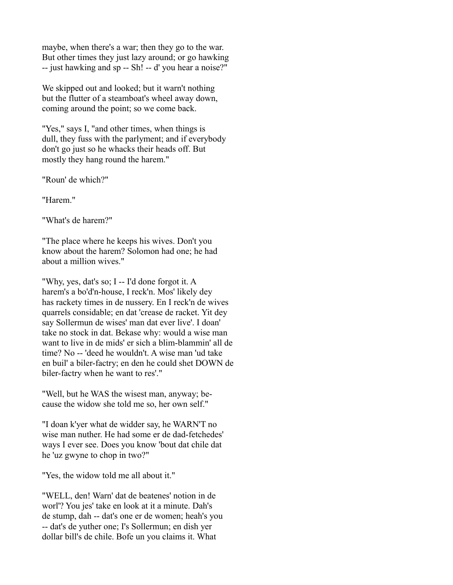maybe, when there's a war; then they go to the war. But other times they just lazy around; or go hawking -- just hawking and sp -- Sh! -- d' you hear a noise?"

We skipped out and looked; but it warn't nothing but the flutter of a steamboat's wheel away down, coming around the point; so we come back.

"Yes," says I, "and other times, when things is dull, they fuss with the parlyment; and if everybody don't go just so he whacks their heads off. But mostly they hang round the harem."

"Roun' de which?"

"Harem."

"What's de harem?"

"The place where he keeps his wives. Don't you know about the harem? Solomon had one; he had about a million wives."

"Why, yes, dat's so; I -- I'd done forgot it. A harem's a bo'd'n-house, I reck'n. Mos' likely dey has rackety times in de nussery. En I reck'n de wives quarrels considable; en dat 'crease de racket. Yit dey say Sollermun de wises' man dat ever live'. I doan' take no stock in dat. Bekase why: would a wise man want to live in de mids' er sich a blim-blammin' all de time? No -- 'deed he wouldn't. A wise man 'ud take en buil' a biler-factry; en den he could shet DOWN de biler-factry when he want to res'."

"Well, but he WAS the wisest man, anyway; because the widow she told me so, her own self."

"I doan k'yer what de widder say, he WARN'T no wise man nuther. He had some er de dad-fetchedes' ways I ever see. Does you know 'bout dat chile dat he 'uz gwyne to chop in two?"

"Yes, the widow told me all about it."

"WELL, den! Warn' dat de beatenes' notion in de worl'? You jes' take en look at it a minute. Dah's de stump, dah -- dat's one er de women; heah's you -- dat's de yuther one; I's Sollermun; en dish yer dollar bill's de chile. Bofe un you claims it. What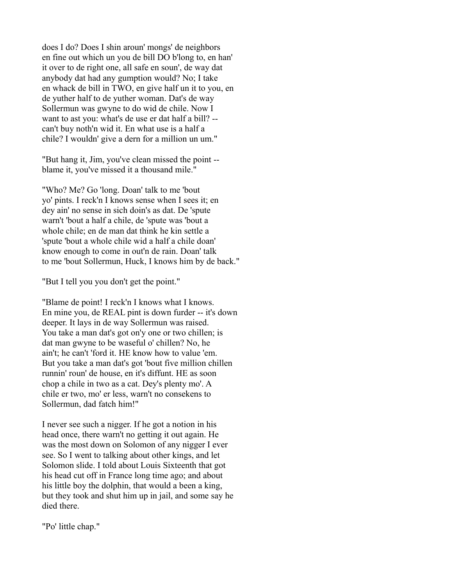does I do? Does I shin aroun' mongs' de neighbors en fine out which un you de bill DO b'long to, en han' it over to de right one, all safe en soun', de way dat anybody dat had any gumption would? No; I take en whack de bill in TWO, en give half un it to you, en de yuther half to de yuther woman. Dat's de way Sollermun was gwyne to do wid de chile. Now I want to ast you: what's de use er dat half a bill? - can't buy noth'n wid it. En what use is a half a chile? I wouldn' give a dern for a million un um."

"But hang it, Jim, you've clean missed the point - blame it, you've missed it a thousand mile."

"Who? Me? Go 'long. Doan' talk to me 'bout yo' pints. I reck'n I knows sense when I sees it; en dey ain' no sense in sich doin's as dat. De 'spute warn't 'bout a half a chile, de 'spute was 'bout a whole chile; en de man dat think he kin settle a 'spute 'bout a whole chile wid a half a chile doan' know enough to come in out'n de rain. Doan' talk to me 'bout Sollermun, Huck, I knows him by de back."

"But I tell you you don't get the point."

"Blame de point! I reck'n I knows what I knows. En mine you, de REAL pint is down furder -- it's down deeper. It lays in de way Sollermun was raised. You take a man dat's got on'y one or two chillen; is dat man gwyne to be waseful o' chillen? No, he ain't; he can't 'ford it. HE know how to value 'em. But you take a man dat's got 'bout five million chillen runnin' roun' de house, en it's diffunt. HE as soon chop a chile in two as a cat. Dey's plenty mo'. A chile er two, mo' er less, warn't no consekens to Sollermun, dad fatch him!"

I never see such a nigger. If he got a notion in his head once, there warn't no getting it out again. He was the most down on Solomon of any nigger I ever see. So I went to talking about other kings, and let Solomon slide. I told about Louis Sixteenth that got his head cut off in France long time ago; and about his little boy the dolphin, that would a been a king, but they took and shut him up in jail, and some say he died there.

"Po' little chap."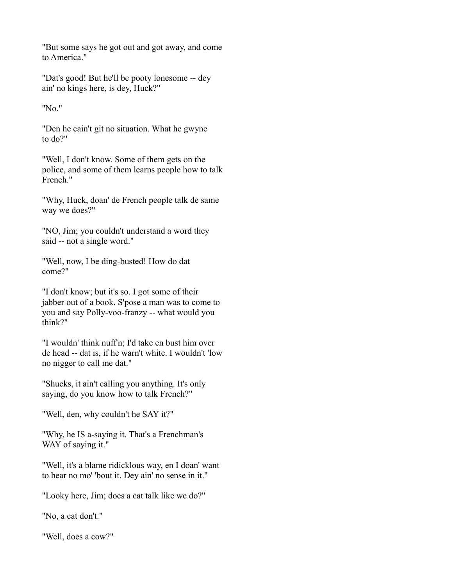"But some says he got out and got away, and come to America."

"Dat's good! But he'll be pooty lonesome -- dey ain' no kings here, is dey, Huck?"

"No."

"Den he cain't git no situation. What he gwyne to do?"

"Well, I don't know. Some of them gets on the police, and some of them learns people how to talk French."

"Why, Huck, doan' de French people talk de same way we does?"

"NO, Jim; you couldn't understand a word they said -- not a single word."

"Well, now, I be ding-busted! How do dat come?"

"I don't know; but it's so. I got some of their jabber out of a book. S'pose a man was to come to you and say Polly-voo-franzy -- what would you think?"

"I wouldn' think nuff'n; I'd take en bust him over de head -- dat is, if he warn't white. I wouldn't 'low no nigger to call me dat."

"Shucks, it ain't calling you anything. It's only saying, do you know how to talk French?"

"Well, den, why couldn't he SAY it?"

"Why, he IS a-saying it. That's a Frenchman's WAY of saying it."

"Well, it's a blame ridicklous way, en I doan' want to hear no mo' 'bout it. Dey ain' no sense in it."

"Looky here, Jim; does a cat talk like we do?"

"No, a cat don't."

"Well, does a cow?"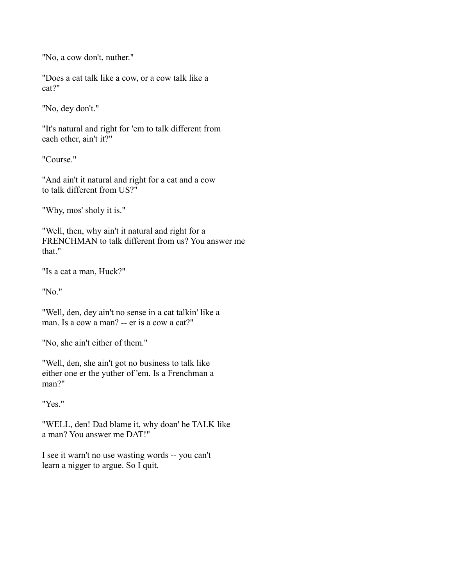"No, a cow don't, nuther."

"Does a cat talk like a cow, or a cow talk like a cat?"

"No, dey don't."

"It's natural and right for 'em to talk different from each other, ain't it?"

"Course."

"And ain't it natural and right for a cat and a cow to talk different from US?"

"Why, mos' sholy it is."

"Well, then, why ain't it natural and right for a FRENCHMAN to talk different from us? You answer me that."

"Is a cat a man, Huck?"

"No."

"Well, den, dey ain't no sense in a cat talkin' like a man. Is a cow a man? -- er is a cow a cat?"

"No, she ain't either of them."

"Well, den, she ain't got no business to talk like either one er the yuther of 'em. Is a Frenchman a man?"

"Yes."

"WELL, den! Dad blame it, why doan' he TALK like a man? You answer me DAT!"

I see it warn't no use wasting words -- you can't learn a nigger to argue. So I quit.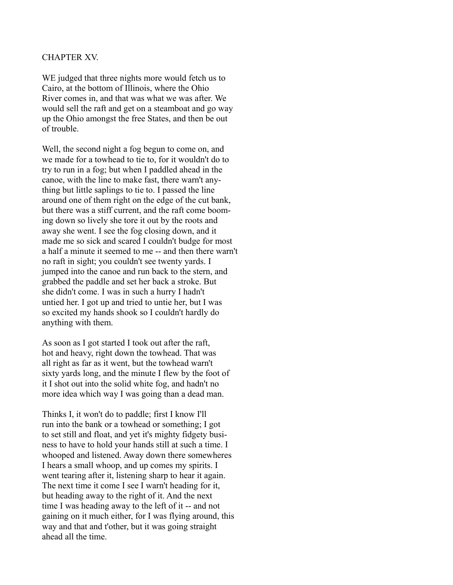### CHAPTER XV.

WE judged that three nights more would fetch us to Cairo, at the bottom of Illinois, where the Ohio River comes in, and that was what we was after. We would sell the raft and get on a steamboat and go way up the Ohio amongst the free States, and then be out of trouble.

Well, the second night a fog begun to come on, and we made for a towhead to tie to, for it wouldn't do to try to run in a fog; but when I paddled ahead in the canoe, with the line to make fast, there warn't anything but little saplings to tie to. I passed the line around one of them right on the edge of the cut bank, but there was a stiff current, and the raft come booming down so lively she tore it out by the roots and away she went. I see the fog closing down, and it made me so sick and scared I couldn't budge for most a half a minute it seemed to me -- and then there warn't no raft in sight; you couldn't see twenty yards. I jumped into the canoe and run back to the stern, and grabbed the paddle and set her back a stroke. But she didn't come. I was in such a hurry I hadn't untied her. I got up and tried to untie her, but I was so excited my hands shook so I couldn't hardly do anything with them.

As soon as I got started I took out after the raft, hot and heavy, right down the towhead. That was all right as far as it went, but the towhead warn't sixty yards long, and the minute I flew by the foot of it I shot out into the solid white fog, and hadn't no more idea which way I was going than a dead man.

Thinks I, it won't do to paddle; first I know I'll run into the bank or a towhead or something; I got to set still and float, and yet it's mighty fidgety business to have to hold your hands still at such a time. I whooped and listened. Away down there somewheres I hears a small whoop, and up comes my spirits. I went tearing after it, listening sharp to hear it again. The next time it come I see I warn't heading for it, but heading away to the right of it. And the next time I was heading away to the left of it -- and not gaining on it much either, for I was flying around, this way and that and t'other, but it was going straight ahead all the time.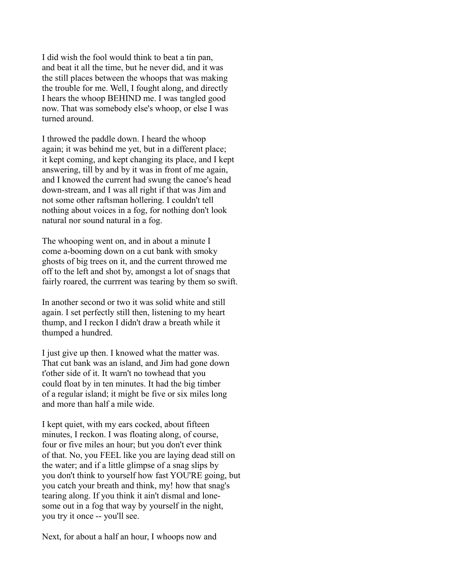I did wish the fool would think to beat a tin pan, and beat it all the time, but he never did, and it was the still places between the whoops that was making the trouble for me. Well, I fought along, and directly I hears the whoop BEHIND me. I was tangled good now. That was somebody else's whoop, or else I was turned around.

I throwed the paddle down. I heard the whoop again; it was behind me yet, but in a different place; it kept coming, and kept changing its place, and I kept answering, till by and by it was in front of me again, and I knowed the current had swung the canoe's head down-stream, and I was all right if that was Jim and not some other raftsman hollering. I couldn't tell nothing about voices in a fog, for nothing don't look natural nor sound natural in a fog.

The whooping went on, and in about a minute I come a-booming down on a cut bank with smoky ghosts of big trees on it, and the current throwed me off to the left and shot by, amongst a lot of snags that fairly roared, the currrent was tearing by them so swift.

In another second or two it was solid white and still again. I set perfectly still then, listening to my heart thump, and I reckon I didn't draw a breath while it thumped a hundred.

I just give up then. I knowed what the matter was. That cut bank was an island, and Jim had gone down t'other side of it. It warn't no towhead that you could float by in ten minutes. It had the big timber of a regular island; it might be five or six miles long and more than half a mile wide.

I kept quiet, with my ears cocked, about fifteen minutes, I reckon. I was floating along, of course, four or five miles an hour; but you don't ever think of that. No, you FEEL like you are laying dead still on the water; and if a little glimpse of a snag slips by you don't think to yourself how fast YOU'RE going, but you catch your breath and think, my! how that snag's tearing along. If you think it ain't dismal and lonesome out in a fog that way by yourself in the night, you try it once -- you'll see.

Next, for about a half an hour, I whoops now and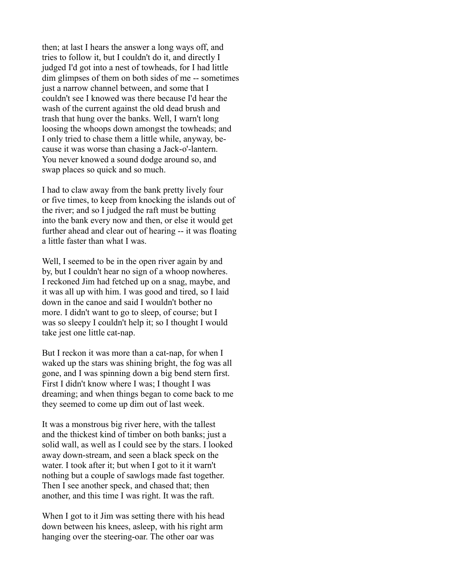then; at last I hears the answer a long ways off, and tries to follow it, but I couldn't do it, and directly I judged I'd got into a nest of towheads, for I had little dim glimpses of them on both sides of me -- sometimes just a narrow channel between, and some that I couldn't see I knowed was there because I'd hear the wash of the current against the old dead brush and trash that hung over the banks. Well, I warn't long loosing the whoops down amongst the towheads; and I only tried to chase them a little while, anyway, because it was worse than chasing a Jack-o'-lantern. You never knowed a sound dodge around so, and swap places so quick and so much.

I had to claw away from the bank pretty lively four or five times, to keep from knocking the islands out of the river; and so I judged the raft must be butting into the bank every now and then, or else it would get further ahead and clear out of hearing -- it was floating a little faster than what I was.

Well, I seemed to be in the open river again by and by, but I couldn't hear no sign of a whoop nowheres. I reckoned Jim had fetched up on a snag, maybe, and it was all up with him. I was good and tired, so I laid down in the canoe and said I wouldn't bother no more. I didn't want to go to sleep, of course; but I was so sleepy I couldn't help it; so I thought I would take jest one little cat-nap.

But I reckon it was more than a cat-nap, for when I waked up the stars was shining bright, the fog was all gone, and I was spinning down a big bend stern first. First I didn't know where I was; I thought I was dreaming; and when things began to come back to me they seemed to come up dim out of last week.

It was a monstrous big river here, with the tallest and the thickest kind of timber on both banks; just a solid wall, as well as I could see by the stars. I looked away down-stream, and seen a black speck on the water. I took after it; but when I got to it it warn't nothing but a couple of sawlogs made fast together. Then I see another speck, and chased that; then another, and this time I was right. It was the raft.

When I got to it Jim was setting there with his head down between his knees, asleep, with his right arm hanging over the steering-oar. The other oar was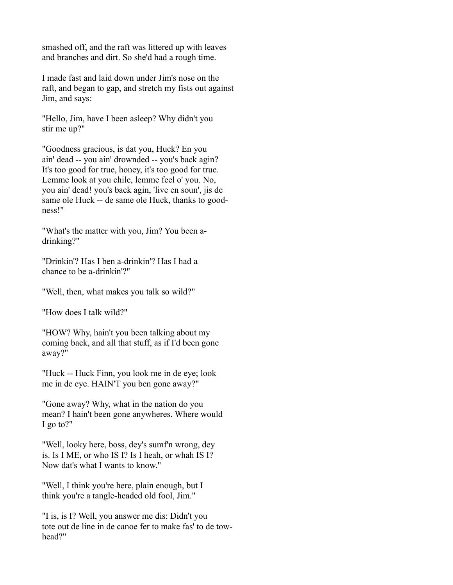smashed off, and the raft was littered up with leaves and branches and dirt. So she'd had a rough time.

I made fast and laid down under Jim's nose on the raft, and began to gap, and stretch my fists out against Jim, and says:

"Hello, Jim, have I been asleep? Why didn't you stir me up?"

"Goodness gracious, is dat you, Huck? En you ain' dead -- you ain' drownded -- you's back agin? It's too good for true, honey, it's too good for true. Lemme look at you chile, lemme feel o' you. No, you ain' dead! you's back agin, 'live en soun', jis de same ole Huck -- de same ole Huck, thanks to goodness!"

"What's the matter with you, Jim? You been adrinking?"

"Drinkin'? Has I ben a-drinkin'? Has I had a chance to be a-drinkin'?"

"Well, then, what makes you talk so wild?"

"How does I talk wild?"

"HOW? Why, hain't you been talking about my coming back, and all that stuff, as if I'd been gone away?"

"Huck -- Huck Finn, you look me in de eye; look me in de eye. HAIN'T you ben gone away?"

"Gone away? Why, what in the nation do you mean? I hain't been gone anywheres. Where would I go to?"

"Well, looky here, boss, dey's sumf'n wrong, dey is. Is I ME, or who IS I? Is I heah, or whah IS I? Now dat's what I wants to know."

"Well, I think you're here, plain enough, but I think you're a tangle-headed old fool, Jim."

"I is, is I? Well, you answer me dis: Didn't you tote out de line in de canoe fer to make fas' to de towhead?"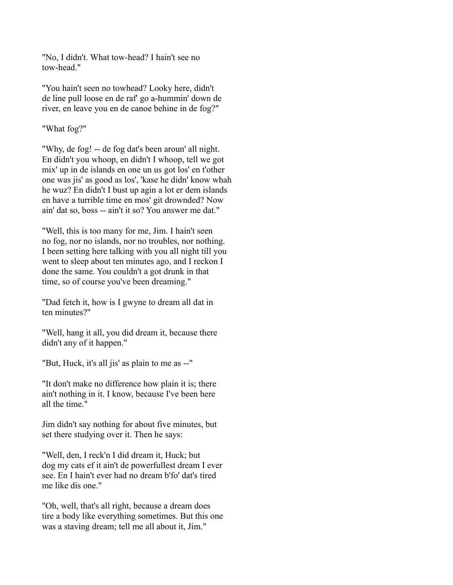"No, I didn't. What tow-head? I hain't see no tow-head."

"You hain't seen no towhead? Looky here, didn't de line pull loose en de raf' go a-hummin' down de river, en leave you en de canoe behine in de fog?"

"What fog?"

"Why, de fog! -- de fog dat's been aroun' all night. En didn't you whoop, en didn't I whoop, tell we got mix' up in de islands en one un us got los' en t'other one was jis' as good as los', 'kase he didn' know whah he wuz? En didn't I bust up agin a lot er dem islands en have a turrible time en mos' git drownded? Now ain' dat so, boss -- ain't it so? You answer me dat."

"Well, this is too many for me, Jim. I hain't seen no fog, nor no islands, nor no troubles, nor nothing. I been setting here talking with you all night till you went to sleep about ten minutes ago, and I reckon I done the same. You couldn't a got drunk in that time, so of course you've been dreaming."

"Dad fetch it, how is I gwyne to dream all dat in ten minutes?"

"Well, hang it all, you did dream it, because there didn't any of it happen."

"But, Huck, it's all jis' as plain to me as --"

"It don't make no difference how plain it is; there ain't nothing in it. I know, because I've been here all the time."

Jim didn't say nothing for about five minutes, but set there studying over it. Then he says:

"Well, den, I reck'n I did dream it, Huck; but dog my cats ef it ain't de powerfullest dream I ever see. En I hain't ever had no dream b'fo' dat's tired me like dis one."

"Oh, well, that's all right, because a dream does tire a body like everything sometimes. But this one was a staving dream; tell me all about it, Jim."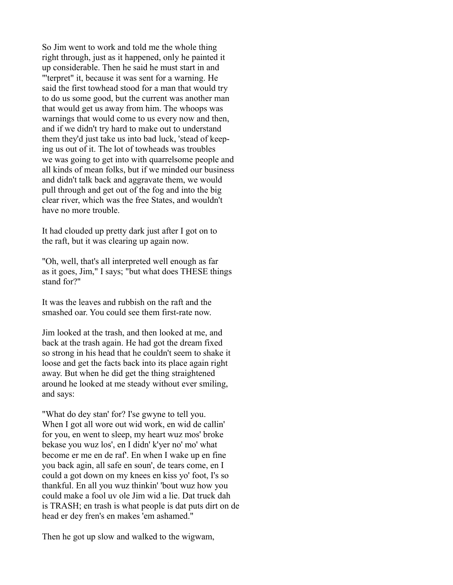So Jim went to work and told me the whole thing right through, just as it happened, only he painted it up considerable. Then he said he must start in and "'terpret" it, because it was sent for a warning. He said the first towhead stood for a man that would try to do us some good, but the current was another man that would get us away from him. The whoops was warnings that would come to us every now and then, and if we didn't try hard to make out to understand them they'd just take us into bad luck, 'stead of keeping us out of it. The lot of towheads was troubles we was going to get into with quarrelsome people and all kinds of mean folks, but if we minded our business and didn't talk back and aggravate them, we would pull through and get out of the fog and into the big clear river, which was the free States, and wouldn't have no more trouble.

It had clouded up pretty dark just after I got on to the raft, but it was clearing up again now.

"Oh, well, that's all interpreted well enough as far as it goes, Jim," I says; "but what does THESE things stand for?"

It was the leaves and rubbish on the raft and the smashed oar. You could see them first-rate now.

Jim looked at the trash, and then looked at me, and back at the trash again. He had got the dream fixed so strong in his head that he couldn't seem to shake it loose and get the facts back into its place again right away. But when he did get the thing straightened around he looked at me steady without ever smiling, and says:

"What do dey stan' for? I'se gwyne to tell you. When I got all wore out wid work, en wid de callin' for you, en went to sleep, my heart wuz mos' broke bekase you wuz los', en I didn' k'yer no' mo' what become er me en de raf'. En when I wake up en fine you back agin, all safe en soun', de tears come, en I could a got down on my knees en kiss yo' foot, I's so thankful. En all you wuz thinkin' 'bout wuz how you could make a fool uv ole Jim wid a lie. Dat truck dah is TRASH; en trash is what people is dat puts dirt on de head er dey fren's en makes 'em ashamed."

Then he got up slow and walked to the wigwam,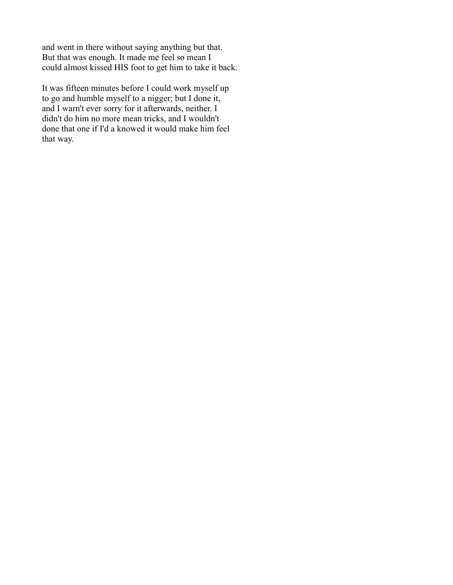and went in there without saying anything but that. But that was enough. It made me feel so mean I could almost kissed HIS foot to get him to take it back.

It was fifteen minutes before I could work myself up to go and humble myself to a nigger; but I done it, and I warn't ever sorry for it afterwards, neither. I didn't do him no more mean tricks, and I wouldn't done that one if I'd a knowed it would make him feel that way.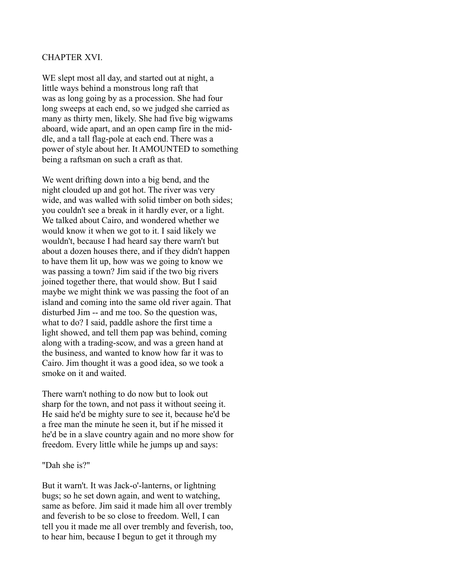### CHAPTER XVI.

WE slept most all day, and started out at night, a little ways behind a monstrous long raft that was as long going by as a procession. She had four long sweeps at each end, so we judged she carried as many as thirty men, likely. She had five big wigwams aboard, wide apart, and an open camp fire in the middle, and a tall flag-pole at each end. There was a power of style about her. It AMOUNTED to something being a raftsman on such a craft as that.

We went drifting down into a big bend, and the night clouded up and got hot. The river was very wide, and was walled with solid timber on both sides; you couldn't see a break in it hardly ever, or a light. We talked about Cairo, and wondered whether we would know it when we got to it. I said likely we wouldn't, because I had heard say there warn't but about a dozen houses there, and if they didn't happen to have them lit up, how was we going to know we was passing a town? Jim said if the two big rivers joined together there, that would show. But I said maybe we might think we was passing the foot of an island and coming into the same old river again. That disturbed Jim -- and me too. So the question was, what to do? I said, paddle ashore the first time a light showed, and tell them pap was behind, coming along with a trading-scow, and was a green hand at the business, and wanted to know how far it was to Cairo. Jim thought it was a good idea, so we took a smoke on it and waited.

There warn't nothing to do now but to look out sharp for the town, and not pass it without seeing it. He said he'd be mighty sure to see it, because he'd be a free man the minute he seen it, but if he missed it he'd be in a slave country again and no more show for freedom. Every little while he jumps up and says:

#### "Dah she is?"

But it warn't. It was Jack-o'-lanterns, or lightning bugs; so he set down again, and went to watching, same as before. Jim said it made him all over trembly and feverish to be so close to freedom. Well, I can tell you it made me all over trembly and feverish, too, to hear him, because I begun to get it through my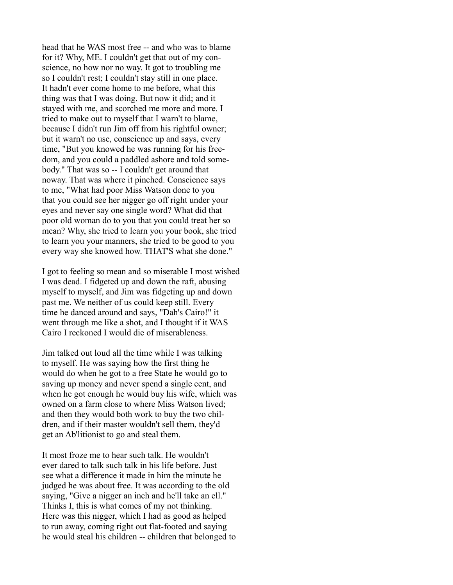head that he WAS most free -- and who was to blame for it? Why, ME. I couldn't get that out of my conscience, no how nor no way. It got to troubling me so I couldn't rest; I couldn't stay still in one place. It hadn't ever come home to me before, what this thing was that I was doing. But now it did; and it stayed with me, and scorched me more and more. I tried to make out to myself that I warn't to blame, because I didn't run Jim off from his rightful owner; but it warn't no use, conscience up and says, every time, "But you knowed he was running for his freedom, and you could a paddled ashore and told somebody." That was so -- I couldn't get around that noway. That was where it pinched. Conscience says to me, "What had poor Miss Watson done to you that you could see her nigger go off right under your eyes and never say one single word? What did that poor old woman do to you that you could treat her so mean? Why, she tried to learn you your book, she tried to learn you your manners, she tried to be good to you every way she knowed how. THAT'S what she done."

I got to feeling so mean and so miserable I most wished I was dead. I fidgeted up and down the raft, abusing myself to myself, and Jim was fidgeting up and down past me. We neither of us could keep still. Every time he danced around and says, "Dah's Cairo!" it went through me like a shot, and I thought if it WAS Cairo I reckoned I would die of miserableness.

Jim talked out loud all the time while I was talking to myself. He was saying how the first thing he would do when he got to a free State he would go to saving up money and never spend a single cent, and when he got enough he would buy his wife, which was owned on a farm close to where Miss Watson lived; and then they would both work to buy the two children, and if their master wouldn't sell them, they'd get an Ab'litionist to go and steal them.

It most froze me to hear such talk. He wouldn't ever dared to talk such talk in his life before. Just see what a difference it made in him the minute he judged he was about free. It was according to the old saying, "Give a nigger an inch and he'll take an ell." Thinks I, this is what comes of my not thinking. Here was this nigger, which I had as good as helped to run away, coming right out flat-footed and saying he would steal his children -- children that belonged to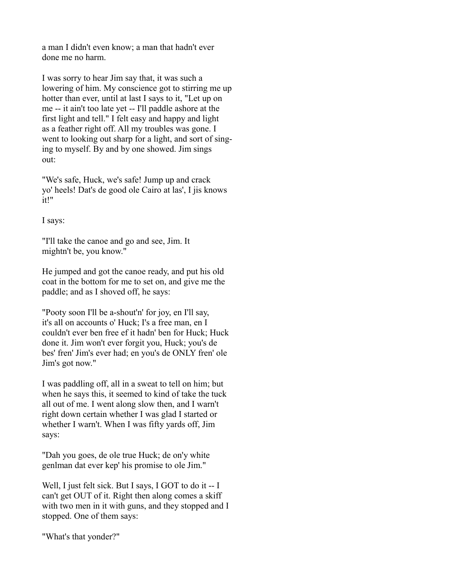a man I didn't even know; a man that hadn't ever done me no harm.

I was sorry to hear Jim say that, it was such a lowering of him. My conscience got to stirring me up hotter than ever, until at last I says to it, "Let up on me -- it ain't too late yet -- I'll paddle ashore at the first light and tell." I felt easy and happy and light as a feather right off. All my troubles was gone. I went to looking out sharp for a light, and sort of singing to myself. By and by one showed. Jim sings out:

"We's safe, Huck, we's safe! Jump up and crack yo' heels! Dat's de good ole Cairo at las', I jis knows it!"

I says:

"I'll take the canoe and go and see, Jim. It mightn't be, you know."

He jumped and got the canoe ready, and put his old coat in the bottom for me to set on, and give me the paddle; and as I shoved off, he says:

"Pooty soon I'll be a-shout'n' for joy, en I'll say, it's all on accounts o' Huck; I's a free man, en I couldn't ever ben free ef it hadn' ben for Huck; Huck done it. Jim won't ever forgit you, Huck; you's de bes' fren' Jim's ever had; en you's de ONLY fren' ole Jim's got now."

I was paddling off, all in a sweat to tell on him; but when he says this, it seemed to kind of take the tuck all out of me. I went along slow then, and I warn't right down certain whether I was glad I started or whether I warn't. When I was fifty yards off, Jim says:

"Dah you goes, de ole true Huck; de on'y white genlman dat ever kep' his promise to ole Jim."

Well, I just felt sick. But I says, I GOT to do it -- I can't get OUT of it. Right then along comes a skiff with two men in it with guns, and they stopped and I stopped. One of them says:

"What's that yonder?"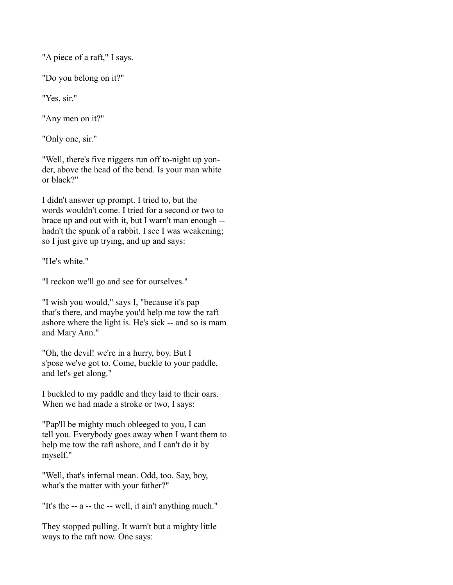"A piece of a raft," I says.

"Do you belong on it?"

"Yes, sir."

"Any men on it?"

"Only one, sir."

"Well, there's five niggers run off to-night up yonder, above the head of the bend. Is your man white or black?"

I didn't answer up prompt. I tried to, but the words wouldn't come. I tried for a second or two to brace up and out with it, but I warn't man enough - hadn't the spunk of a rabbit. I see I was weakening; so I just give up trying, and up and says:

"He's white."

"I reckon we'll go and see for ourselves."

"I wish you would," says I, "because it's pap that's there, and maybe you'd help me tow the raft ashore where the light is. He's sick -- and so is mam and Mary Ann."

"Oh, the devil! we're in a hurry, boy. But I s'pose we've got to. Come, buckle to your paddle, and let's get along."

I buckled to my paddle and they laid to their oars. When we had made a stroke or two, I says:

"Pap'll be mighty much obleeged to you, I can tell you. Everybody goes away when I want them to help me tow the raft ashore, and I can't do it by myself."

"Well, that's infernal mean. Odd, too. Say, boy, what's the matter with your father?"

"It's the -- a -- the -- well, it ain't anything much."

They stopped pulling. It warn't but a mighty little ways to the raft now. One says: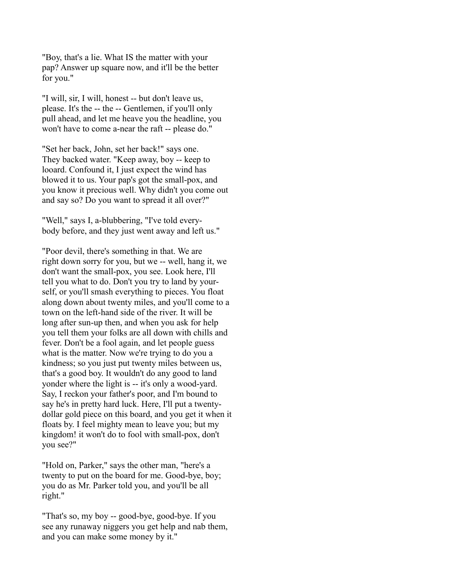"Boy, that's a lie. What IS the matter with your pap? Answer up square now, and it'll be the better for you."

"I will, sir, I will, honest -- but don't leave us, please. It's the -- the -- Gentlemen, if you'll only pull ahead, and let me heave you the headline, you won't have to come a-near the raft -- please do."

"Set her back, John, set her back!" says one. They backed water. "Keep away, boy -- keep to looard. Confound it, I just expect the wind has blowed it to us. Your pap's got the small-pox, and you know it precious well. Why didn't you come out and say so? Do you want to spread it all over?"

"Well," says I, a-blubbering, "I've told everybody before, and they just went away and left us."

"Poor devil, there's something in that. We are right down sorry for you, but we -- well, hang it, we don't want the small-pox, you see. Look here, I'll tell you what to do. Don't you try to land by yourself, or you'll smash everything to pieces. You float along down about twenty miles, and you'll come to a town on the left-hand side of the river. It will be long after sun-up then, and when you ask for help you tell them your folks are all down with chills and fever. Don't be a fool again, and let people guess what is the matter. Now we're trying to do you a kindness; so you just put twenty miles between us, that's a good boy. It wouldn't do any good to land yonder where the light is -- it's only a wood-yard. Say, I reckon your father's poor, and I'm bound to say he's in pretty hard luck. Here, I'll put a twentydollar gold piece on this board, and you get it when it floats by. I feel mighty mean to leave you; but my kingdom! it won't do to fool with small-pox, don't you see?"

"Hold on, Parker," says the other man, "here's a twenty to put on the board for me. Good-bye, boy; you do as Mr. Parker told you, and you'll be all right."

"That's so, my boy -- good-bye, good-bye. If you see any runaway niggers you get help and nab them, and you can make some money by it."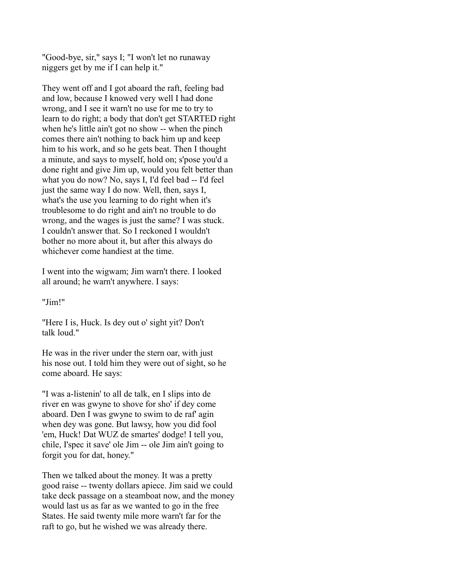"Good-bye, sir," says I; "I won't let no runaway niggers get by me if I can help it."

They went off and I got aboard the raft, feeling bad and low, because I knowed very well I had done wrong, and I see it warn't no use for me to try to learn to do right; a body that don't get STARTED right when he's little ain't got no show -- when the pinch comes there ain't nothing to back him up and keep him to his work, and so he gets beat. Then I thought a minute, and says to myself, hold on; s'pose you'd a done right and give Jim up, would you felt better than what you do now? No, says I, I'd feel bad -- I'd feel just the same way I do now. Well, then, says I, what's the use you learning to do right when it's troublesome to do right and ain't no trouble to do wrong, and the wages is just the same? I was stuck. I couldn't answer that. So I reckoned I wouldn't bother no more about it, but after this always do whichever come handiest at the time.

I went into the wigwam; Jim warn't there. I looked all around; he warn't anywhere. I says:

"Jim!"

"Here I is, Huck. Is dey out o' sight yit? Don't talk loud."

He was in the river under the stern oar, with just his nose out. I told him they were out of sight, so he come aboard. He says:

"I was a-listenin' to all de talk, en I slips into de river en was gwyne to shove for sho' if dey come aboard. Den I was gwyne to swim to de raf' agin when dey was gone. But lawsy, how you did fool 'em, Huck! Dat WUZ de smartes' dodge! I tell you, chile, I'spec it save' ole Jim -- ole Jim ain't going to forgit you for dat, honey."

Then we talked about the money. It was a pretty good raise -- twenty dollars apiece. Jim said we could take deck passage on a steamboat now, and the money would last us as far as we wanted to go in the free States. He said twenty mile more warn't far for the raft to go, but he wished we was already there.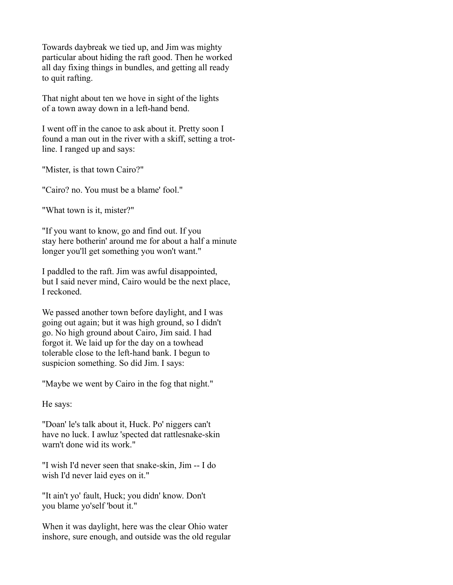Towards daybreak we tied up, and Jim was mighty particular about hiding the raft good. Then he worked all day fixing things in bundles, and getting all ready to quit rafting.

That night about ten we hove in sight of the lights of a town away down in a left-hand bend.

I went off in the canoe to ask about it. Pretty soon I found a man out in the river with a skiff, setting a trotline. I ranged up and says:

"Mister, is that town Cairo?"

"Cairo? no. You must be a blame' fool."

"What town is it, mister?"

"If you want to know, go and find out. If you stay here botherin' around me for about a half a minute longer you'll get something you won't want."

I paddled to the raft. Jim was awful disappointed, but I said never mind, Cairo would be the next place, I reckoned.

We passed another town before daylight, and I was going out again; but it was high ground, so I didn't go. No high ground about Cairo, Jim said. I had forgot it. We laid up for the day on a towhead tolerable close to the left-hand bank. I begun to suspicion something. So did Jim. I says:

"Maybe we went by Cairo in the fog that night."

He says:

"Doan' le's talk about it, Huck. Po' niggers can't have no luck. I awluz 'spected dat rattlesnake-skin warn't done wid its work."

"I wish I'd never seen that snake-skin, Jim -- I do wish I'd never laid eyes on it."

"It ain't yo' fault, Huck; you didn' know. Don't you blame yo'self 'bout it."

When it was daylight, here was the clear Ohio water inshore, sure enough, and outside was the old regular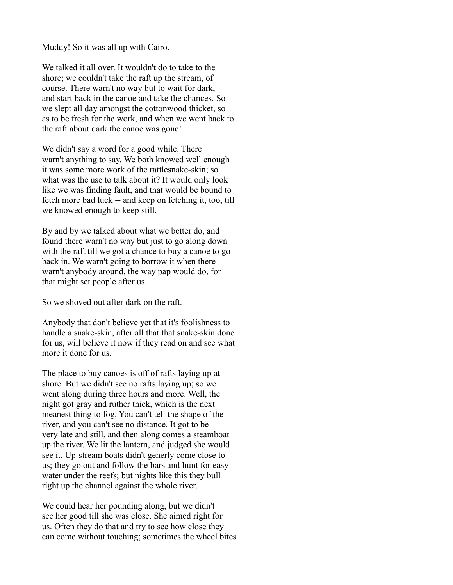Muddy! So it was all up with Cairo.

We talked it all over. It wouldn't do to take to the shore; we couldn't take the raft up the stream, of course. There warn't no way but to wait for dark, and start back in the canoe and take the chances. So we slept all day amongst the cottonwood thicket, so as to be fresh for the work, and when we went back to the raft about dark the canoe was gone!

We didn't say a word for a good while. There warn't anything to say. We both knowed well enough it was some more work of the rattlesnake-skin; so what was the use to talk about it? It would only look like we was finding fault, and that would be bound to fetch more bad luck -- and keep on fetching it, too, till we knowed enough to keep still.

By and by we talked about what we better do, and found there warn't no way but just to go along down with the raft till we got a chance to buy a canoe to go back in. We warn't going to borrow it when there warn't anybody around, the way pap would do, for that might set people after us.

So we shoved out after dark on the raft.

Anybody that don't believe yet that it's foolishness to handle a snake-skin, after all that that snake-skin done for us, will believe it now if they read on and see what more it done for us.

The place to buy canoes is off of rafts laying up at shore. But we didn't see no rafts laying up; so we went along during three hours and more. Well, the night got gray and ruther thick, which is the next meanest thing to fog. You can't tell the shape of the river, and you can't see no distance. It got to be very late and still, and then along comes a steamboat up the river. We lit the lantern, and judged she would see it. Up-stream boats didn't generly come close to us; they go out and follow the bars and hunt for easy water under the reefs; but nights like this they bull right up the channel against the whole river.

We could hear her pounding along, but we didn't see her good till she was close. She aimed right for us. Often they do that and try to see how close they can come without touching; sometimes the wheel bites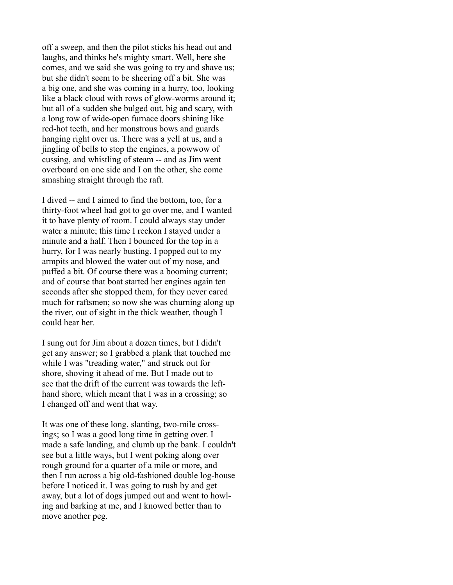off a sweep, and then the pilot sticks his head out and laughs, and thinks he's mighty smart. Well, here she comes, and we said she was going to try and shave us; but she didn't seem to be sheering off a bit. She was a big one, and she was coming in a hurry, too, looking like a black cloud with rows of glow-worms around it; but all of a sudden she bulged out, big and scary, with a long row of wide-open furnace doors shining like red-hot teeth, and her monstrous bows and guards hanging right over us. There was a yell at us, and a jingling of bells to stop the engines, a powwow of cussing, and whistling of steam -- and as Jim went overboard on one side and I on the other, she come smashing straight through the raft.

I dived -- and I aimed to find the bottom, too, for a thirty-foot wheel had got to go over me, and I wanted it to have plenty of room. I could always stay under water a minute; this time I reckon I stayed under a minute and a half. Then I bounced for the top in a hurry, for I was nearly busting. I popped out to my armpits and blowed the water out of my nose, and puffed a bit. Of course there was a booming current; and of course that boat started her engines again ten seconds after she stopped them, for they never cared much for raftsmen; so now she was churning along up the river, out of sight in the thick weather, though I could hear her.

I sung out for Jim about a dozen times, but I didn't get any answer; so I grabbed a plank that touched me while I was "treading water," and struck out for shore, shoving it ahead of me. But I made out to see that the drift of the current was towards the lefthand shore, which meant that I was in a crossing; so I changed off and went that way.

It was one of these long, slanting, two-mile crossings; so I was a good long time in getting over. I made a safe landing, and clumb up the bank. I couldn't see but a little ways, but I went poking along over rough ground for a quarter of a mile or more, and then I run across a big old-fashioned double log-house before I noticed it. I was going to rush by and get away, but a lot of dogs jumped out and went to howling and barking at me, and I knowed better than to move another peg.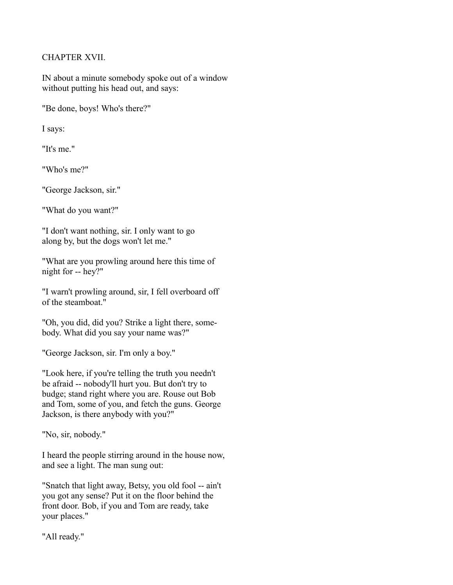# CHAPTER XVII.

IN about a minute somebody spoke out of a window without putting his head out, and says:

"Be done, boys! Who's there?"

I says:

"It's me."

"Who's me?"

"George Jackson, sir."

"What do you want?"

"I don't want nothing, sir. I only want to go along by, but the dogs won't let me."

"What are you prowling around here this time of night for -- hey?"

"I warn't prowling around, sir, I fell overboard off of the steamboat."

"Oh, you did, did you? Strike a light there, somebody. What did you say your name was?"

"George Jackson, sir. I'm only a boy."

"Look here, if you're telling the truth you needn't be afraid -- nobody'll hurt you. But don't try to budge; stand right where you are. Rouse out Bob and Tom, some of you, and fetch the guns. George Jackson, is there anybody with you?"

"No, sir, nobody."

I heard the people stirring around in the house now, and see a light. The man sung out:

"Snatch that light away, Betsy, you old fool -- ain't you got any sense? Put it on the floor behind the front door. Bob, if you and Tom are ready, take your places."

"All ready."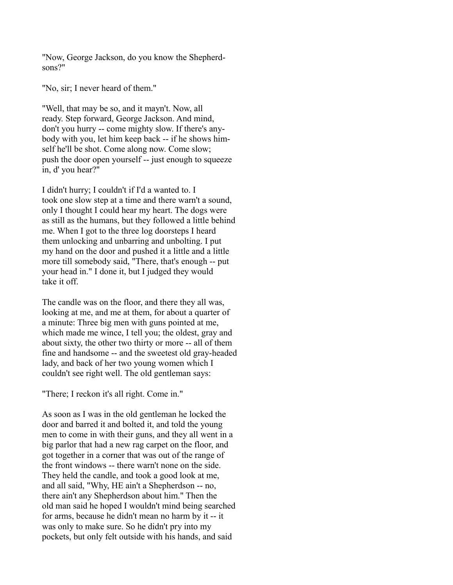"Now, George Jackson, do you know the Shepherdsons?"

"No, sir; I never heard of them."

"Well, that may be so, and it mayn't. Now, all ready. Step forward, George Jackson. And mind, don't you hurry -- come mighty slow. If there's anybody with you, let him keep back -- if he shows himself he'll be shot. Come along now. Come slow; push the door open yourself -- just enough to squeeze in, d' you hear?"

I didn't hurry; I couldn't if I'd a wanted to. I took one slow step at a time and there warn't a sound, only I thought I could hear my heart. The dogs were as still as the humans, but they followed a little behind me. When I got to the three log doorsteps I heard them unlocking and unbarring and unbolting. I put my hand on the door and pushed it a little and a little more till somebody said, "There, that's enough -- put your head in." I done it, but I judged they would take it off.

The candle was on the floor, and there they all was, looking at me, and me at them, for about a quarter of a minute: Three big men with guns pointed at me, which made me wince, I tell you; the oldest, gray and about sixty, the other two thirty or more -- all of them fine and handsome -- and the sweetest old gray-headed lady, and back of her two young women which I couldn't see right well. The old gentleman says:

"There; I reckon it's all right. Come in."

As soon as I was in the old gentleman he locked the door and barred it and bolted it, and told the young men to come in with their guns, and they all went in a big parlor that had a new rag carpet on the floor, and got together in a corner that was out of the range of the front windows -- there warn't none on the side. They held the candle, and took a good look at me, and all said, "Why, HE ain't a Shepherdson -- no, there ain't any Shepherdson about him." Then the old man said he hoped I wouldn't mind being searched for arms, because he didn't mean no harm by it -- it was only to make sure. So he didn't pry into my pockets, but only felt outside with his hands, and said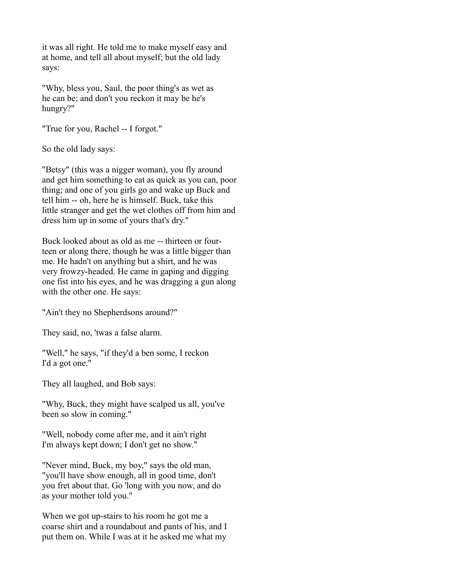it was all right. He told me to make myself easy and at home, and tell all about myself; but the old lady says:

"Why, bless you, Saul, the poor thing's as wet as he can be; and don't you reckon it may be he's hungry?"

"True for you, Rachel -- I forgot."

So the old lady says:

"Betsy" (this was a nigger woman), you fly around and get him something to eat as quick as you can, poor thing; and one of you girls go and wake up Buck and tell him -- oh, here he is himself. Buck, take this little stranger and get the wet clothes off from him and dress him up in some of yours that's dry."

Buck looked about as old as me -- thirteen or fourteen or along there, though he was a little bigger than me. He hadn't on anything but a shirt, and he was very frowzy-headed. He came in gaping and digging one fist into his eyes, and he was dragging a gun along with the other one. He says:

"Ain't they no Shepherdsons around?"

They said, no, 'twas a false alarm.

"Well," he says, "if they'd a ben some, I reckon I'd a got one."

They all laughed, and Bob says:

"Why, Buck, they might have scalped us all, you've been so slow in coming."

"Well, nobody come after me, and it ain't right I'm always kept down; I don't get no show."

"Never mind, Buck, my boy," says the old man, "you'll have show enough, all in good time, don't you fret about that. Go 'long with you now, and do as your mother told you."

When we got up-stairs to his room he got me a coarse shirt and a roundabout and pants of his, and I put them on. While I was at it he asked me what my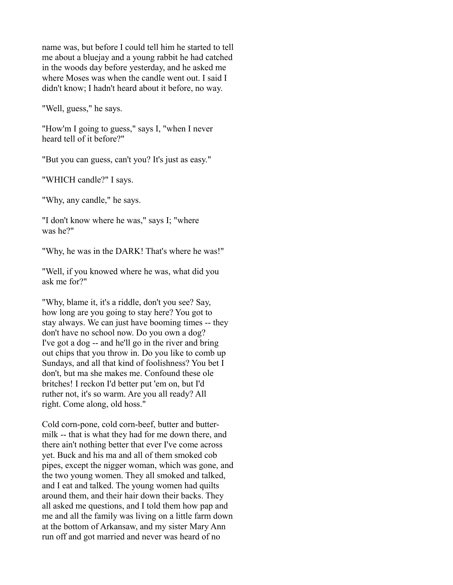name was, but before I could tell him he started to tell me about a bluejay and a young rabbit he had catched in the woods day before yesterday, and he asked me where Moses was when the candle went out. I said I didn't know; I hadn't heard about it before, no way.

"Well, guess," he says.

"How'm I going to guess," says I, "when I never heard tell of it before?"

"But you can guess, can't you? It's just as easy."

"WHICH candle?" I says.

"Why, any candle," he says.

"I don't know where he was," says I; "where was he?"

"Why, he was in the DARK! That's where he was!"

"Well, if you knowed where he was, what did you ask me for?"

"Why, blame it, it's a riddle, don't you see? Say, how long are you going to stay here? You got to stay always. We can just have booming times -- they don't have no school now. Do you own a dog? I've got a dog -- and he'll go in the river and bring out chips that you throw in. Do you like to comb up Sundays, and all that kind of foolishness? You bet I don't, but ma she makes me. Confound these ole britches! I reckon I'd better put 'em on, but I'd ruther not, it's so warm. Are you all ready? All right. Come along, old hoss."

Cold corn-pone, cold corn-beef, butter and buttermilk -- that is what they had for me down there, and there ain't nothing better that ever I've come across yet. Buck and his ma and all of them smoked cob pipes, except the nigger woman, which was gone, and the two young women. They all smoked and talked, and I eat and talked. The young women had quilts around them, and their hair down their backs. They all asked me questions, and I told them how pap and me and all the family was living on a little farm down at the bottom of Arkansaw, and my sister Mary Ann run off and got married and never was heard of no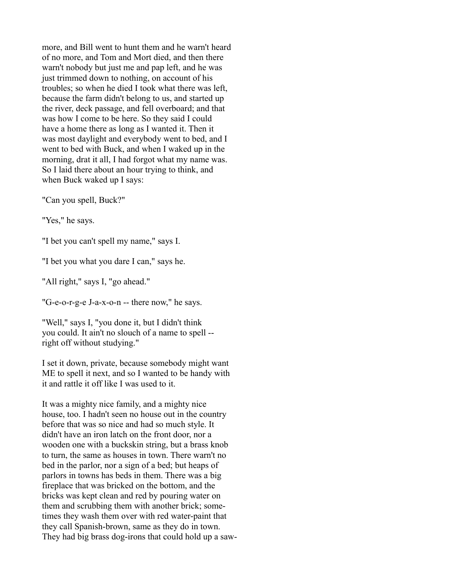more, and Bill went to hunt them and he warn't heard of no more, and Tom and Mort died, and then there warn't nobody but just me and pap left, and he was just trimmed down to nothing, on account of his troubles; so when he died I took what there was left, because the farm didn't belong to us, and started up the river, deck passage, and fell overboard; and that was how I come to be here. So they said I could have a home there as long as I wanted it. Then it was most daylight and everybody went to bed, and I went to bed with Buck, and when I waked up in the morning, drat it all, I had forgot what my name was. So I laid there about an hour trying to think, and when Buck waked up I says:

"Can you spell, Buck?"

"Yes." he says.

"I bet you can't spell my name," says I.

"I bet you what you dare I can," says he.

"All right," says I, "go ahead."

"G-e-o-r-g-e J-a-x-o-n -- there now," he says.

"Well," says I, "you done it, but I didn't think you could. It ain't no slouch of a name to spell - right off without studying."

I set it down, private, because somebody might want ME to spell it next, and so I wanted to be handy with it and rattle it off like I was used to it.

It was a mighty nice family, and a mighty nice house, too. I hadn't seen no house out in the country before that was so nice and had so much style. It didn't have an iron latch on the front door, nor a wooden one with a buckskin string, but a brass knob to turn, the same as houses in town. There warn't no bed in the parlor, nor a sign of a bed; but heaps of parlors in towns has beds in them. There was a big fireplace that was bricked on the bottom, and the bricks was kept clean and red by pouring water on them and scrubbing them with another brick; sometimes they wash them over with red water-paint that they call Spanish-brown, same as they do in town. They had big brass dog-irons that could hold up a saw-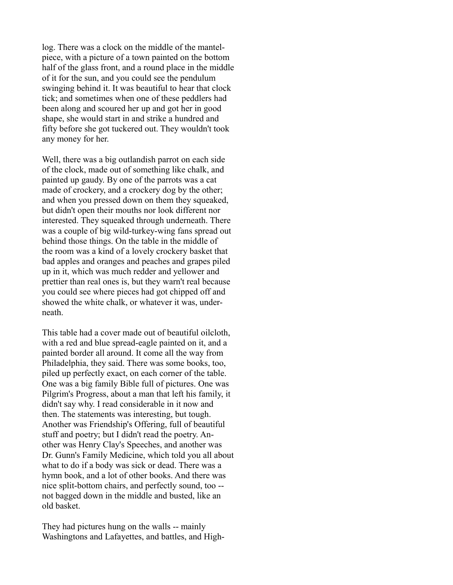log. There was a clock on the middle of the mantelpiece, with a picture of a town painted on the bottom half of the glass front, and a round place in the middle of it for the sun, and you could see the pendulum swinging behind it. It was beautiful to hear that clock tick; and sometimes when one of these peddlers had been along and scoured her up and got her in good shape, she would start in and strike a hundred and fifty before she got tuckered out. They wouldn't took any money for her.

Well, there was a big outlandish parrot on each side of the clock, made out of something like chalk, and painted up gaudy. By one of the parrots was a cat made of crockery, and a crockery dog by the other; and when you pressed down on them they squeaked, but didn't open their mouths nor look different nor interested. They squeaked through underneath. There was a couple of big wild-turkey-wing fans spread out behind those things. On the table in the middle of the room was a kind of a lovely crockery basket that bad apples and oranges and peaches and grapes piled up in it, which was much redder and yellower and prettier than real ones is, but they warn't real because you could see where pieces had got chipped off and showed the white chalk, or whatever it was, underneath.

This table had a cover made out of beautiful oilcloth, with a red and blue spread-eagle painted on it, and a painted border all around. It come all the way from Philadelphia, they said. There was some books, too, piled up perfectly exact, on each corner of the table. One was a big family Bible full of pictures. One was Pilgrim's Progress, about a man that left his family, it didn't say why. I read considerable in it now and then. The statements was interesting, but tough. Another was Friendship's Offering, full of beautiful stuff and poetry; but I didn't read the poetry. Another was Henry Clay's Speeches, and another was Dr. Gunn's Family Medicine, which told you all about what to do if a body was sick or dead. There was a hymn book, and a lot of other books. And there was nice split-bottom chairs, and perfectly sound, too - not bagged down in the middle and busted, like an old basket.

They had pictures hung on the walls -- mainly Washingtons and Lafayettes, and battles, and High-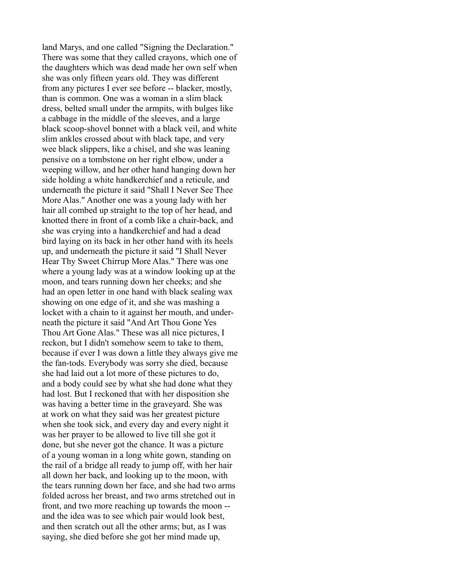land Marys, and one called "Signing the Declaration." There was some that they called crayons, which one of the daughters which was dead made her own self when she was only fifteen years old. They was different from any pictures I ever see before -- blacker, mostly, than is common. One was a woman in a slim black dress, belted small under the armpits, with bulges like a cabbage in the middle of the sleeves, and a large black scoop-shovel bonnet with a black veil, and white slim ankles crossed about with black tape, and very wee black slippers, like a chisel, and she was leaning pensive on a tombstone on her right elbow, under a weeping willow, and her other hand hanging down her side holding a white handkerchief and a reticule, and underneath the picture it said "Shall I Never See Thee More Alas." Another one was a young lady with her hair all combed up straight to the top of her head, and knotted there in front of a comb like a chair-back, and she was crying into a handkerchief and had a dead bird laying on its back in her other hand with its heels up, and underneath the picture it said "I Shall Never Hear Thy Sweet Chirrup More Alas." There was one where a young lady was at a window looking up at the moon, and tears running down her cheeks; and she had an open letter in one hand with black sealing wax showing on one edge of it, and she was mashing a locket with a chain to it against her mouth, and underneath the picture it said "And Art Thou Gone Yes Thou Art Gone Alas." These was all nice pictures, I reckon, but I didn't somehow seem to take to them, because if ever I was down a little they always give me the fan-tods. Everybody was sorry she died, because she had laid out a lot more of these pictures to do, and a body could see by what she had done what they had lost. But I reckoned that with her disposition she was having a better time in the graveyard. She was at work on what they said was her greatest picture when she took sick, and every day and every night it was her prayer to be allowed to live till she got it done, but she never got the chance. It was a picture of a young woman in a long white gown, standing on the rail of a bridge all ready to jump off, with her hair all down her back, and looking up to the moon, with the tears running down her face, and she had two arms folded across her breast, and two arms stretched out in front, and two more reaching up towards the moon - and the idea was to see which pair would look best, and then scratch out all the other arms; but, as I was saying, she died before she got her mind made up,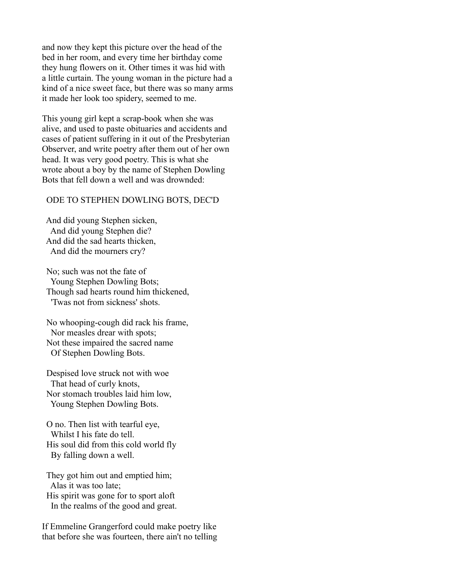and now they kept this picture over the head of the bed in her room, and every time her birthday come they hung flowers on it. Other times it was hid with a little curtain. The young woman in the picture had a kind of a nice sweet face, but there was so many arms it made her look too spidery, seemed to me.

This young girl kept a scrap-book when she was alive, and used to paste obituaries and accidents and cases of patient suffering in it out of the Presbyterian Observer, and write poetry after them out of her own head. It was very good poetry. This is what she wrote about a boy by the name of Stephen Dowling Bots that fell down a well and was drownded:

#### ODE TO STEPHEN DOWLING BOTS, DEC'D

 And did young Stephen sicken, And did young Stephen die? And did the sad hearts thicken, And did the mourners cry?

 No; such was not the fate of Young Stephen Dowling Bots; Though sad hearts round him thickened, 'Twas not from sickness' shots.

 No whooping-cough did rack his frame, Nor measles drear with spots; Not these impaired the sacred name Of Stephen Dowling Bots.

 Despised love struck not with woe That head of curly knots, Nor stomach troubles laid him low, Young Stephen Dowling Bots.

 O no. Then list with tearful eye, Whilst I his fate do tell. His soul did from this cold world fly By falling down a well.

 They got him out and emptied him; Alas it was too late; His spirit was gone for to sport aloft In the realms of the good and great.

If Emmeline Grangerford could make poetry like that before she was fourteen, there ain't no telling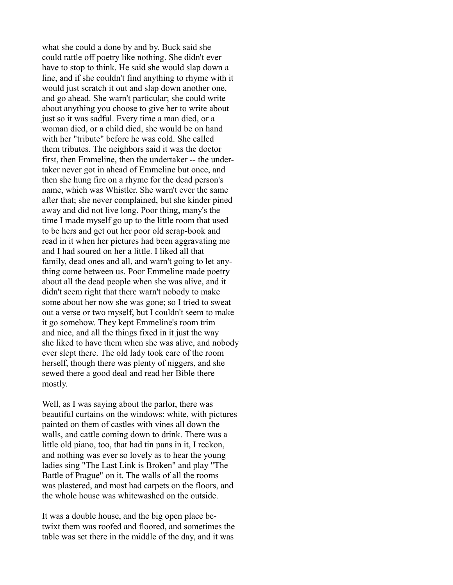what she could a done by and by. Buck said she could rattle off poetry like nothing. She didn't ever have to stop to think. He said she would slap down a line, and if she couldn't find anything to rhyme with it would just scratch it out and slap down another one, and go ahead. She warn't particular; she could write about anything you choose to give her to write about just so it was sadful. Every time a man died, or a woman died, or a child died, she would be on hand with her "tribute" before he was cold. She called them tributes. The neighbors said it was the doctor first, then Emmeline, then the undertaker -- the undertaker never got in ahead of Emmeline but once, and then she hung fire on a rhyme for the dead person's name, which was Whistler. She warn't ever the same after that; she never complained, but she kinder pined away and did not live long. Poor thing, many's the time I made myself go up to the little room that used to be hers and get out her poor old scrap-book and read in it when her pictures had been aggravating me and I had soured on her a little. I liked all that family, dead ones and all, and warn't going to let anything come between us. Poor Emmeline made poetry about all the dead people when she was alive, and it didn't seem right that there warn't nobody to make some about her now she was gone; so I tried to sweat out a verse or two myself, but I couldn't seem to make it go somehow. They kept Emmeline's room trim and nice, and all the things fixed in it just the way she liked to have them when she was alive, and nobody ever slept there. The old lady took care of the room herself, though there was plenty of niggers, and she sewed there a good deal and read her Bible there mostly.

Well, as I was saying about the parlor, there was beautiful curtains on the windows: white, with pictures painted on them of castles with vines all down the walls, and cattle coming down to drink. There was a little old piano, too, that had tin pans in it, I reckon, and nothing was ever so lovely as to hear the young ladies sing "The Last Link is Broken" and play "The Battle of Prague" on it. The walls of all the rooms was plastered, and most had carpets on the floors, and the whole house was whitewashed on the outside.

It was a double house, and the big open place betwixt them was roofed and floored, and sometimes the table was set there in the middle of the day, and it was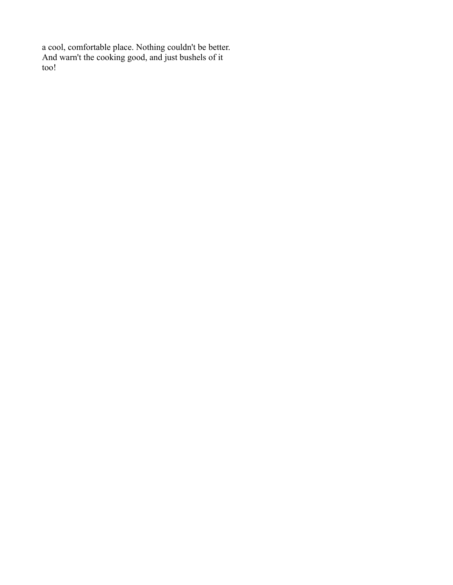a cool, comfortable place. Nothing couldn't be better. And warn't the cooking good, and just bushels of it too!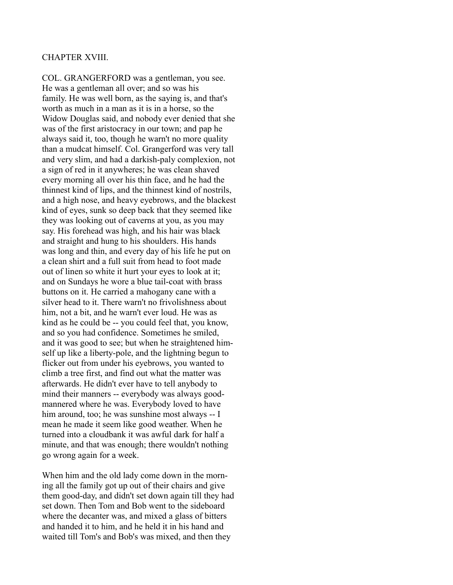#### CHAPTER XVIII.

COL. GRANGERFORD was a gentleman, you see. He was a gentleman all over; and so was his family. He was well born, as the saying is, and that's worth as much in a man as it is in a horse, so the Widow Douglas said, and nobody ever denied that she was of the first aristocracy in our town; and pap he always said it, too, though he warn't no more quality than a mudcat himself. Col. Grangerford was very tall and very slim, and had a darkish-paly complexion, not a sign of red in it anywheres; he was clean shaved every morning all over his thin face, and he had the thinnest kind of lips, and the thinnest kind of nostrils, and a high nose, and heavy eyebrows, and the blackest kind of eyes, sunk so deep back that they seemed like they was looking out of caverns at you, as you may say. His forehead was high, and his hair was black and straight and hung to his shoulders. His hands was long and thin, and every day of his life he put on a clean shirt and a full suit from head to foot made out of linen so white it hurt your eyes to look at it; and on Sundays he wore a blue tail-coat with brass buttons on it. He carried a mahogany cane with a silver head to it. There warn't no frivolishness about him, not a bit, and he warn't ever loud. He was as kind as he could be -- you could feel that, you know, and so you had confidence. Sometimes he smiled, and it was good to see; but when he straightened himself up like a liberty-pole, and the lightning begun to flicker out from under his eyebrows, you wanted to climb a tree first, and find out what the matter was afterwards. He didn't ever have to tell anybody to mind their manners -- everybody was always goodmannered where he was. Everybody loved to have him around, too; he was sunshine most always -- I mean he made it seem like good weather. When he turned into a cloudbank it was awful dark for half a minute, and that was enough; there wouldn't nothing go wrong again for a week.

When him and the old lady come down in the morning all the family got up out of their chairs and give them good-day, and didn't set down again till they had set down. Then Tom and Bob went to the sideboard where the decanter was, and mixed a glass of bitters and handed it to him, and he held it in his hand and waited till Tom's and Bob's was mixed, and then they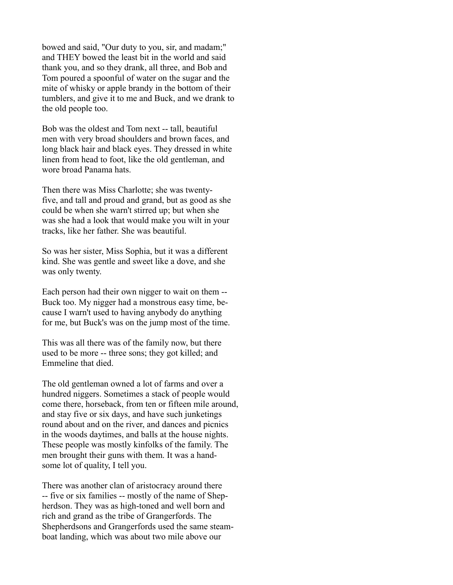bowed and said, "Our duty to you, sir, and madam;" and THEY bowed the least bit in the world and said thank you, and so they drank, all three, and Bob and Tom poured a spoonful of water on the sugar and the mite of whisky or apple brandy in the bottom of their tumblers, and give it to me and Buck, and we drank to the old people too.

Bob was the oldest and Tom next -- tall, beautiful men with very broad shoulders and brown faces, and long black hair and black eyes. They dressed in white linen from head to foot, like the old gentleman, and wore broad Panama hats.

Then there was Miss Charlotte; she was twentyfive, and tall and proud and grand, but as good as she could be when she warn't stirred up; but when she was she had a look that would make you wilt in your tracks, like her father. She was beautiful.

So was her sister, Miss Sophia, but it was a different kind. She was gentle and sweet like a dove, and she was only twenty.

Each person had their own nigger to wait on them -- Buck too. My nigger had a monstrous easy time, because I warn't used to having anybody do anything for me, but Buck's was on the jump most of the time.

This was all there was of the family now, but there used to be more -- three sons; they got killed; and Emmeline that died.

The old gentleman owned a lot of farms and over a hundred niggers. Sometimes a stack of people would come there, horseback, from ten or fifteen mile around, and stay five or six days, and have such junketings round about and on the river, and dances and picnics in the woods daytimes, and balls at the house nights. These people was mostly kinfolks of the family. The men brought their guns with them. It was a handsome lot of quality, I tell you.

There was another clan of aristocracy around there -- five or six families -- mostly of the name of Shepherdson. They was as high-toned and well born and rich and grand as the tribe of Grangerfords. The Shepherdsons and Grangerfords used the same steamboat landing, which was about two mile above our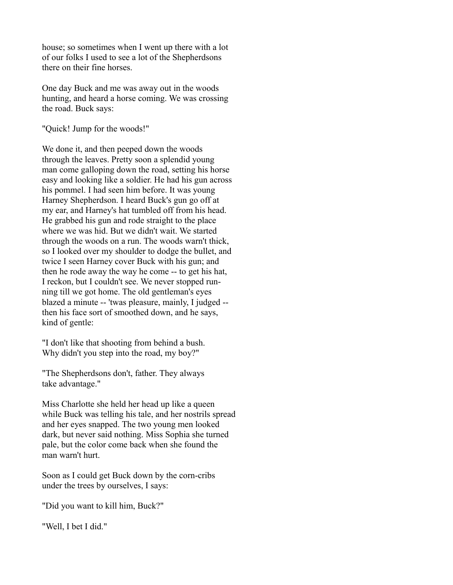house; so sometimes when I went up there with a lot of our folks I used to see a lot of the Shepherdsons there on their fine horses.

One day Buck and me was away out in the woods hunting, and heard a horse coming. We was crossing the road. Buck says:

"Quick! Jump for the woods!"

We done it, and then peeped down the woods through the leaves. Pretty soon a splendid young man come galloping down the road, setting his horse easy and looking like a soldier. He had his gun across his pommel. I had seen him before. It was young Harney Shepherdson. I heard Buck's gun go off at my ear, and Harney's hat tumbled off from his head. He grabbed his gun and rode straight to the place where we was hid. But we didn't wait. We started through the woods on a run. The woods warn't thick, so I looked over my shoulder to dodge the bullet, and twice I seen Harney cover Buck with his gun; and then he rode away the way he come -- to get his hat, I reckon, but I couldn't see. We never stopped running till we got home. The old gentleman's eyes blazed a minute -- 'twas pleasure, mainly, I judged - then his face sort of smoothed down, and he says, kind of gentle:

"I don't like that shooting from behind a bush. Why didn't you step into the road, my boy?"

"The Shepherdsons don't, father. They always take advantage."

Miss Charlotte she held her head up like a queen while Buck was telling his tale, and her nostrils spread and her eyes snapped. The two young men looked dark, but never said nothing. Miss Sophia she turned pale, but the color come back when she found the man warn't hurt.

Soon as I could get Buck down by the corn-cribs under the trees by ourselves, I says:

"Did you want to kill him, Buck?"

"Well, I bet I did."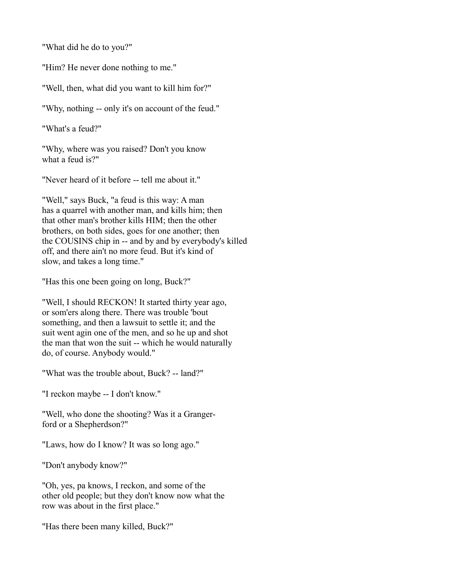"What did he do to you?"

"Him? He never done nothing to me."

"Well, then, what did you want to kill him for?"

"Why, nothing -- only it's on account of the feud."

"What's a feud?"

"Why, where was you raised? Don't you know what a feud is?"

"Never heard of it before -- tell me about it."

"Well," says Buck, "a feud is this way: A man has a quarrel with another man, and kills him; then that other man's brother kills HIM; then the other brothers, on both sides, goes for one another; then the COUSINS chip in -- and by and by everybody's killed off, and there ain't no more feud. But it's kind of slow, and takes a long time."

"Has this one been going on long, Buck?"

"Well, I should RECKON! It started thirty year ago, or som'ers along there. There was trouble 'bout something, and then a lawsuit to settle it; and the suit went agin one of the men, and so he up and shot the man that won the suit -- which he would naturally do, of course. Anybody would."

"What was the trouble about, Buck? -- land?"

"I reckon maybe -- I don't know."

"Well, who done the shooting? Was it a Grangerford or a Shepherdson?"

"Laws, how do I know? It was so long ago."

"Don't anybody know?"

"Oh, yes, pa knows, I reckon, and some of the other old people; but they don't know now what the row was about in the first place."

"Has there been many killed, Buck?"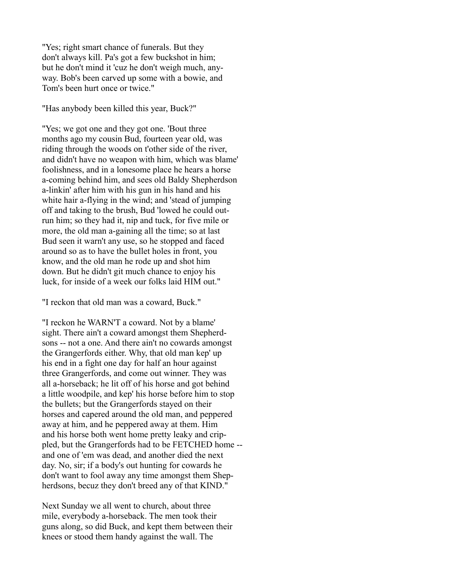"Yes; right smart chance of funerals. But they don't always kill. Pa's got a few buckshot in him; but he don't mind it 'cuz he don't weigh much, anyway. Bob's been carved up some with a bowie, and Tom's been hurt once or twice."

"Has anybody been killed this year, Buck?"

"Yes; we got one and they got one. 'Bout three months ago my cousin Bud, fourteen year old, was riding through the woods on t'other side of the river, and didn't have no weapon with him, which was blame' foolishness, and in a lonesome place he hears a horse a-coming behind him, and sees old Baldy Shepherdson a-linkin' after him with his gun in his hand and his white hair a-flying in the wind; and 'stead of jumping off and taking to the brush, Bud 'lowed he could outrun him; so they had it, nip and tuck, for five mile or more, the old man a-gaining all the time; so at last Bud seen it warn't any use, so he stopped and faced around so as to have the bullet holes in front, you know, and the old man he rode up and shot him down. But he didn't git much chance to enjoy his luck, for inside of a week our folks laid HIM out."

"I reckon that old man was a coward, Buck."

"I reckon he WARN'T a coward. Not by a blame' sight. There ain't a coward amongst them Shepherdsons -- not a one. And there ain't no cowards amongst the Grangerfords either. Why, that old man kep' up his end in a fight one day for half an hour against three Grangerfords, and come out winner. They was all a-horseback; he lit off of his horse and got behind a little woodpile, and kep' his horse before him to stop the bullets; but the Grangerfords stayed on their horses and capered around the old man, and peppered away at him, and he peppered away at them. Him and his horse both went home pretty leaky and crippled, but the Grangerfords had to be FETCHED home - and one of 'em was dead, and another died the next day. No, sir; if a body's out hunting for cowards he don't want to fool away any time amongst them Shepherdsons, becuz they don't breed any of that KIND."

Next Sunday we all went to church, about three mile, everybody a-horseback. The men took their guns along, so did Buck, and kept them between their knees or stood them handy against the wall. The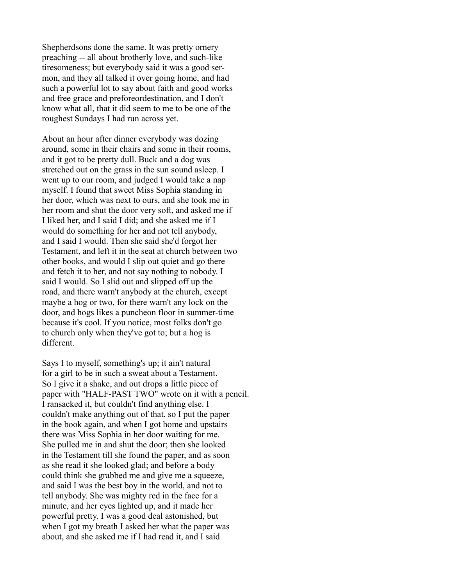Shepherdsons done the same. It was pretty ornery preaching -- all about brotherly love, and such-like tiresomeness; but everybody said it was a good sermon, and they all talked it over going home, and had such a powerful lot to say about faith and good works and free grace and preforeordestination, and I don't know what all, that it did seem to me to be one of the roughest Sundays I had run across yet.

About an hour after dinner everybody was dozing around, some in their chairs and some in their rooms, and it got to be pretty dull. Buck and a dog was stretched out on the grass in the sun sound asleep. I went up to our room, and judged I would take a nap myself. I found that sweet Miss Sophia standing in her door, which was next to ours, and she took me in her room and shut the door very soft, and asked me if I liked her, and I said I did; and she asked me if I would do something for her and not tell anybody, and I said I would. Then she said she'd forgot her Testament, and left it in the seat at church between two other books, and would I slip out quiet and go there and fetch it to her, and not say nothing to nobody. I said I would. So I slid out and slipped off up the road, and there warn't anybody at the church, except maybe a hog or two, for there warn't any lock on the door, and hogs likes a puncheon floor in summer-time because it's cool. If you notice, most folks don't go to church only when they've got to; but a hog is different.

Says I to myself, something's up; it ain't natural for a girl to be in such a sweat about a Testament. So I give it a shake, and out drops a little piece of paper with "HALF-PAST TWO" wrote on it with a pencil. I ransacked it, but couldn't find anything else. I couldn't make anything out of that, so I put the paper in the book again, and when I got home and upstairs there was Miss Sophia in her door waiting for me. She pulled me in and shut the door; then she looked in the Testament till she found the paper, and as soon as she read it she looked glad; and before a body could think she grabbed me and give me a squeeze, and said I was the best boy in the world, and not to tell anybody. She was mighty red in the face for a minute, and her eyes lighted up, and it made her powerful pretty. I was a good deal astonished, but when I got my breath I asked her what the paper was about, and she asked me if I had read it, and I said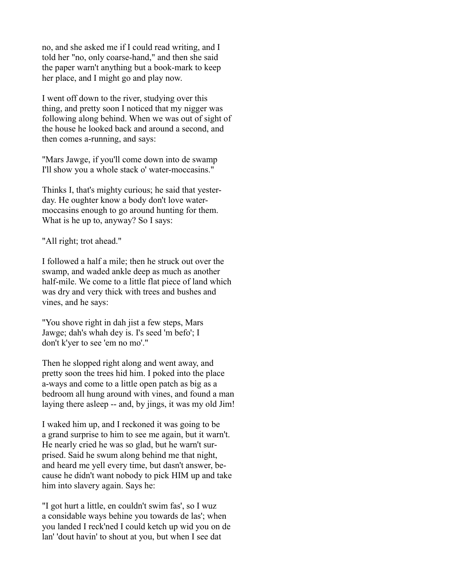no, and she asked me if I could read writing, and I told her "no, only coarse-hand," and then she said the paper warn't anything but a book-mark to keep her place, and I might go and play now.

I went off down to the river, studying over this thing, and pretty soon I noticed that my nigger was following along behind. When we was out of sight of the house he looked back and around a second, and then comes a-running, and says:

"Mars Jawge, if you'll come down into de swamp I'll show you a whole stack o' water-moccasins."

Thinks I, that's mighty curious; he said that yesterday. He oughter know a body don't love watermoccasins enough to go around hunting for them. What is he up to, anyway? So I says:

"All right; trot ahead."

I followed a half a mile; then he struck out over the swamp, and waded ankle deep as much as another half-mile. We come to a little flat piece of land which was dry and very thick with trees and bushes and vines, and he says:

"You shove right in dah jist a few steps, Mars Jawge; dah's whah dey is. I's seed 'm befo'; I don't k'yer to see 'em no mo'."

Then he slopped right along and went away, and pretty soon the trees hid him. I poked into the place a-ways and come to a little open patch as big as a bedroom all hung around with vines, and found a man laying there asleep -- and, by jings, it was my old Jim!

I waked him up, and I reckoned it was going to be a grand surprise to him to see me again, but it warn't. He nearly cried he was so glad, but he warn't surprised. Said he swum along behind me that night, and heard me yell every time, but dasn't answer, because he didn't want nobody to pick HIM up and take him into slavery again. Says he:

"I got hurt a little, en couldn't swim fas', so I wuz a considable ways behine you towards de las'; when you landed I reck'ned I could ketch up wid you on de lan' 'dout havin' to shout at you, but when I see dat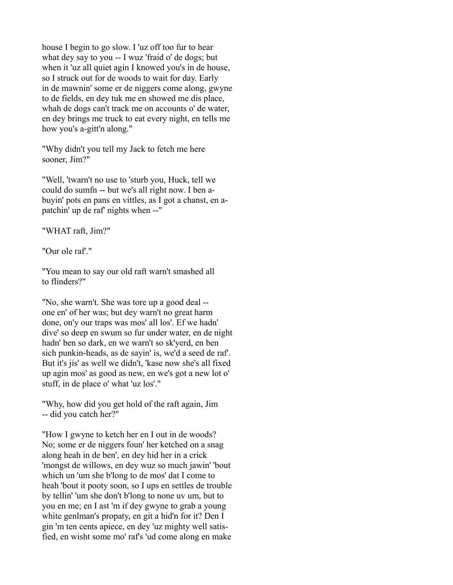house I begin to go slow. I 'uz off too fur to hear what dey say to you -- I wuz 'fraid o' de dogs; but when it 'uz all quiet agin I knowed you's in de house, so I struck out for de woods to wait for day. Early in de mawnin' some er de niggers come along, gwyne to de fields, en dey tuk me en showed me dis place, whah de dogs can't track me on accounts o' de water, en dey brings me truck to eat every night, en tells me how you's a-gitt'n along."

"Why didn't you tell my Jack to fetch me here sooner, Jim?"

"Well, 'twarn't no use to 'sturb you, Huck, tell we could do sumfn -- but we's all right now. I ben abuyin' pots en pans en vittles, as I got a chanst, en apatchin' up de raf' nights when --"

"WHAT raft, Jim?"

"Our ole raf."

"You mean to say our old raft warn't smashed all to flinders?"

"No, she warn't. She was tore up a good deal - one en' of her was; but dey warn't no great harm done, on'y our traps was mos' all los'. Ef we hadn' dive' so deep en swum so fur under water, en de night hadn' ben so dark, en we warn't so sk'yerd, en ben sich punkin-heads, as de sayin' is, we'd a seed de raf'. But it's jis' as well we didn't, 'kase now she's all fixed up agin mos' as good as new, en we's got a new lot o' stuff, in de place o' what 'uz los'."

"Why, how did you get hold of the raft again, Jim -- did you catch her?"

"How I gwyne to ketch her en I out in de woods? No; some er de niggers foun' her ketched on a snag along heah in de ben', en dey hid her in a crick 'mongst de willows, en dey wuz so much jawin' 'bout which un 'um she b'long to de mos' dat I come to heah 'bout it pooty soon, so I ups en settles de trouble by tellin' 'um she don't b'long to none uv um, but to you en me; en I ast 'm if dey gwyne to grab a young white genlman's propaty, en git a hid'n for it? Den I gin 'm ten cents apiece, en dey 'uz mighty well satisfied, en wisht some mo' raf's 'ud come along en make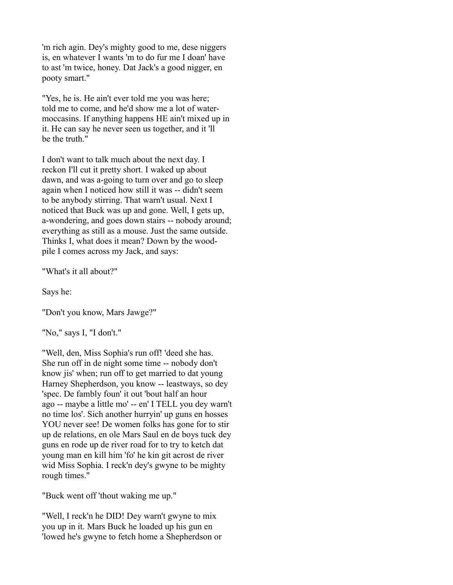'm rich agin. Dey's mighty good to me, dese niggers is, en whatever I wants 'm to do fur me I doan' have to ast 'm twice, honey. Dat Jack's a good nigger, en pooty smart."

"Yes, he is. He ain't ever told me you was here; told me to come, and he'd show me a lot of watermoccasins. If anything happens HE ain't mixed up in it. He can say he never seen us together, and it 'll be the truth."

I don't want to talk much about the next day. I reckon I'll cut it pretty short. I waked up about dawn, and was a-going to turn over and go to sleep again when I noticed how still it was -- didn't seem to be anybody stirring. That warn't usual. Next I noticed that Buck was up and gone. Well, I gets up, a-wondering, and goes down stairs -- nobody around; everything as still as a mouse. Just the same outside. Thinks I, what does it mean? Down by the woodpile I comes across my Jack, and says:

"What's it all about?"

Says he:

"Don't you know, Mars Jawge?"

"No," says I, "I don't."

"Well, den, Miss Sophia's run off! 'deed she has. She run off in de night some time -- nobody don't know jis' when; run off to get married to dat young Harney Shepherdson, you know -- leastways, so dey 'spec. De fambly foun' it out 'bout half an hour ago -- maybe a little mo' -- en' I TELL you dey warn't no time los'. Sich another hurryin' up guns en hosses YOU never see! De women folks has gone for to stir up de relations, en ole Mars Saul en de boys tuck dey guns en rode up de river road for to try to ketch dat young man en kill him 'fo' he kin git acrost de river wid Miss Sophia. I reck'n dey's gwyne to be mighty rough times."

"Buck went off 'thout waking me up."

"Well, I reck'n he DID! Dey warn't gwyne to mix you up in it. Mars Buck he loaded up his gun en 'lowed he's gwyne to fetch home a Shepherdson or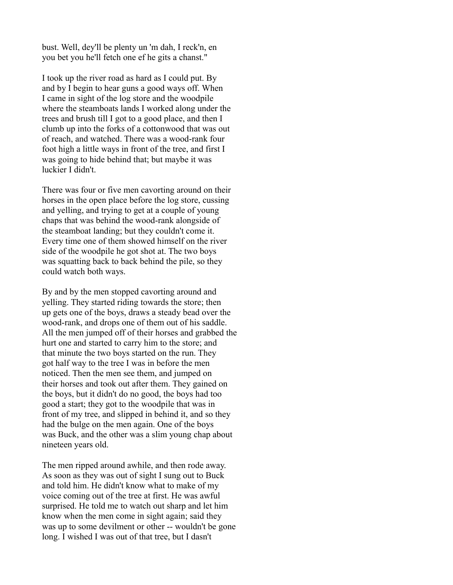bust. Well, dey'll be plenty un 'm dah, I reck'n, en you bet you he'll fetch one ef he gits a chanst."

I took up the river road as hard as I could put. By and by I begin to hear guns a good ways off. When I came in sight of the log store and the woodpile where the steamboats lands I worked along under the trees and brush till I got to a good place, and then I clumb up into the forks of a cottonwood that was out of reach, and watched. There was a wood-rank four foot high a little ways in front of the tree, and first I was going to hide behind that; but maybe it was luckier I didn't.

There was four or five men cavorting around on their horses in the open place before the log store, cussing and yelling, and trying to get at a couple of young chaps that was behind the wood-rank alongside of the steamboat landing; but they couldn't come it. Every time one of them showed himself on the river side of the woodpile he got shot at. The two boys was squatting back to back behind the pile, so they could watch both ways.

By and by the men stopped cavorting around and yelling. They started riding towards the store; then up gets one of the boys, draws a steady bead over the wood-rank, and drops one of them out of his saddle. All the men jumped off of their horses and grabbed the hurt one and started to carry him to the store; and that minute the two boys started on the run. They got half way to the tree I was in before the men noticed. Then the men see them, and jumped on their horses and took out after them. They gained on the boys, but it didn't do no good, the boys had too good a start; they got to the woodpile that was in front of my tree, and slipped in behind it, and so they had the bulge on the men again. One of the boys was Buck, and the other was a slim young chap about nineteen years old.

The men ripped around awhile, and then rode away. As soon as they was out of sight I sung out to Buck and told him. He didn't know what to make of my voice coming out of the tree at first. He was awful surprised. He told me to watch out sharp and let him know when the men come in sight again; said they was up to some devilment or other -- wouldn't be gone long. I wished I was out of that tree, but I dasn't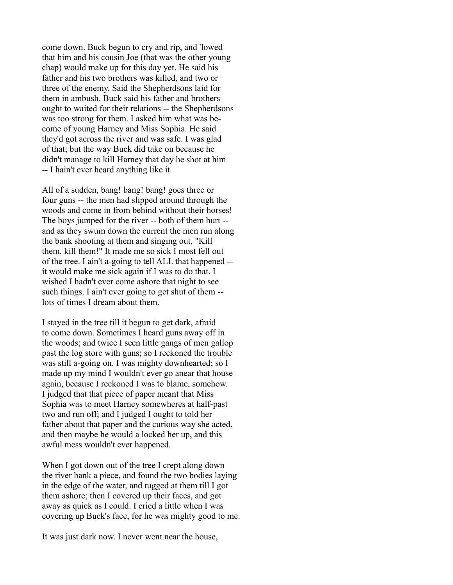come down. Buck begun to cry and rip, and 'lowed that him and his cousin Joe (that was the other young chap) would make up for this day yet. He said his father and his two brothers was killed, and two or three of the enemy. Said the Shepherdsons laid for them in ambush. Buck said his father and brothers ought to waited for their relations -- the Shepherdsons was too strong for them. I asked him what was become of young Harney and Miss Sophia. He said they'd got across the river and was safe. I was glad of that; but the way Buck did take on because he didn't manage to kill Harney that day he shot at him -- I hain't ever heard anything like it.

All of a sudden, bang! bang! bang! goes three or four guns -- the men had slipped around through the woods and come in from behind without their horses! The boys jumped for the river -- both of them hurt - and as they swum down the current the men run along the bank shooting at them and singing out, "Kill them, kill them!" It made me so sick I most fell out of the tree. I ain't a-going to tell ALL that happened - it would make me sick again if I was to do that. I wished I hadn't ever come ashore that night to see such things. I ain't ever going to get shut of them - lots of times I dream about them.

I stayed in the tree till it begun to get dark, afraid to come down. Sometimes I heard guns away off in the woods; and twice I seen little gangs of men gallop past the log store with guns; so I reckoned the trouble was still a-going on. I was mighty downhearted; so I made up my mind I wouldn't ever go anear that house again, because I reckoned I was to blame, somehow. I judged that that piece of paper meant that Miss Sophia was to meet Harney somewheres at half-past two and run off; and I judged I ought to told her father about that paper and the curious way she acted, and then maybe he would a locked her up, and this awful mess wouldn't ever happened.

When I got down out of the tree I crept along down the river bank a piece, and found the two bodies laying in the edge of the water, and tugged at them till I got them ashore; then I covered up their faces, and got away as quick as I could. I cried a little when I was covering up Buck's face, for he was mighty good to me.

It was just dark now. I never went near the house,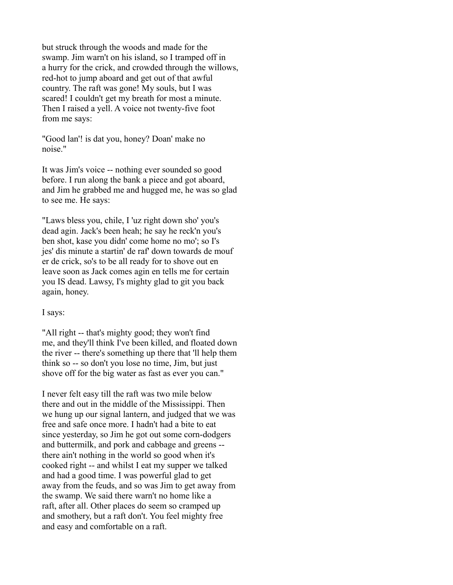but struck through the woods and made for the swamp. Jim warn't on his island, so I tramped off in a hurry for the crick, and crowded through the willows, red-hot to jump aboard and get out of that awful country. The raft was gone! My souls, but I was scared! I couldn't get my breath for most a minute. Then I raised a yell. A voice not twenty-five foot from me says:

"Good lan'! is dat you, honey? Doan' make no noise."

It was Jim's voice -- nothing ever sounded so good before. I run along the bank a piece and got aboard, and Jim he grabbed me and hugged me, he was so glad to see me. He says:

"Laws bless you, chile, I 'uz right down sho' you's dead agin. Jack's been heah; he say he reck'n you's ben shot, kase you didn' come home no mo'; so I's jes' dis minute a startin' de raf' down towards de mouf er de crick, so's to be all ready for to shove out en leave soon as Jack comes agin en tells me for certain you IS dead. Lawsy, I's mighty glad to git you back again, honey.

## I says:

"All right -- that's mighty good; they won't find me, and they'll think I've been killed, and floated down the river -- there's something up there that 'll help them think so -- so don't you lose no time, Jim, but just shove off for the big water as fast as ever you can."

I never felt easy till the raft was two mile below there and out in the middle of the Mississippi. Then we hung up our signal lantern, and judged that we was free and safe once more. I hadn't had a bite to eat since yesterday, so Jim he got out some corn-dodgers and buttermilk, and pork and cabbage and greens - there ain't nothing in the world so good when it's cooked right -- and whilst I eat my supper we talked and had a good time. I was powerful glad to get away from the feuds, and so was Jim to get away from the swamp. We said there warn't no home like a raft, after all. Other places do seem so cramped up and smothery, but a raft don't. You feel mighty free and easy and comfortable on a raft.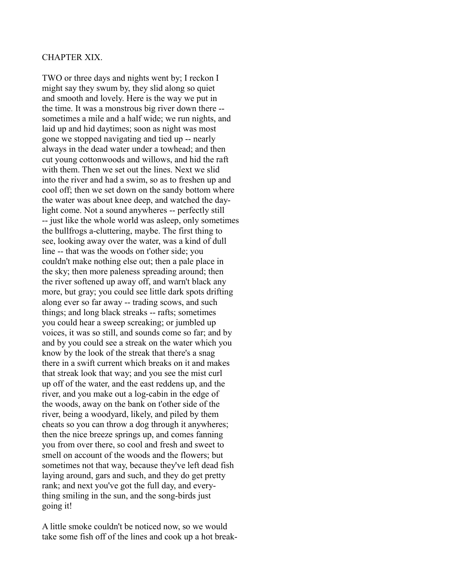# CHAPTER XIX.

TWO or three days and nights went by; I reckon I might say they swum by, they slid along so quiet and smooth and lovely. Here is the way we put in the time. It was a monstrous big river down there - sometimes a mile and a half wide; we run nights, and laid up and hid daytimes; soon as night was most gone we stopped navigating and tied up -- nearly always in the dead water under a towhead; and then cut young cottonwoods and willows, and hid the raft with them. Then we set out the lines. Next we slid into the river and had a swim, so as to freshen up and cool off; then we set down on the sandy bottom where the water was about knee deep, and watched the daylight come. Not a sound anywheres -- perfectly still -- just like the whole world was asleep, only sometimes the bullfrogs a-cluttering, maybe. The first thing to see, looking away over the water, was a kind of dull line -- that was the woods on t'other side; you couldn't make nothing else out; then a pale place in the sky; then more paleness spreading around; then the river softened up away off, and warn't black any more, but gray; you could see little dark spots drifting along ever so far away -- trading scows, and such things; and long black streaks -- rafts; sometimes you could hear a sweep screaking; or jumbled up voices, it was so still, and sounds come so far; and by and by you could see a streak on the water which you know by the look of the streak that there's a snag there in a swift current which breaks on it and makes that streak look that way; and you see the mist curl up off of the water, and the east reddens up, and the river, and you make out a log-cabin in the edge of the woods, away on the bank on t'other side of the river, being a woodyard, likely, and piled by them cheats so you can throw a dog through it anywheres; then the nice breeze springs up, and comes fanning you from over there, so cool and fresh and sweet to smell on account of the woods and the flowers; but sometimes not that way, because they've left dead fish laying around, gars and such, and they do get pretty rank; and next you've got the full day, and everything smiling in the sun, and the song-birds just going it!

A little smoke couldn't be noticed now, so we would take some fish off of the lines and cook up a hot break-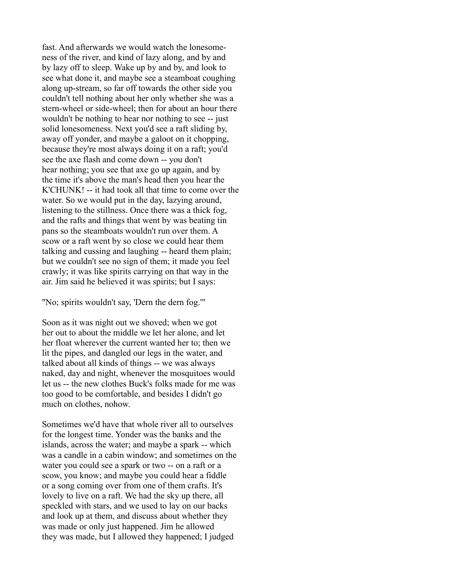fast. And afterwards we would watch the lonesomeness of the river, and kind of lazy along, and by and by lazy off to sleep. Wake up by and by, and look to see what done it, and maybe see a steamboat coughing along up-stream, so far off towards the other side you couldn't tell nothing about her only whether she was a stern-wheel or side-wheel; then for about an hour there wouldn't be nothing to hear nor nothing to see -- just solid lonesomeness. Next you'd see a raft sliding by, away off yonder, and maybe a galoot on it chopping, because they're most always doing it on a raft; you'd see the axe flash and come down -- you don't hear nothing; you see that axe go up again, and by the time it's above the man's head then you hear the K'CHUNK! -- it had took all that time to come over the water. So we would put in the day, lazying around, listening to the stillness. Once there was a thick fog, and the rafts and things that went by was beating tin pans so the steamboats wouldn't run over them. A scow or a raft went by so close we could hear them talking and cussing and laughing -- heard them plain; but we couldn't see no sign of them; it made you feel crawly; it was like spirits carrying on that way in the air. Jim said he believed it was spirits; but I says:

"No; spirits wouldn't say, 'Dern the dern fog.'"

Soon as it was night out we shoved; when we got her out to about the middle we let her alone, and let her float wherever the current wanted her to; then we lit the pipes, and dangled our legs in the water, and talked about all kinds of things -- we was always naked, day and night, whenever the mosquitoes would let us -- the new clothes Buck's folks made for me was too good to be comfortable, and besides I didn't go much on clothes, nohow.

Sometimes we'd have that whole river all to ourselves for the longest time. Yonder was the banks and the islands, across the water; and maybe a spark -- which was a candle in a cabin window; and sometimes on the water you could see a spark or two -- on a raft or a scow, you know; and maybe you could hear a fiddle or a song coming over from one of them crafts. It's lovely to live on a raft. We had the sky up there, all speckled with stars, and we used to lay on our backs and look up at them, and discuss about whether they was made or only just happened. Jim he allowed they was made, but I allowed they happened; I judged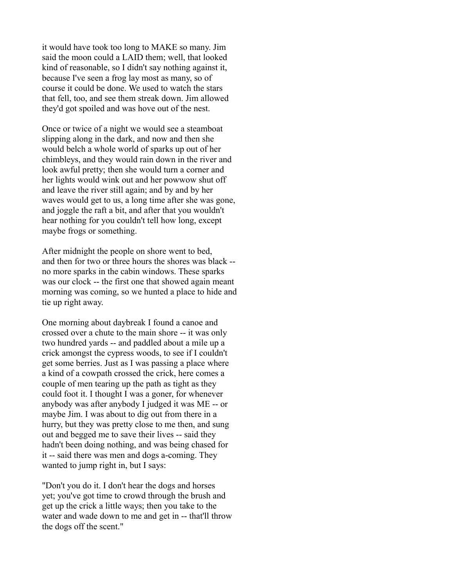it would have took too long to MAKE so many. Jim said the moon could a LAID them; well, that looked kind of reasonable, so I didn't say nothing against it, because I've seen a frog lay most as many, so of course it could be done. We used to watch the stars that fell, too, and see them streak down. Jim allowed they'd got spoiled and was hove out of the nest.

Once or twice of a night we would see a steamboat slipping along in the dark, and now and then she would belch a whole world of sparks up out of her chimbleys, and they would rain down in the river and look awful pretty; then she would turn a corner and her lights would wink out and her powwow shut off and leave the river still again; and by and by her waves would get to us, a long time after she was gone, and joggle the raft a bit, and after that you wouldn't hear nothing for you couldn't tell how long, except maybe frogs or something.

After midnight the people on shore went to bed, and then for two or three hours the shores was black - no more sparks in the cabin windows. These sparks was our clock -- the first one that showed again meant morning was coming, so we hunted a place to hide and tie up right away.

One morning about daybreak I found a canoe and crossed over a chute to the main shore -- it was only two hundred yards -- and paddled about a mile up a crick amongst the cypress woods, to see if I couldn't get some berries. Just as I was passing a place where a kind of a cowpath crossed the crick, here comes a couple of men tearing up the path as tight as they could foot it. I thought I was a goner, for whenever anybody was after anybody I judged it was ME -- or maybe Jim. I was about to dig out from there in a hurry, but they was pretty close to me then, and sung out and begged me to save their lives -- said they hadn't been doing nothing, and was being chased for it -- said there was men and dogs a-coming. They wanted to jump right in, but I says:

"Don't you do it. I don't hear the dogs and horses yet; you've got time to crowd through the brush and get up the crick a little ways; then you take to the water and wade down to me and get in -- that'll throw the dogs off the scent."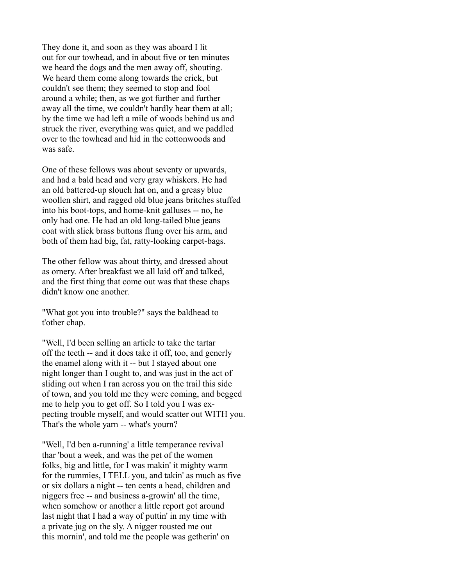They done it, and soon as they was aboard I lit out for our towhead, and in about five or ten minutes we heard the dogs and the men away off, shouting. We heard them come along towards the crick, but couldn't see them; they seemed to stop and fool around a while; then, as we got further and further away all the time, we couldn't hardly hear them at all; by the time we had left a mile of woods behind us and struck the river, everything was quiet, and we paddled over to the towhead and hid in the cottonwoods and was safe.

One of these fellows was about seventy or upwards, and had a bald head and very gray whiskers. He had an old battered-up slouch hat on, and a greasy blue woollen shirt, and ragged old blue jeans britches stuffed into his boot-tops, and home-knit galluses -- no, he only had one. He had an old long-tailed blue jeans coat with slick brass buttons flung over his arm, and both of them had big, fat, ratty-looking carpet-bags.

The other fellow was about thirty, and dressed about as ornery. After breakfast we all laid off and talked, and the first thing that come out was that these chaps didn't know one another.

"What got you into trouble?" says the baldhead to t'other chap.

"Well, I'd been selling an article to take the tartar off the teeth -- and it does take it off, too, and generly the enamel along with it -- but I stayed about one night longer than I ought to, and was just in the act of sliding out when I ran across you on the trail this side of town, and you told me they were coming, and begged me to help you to get off. So I told you I was expecting trouble myself, and would scatter out WITH you. That's the whole yarn -- what's yourn?

"Well, I'd ben a-running' a little temperance revival thar 'bout a week, and was the pet of the women folks, big and little, for I was makin' it mighty warm for the rummies, I TELL you, and takin' as much as five or six dollars a night -- ten cents a head, children and niggers free -- and business a-growin' all the time, when somehow or another a little report got around last night that I had a way of puttin' in my time with a private jug on the sly. A nigger rousted me out this mornin', and told me the people was getherin' on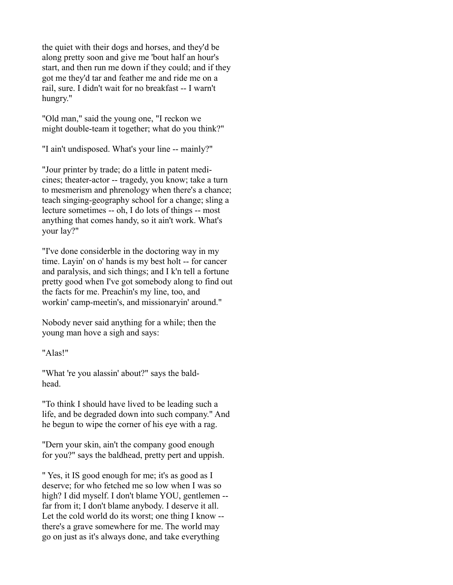the quiet with their dogs and horses, and they'd be along pretty soon and give me 'bout half an hour's start, and then run me down if they could; and if they got me they'd tar and feather me and ride me on a rail, sure. I didn't wait for no breakfast -- I warn't hungry."

"Old man," said the young one, "I reckon we might double-team it together; what do you think?"

"I ain't undisposed. What's your line -- mainly?"

"Jour printer by trade; do a little in patent medicines; theater-actor -- tragedy, you know; take a turn to mesmerism and phrenology when there's a chance; teach singing-geography school for a change; sling a lecture sometimes -- oh, I do lots of things -- most anything that comes handy, so it ain't work. What's your lay?"

"I've done considerble in the doctoring way in my time. Layin' on o' hands is my best holt -- for cancer and paralysis, and sich things; and I k'n tell a fortune pretty good when I've got somebody along to find out the facts for me. Preachin's my line, too, and workin' camp-meetin's, and missionaryin' around."

Nobody never said anything for a while; then the young man hove a sigh and says:

"Alas!"

"What 're you alassin' about?" says the baldhead.

"To think I should have lived to be leading such a life, and be degraded down into such company." And he begun to wipe the corner of his eye with a rag.

"Dern your skin, ain't the company good enough for you?" says the baldhead, pretty pert and uppish.

" Yes, it IS good enough for me; it's as good as I deserve; for who fetched me so low when I was so high? I did myself. I don't blame YOU, gentlemen - far from it; I don't blame anybody. I deserve it all. Let the cold world do its worst; one thing I know - there's a grave somewhere for me. The world may go on just as it's always done, and take everything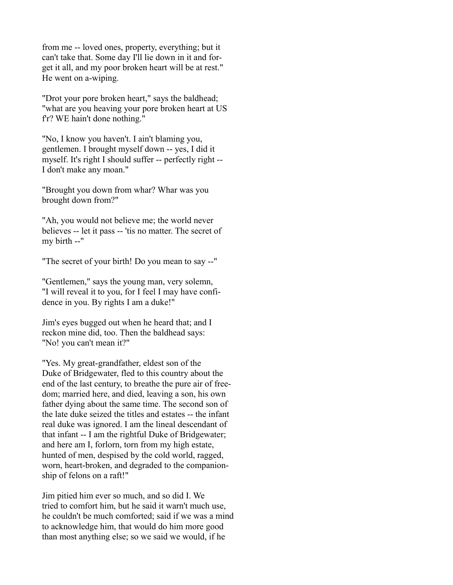from me -- loved ones, property, everything; but it can't take that. Some day I'll lie down in it and forget it all, and my poor broken heart will be at rest." He went on a-wiping.

"Drot your pore broken heart," says the baldhead; "what are you heaving your pore broken heart at US fr? WE hain't done nothing."

"No, I know you haven't. I ain't blaming you, gentlemen. I brought myself down -- yes, I did it myself. It's right I should suffer -- perfectly right -- I don't make any moan."

"Brought you down from whar? Whar was you brought down from?"

"Ah, you would not believe me; the world never believes -- let it pass -- 'tis no matter. The secret of my birth --"

"The secret of your birth! Do you mean to say --"

"Gentlemen," says the young man, very solemn, "I will reveal it to you, for I feel I may have confidence in you. By rights I am a duke!"

Jim's eyes bugged out when he heard that; and I reckon mine did, too. Then the baldhead says: "No! you can't mean it?"

"Yes. My great-grandfather, eldest son of the Duke of Bridgewater, fled to this country about the end of the last century, to breathe the pure air of freedom; married here, and died, leaving a son, his own father dying about the same time. The second son of the late duke seized the titles and estates -- the infant real duke was ignored. I am the lineal descendant of that infant -- I am the rightful Duke of Bridgewater; and here am I, forlorn, torn from my high estate, hunted of men, despised by the cold world, ragged, worn, heart-broken, and degraded to the companionship of felons on a raft!"

Jim pitied him ever so much, and so did I. We tried to comfort him, but he said it warn't much use, he couldn't be much comforted; said if we was a mind to acknowledge him, that would do him more good than most anything else; so we said we would, if he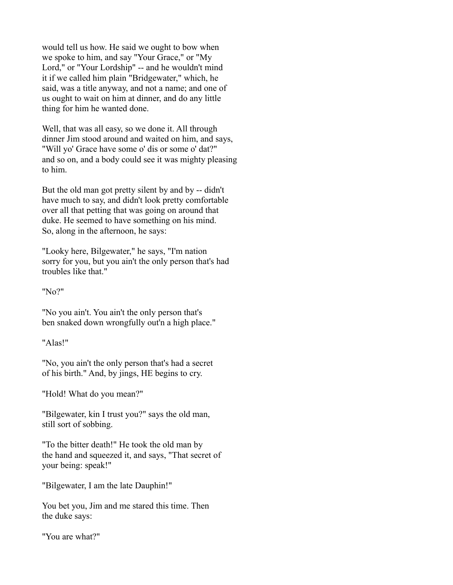would tell us how. He said we ought to bow when we spoke to him, and say "Your Grace," or "My Lord," or "Your Lordship" -- and he wouldn't mind it if we called him plain "Bridgewater," which, he said, was a title anyway, and not a name; and one of us ought to wait on him at dinner, and do any little thing for him he wanted done.

Well, that was all easy, so we done it. All through dinner Jim stood around and waited on him, and says, "Will yo' Grace have some o' dis or some o' dat?" and so on, and a body could see it was mighty pleasing to him.

But the old man got pretty silent by and by -- didn't have much to say, and didn't look pretty comfortable over all that petting that was going on around that duke. He seemed to have something on his mind. So, along in the afternoon, he says:

"Looky here, Bilgewater," he says, "I'm nation sorry for you, but you ain't the only person that's had troubles like that."

"No?"

"No you ain't. You ain't the only person that's ben snaked down wrongfully out'n a high place."

"Alas!"

"No, you ain't the only person that's had a secret of his birth." And, by jings, HE begins to cry.

"Hold! What do you mean?"

"Bilgewater, kin I trust you?" says the old man, still sort of sobbing.

"To the bitter death!" He took the old man by the hand and squeezed it, and says, "That secret of your being: speak!"

"Bilgewater, I am the late Dauphin!"

You bet you, Jim and me stared this time. Then the duke says:

"You are what?"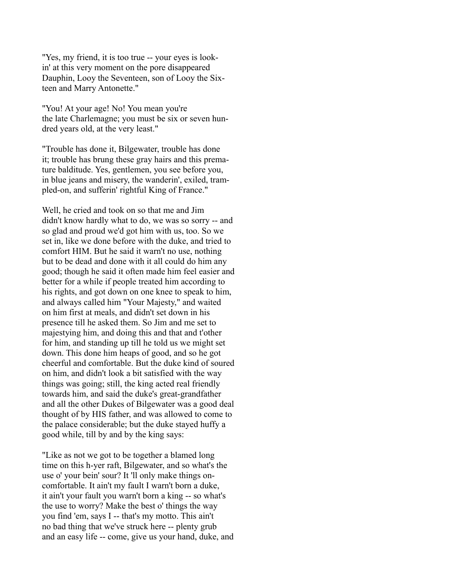"Yes, my friend, it is too true -- your eyes is lookin' at this very moment on the pore disappeared Dauphin, Looy the Seventeen, son of Looy the Sixteen and Marry Antonette."

"You! At your age! No! You mean you're the late Charlemagne; you must be six or seven hundred years old, at the very least."

"Trouble has done it, Bilgewater, trouble has done it; trouble has brung these gray hairs and this premature balditude. Yes, gentlemen, you see before you, in blue jeans and misery, the wanderin', exiled, trampled-on, and sufferin' rightful King of France."

Well, he cried and took on so that me and Jim didn't know hardly what to do, we was so sorry -- and so glad and proud we'd got him with us, too. So we set in, like we done before with the duke, and tried to comfort HIM. But he said it warn't no use, nothing but to be dead and done with it all could do him any good; though he said it often made him feel easier and better for a while if people treated him according to his rights, and got down on one knee to speak to him, and always called him "Your Majesty," and waited on him first at meals, and didn't set down in his presence till he asked them. So Jim and me set to majestying him, and doing this and that and t'other for him, and standing up till he told us we might set down. This done him heaps of good, and so he got cheerful and comfortable. But the duke kind of soured on him, and didn't look a bit satisfied with the way things was going; still, the king acted real friendly towards him, and said the duke's great-grandfather and all the other Dukes of Bilgewater was a good deal thought of by HIS father, and was allowed to come to the palace considerable; but the duke stayed huffy a good while, till by and by the king says:

"Like as not we got to be together a blamed long time on this h-yer raft, Bilgewater, and so what's the use o' your bein' sour? It 'll only make things oncomfortable. It ain't my fault I warn't born a duke, it ain't your fault you warn't born a king -- so what's the use to worry? Make the best o' things the way you find 'em, says I -- that's my motto. This ain't no bad thing that we've struck here -- plenty grub and an easy life -- come, give us your hand, duke, and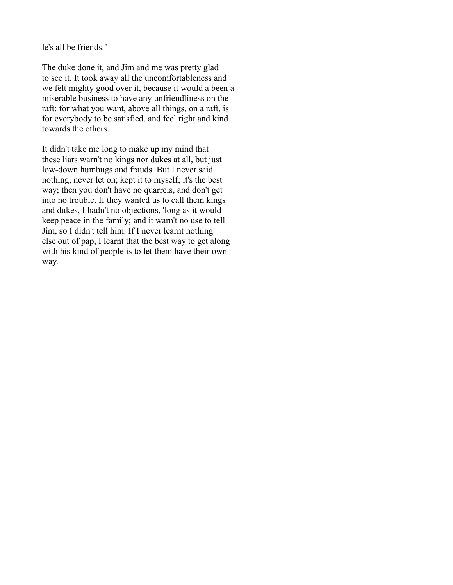le's all be friends."

The duke done it, and Jim and me was pretty glad to see it. It took away all the uncomfortableness and we felt mighty good over it, because it would a been a miserable business to have any unfriendliness on the raft; for what you want, above all things, on a raft, is for everybody to be satisfied, and feel right and kind towards the others.

It didn't take me long to make up my mind that these liars warn't no kings nor dukes at all, but just low-down humbugs and frauds. But I never said nothing, never let on; kept it to myself; it's the best way; then you don't have no quarrels, and don't get into no trouble. If they wanted us to call them kings and dukes, I hadn't no objections, 'long as it would keep peace in the family; and it warn't no use to tell Jim, so I didn't tell him. If I never learnt nothing else out of pap, I learnt that the best way to get along with his kind of people is to let them have their own way.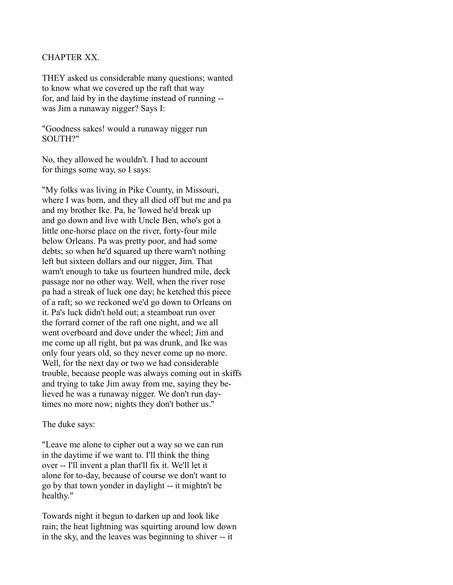### CHAPTER XX.

THEY asked us considerable many questions; wanted to know what we covered up the raft that way for, and laid by in the daytime instead of running - was Jim a runaway nigger? Says I:

"Goodness sakes! would a runaway nigger run SOUTH?"

No, they allowed he wouldn't. I had to account for things some way, so I says:

"My folks was living in Pike County, in Missouri, where I was born, and they all died off but me and pa and my brother Ike. Pa, he 'lowed he'd break up and go down and live with Uncle Ben, who's got a little one-horse place on the river, forty-four mile below Orleans. Pa was pretty poor, and had some debts; so when he'd squared up there warn't nothing left but sixteen dollars and our nigger, Jim. That warn't enough to take us fourteen hundred mile, deck passage nor no other way. Well, when the river rose pa had a streak of luck one day; he ketched this piece of a raft; so we reckoned we'd go down to Orleans on it. Pa's luck didn't hold out; a steamboat run over the forrard corner of the raft one night, and we all went overboard and dove under the wheel; Jim and me come up all right, but pa was drunk, and Ike was only four years old, so they never come up no more. Well, for the next day or two we had considerable trouble, because people was always coming out in skiffs and trying to take Jim away from me, saying they believed he was a runaway nigger. We don't run daytimes no more now; nights they don't bother us."

#### The duke says:

"Leave me alone to cipher out a way so we can run in the daytime if we want to. I'll think the thing over -- I'll invent a plan that'll fix it. We'll let it alone for to-day, because of course we don't want to go by that town yonder in daylight -- it mightn't be healthy."

Towards night it begun to darken up and look like rain; the heat lightning was squirting around low down in the sky, and the leaves was beginning to shiver -- it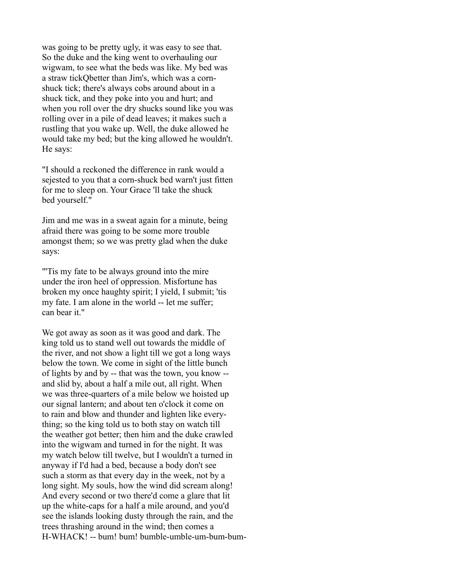was going to be pretty ugly, it was easy to see that. So the duke and the king went to overhauling our wigwam, to see what the beds was like. My bed was a straw tickQbetter than Jim's, which was a cornshuck tick; there's always cobs around about in a shuck tick, and they poke into you and hurt; and when you roll over the dry shucks sound like you was rolling over in a pile of dead leaves; it makes such a rustling that you wake up. Well, the duke allowed he would take my bed; but the king allowed he wouldn't. He says:

"I should a reckoned the difference in rank would a sejested to you that a corn-shuck bed warn't just fitten for me to sleep on. Your Grace 'll take the shuck bed yourself."

Jim and me was in a sweat again for a minute, being afraid there was going to be some more trouble amongst them; so we was pretty glad when the duke says:

"'Tis my fate to be always ground into the mire under the iron heel of oppression. Misfortune has broken my once haughty spirit; I yield, I submit; 'tis my fate. I am alone in the world -- let me suffer; can bear it."

We got away as soon as it was good and dark. The king told us to stand well out towards the middle of the river, and not show a light till we got a long ways below the town. We come in sight of the little bunch of lights by and by -- that was the town, you know - and slid by, about a half a mile out, all right. When we was three-quarters of a mile below we hoisted up our signal lantern; and about ten o'clock it come on to rain and blow and thunder and lighten like everything; so the king told us to both stay on watch till the weather got better; then him and the duke crawled into the wigwam and turned in for the night. It was my watch below till twelve, but I wouldn't a turned in anyway if I'd had a bed, because a body don't see such a storm as that every day in the week, not by a long sight. My souls, how the wind did scream along! And every second or two there'd come a glare that lit up the white-caps for a half a mile around, and you'd see the islands looking dusty through the rain, and the trees thrashing around in the wind; then comes a H-WHACK! -- bum! bum! bumble-umble-um-bum-bum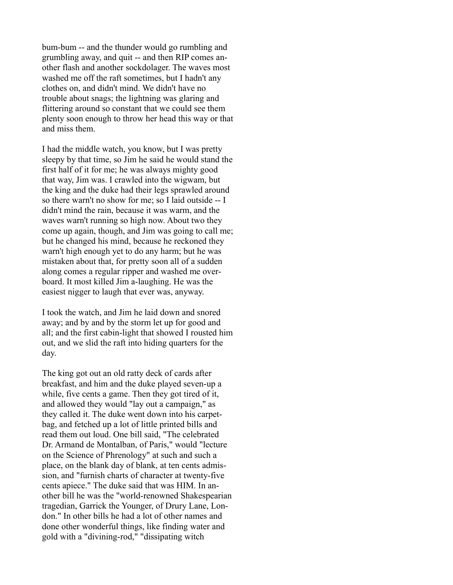bum-bum -- and the thunder would go rumbling and grumbling away, and quit -- and then RIP comes another flash and another sockdolager. The waves most washed me off the raft sometimes, but I hadn't any clothes on, and didn't mind. We didn't have no trouble about snags; the lightning was glaring and flittering around so constant that we could see them plenty soon enough to throw her head this way or that and miss them.

I had the middle watch, you know, but I was pretty sleepy by that time, so Jim he said he would stand the first half of it for me; he was always mighty good that way, Jim was. I crawled into the wigwam, but the king and the duke had their legs sprawled around so there warn't no show for me; so I laid outside -- I didn't mind the rain, because it was warm, and the waves warn't running so high now. About two they come up again, though, and Jim was going to call me; but he changed his mind, because he reckoned they warn't high enough yet to do any harm; but he was mistaken about that, for pretty soon all of a sudden along comes a regular ripper and washed me overboard. It most killed Jim a-laughing. He was the easiest nigger to laugh that ever was, anyway.

I took the watch, and Jim he laid down and snored away; and by and by the storm let up for good and all; and the first cabin-light that showed I rousted him out, and we slid the raft into hiding quarters for the day.

The king got out an old ratty deck of cards after breakfast, and him and the duke played seven-up a while, five cents a game. Then they got tired of it, and allowed they would "lay out a campaign," as they called it. The duke went down into his carpetbag, and fetched up a lot of little printed bills and read them out loud. One bill said, "The celebrated Dr. Armand de Montalban, of Paris," would "lecture on the Science of Phrenology" at such and such a place, on the blank day of blank, at ten cents admission, and "furnish charts of character at twenty-five cents apiece." The duke said that was HIM. In another bill he was the "world-renowned Shakespearian tragedian, Garrick the Younger, of Drury Lane, London." In other bills he had a lot of other names and done other wonderful things, like finding water and gold with a "divining-rod," "dissipating witch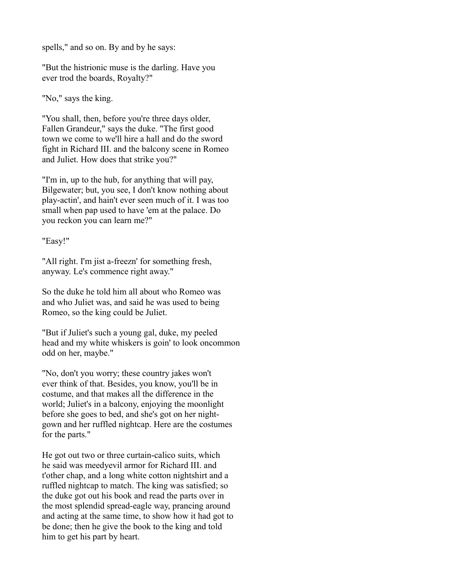spells," and so on. By and by he says:

"But the histrionic muse is the darling. Have you ever trod the boards, Royalty?"

"No," says the king.

"You shall, then, before you're three days older, Fallen Grandeur," says the duke. "The first good town we come to we'll hire a hall and do the sword fight in Richard III. and the balcony scene in Romeo and Juliet. How does that strike you?"

"I'm in, up to the hub, for anything that will pay, Bilgewater; but, you see, I don't know nothing about play-actin', and hain't ever seen much of it. I was too small when pap used to have 'em at the palace. Do you reckon you can learn me?"

## "Easy!"

"All right. I'm jist a-freezn' for something fresh. anyway. Le's commence right away."

So the duke he told him all about who Romeo was and who Juliet was, and said he was used to being Romeo, so the king could be Juliet.

"But if Juliet's such a young gal, duke, my peeled head and my white whiskers is goin' to look oncommon odd on her, maybe."

"No, don't you worry; these country jakes won't ever think of that. Besides, you know, you'll be in costume, and that makes all the difference in the world; Juliet's in a balcony, enjoying the moonlight before she goes to bed, and she's got on her nightgown and her ruffled nightcap. Here are the costumes for the parts."

He got out two or three curtain-calico suits, which he said was meedyevil armor for Richard III. and t'other chap, and a long white cotton nightshirt and a ruffled nightcap to match. The king was satisfied; so the duke got out his book and read the parts over in the most splendid spread-eagle way, prancing around and acting at the same time, to show how it had got to be done; then he give the book to the king and told him to get his part by heart.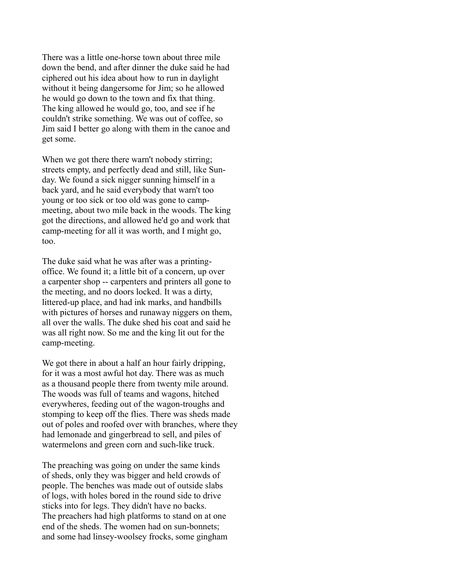There was a little one-horse town about three mile down the bend, and after dinner the duke said he had ciphered out his idea about how to run in daylight without it being dangersome for Jim; so he allowed he would go down to the town and fix that thing. The king allowed he would go, too, and see if he couldn't strike something. We was out of coffee, so Jim said I better go along with them in the canoe and get some.

When we got there there warn't nobody stirring; streets empty, and perfectly dead and still, like Sunday. We found a sick nigger sunning himself in a back yard, and he said everybody that warn't too young or too sick or too old was gone to campmeeting, about two mile back in the woods. The king got the directions, and allowed he'd go and work that camp-meeting for all it was worth, and I might go, too.

The duke said what he was after was a printingoffice. We found it; a little bit of a concern, up over a carpenter shop -- carpenters and printers all gone to the meeting, and no doors locked. It was a dirty, littered-up place, and had ink marks, and handbills with pictures of horses and runaway niggers on them, all over the walls. The duke shed his coat and said he was all right now. So me and the king lit out for the camp-meeting.

We got there in about a half an hour fairly dripping, for it was a most awful hot day. There was as much as a thousand people there from twenty mile around. The woods was full of teams and wagons, hitched everywheres, feeding out of the wagon-troughs and stomping to keep off the flies. There was sheds made out of poles and roofed over with branches, where they had lemonade and gingerbread to sell, and piles of watermelons and green corn and such-like truck.

The preaching was going on under the same kinds of sheds, only they was bigger and held crowds of people. The benches was made out of outside slabs of logs, with holes bored in the round side to drive sticks into for legs. They didn't have no backs. The preachers had high platforms to stand on at one end of the sheds. The women had on sun-bonnets; and some had linsey-woolsey frocks, some gingham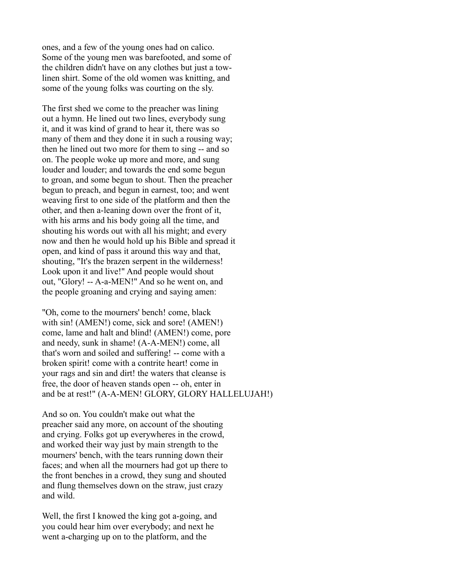ones, and a few of the young ones had on calico. Some of the young men was barefooted, and some of the children didn't have on any clothes but just a towlinen shirt. Some of the old women was knitting, and some of the young folks was courting on the sly.

The first shed we come to the preacher was lining out a hymn. He lined out two lines, everybody sung it, and it was kind of grand to hear it, there was so many of them and they done it in such a rousing way; then he lined out two more for them to sing -- and so on. The people woke up more and more, and sung louder and louder; and towards the end some begun to groan, and some begun to shout. Then the preacher begun to preach, and begun in earnest, too; and went weaving first to one side of the platform and then the other, and then a-leaning down over the front of it, with his arms and his body going all the time, and shouting his words out with all his might; and every now and then he would hold up his Bible and spread it open, and kind of pass it around this way and that, shouting, "It's the brazen serpent in the wilderness! Look upon it and live!" And people would shout out, "Glory! -- A-a-MEN!" And so he went on, and the people groaning and crying and saying amen:

"Oh, come to the mourners' bench! come, black with sin! (AMEN!) come, sick and sore! (AMEN!) come, lame and halt and blind! (AMEN!) come, pore and needy, sunk in shame! (A-A-MEN!) come, all that's worn and soiled and suffering! -- come with a broken spirit! come with a contrite heart! come in your rags and sin and dirt! the waters that cleanse is free, the door of heaven stands open -- oh, enter in and be at rest!" (A-A-MEN! GLORY, GLORY HALLELUJAH!)

And so on. You couldn't make out what the preacher said any more, on account of the shouting and crying. Folks got up everywheres in the crowd, and worked their way just by main strength to the mourners' bench, with the tears running down their faces; and when all the mourners had got up there to the front benches in a crowd, they sung and shouted and flung themselves down on the straw, just crazy and wild.

Well, the first I knowed the king got a-going, and you could hear him over everybody; and next he went a-charging up on to the platform, and the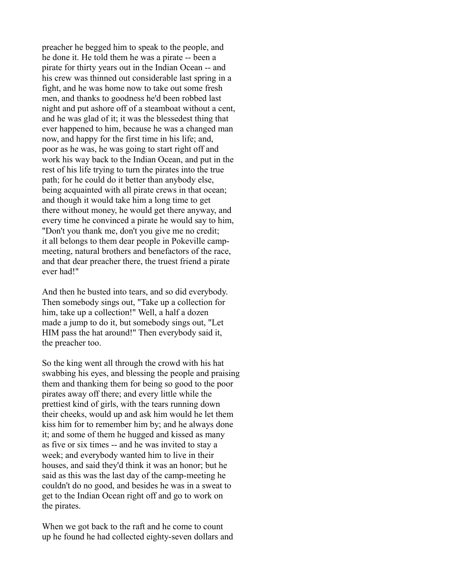preacher he begged him to speak to the people, and he done it. He told them he was a pirate -- been a pirate for thirty years out in the Indian Ocean -- and his crew was thinned out considerable last spring in a fight, and he was home now to take out some fresh men, and thanks to goodness he'd been robbed last night and put ashore off of a steamboat without a cent, and he was glad of it; it was the blessedest thing that ever happened to him, because he was a changed man now, and happy for the first time in his life; and, poor as he was, he was going to start right off and work his way back to the Indian Ocean, and put in the rest of his life trying to turn the pirates into the true path; for he could do it better than anybody else, being acquainted with all pirate crews in that ocean; and though it would take him a long time to get there without money, he would get there anyway, and every time he convinced a pirate he would say to him, "Don't you thank me, don't you give me no credit; it all belongs to them dear people in Pokeville campmeeting, natural brothers and benefactors of the race, and that dear preacher there, the truest friend a pirate ever had!"

And then he busted into tears, and so did everybody. Then somebody sings out, "Take up a collection for him, take up a collection!" Well, a half a dozen made a jump to do it, but somebody sings out, "Let HIM pass the hat around!" Then everybody said it, the preacher too.

So the king went all through the crowd with his hat swabbing his eyes, and blessing the people and praising them and thanking them for being so good to the poor pirates away off there; and every little while the prettiest kind of girls, with the tears running down their cheeks, would up and ask him would he let them kiss him for to remember him by; and he always done it; and some of them he hugged and kissed as many as five or six times -- and he was invited to stay a week; and everybody wanted him to live in their houses, and said they'd think it was an honor; but he said as this was the last day of the camp-meeting he couldn't do no good, and besides he was in a sweat to get to the Indian Ocean right off and go to work on the pirates.

When we got back to the raft and he come to count up he found he had collected eighty-seven dollars and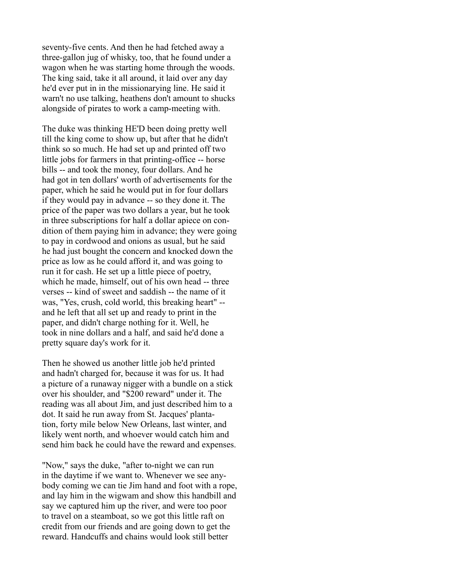seventy-five cents. And then he had fetched away a three-gallon jug of whisky, too, that he found under a wagon when he was starting home through the woods. The king said, take it all around, it laid over any day he'd ever put in in the missionarying line. He said it warn't no use talking, heathens don't amount to shucks alongside of pirates to work a camp-meeting with.

The duke was thinking HE'D been doing pretty well till the king come to show up, but after that he didn't think so so much. He had set up and printed off two little jobs for farmers in that printing-office -- horse bills -- and took the money, four dollars. And he had got in ten dollars' worth of advertisements for the paper, which he said he would put in for four dollars if they would pay in advance -- so they done it. The price of the paper was two dollars a year, but he took in three subscriptions for half a dollar apiece on condition of them paying him in advance; they were going to pay in cordwood and onions as usual, but he said he had just bought the concern and knocked down the price as low as he could afford it, and was going to run it for cash. He set up a little piece of poetry, which he made, himself, out of his own head -- three verses -- kind of sweet and saddish -- the name of it was, "Yes, crush, cold world, this breaking heart" - and he left that all set up and ready to print in the paper, and didn't charge nothing for it. Well, he took in nine dollars and a half, and said he'd done a pretty square day's work for it.

Then he showed us another little job he'd printed and hadn't charged for, because it was for us. It had a picture of a runaway nigger with a bundle on a stick over his shoulder, and "\$200 reward" under it. The reading was all about Jim, and just described him to a dot. It said he run away from St. Jacques' plantation, forty mile below New Orleans, last winter, and likely went north, and whoever would catch him and send him back he could have the reward and expenses.

"Now," says the duke, "after to-night we can run in the daytime if we want to. Whenever we see anybody coming we can tie Jim hand and foot with a rope, and lay him in the wigwam and show this handbill and say we captured him up the river, and were too poor to travel on a steamboat, so we got this little raft on credit from our friends and are going down to get the reward. Handcuffs and chains would look still better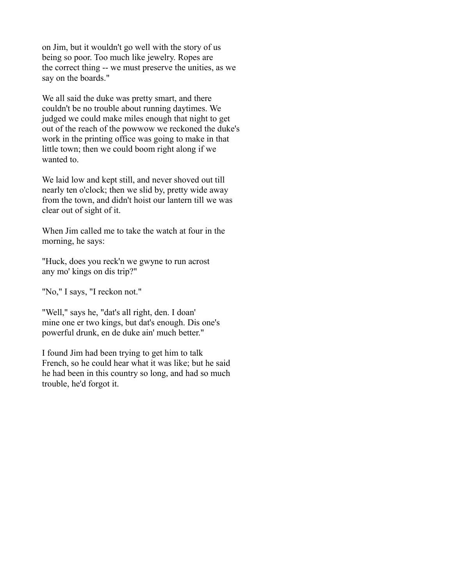on Jim, but it wouldn't go well with the story of us being so poor. Too much like jewelry. Ropes are the correct thing -- we must preserve the unities, as we say on the boards."

We all said the duke was pretty smart, and there couldn't be no trouble about running daytimes. We judged we could make miles enough that night to get out of the reach of the powwow we reckoned the duke's work in the printing office was going to make in that little town; then we could boom right along if we wanted to.

We laid low and kept still, and never shoved out till nearly ten o'clock; then we slid by, pretty wide away from the town, and didn't hoist our lantern till we was clear out of sight of it.

When Jim called me to take the watch at four in the morning, he says:

"Huck, does you reck'n we gwyne to run acrost any mo' kings on dis trip?"

"No," I says, "I reckon not."

"Well," says he, "dat's all right, den. I doan' mine one er two kings, but dat's enough. Dis one's powerful drunk, en de duke ain' much better."

I found Jim had been trying to get him to talk French, so he could hear what it was like; but he said he had been in this country so long, and had so much trouble, he'd forgot it.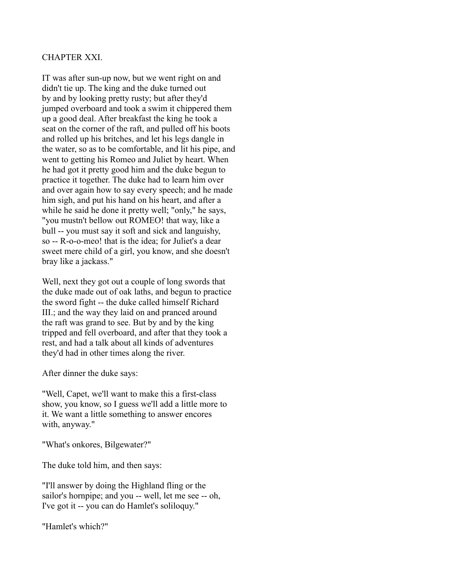# CHAPTER XXI.

IT was after sun-up now, but we went right on and didn't tie up. The king and the duke turned out by and by looking pretty rusty; but after they'd jumped overboard and took a swim it chippered them up a good deal. After breakfast the king he took a seat on the corner of the raft, and pulled off his boots and rolled up his britches, and let his legs dangle in the water, so as to be comfortable, and lit his pipe, and went to getting his Romeo and Juliet by heart. When he had got it pretty good him and the duke begun to practice it together. The duke had to learn him over and over again how to say every speech; and he made him sigh, and put his hand on his heart, and after a while he said he done it pretty well; "only," he says, "you mustn't bellow out ROMEO! that way, like a bull -- you must say it soft and sick and languishy, so -- R-o-o-meo! that is the idea; for Juliet's a dear sweet mere child of a girl, you know, and she doesn't bray like a jackass."

Well, next they got out a couple of long swords that the duke made out of oak laths, and begun to practice the sword fight -- the duke called himself Richard III.; and the way they laid on and pranced around the raft was grand to see. But by and by the king tripped and fell overboard, and after that they took a rest, and had a talk about all kinds of adventures they'd had in other times along the river.

After dinner the duke says:

"Well, Capet, we'll want to make this a first-class show, you know, so I guess we'll add a little more to it. We want a little something to answer encores with, anyway."

"What's onkores, Bilgewater?"

The duke told him, and then says:

"I'll answer by doing the Highland fling or the sailor's hornpipe; and you -- well, let me see -- oh, I've got it -- you can do Hamlet's soliloquy."

"Hamlet's which?"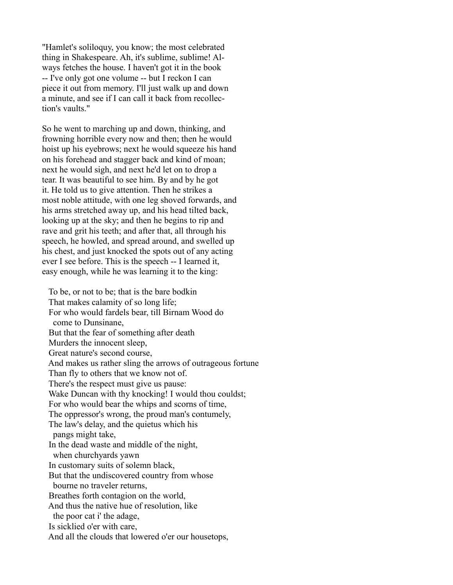"Hamlet's soliloquy, you know; the most celebrated thing in Shakespeare. Ah, it's sublime, sublime! Always fetches the house. I haven't got it in the book -- I've only got one volume -- but I reckon I can piece it out from memory. I'll just walk up and down a minute, and see if I can call it back from recollection's vaults."

So he went to marching up and down, thinking, and frowning horrible every now and then; then he would hoist up his eyebrows; next he would squeeze his hand on his forehead and stagger back and kind of moan; next he would sigh, and next he'd let on to drop a tear. It was beautiful to see him. By and by he got it. He told us to give attention. Then he strikes a most noble attitude, with one leg shoved forwards, and his arms stretched away up, and his head tilted back, looking up at the sky; and then he begins to rip and rave and grit his teeth; and after that, all through his speech, he howled, and spread around, and swelled up his chest, and just knocked the spots out of any acting ever I see before. This is the speech -- I learned it, easy enough, while he was learning it to the king:

 To be, or not to be; that is the bare bodkin That makes calamity of so long life; For who would fardels bear, till Birnam Wood do come to Dunsinane, But that the fear of something after death Murders the innocent sleep, Great nature's second course, And makes us rather sling the arrows of outrageous fortune Than fly to others that we know not of. There's the respect must give us pause: Wake Duncan with thy knocking! I would thou couldst; For who would bear the whips and scorns of time, The oppressor's wrong, the proud man's contumely, The law's delay, and the quietus which his pangs might take, In the dead waste and middle of the night, when churchyards yawn In customary suits of solemn black, But that the undiscovered country from whose bourne no traveler returns, Breathes forth contagion on the world, And thus the native hue of resolution, like the poor cat i' the adage, Is sicklied o'er with care, And all the clouds that lowered o'er our housetops,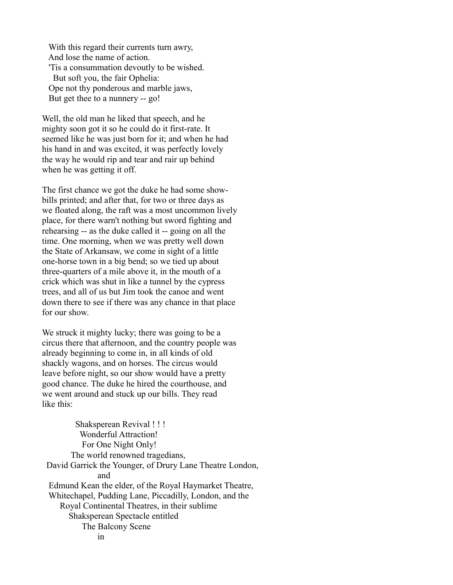With this regard their currents turn awry, And lose the name of action. 'Tis a consummation devoutly to be wished. But soft you, the fair Ophelia: Ope not thy ponderous and marble jaws, But get thee to a nunnery -- go!

Well, the old man he liked that speech, and he mighty soon got it so he could do it first-rate. It seemed like he was just born for it; and when he had his hand in and was excited, it was perfectly lovely the way he would rip and tear and rair up behind when he was getting it off.

The first chance we got the duke he had some showbills printed; and after that, for two or three days as we floated along, the raft was a most uncommon lively place, for there warn't nothing but sword fighting and rehearsing -- as the duke called it -- going on all the time. One morning, when we was pretty well down the State of Arkansaw, we come in sight of a little one-horse town in a big bend; so we tied up about three-quarters of a mile above it, in the mouth of a crick which was shut in like a tunnel by the cypress trees, and all of us but Jim took the canoe and went down there to see if there was any chance in that place for our show.

We struck it mighty lucky; there was going to be a circus there that afternoon, and the country people was already beginning to come in, in all kinds of old shackly wagons, and on horses. The circus would leave before night, so our show would have a pretty good chance. The duke he hired the courthouse, and we went around and stuck up our bills. They read like this:

 Shaksperean Revival ! ! ! Wonderful Attraction! For One Night Only! The world renowned tragedians, David Garrick the Younger, of Drury Lane Theatre London, and Edmund Kean the elder, of the Royal Haymarket Theatre, Whitechapel, Pudding Lane, Piccadilly, London, and the Royal Continental Theatres, in their sublime Shaksperean Spectacle entitled The Balcony Scene in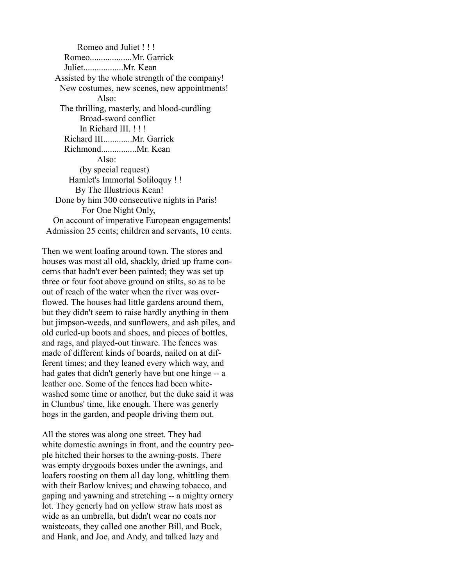Romeo and Juliet ! ! ! Romeo...................Mr. Garrick Juliet..................Mr. Kean Assisted by the whole strength of the company! New costumes, new scenes, new appointments! Also: The thrilling, masterly, and blood-curdling Broad-sword conflict In Richard III. ! ! ! Richard III.............Mr. Garrick Richmond................Mr. Kean Also: (by special request) Hamlet's Immortal Soliloquy ! ! By The Illustrious Kean! Done by him 300 consecutive nights in Paris! For One Night Only, On account of imperative European engagements! Admission 25 cents; children and servants, 10 cents.

Then we went loafing around town. The stores and houses was most all old, shackly, dried up frame concerns that hadn't ever been painted; they was set up three or four foot above ground on stilts, so as to be out of reach of the water when the river was overflowed. The houses had little gardens around them, but they didn't seem to raise hardly anything in them but jimpson-weeds, and sunflowers, and ash piles, and old curled-up boots and shoes, and pieces of bottles, and rags, and played-out tinware. The fences was made of different kinds of boards, nailed on at different times; and they leaned every which way, and had gates that didn't generly have but one hinge -- a leather one. Some of the fences had been whitewashed some time or another, but the duke said it was in Clumbus' time, like enough. There was generly hogs in the garden, and people driving them out.

All the stores was along one street. They had white domestic awnings in front, and the country people hitched their horses to the awning-posts. There was empty drygoods boxes under the awnings, and loafers roosting on them all day long, whittling them with their Barlow knives; and chawing tobacco, and gaping and yawning and stretching -- a mighty ornery lot. They generly had on yellow straw hats most as wide as an umbrella, but didn't wear no coats nor waistcoats, they called one another Bill, and Buck, and Hank, and Joe, and Andy, and talked lazy and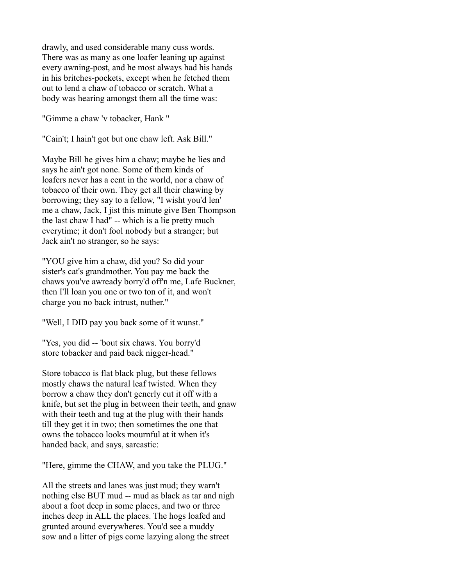drawly, and used considerable many cuss words. There was as many as one loafer leaning up against every awning-post, and he most always had his hands in his britches-pockets, except when he fetched them out to lend a chaw of tobacco or scratch. What a body was hearing amongst them all the time was:

"Gimme a chaw 'v tobacker, Hank "

"Cain't; I hain't got but one chaw left. Ask Bill."

Maybe Bill he gives him a chaw; maybe he lies and says he ain't got none. Some of them kinds of loafers never has a cent in the world, nor a chaw of tobacco of their own. They get all their chawing by borrowing; they say to a fellow, "I wisht you'd len' me a chaw, Jack, I jist this minute give Ben Thompson the last chaw I had" -- which is a lie pretty much everytime; it don't fool nobody but a stranger; but Jack ain't no stranger, so he says:

"YOU give him a chaw, did you? So did your sister's cat's grandmother. You pay me back the chaws you've awready borry'd off'n me, Lafe Buckner, then I'll loan you one or two ton of it, and won't charge you no back intrust, nuther."

"Well, I DID pay you back some of it wunst."

"Yes, you did -- 'bout six chaws. You borry'd store tobacker and paid back nigger-head."

Store tobacco is flat black plug, but these fellows mostly chaws the natural leaf twisted. When they borrow a chaw they don't generly cut it off with a knife, but set the plug in between their teeth, and gnaw with their teeth and tug at the plug with their hands till they get it in two; then sometimes the one that owns the tobacco looks mournful at it when it's handed back, and says, sarcastic:

"Here, gimme the CHAW, and you take the PLUG."

All the streets and lanes was just mud; they warn't nothing else BUT mud -- mud as black as tar and nigh about a foot deep in some places, and two or three inches deep in ALL the places. The hogs loafed and grunted around everywheres. You'd see a muddy sow and a litter of pigs come lazying along the street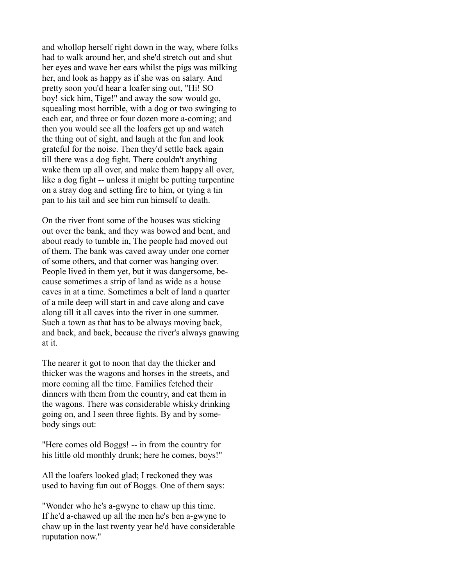and whollop herself right down in the way, where folks had to walk around her, and she'd stretch out and shut her eyes and wave her ears whilst the pigs was milking her, and look as happy as if she was on salary. And pretty soon you'd hear a loafer sing out, "Hi! SO boy! sick him, Tige!" and away the sow would go, squealing most horrible, with a dog or two swinging to each ear, and three or four dozen more a-coming; and then you would see all the loafers get up and watch the thing out of sight, and laugh at the fun and look grateful for the noise. Then they'd settle back again till there was a dog fight. There couldn't anything wake them up all over, and make them happy all over, like a dog fight -- unless it might be putting turpentine on a stray dog and setting fire to him, or tying a tin pan to his tail and see him run himself to death.

On the river front some of the houses was sticking out over the bank, and they was bowed and bent, and about ready to tumble in, The people had moved out of them. The bank was caved away under one corner of some others, and that corner was hanging over. People lived in them yet, but it was dangersome, because sometimes a strip of land as wide as a house caves in at a time. Sometimes a belt of land a quarter of a mile deep will start in and cave along and cave along till it all caves into the river in one summer. Such a town as that has to be always moving back, and back, and back, because the river's always gnawing at it.

The nearer it got to noon that day the thicker and thicker was the wagons and horses in the streets, and more coming all the time. Families fetched their dinners with them from the country, and eat them in the wagons. There was considerable whisky drinking going on, and I seen three fights. By and by somebody sings out:

"Here comes old Boggs! -- in from the country for his little old monthly drunk; here he comes, boys!"

All the loafers looked glad; I reckoned they was used to having fun out of Boggs. One of them says:

"Wonder who he's a-gwyne to chaw up this time. If he'd a-chawed up all the men he's ben a-gwyne to chaw up in the last twenty year he'd have considerable ruputation now."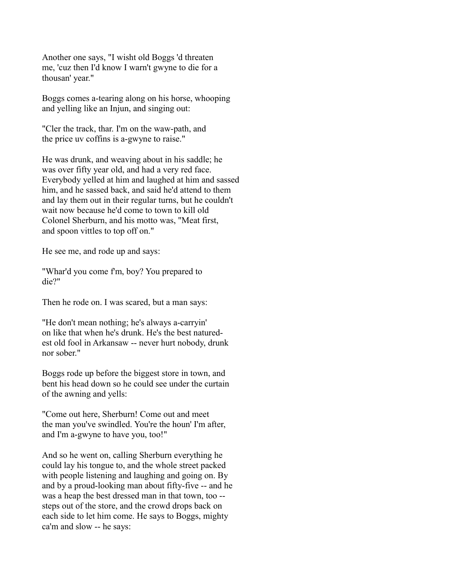Another one says, "I wisht old Boggs 'd threaten me, 'cuz then I'd know I warn't gwyne to die for a thousan' year."

Boggs comes a-tearing along on his horse, whooping and yelling like an Injun, and singing out:

"Cler the track, thar. I'm on the waw-path, and the price uv coffins is a-gwyne to raise."

He was drunk, and weaving about in his saddle; he was over fifty year old, and had a very red face. Everybody yelled at him and laughed at him and sassed him, and he sassed back, and said he'd attend to them and lay them out in their regular turns, but he couldn't wait now because he'd come to town to kill old Colonel Sherburn, and his motto was, "Meat first, and spoon vittles to top off on."

He see me, and rode up and says:

"Whar'd you come f'm, boy? You prepared to die?"

Then he rode on. I was scared, but a man says:

"He don't mean nothing; he's always a-carryin' on like that when he's drunk. He's the best naturedest old fool in Arkansaw -- never hurt nobody, drunk nor sober."

Boggs rode up before the biggest store in town, and bent his head down so he could see under the curtain of the awning and yells:

"Come out here, Sherburn! Come out and meet the man you've swindled. You're the houn' I'm after, and I'm a-gwyne to have you, too!"

And so he went on, calling Sherburn everything he could lay his tongue to, and the whole street packed with people listening and laughing and going on. By and by a proud-looking man about fifty-five -- and he was a heap the best dressed man in that town, too - steps out of the store, and the crowd drops back on each side to let him come. He says to Boggs, mighty ca'm and slow -- he says: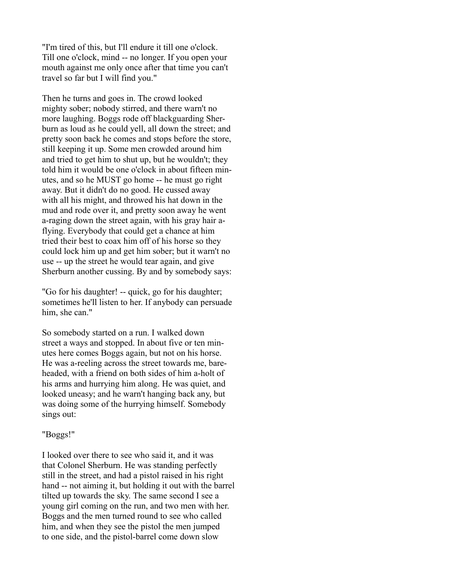"I'm tired of this, but I'll endure it till one o'clock. Till one o'clock, mind -- no longer. If you open your mouth against me only once after that time you can't travel so far but I will find you."

Then he turns and goes in. The crowd looked mighty sober; nobody stirred, and there warn't no more laughing. Boggs rode off blackguarding Sherburn as loud as he could yell, all down the street; and pretty soon back he comes and stops before the store, still keeping it up. Some men crowded around him and tried to get him to shut up, but he wouldn't; they told him it would be one o'clock in about fifteen minutes, and so he MUST go home -- he must go right away. But it didn't do no good. He cussed away with all his might, and throwed his hat down in the mud and rode over it, and pretty soon away he went a-raging down the street again, with his gray hair aflying. Everybody that could get a chance at him tried their best to coax him off of his horse so they could lock him up and get him sober; but it warn't no use -- up the street he would tear again, and give Sherburn another cussing. By and by somebody says:

"Go for his daughter! -- quick, go for his daughter; sometimes he'll listen to her. If anybody can persuade him, she can."

So somebody started on a run. I walked down street a ways and stopped. In about five or ten minutes here comes Boggs again, but not on his horse. He was a-reeling across the street towards me, bareheaded, with a friend on both sides of him a-holt of his arms and hurrying him along. He was quiet, and looked uneasy; and he warn't hanging back any, but was doing some of the hurrying himself. Somebody sings out:

# "Boggs!"

I looked over there to see who said it, and it was that Colonel Sherburn. He was standing perfectly still in the street, and had a pistol raised in his right hand -- not aiming it, but holding it out with the barrel tilted up towards the sky. The same second I see a young girl coming on the run, and two men with her. Boggs and the men turned round to see who called him, and when they see the pistol the men jumped to one side, and the pistol-barrel come down slow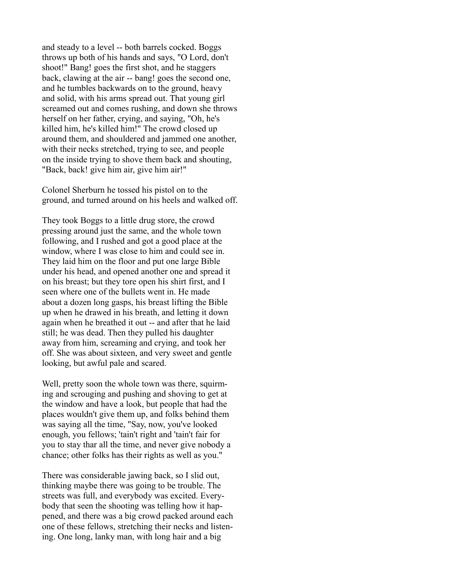and steady to a level -- both barrels cocked. Boggs throws up both of his hands and says, "O Lord, don't shoot!" Bang! goes the first shot, and he staggers back, clawing at the air -- bang! goes the second one, and he tumbles backwards on to the ground, heavy and solid, with his arms spread out. That young girl screamed out and comes rushing, and down she throws herself on her father, crying, and saying, "Oh, he's killed him, he's killed him!" The crowd closed up around them, and shouldered and jammed one another, with their necks stretched, trying to see, and people on the inside trying to shove them back and shouting, "Back, back! give him air, give him air!"

Colonel Sherburn he tossed his pistol on to the ground, and turned around on his heels and walked off.

They took Boggs to a little drug store, the crowd pressing around just the same, and the whole town following, and I rushed and got a good place at the window, where I was close to him and could see in. They laid him on the floor and put one large Bible under his head, and opened another one and spread it on his breast; but they tore open his shirt first, and I seen where one of the bullets went in. He made about a dozen long gasps, his breast lifting the Bible up when he drawed in his breath, and letting it down again when he breathed it out -- and after that he laid still; he was dead. Then they pulled his daughter away from him, screaming and crying, and took her off. She was about sixteen, and very sweet and gentle looking, but awful pale and scared.

Well, pretty soon the whole town was there, squirming and scrouging and pushing and shoving to get at the window and have a look, but people that had the places wouldn't give them up, and folks behind them was saying all the time, "Say, now, you've looked enough, you fellows; 'tain't right and 'tain't fair for you to stay thar all the time, and never give nobody a chance; other folks has their rights as well as you."

There was considerable jawing back, so I slid out, thinking maybe there was going to be trouble. The streets was full, and everybody was excited. Everybody that seen the shooting was telling how it happened, and there was a big crowd packed around each one of these fellows, stretching their necks and listening. One long, lanky man, with long hair and a big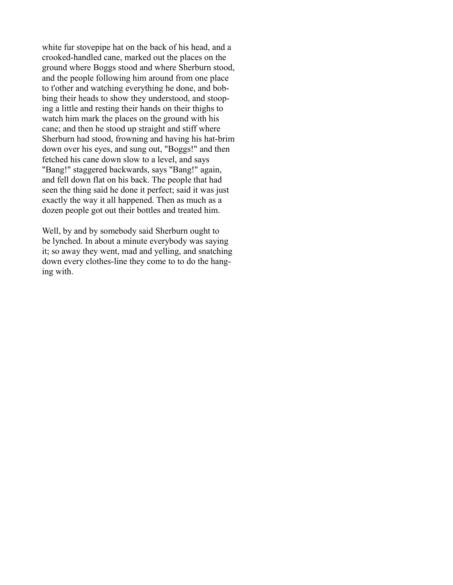white fur stovepipe hat on the back of his head, and a crooked-handled cane, marked out the places on the ground where Boggs stood and where Sherburn stood, and the people following him around from one place to t'other and watching everything he done, and bobbing their heads to show they understood, and stooping a little and resting their hands on their thighs to watch him mark the places on the ground with his cane; and then he stood up straight and stiff where Sherburn had stood, frowning and having his hat-brim down over his eyes, and sung out, "Boggs!" and then fetched his cane down slow to a level, and says "Bang!" staggered backwards, says "Bang!" again, and fell down flat on his back. The people that had seen the thing said he done it perfect; said it was just exactly the way it all happened. Then as much as a dozen people got out their bottles and treated him.

Well, by and by somebody said Sherburn ought to be lynched. In about a minute everybody was saying it; so away they went, mad and yelling, and snatching down every clothes-line they come to to do the hanging with.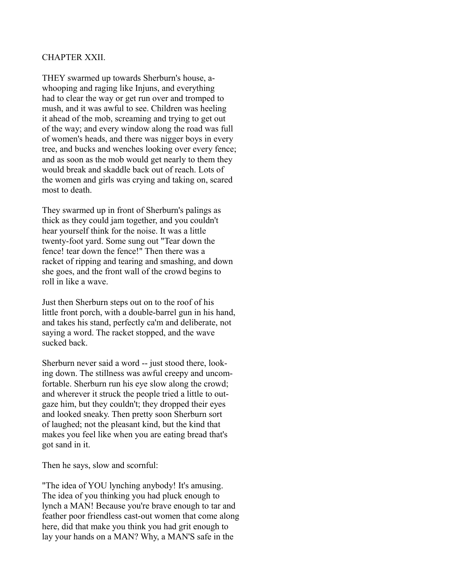## CHAPTER XXII.

THEY swarmed up towards Sherburn's house, awhooping and raging like Injuns, and everything had to clear the way or get run over and tromped to mush, and it was awful to see. Children was heeling it ahead of the mob, screaming and trying to get out of the way; and every window along the road was full of women's heads, and there was nigger boys in every tree, and bucks and wenches looking over every fence; and as soon as the mob would get nearly to them they would break and skaddle back out of reach. Lots of the women and girls was crying and taking on, scared most to death.

They swarmed up in front of Sherburn's palings as thick as they could jam together, and you couldn't hear yourself think for the noise. It was a little twenty-foot yard. Some sung out "Tear down the fence! tear down the fence!" Then there was a racket of ripping and tearing and smashing, and down she goes, and the front wall of the crowd begins to roll in like a wave.

Just then Sherburn steps out on to the roof of his little front porch, with a double-barrel gun in his hand, and takes his stand, perfectly ca'm and deliberate, not saying a word. The racket stopped, and the wave sucked back.

Sherburn never said a word -- just stood there, looking down. The stillness was awful creepy and uncomfortable. Sherburn run his eye slow along the crowd; and wherever it struck the people tried a little to outgaze him, but they couldn't; they dropped their eyes and looked sneaky. Then pretty soon Sherburn sort of laughed; not the pleasant kind, but the kind that makes you feel like when you are eating bread that's got sand in it.

Then he says, slow and scornful:

"The idea of YOU lynching anybody! It's amusing. The idea of you thinking you had pluck enough to lynch a MAN! Because you're brave enough to tar and feather poor friendless cast-out women that come along here, did that make you think you had grit enough to lay your hands on a MAN? Why, a MAN'S safe in the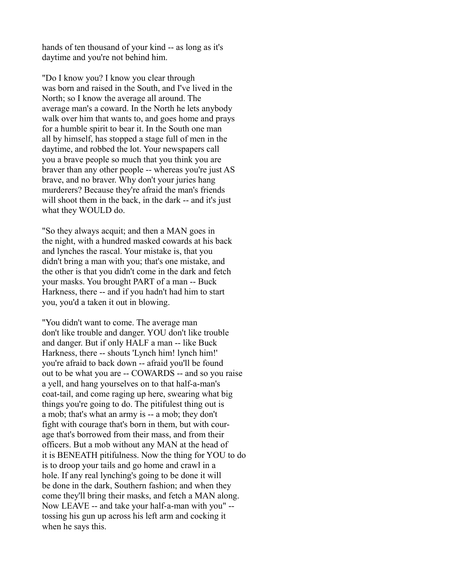hands of ten thousand of your kind -- as long as it's daytime and you're not behind him.

"Do I know you? I know you clear through was born and raised in the South, and I've lived in the North; so I know the average all around. The average man's a coward. In the North he lets anybody walk over him that wants to, and goes home and prays for a humble spirit to bear it. In the South one man all by himself, has stopped a stage full of men in the daytime, and robbed the lot. Your newspapers call you a brave people so much that you think you are braver than any other people -- whereas you're just AS brave, and no braver. Why don't your juries hang murderers? Because they're afraid the man's friends will shoot them in the back, in the dark -- and it's just what they WOULD do.

"So they always acquit; and then a MAN goes in the night, with a hundred masked cowards at his back and lynches the rascal. Your mistake is, that you didn't bring a man with you; that's one mistake, and the other is that you didn't come in the dark and fetch your masks. You brought PART of a man -- Buck Harkness, there -- and if you hadn't had him to start you, you'd a taken it out in blowing.

"You didn't want to come. The average man don't like trouble and danger. YOU don't like trouble and danger. But if only HALF a man -- like Buck Harkness, there -- shouts 'Lynch him! lynch him!' you're afraid to back down -- afraid you'll be found out to be what you are -- COWARDS -- and so you raise a yell, and hang yourselves on to that half-a-man's coat-tail, and come raging up here, swearing what big things you're going to do. The pitifulest thing out is a mob; that's what an army is -- a mob; they don't fight with courage that's born in them, but with courage that's borrowed from their mass, and from their officers. But a mob without any MAN at the head of it is BENEATH pitifulness. Now the thing for YOU to do is to droop your tails and go home and crawl in a hole. If any real lynching's going to be done it will be done in the dark, Southern fashion; and when they come they'll bring their masks, and fetch a MAN along. Now LEAVE -- and take your half-a-man with you" - tossing his gun up across his left arm and cocking it when he says this.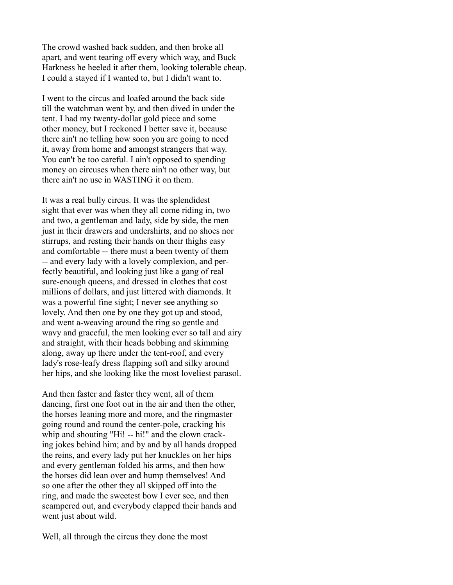The crowd washed back sudden, and then broke all apart, and went tearing off every which way, and Buck Harkness he heeled it after them, looking tolerable cheap. I could a stayed if I wanted to, but I didn't want to.

I went to the circus and loafed around the back side till the watchman went by, and then dived in under the tent. I had my twenty-dollar gold piece and some other money, but I reckoned I better save it, because there ain't no telling how soon you are going to need it, away from home and amongst strangers that way. You can't be too careful. I ain't opposed to spending money on circuses when there ain't no other way, but there ain't no use in WASTING it on them.

It was a real bully circus. It was the splendidest sight that ever was when they all come riding in, two and two, a gentleman and lady, side by side, the men just in their drawers and undershirts, and no shoes nor stirrups, and resting their hands on their thighs easy and comfortable -- there must a been twenty of them -- and every lady with a lovely complexion, and perfectly beautiful, and looking just like a gang of real sure-enough queens, and dressed in clothes that cost millions of dollars, and just littered with diamonds. It was a powerful fine sight; I never see anything so lovely. And then one by one they got up and stood, and went a-weaving around the ring so gentle and wavy and graceful, the men looking ever so tall and airy and straight, with their heads bobbing and skimming along, away up there under the tent-roof, and every lady's rose-leafy dress flapping soft and silky around her hips, and she looking like the most loveliest parasol.

And then faster and faster they went, all of them dancing, first one foot out in the air and then the other, the horses leaning more and more, and the ringmaster going round and round the center-pole, cracking his whip and shouting "Hi! -- hi!" and the clown cracking jokes behind him; and by and by all hands dropped the reins, and every lady put her knuckles on her hips and every gentleman folded his arms, and then how the horses did lean over and hump themselves! And so one after the other they all skipped off into the ring, and made the sweetest bow I ever see, and then scampered out, and everybody clapped their hands and went just about wild.

Well, all through the circus they done the most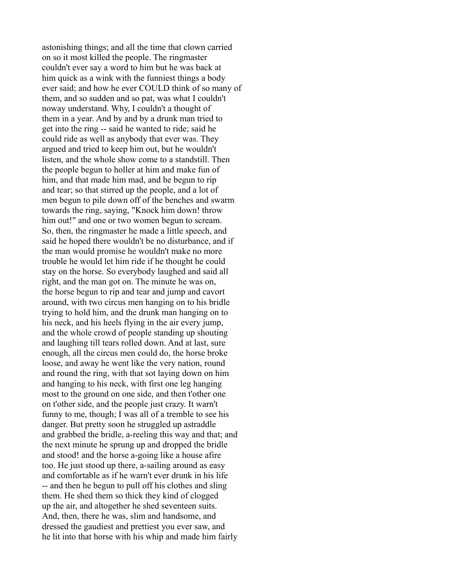astonishing things; and all the time that clown carried on so it most killed the people. The ringmaster couldn't ever say a word to him but he was back at him quick as a wink with the funniest things a body ever said; and how he ever COULD think of so many of them, and so sudden and so pat, was what I couldn't noway understand. Why, I couldn't a thought of them in a year. And by and by a drunk man tried to get into the ring -- said he wanted to ride; said he could ride as well as anybody that ever was. They argued and tried to keep him out, but he wouldn't listen, and the whole show come to a standstill. Then the people begun to holler at him and make fun of him, and that made him mad, and he begun to rip and tear; so that stirred up the people, and a lot of men begun to pile down off of the benches and swarm towards the ring, saying, "Knock him down! throw him out!" and one or two women begun to scream. So, then, the ringmaster he made a little speech, and said he hoped there wouldn't be no disturbance, and if the man would promise he wouldn't make no more trouble he would let him ride if he thought he could stay on the horse. So everybody laughed and said all right, and the man got on. The minute he was on, the horse begun to rip and tear and jump and cavort around, with two circus men hanging on to his bridle trying to hold him, and the drunk man hanging on to his neck, and his heels flying in the air every jump, and the whole crowd of people standing up shouting and laughing till tears rolled down. And at last, sure enough, all the circus men could do, the horse broke loose, and away he went like the very nation, round and round the ring, with that sot laying down on him and hanging to his neck, with first one leg hanging most to the ground on one side, and then t'other one on t'other side, and the people just crazy. It warn't funny to me, though; I was all of a tremble to see his danger. But pretty soon he struggled up astraddle and grabbed the bridle, a-reeling this way and that; and the next minute he sprung up and dropped the bridle and stood! and the horse a-going like a house afire too. He just stood up there, a-sailing around as easy and comfortable as if he warn't ever drunk in his life -- and then he begun to pull off his clothes and sling them. He shed them so thick they kind of clogged up the air, and altogether he shed seventeen suits. And, then, there he was, slim and handsome, and dressed the gaudiest and prettiest you ever saw, and he lit into that horse with his whip and made him fairly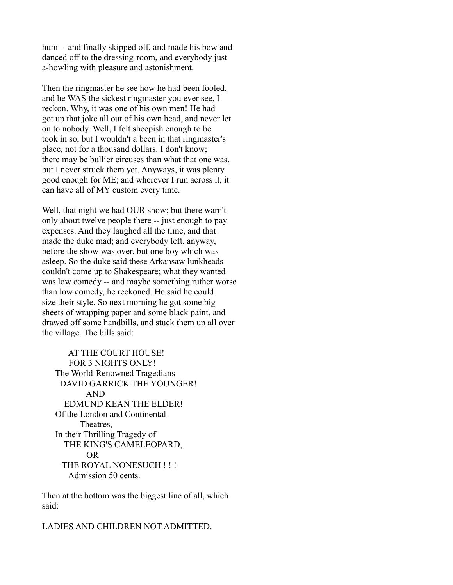hum -- and finally skipped off, and made his bow and danced off to the dressing-room, and everybody just a-howling with pleasure and astonishment.

Then the ringmaster he see how he had been fooled, and he WAS the sickest ringmaster you ever see, I reckon. Why, it was one of his own men! He had got up that joke all out of his own head, and never let on to nobody. Well, I felt sheepish enough to be took in so, but I wouldn't a been in that ringmaster's place, not for a thousand dollars. I don't know; there may be bullier circuses than what that one was, but I never struck them yet. Anyways, it was plenty good enough for ME; and wherever I run across it, it can have all of MY custom every time.

Well, that night we had OUR show; but there warn't only about twelve people there -- just enough to pay expenses. And they laughed all the time, and that made the duke mad; and everybody left, anyway, before the show was over, but one boy which was asleep. So the duke said these Arkansaw lunkheads couldn't come up to Shakespeare; what they wanted was low comedy -- and maybe something ruther worse than low comedy, he reckoned. He said he could size their style. So next morning he got some big sheets of wrapping paper and some black paint, and drawed off some handbills, and stuck them up all over the village. The bills said:

 AT THE COURT HOUSE! FOR 3 NIGHTS ONLY! The World-Renowned Tragedians DAVID GARRICK THE YOUNGER! AND EDMUND KEAN THE ELDER! Of the London and Continental Theatres, In their Thrilling Tragedy of THE KING'S CAMELEOPARD, OR THE ROYAL NONESUCH !!! Admission 50 cents.

Then at the bottom was the biggest line of all, which said:

LADIES AND CHILDREN NOT ADMITTED.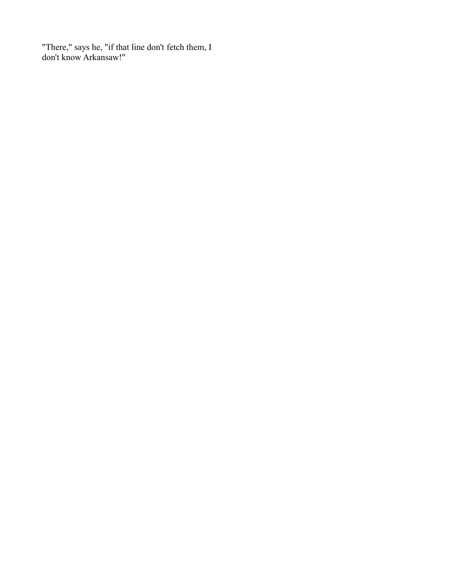"There," says he, "if that line don't fetch them, I don't know Arkansaw!"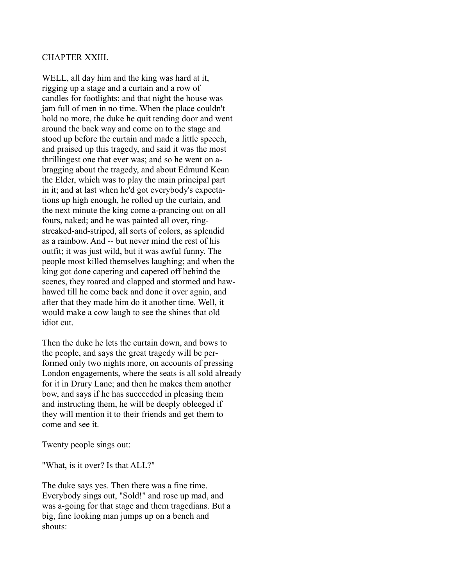## CHAPTER XXIII.

WELL, all day him and the king was hard at it, rigging up a stage and a curtain and a row of candles for footlights; and that night the house was jam full of men in no time. When the place couldn't hold no more, the duke he quit tending door and went around the back way and come on to the stage and stood up before the curtain and made a little speech, and praised up this tragedy, and said it was the most thrillingest one that ever was; and so he went on abragging about the tragedy, and about Edmund Kean the Elder, which was to play the main principal part in it; and at last when he'd got everybody's expectations up high enough, he rolled up the curtain, and the next minute the king come a-prancing out on all fours, naked; and he was painted all over, ringstreaked-and-striped, all sorts of colors, as splendid as a rainbow. And -- but never mind the rest of his outfit; it was just wild, but it was awful funny. The people most killed themselves laughing; and when the king got done capering and capered off behind the scenes, they roared and clapped and stormed and hawhawed till he come back and done it over again, and after that they made him do it another time. Well, it would make a cow laugh to see the shines that old idiot cut.

Then the duke he lets the curtain down, and bows to the people, and says the great tragedy will be performed only two nights more, on accounts of pressing London engagements, where the seats is all sold already for it in Drury Lane; and then he makes them another bow, and says if he has succeeded in pleasing them and instructing them, he will be deeply obleeged if they will mention it to their friends and get them to come and see it.

Twenty people sings out:

"What, is it over? Is that ALL?"

The duke says yes. Then there was a fine time. Everybody sings out, "Sold!" and rose up mad, and was a-going for that stage and them tragedians. But a big, fine looking man jumps up on a bench and shouts: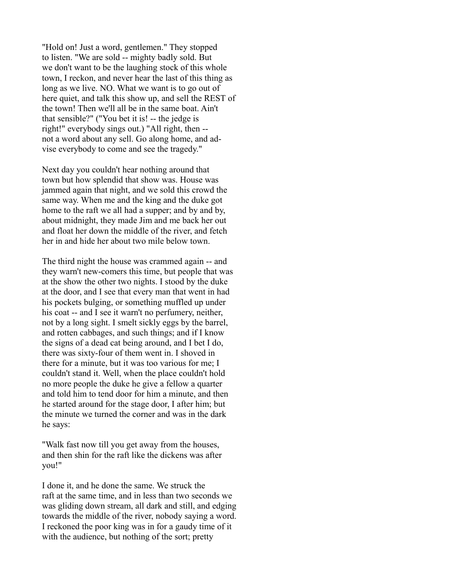"Hold on! Just a word, gentlemen." They stopped to listen. "We are sold -- mighty badly sold. But we don't want to be the laughing stock of this whole town, I reckon, and never hear the last of this thing as long as we live. NO. What we want is to go out of here quiet, and talk this show up, and sell the REST of the town! Then we'll all be in the same boat. Ain't that sensible?" ("You bet it is! -- the jedge is right!" everybody sings out.) "All right, then - not a word about any sell. Go along home, and advise everybody to come and see the tragedy."

Next day you couldn't hear nothing around that town but how splendid that show was. House was jammed again that night, and we sold this crowd the same way. When me and the king and the duke got home to the raft we all had a supper; and by and by, about midnight, they made Jim and me back her out and float her down the middle of the river, and fetch her in and hide her about two mile below town.

The third night the house was crammed again -- and they warn't new-comers this time, but people that was at the show the other two nights. I stood by the duke at the door, and I see that every man that went in had his pockets bulging, or something muffled up under his coat -- and I see it warn't no perfumery, neither, not by a long sight. I smelt sickly eggs by the barrel, and rotten cabbages, and such things; and if I know the signs of a dead cat being around, and I bet I do, there was sixty-four of them went in. I shoved in there for a minute, but it was too various for me; I couldn't stand it. Well, when the place couldn't hold no more people the duke he give a fellow a quarter and told him to tend door for him a minute, and then he started around for the stage door, I after him; but the minute we turned the corner and was in the dark he says:

"Walk fast now till you get away from the houses, and then shin for the raft like the dickens was after you!"

I done it, and he done the same. We struck the raft at the same time, and in less than two seconds we was gliding down stream, all dark and still, and edging towards the middle of the river, nobody saying a word. I reckoned the poor king was in for a gaudy time of it with the audience, but nothing of the sort; pretty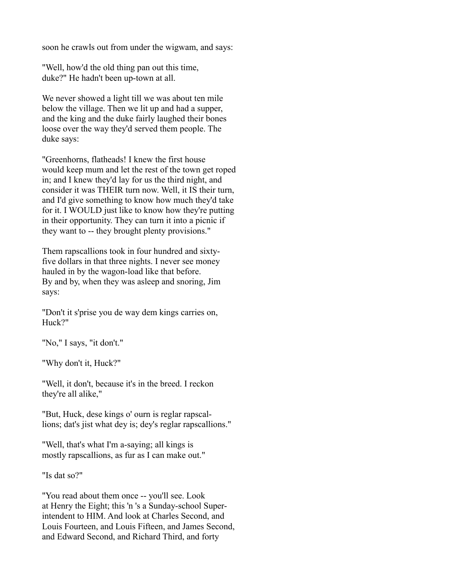soon he crawls out from under the wigwam, and says:

"Well, how'd the old thing pan out this time, duke?" He hadn't been up-town at all.

We never showed a light till we was about ten mile below the village. Then we lit up and had a supper, and the king and the duke fairly laughed their bones loose over the way they'd served them people. The duke says:

"Greenhorns, flatheads! I knew the first house would keep mum and let the rest of the town get roped in; and I knew they'd lay for us the third night, and consider it was THEIR turn now. Well, it IS their turn, and I'd give something to know how much they'd take for it. I WOULD just like to know how they're putting in their opportunity. They can turn it into a picnic if they want to -- they brought plenty provisions."

Them rapscallions took in four hundred and sixtyfive dollars in that three nights. I never see money hauled in by the wagon-load like that before. By and by, when they was asleep and snoring, Jim says:

"Don't it s'prise you de way dem kings carries on, Huck?"

"No," I says, "it don't."

"Why don't it, Huck?"

"Well, it don't, because it's in the breed. I reckon they're all alike,"

"But, Huck, dese kings o' ourn is reglar rapscallions; dat's jist what dey is; dey's reglar rapscallions."

"Well, that's what I'm a-saying; all kings is mostly rapscallions, as fur as I can make out."

"Is dat so?"

"You read about them once -- you'll see. Look at Henry the Eight; this 'n 's a Sunday-school Superintendent to HIM. And look at Charles Second, and Louis Fourteen, and Louis Fifteen, and James Second, and Edward Second, and Richard Third, and forty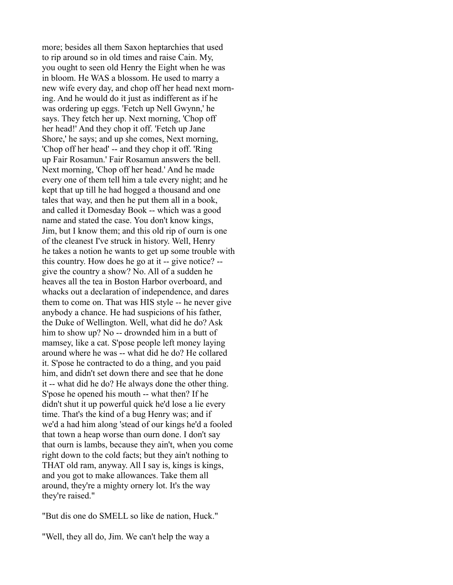more; besides all them Saxon heptarchies that used to rip around so in old times and raise Cain. My, you ought to seen old Henry the Eight when he was in bloom. He WAS a blossom. He used to marry a new wife every day, and chop off her head next morning. And he would do it just as indifferent as if he was ordering up eggs. 'Fetch up Nell Gwynn,' he says. They fetch her up. Next morning, 'Chop off her head!' And they chop it off. 'Fetch up Jane Shore,' he says; and up she comes, Next morning, 'Chop off her head' -- and they chop it off. 'Ring up Fair Rosamun.' Fair Rosamun answers the bell. Next morning, 'Chop off her head.' And he made every one of them tell him a tale every night; and he kept that up till he had hogged a thousand and one tales that way, and then he put them all in a book, and called it Domesday Book -- which was a good name and stated the case. You don't know kings, Jim, but I know them; and this old rip of ourn is one of the cleanest I've struck in history. Well, Henry he takes a notion he wants to get up some trouble with this country. How does he go at it -- give notice? - give the country a show? No. All of a sudden he heaves all the tea in Boston Harbor overboard, and whacks out a declaration of independence, and dares them to come on. That was HIS style -- he never give anybody a chance. He had suspicions of his father, the Duke of Wellington. Well, what did he do? Ask him to show up? No -- drownded him in a butt of mamsey, like a cat. S'pose people left money laying around where he was -- what did he do? He collared it. S'pose he contracted to do a thing, and you paid him, and didn't set down there and see that he done it -- what did he do? He always done the other thing. S'pose he opened his mouth -- what then? If he didn't shut it up powerful quick he'd lose a lie every time. That's the kind of a bug Henry was; and if we'd a had him along 'stead of our kings he'd a fooled that town a heap worse than ourn done. I don't say that ourn is lambs, because they ain't, when you come right down to the cold facts; but they ain't nothing to THAT old ram, anyway. All I say is, kings is kings, and you got to make allowances. Take them all around, they're a mighty ornery lot. It's the way they're raised."

"But dis one do SMELL so like de nation, Huck."

"Well, they all do, Jim. We can't help the way a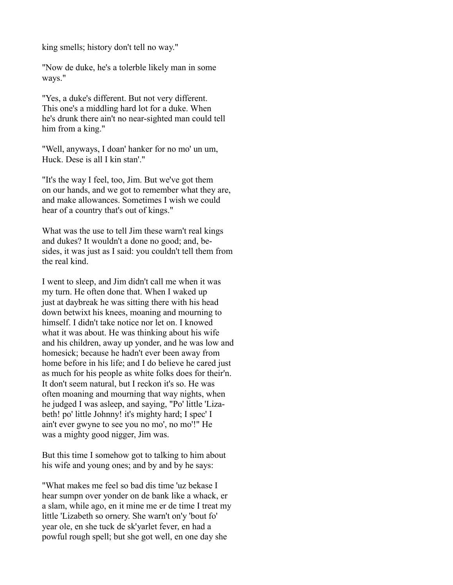king smells; history don't tell no way."

"Now de duke, he's a tolerble likely man in some ways."

"Yes, a duke's different. But not very different. This one's a middling hard lot for a duke. When he's drunk there ain't no near-sighted man could tell him from a king."

"Well, anyways, I doan' hanker for no mo' un um, Huck. Dese is all I kin stan'."

"It's the way I feel, too, Jim. But we've got them on our hands, and we got to remember what they are, and make allowances. Sometimes I wish we could hear of a country that's out of kings."

What was the use to tell Jim these warn't real kings and dukes? It wouldn't a done no good; and, besides, it was just as I said: you couldn't tell them from the real kind.

I went to sleep, and Jim didn't call me when it was my turn. He often done that. When I waked up just at daybreak he was sitting there with his head down betwixt his knees, moaning and mourning to himself. I didn't take notice nor let on. I knowed what it was about. He was thinking about his wife and his children, away up yonder, and he was low and homesick; because he hadn't ever been away from home before in his life; and I do believe he cared just as much for his people as white folks does for their'n. It don't seem natural, but I reckon it's so. He was often moaning and mourning that way nights, when he judged I was asleep, and saying, "Po' little 'Lizabeth! po' little Johnny! it's mighty hard; I spec' I ain't ever gwyne to see you no mo', no mo'!" He was a mighty good nigger, Jim was.

But this time I somehow got to talking to him about his wife and young ones; and by and by he says:

"What makes me feel so bad dis time 'uz bekase I hear sumpn over yonder on de bank like a whack, er a slam, while ago, en it mine me er de time I treat my little 'Lizabeth so ornery. She warn't on'y 'bout fo' year ole, en she tuck de sk'yarlet fever, en had a powful rough spell; but she got well, en one day she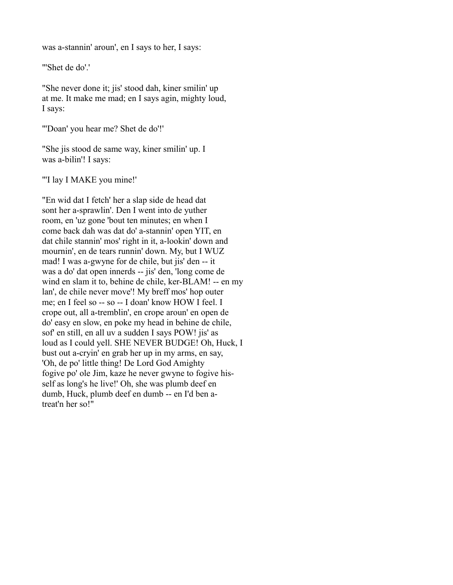was a-stannin' aroun', en I says to her, I says:

"'Shet de do'.'

"She never done it; jis' stood dah, kiner smilin' up at me. It make me mad; en I says agin, mighty loud, I says:

"'Doan' you hear me? Shet de do'!'

"She jis stood de same way, kiner smilin' up. I was a-bilin'! I says:

"'I lay I MAKE you mine!'

"En wid dat I fetch' her a slap side de head dat sont her a-sprawlin'. Den I went into de yuther room, en 'uz gone 'bout ten minutes; en when I come back dah was dat do' a-stannin' open YIT, en dat chile stannin' mos' right in it, a-lookin' down and mournin', en de tears runnin' down. My, but I WUZ mad! I was a-gwyne for de chile, but jis' den -- it was a do' dat open innerds -- jis' den, 'long come de wind en slam it to, behine de chile, ker-BLAM! -- en my lan', de chile never move'! My breff mos' hop outer me; en I feel so -- so -- I doan' know HOW I feel. I crope out, all a-tremblin', en crope aroun' en open de do' easy en slow, en poke my head in behine de chile, sof' en still, en all uv a sudden I says POW! jis' as loud as I could yell. SHE NEVER BUDGE! Oh, Huck, I bust out a-cryin' en grab her up in my arms, en say, 'Oh, de po' little thing! De Lord God Amighty fogive po' ole Jim, kaze he never gwyne to fogive hisself as long's he live!' Oh, she was plumb deef en dumb, Huck, plumb deef en dumb -- en I'd ben atreat'n her so!"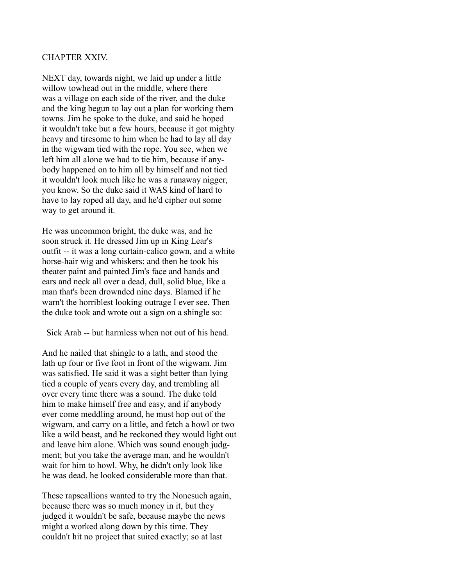### CHAPTER XXIV.

NEXT day, towards night, we laid up under a little willow towhead out in the middle, where there was a village on each side of the river, and the duke and the king begun to lay out a plan for working them towns. Jim he spoke to the duke, and said he hoped it wouldn't take but a few hours, because it got mighty heavy and tiresome to him when he had to lay all day in the wigwam tied with the rope. You see, when we left him all alone we had to tie him, because if anybody happened on to him all by himself and not tied it wouldn't look much like he was a runaway nigger, you know. So the duke said it WAS kind of hard to have to lay roped all day, and he'd cipher out some way to get around it.

He was uncommon bright, the duke was, and he soon struck it. He dressed Jim up in King Lear's outfit -- it was a long curtain-calico gown, and a white horse-hair wig and whiskers; and then he took his theater paint and painted Jim's face and hands and ears and neck all over a dead, dull, solid blue, like a man that's been drownded nine days. Blamed if he warn't the horriblest looking outrage I ever see. Then the duke took and wrote out a sign on a shingle so:

Sick Arab -- but harmless when not out of his head.

And he nailed that shingle to a lath, and stood the lath up four or five foot in front of the wigwam. Jim was satisfied. He said it was a sight better than lying tied a couple of years every day, and trembling all over every time there was a sound. The duke told him to make himself free and easy, and if anybody ever come meddling around, he must hop out of the wigwam, and carry on a little, and fetch a howl or two like a wild beast, and he reckoned they would light out and leave him alone. Which was sound enough judgment; but you take the average man, and he wouldn't wait for him to howl. Why, he didn't only look like he was dead, he looked considerable more than that.

These rapscallions wanted to try the Nonesuch again, because there was so much money in it, but they judged it wouldn't be safe, because maybe the news might a worked along down by this time. They couldn't hit no project that suited exactly; so at last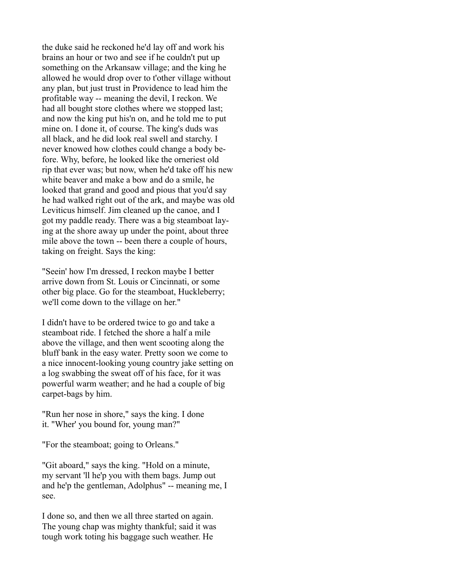the duke said he reckoned he'd lay off and work his brains an hour or two and see if he couldn't put up something on the Arkansaw village; and the king he allowed he would drop over to t'other village without any plan, but just trust in Providence to lead him the profitable way -- meaning the devil, I reckon. We had all bought store clothes where we stopped last; and now the king put his'n on, and he told me to put mine on. I done it, of course. The king's duds was all black, and he did look real swell and starchy. I never knowed how clothes could change a body before. Why, before, he looked like the orneriest old rip that ever was; but now, when he'd take off his new white beaver and make a bow and do a smile, he looked that grand and good and pious that you'd say he had walked right out of the ark, and maybe was old Leviticus himself. Jim cleaned up the canoe, and I got my paddle ready. There was a big steamboat laying at the shore away up under the point, about three mile above the town -- been there a couple of hours, taking on freight. Says the king:

"Seein' how I'm dressed, I reckon maybe I better arrive down from St. Louis or Cincinnati, or some other big place. Go for the steamboat, Huckleberry; we'll come down to the village on her."

I didn't have to be ordered twice to go and take a steamboat ride. I fetched the shore a half a mile above the village, and then went scooting along the bluff bank in the easy water. Pretty soon we come to a nice innocent-looking young country jake setting on a log swabbing the sweat off of his face, for it was powerful warm weather; and he had a couple of big carpet-bags by him.

"Run her nose in shore," says the king. I done it. "Wher' you bound for, young man?"

"For the steamboat; going to Orleans."

"Git aboard," says the king. "Hold on a minute, my servant 'll he'p you with them bags. Jump out and he'p the gentleman, Adolphus" -- meaning me, I see.

I done so, and then we all three started on again. The young chap was mighty thankful; said it was tough work toting his baggage such weather. He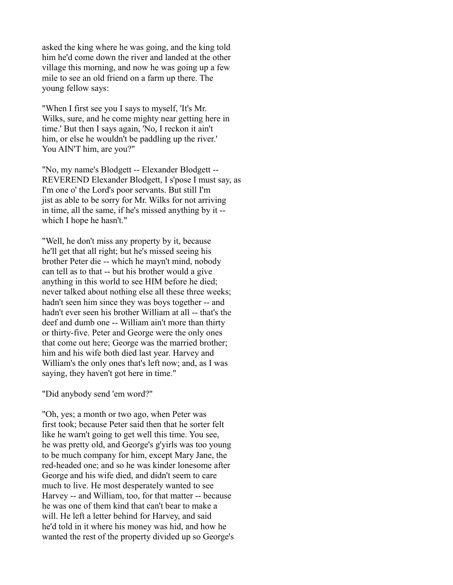asked the king where he was going, and the king told him he'd come down the river and landed at the other village this morning, and now he was going up a few mile to see an old friend on a farm up there. The young fellow says:

"When I first see you I says to myself, 'It's Mr. Wilks, sure, and he come mighty near getting here in time.' But then I says again, 'No, I reckon it ain't him, or else he wouldn't be paddling up the river.' You AIN'T him, are you?"

"No, my name's Blodgett -- Elexander Blodgett -- REVEREND Elexander Blodgett, I s'pose I must say, as I'm one o' the Lord's poor servants. But still I'm jist as able to be sorry for Mr. Wilks for not arriving in time, all the same, if he's missed anything by it - which I hope he hasn't."

"Well, he don't miss any property by it, because he'll get that all right; but he's missed seeing his brother Peter die -- which he mayn't mind, nobody can tell as to that -- but his brother would a give anything in this world to see HIM before he died; never talked about nothing else all these three weeks; hadn't seen him since they was boys together -- and hadn't ever seen his brother William at all -- that's the deef and dumb one -- William ain't more than thirty or thirty-five. Peter and George were the only ones that come out here; George was the married brother; him and his wife both died last year. Harvey and William's the only ones that's left now; and, as I was saying, they haven't got here in time."

"Did anybody send 'em word?"

"Oh, yes; a month or two ago, when Peter was first took; because Peter said then that he sorter felt like he warn't going to get well this time. You see, he was pretty old, and George's g'yirls was too young to be much company for him, except Mary Jane, the red-headed one; and so he was kinder lonesome after George and his wife died, and didn't seem to care much to live. He most desperately wanted to see Harvey -- and William, too, for that matter -- because he was one of them kind that can't bear to make a will. He left a letter behind for Harvey, and said he'd told in it where his money was hid, and how he wanted the rest of the property divided up so George's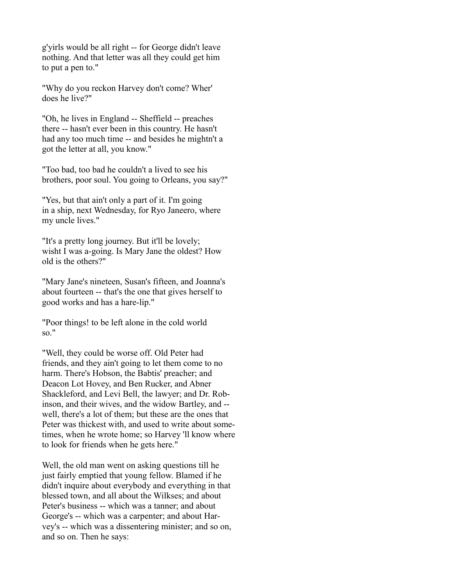g'yirls would be all right -- for George didn't leave nothing. And that letter was all they could get him to put a pen to."

"Why do you reckon Harvey don't come? Wher' does he live?"

"Oh, he lives in England -- Sheffield -- preaches there -- hasn't ever been in this country. He hasn't had any too much time -- and besides he mightn't a got the letter at all, you know."

"Too bad, too bad he couldn't a lived to see his brothers, poor soul. You going to Orleans, you say?"

"Yes, but that ain't only a part of it. I'm going in a ship, next Wednesday, for Ryo Janeero, where my uncle lives."

"It's a pretty long journey. But it'll be lovely; wisht I was a-going. Is Mary Jane the oldest? How old is the others?"

"Mary Jane's nineteen, Susan's fifteen, and Joanna's about fourteen -- that's the one that gives herself to good works and has a hare-lip."

"Poor things! to be left alone in the cold world so."

"Well, they could be worse off. Old Peter had friends, and they ain't going to let them come to no harm. There's Hobson, the Babtis' preacher; and Deacon Lot Hovey, and Ben Rucker, and Abner Shackleford, and Levi Bell, the lawyer; and Dr. Robinson, and their wives, and the widow Bartley, and - well, there's a lot of them; but these are the ones that Peter was thickest with, and used to write about sometimes, when he wrote home; so Harvey 'll know where to look for friends when he gets here."

Well, the old man went on asking questions till he just fairly emptied that young fellow. Blamed if he didn't inquire about everybody and everything in that blessed town, and all about the Wilkses; and about Peter's business -- which was a tanner; and about George's -- which was a carpenter; and about Harvey's -- which was a dissentering minister; and so on, and so on. Then he says: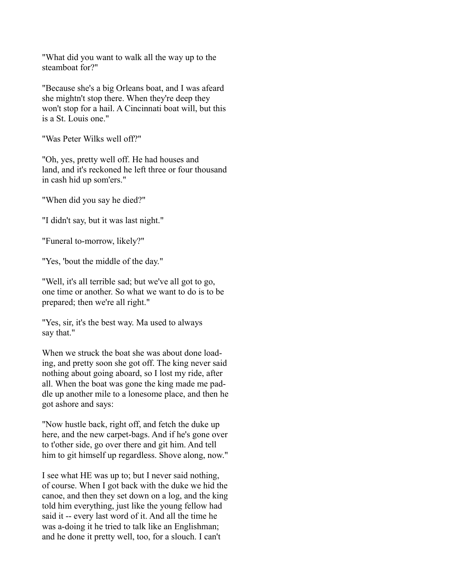"What did you want to walk all the way up to the steamboat for?"

"Because she's a big Orleans boat, and I was afeard she mightn't stop there. When they're deep they won't stop for a hail. A Cincinnati boat will, but this is a St. Louis one."

"Was Peter Wilks well off?"

"Oh, yes, pretty well off. He had houses and land, and it's reckoned he left three or four thousand in cash hid up som'ers."

"When did you say he died?"

"I didn't say, but it was last night."

"Funeral to-morrow, likely?"

"Yes, 'bout the middle of the day."

"Well, it's all terrible sad; but we've all got to go, one time or another. So what we want to do is to be prepared; then we're all right."

"Yes, sir, it's the best way. Ma used to always say that."

When we struck the boat she was about done loading, and pretty soon she got off. The king never said nothing about going aboard, so I lost my ride, after all. When the boat was gone the king made me paddle up another mile to a lonesome place, and then he got ashore and says:

"Now hustle back, right off, and fetch the duke up here, and the new carpet-bags. And if he's gone over to t'other side, go over there and git him. And tell him to git himself up regardless. Shove along, now."

I see what HE was up to; but I never said nothing, of course. When I got back with the duke we hid the canoe, and then they set down on a log, and the king told him everything, just like the young fellow had said it -- every last word of it. And all the time he was a-doing it he tried to talk like an Englishman; and he done it pretty well, too, for a slouch. I can't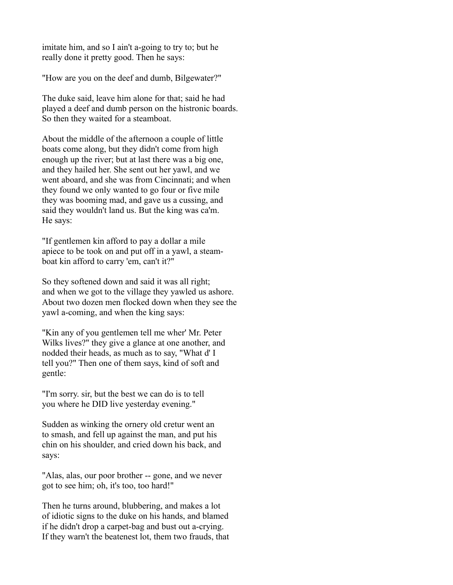imitate him, and so I ain't a-going to try to; but he really done it pretty good. Then he says:

"How are you on the deef and dumb, Bilgewater?"

The duke said, leave him alone for that; said he had played a deef and dumb person on the histronic boards. So then they waited for a steamboat.

About the middle of the afternoon a couple of little boats come along, but they didn't come from high enough up the river; but at last there was a big one, and they hailed her. She sent out her yawl, and we went aboard, and she was from Cincinnati; and when they found we only wanted to go four or five mile they was booming mad, and gave us a cussing, and said they wouldn't land us. But the king was ca'm. He says:

"If gentlemen kin afford to pay a dollar a mile apiece to be took on and put off in a yawl, a steamboat kin afford to carry 'em, can't it?"

So they softened down and said it was all right; and when we got to the village they yawled us ashore. About two dozen men flocked down when they see the yawl a-coming, and when the king says:

"Kin any of you gentlemen tell me wher' Mr. Peter Wilks lives?" they give a glance at one another, and nodded their heads, as much as to say, "What d' I tell you?" Then one of them says, kind of soft and gentle:

"I'm sorry. sir, but the best we can do is to tell you where he DID live yesterday evening."

Sudden as winking the ornery old cretur went an to smash, and fell up against the man, and put his chin on his shoulder, and cried down his back, and says:

"Alas, alas, our poor brother -- gone, and we never got to see him; oh, it's too, too hard!"

Then he turns around, blubbering, and makes a lot of idiotic signs to the duke on his hands, and blamed if he didn't drop a carpet-bag and bust out a-crying. If they warn't the beatenest lot, them two frauds, that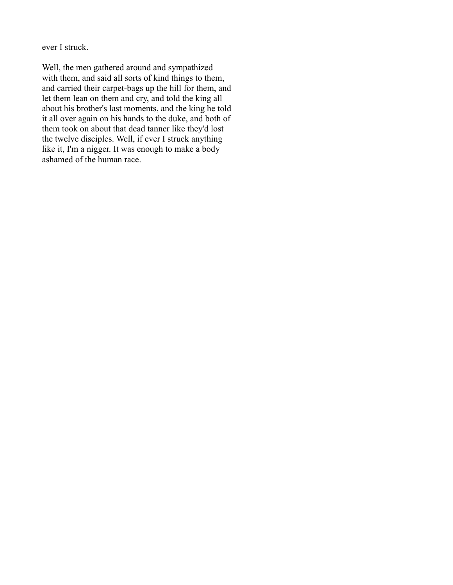ever I struck.

Well, the men gathered around and sympathized with them, and said all sorts of kind things to them, and carried their carpet-bags up the hill for them, and let them lean on them and cry, and told the king all about his brother's last moments, and the king he told it all over again on his hands to the duke, and both of them took on about that dead tanner like they'd lost the twelve disciples. Well, if ever I struck anything like it, I'm a nigger. It was enough to make a body ashamed of the human race.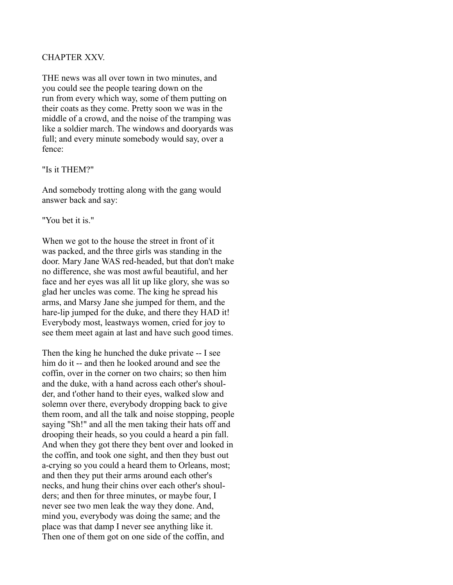## CHAPTER XXV.

THE news was all over town in two minutes, and you could see the people tearing down on the run from every which way, some of them putting on their coats as they come. Pretty soon we was in the middle of a crowd, and the noise of the tramping was like a soldier march. The windows and dooryards was full; and every minute somebody would say, over a fence:

#### "Is it THEM?"

And somebody trotting along with the gang would answer back and say:

"You bet it is."

When we got to the house the street in front of it was packed, and the three girls was standing in the door. Mary Jane WAS red-headed, but that don't make no difference, she was most awful beautiful, and her face and her eyes was all lit up like glory, she was so glad her uncles was come. The king he spread his arms, and Marsy Jane she jumped for them, and the hare-lip jumped for the duke, and there they HAD it! Everybody most, leastways women, cried for joy to see them meet again at last and have such good times.

Then the king he hunched the duke private -- I see him do it -- and then he looked around and see the coffin, over in the corner on two chairs; so then him and the duke, with a hand across each other's shoulder, and t'other hand to their eyes, walked slow and solemn over there, everybody dropping back to give them room, and all the talk and noise stopping, people saying "Sh!" and all the men taking their hats off and drooping their heads, so you could a heard a pin fall. And when they got there they bent over and looked in the coffin, and took one sight, and then they bust out a-crying so you could a heard them to Orleans, most; and then they put their arms around each other's necks, and hung their chins over each other's shoulders; and then for three minutes, or maybe four, I never see two men leak the way they done. And, mind you, everybody was doing the same; and the place was that damp I never see anything like it. Then one of them got on one side of the coffin, and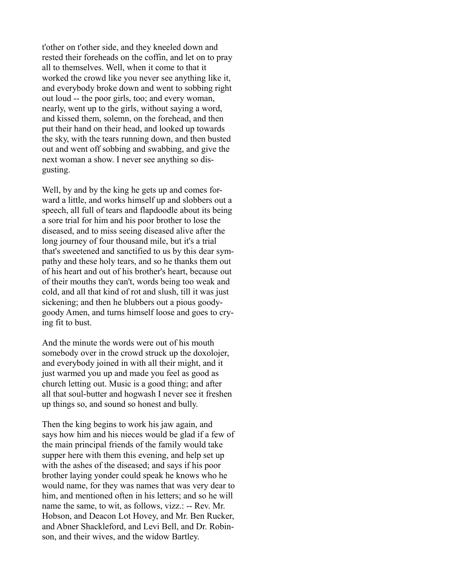t'other on t'other side, and they kneeled down and rested their foreheads on the coffin, and let on to pray all to themselves. Well, when it come to that it worked the crowd like you never see anything like it, and everybody broke down and went to sobbing right out loud -- the poor girls, too; and every woman, nearly, went up to the girls, without saying a word, and kissed them, solemn, on the forehead, and then put their hand on their head, and looked up towards the sky, with the tears running down, and then busted out and went off sobbing and swabbing, and give the next woman a show. I never see anything so disgusting.

Well, by and by the king he gets up and comes forward a little, and works himself up and slobbers out a speech, all full of tears and flapdoodle about its being a sore trial for him and his poor brother to lose the diseased, and to miss seeing diseased alive after the long journey of four thousand mile, but it's a trial that's sweetened and sanctified to us by this dear sympathy and these holy tears, and so he thanks them out of his heart and out of his brother's heart, because out of their mouths they can't, words being too weak and cold, and all that kind of rot and slush, till it was just sickening; and then he blubbers out a pious goodygoody Amen, and turns himself loose and goes to crying fit to bust.

And the minute the words were out of his mouth somebody over in the crowd struck up the doxolojer, and everybody joined in with all their might, and it just warmed you up and made you feel as good as church letting out. Music is a good thing; and after all that soul-butter and hogwash I never see it freshen up things so, and sound so honest and bully.

Then the king begins to work his jaw again, and says how him and his nieces would be glad if a few of the main principal friends of the family would take supper here with them this evening, and help set up with the ashes of the diseased; and says if his poor brother laying yonder could speak he knows who he would name, for they was names that was very dear to him, and mentioned often in his letters; and so he will name the same, to wit, as follows, vizz.: -- Rev. Mr. Hobson, and Deacon Lot Hovey, and Mr. Ben Rucker, and Abner Shackleford, and Levi Bell, and Dr. Robinson, and their wives, and the widow Bartley.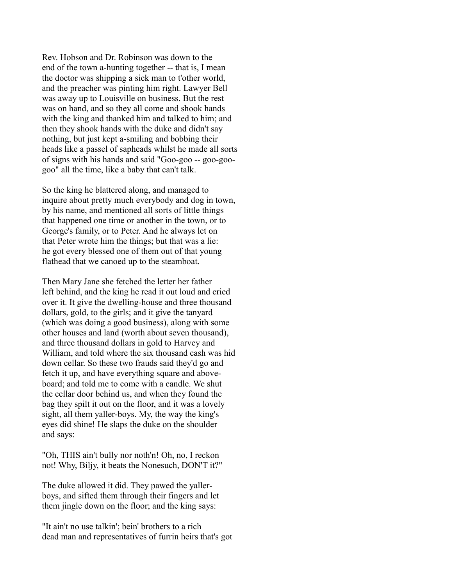Rev. Hobson and Dr. Robinson was down to the end of the town a-hunting together -- that is, I mean the doctor was shipping a sick man to t'other world, and the preacher was pinting him right. Lawyer Bell was away up to Louisville on business. But the rest was on hand, and so they all come and shook hands with the king and thanked him and talked to him; and then they shook hands with the duke and didn't say nothing, but just kept a-smiling and bobbing their heads like a passel of sapheads whilst he made all sorts of signs with his hands and said "Goo-goo -- goo-googoo" all the time, like a baby that can't talk.

So the king he blattered along, and managed to inquire about pretty much everybody and dog in town, by his name, and mentioned all sorts of little things that happened one time or another in the town, or to George's family, or to Peter. And he always let on that Peter wrote him the things; but that was a lie: he got every blessed one of them out of that young flathead that we canoed up to the steamboat.

Then Mary Jane she fetched the letter her father left behind, and the king he read it out loud and cried over it. It give the dwelling-house and three thousand dollars, gold, to the girls; and it give the tanyard (which was doing a good business), along with some other houses and land (worth about seven thousand), and three thousand dollars in gold to Harvey and William, and told where the six thousand cash was hid down cellar. So these two frauds said they'd go and fetch it up, and have everything square and aboveboard; and told me to come with a candle. We shut the cellar door behind us, and when they found the bag they spilt it out on the floor, and it was a lovely sight, all them yaller-boys. My, the way the king's eyes did shine! He slaps the duke on the shoulder and says:

"Oh, THIS ain't bully nor noth'n! Oh, no, I reckon not! Why, Biljy, it beats the Nonesuch, DON'T it?"

The duke allowed it did. They pawed the yallerboys, and sifted them through their fingers and let them jingle down on the floor; and the king says:

"It ain't no use talkin'; bein' brothers to a rich dead man and representatives of furrin heirs that's got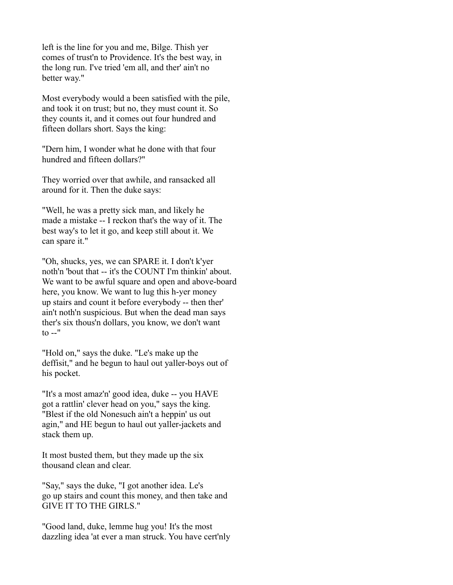left is the line for you and me, Bilge. Thish yer comes of trust'n to Providence. It's the best way, in the long run. I've tried 'em all, and ther' ain't no better way."

Most everybody would a been satisfied with the pile, and took it on trust; but no, they must count it. So they counts it, and it comes out four hundred and fifteen dollars short. Says the king:

"Dern him, I wonder what he done with that four hundred and fifteen dollars?"

They worried over that awhile, and ransacked all around for it. Then the duke says:

"Well, he was a pretty sick man, and likely he made a mistake -- I reckon that's the way of it. The best way's to let it go, and keep still about it. We can spare it."

"Oh, shucks, yes, we can SPARE it. I don't k'yer noth'n 'bout that -- it's the COUNT I'm thinkin' about. We want to be awful square and open and above-board here, you know. We want to lug this h-yer money up stairs and count it before everybody -- then ther' ain't noth'n suspicious. But when the dead man says ther's six thous'n dollars, you know, we don't want  $\mathfrak{t}$ o --"

"Hold on," says the duke. "Le's make up the deffisit," and he begun to haul out yaller-boys out of his pocket.

"It's a most amaz'n' good idea, duke -- you HAVE got a rattlin' clever head on you," says the king. "Blest if the old Nonesuch ain't a heppin' us out agin," and HE begun to haul out yaller-jackets and stack them up.

It most busted them, but they made up the six thousand clean and clear.

"Say," says the duke, "I got another idea. Le's go up stairs and count this money, and then take and GIVE IT TO THE GIRLS."

"Good land, duke, lemme hug you! It's the most dazzling idea 'at ever a man struck. You have cert'nly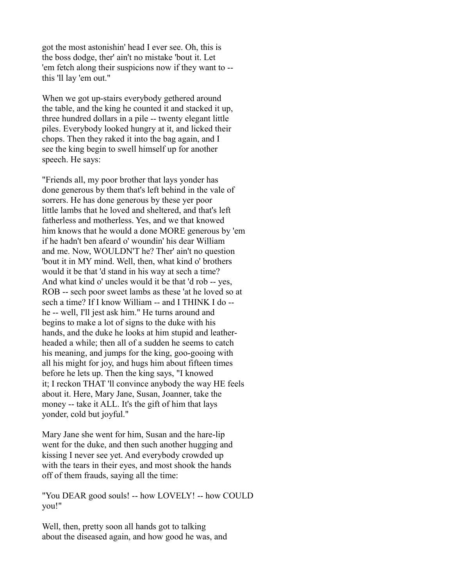got the most astonishin' head I ever see. Oh, this is the boss dodge, ther' ain't no mistake 'bout it. Let 'em fetch along their suspicions now if they want to - this 'll lay 'em out."

When we got up-stairs everybody gethered around the table, and the king he counted it and stacked it up, three hundred dollars in a pile -- twenty elegant little piles. Everybody looked hungry at it, and licked their chops. Then they raked it into the bag again, and I see the king begin to swell himself up for another speech. He says:

"Friends all, my poor brother that lays yonder has done generous by them that's left behind in the vale of sorrers. He has done generous by these yer poor little lambs that he loved and sheltered, and that's left fatherless and motherless. Yes, and we that knowed him knows that he would a done MORE generous by 'em if he hadn't ben afeard o' woundin' his dear William and me. Now, WOULDN'T he? Ther' ain't no question 'bout it in MY mind. Well, then, what kind o' brothers would it be that 'd stand in his way at sech a time? And what kind o' uncles would it be that 'd rob -- yes, ROB -- sech poor sweet lambs as these 'at he loved so at sech a time? If I know William -- and I THINK I do - he -- well, I'll jest ask him." He turns around and begins to make a lot of signs to the duke with his hands, and the duke he looks at him stupid and leatherheaded a while; then all of a sudden he seems to catch his meaning, and jumps for the king, goo-gooing with all his might for joy, and hugs him about fifteen times before he lets up. Then the king says, "I knowed it; I reckon THAT 'll convince anybody the way HE feels about it. Here, Mary Jane, Susan, Joanner, take the money -- take it ALL. It's the gift of him that lays yonder, cold but joyful."

Mary Jane she went for him, Susan and the hare-lip went for the duke, and then such another hugging and kissing I never see yet. And everybody crowded up with the tears in their eyes, and most shook the hands off of them frauds, saying all the time:

"You DEAR good souls! -- how LOVELY! -- how COULD you!"

Well, then, pretty soon all hands got to talking about the diseased again, and how good he was, and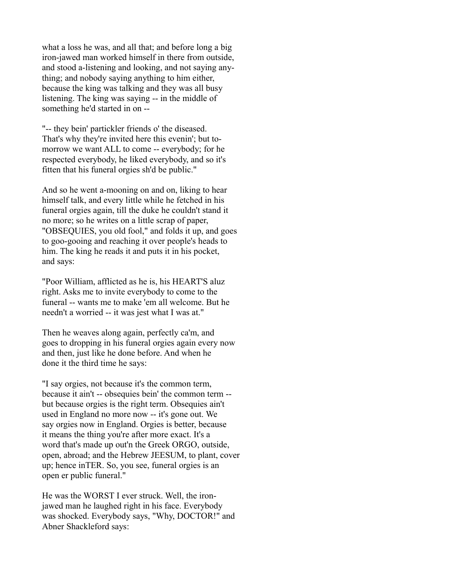what a loss he was, and all that; and before long a big iron-jawed man worked himself in there from outside, and stood a-listening and looking, and not saying anything; and nobody saying anything to him either, because the king was talking and they was all busy listening. The king was saying -- in the middle of something he'd started in on --

"-- they bein' partickler friends o' the diseased. That's why they're invited here this evenin'; but tomorrow we want ALL to come -- everybody; for he respected everybody, he liked everybody, and so it's fitten that his funeral orgies sh'd be public."

And so he went a-mooning on and on, liking to hear himself talk, and every little while he fetched in his funeral orgies again, till the duke he couldn't stand it no more; so he writes on a little scrap of paper, "OBSEQUIES, you old fool," and folds it up, and goes to goo-gooing and reaching it over people's heads to him. The king he reads it and puts it in his pocket, and says:

"Poor William, afflicted as he is, his HEART'S aluz right. Asks me to invite everybody to come to the funeral -- wants me to make 'em all welcome. But he needn't a worried -- it was jest what I was at."

Then he weaves along again, perfectly ca'm, and goes to dropping in his funeral orgies again every now and then, just like he done before. And when he done it the third time he says:

"I say orgies, not because it's the common term, because it ain't -- obsequies bein' the common term - but because orgies is the right term. Obsequies ain't used in England no more now -- it's gone out. We say orgies now in England. Orgies is better, because it means the thing you're after more exact. It's a word that's made up out'n the Greek ORGO, outside, open, abroad; and the Hebrew JEESUM, to plant, cover up; hence inTER. So, you see, funeral orgies is an open er public funeral."

He was the WORST I ever struck. Well, the ironjawed man he laughed right in his face. Everybody was shocked. Everybody says, "Why, DOCTOR!" and Abner Shackleford says: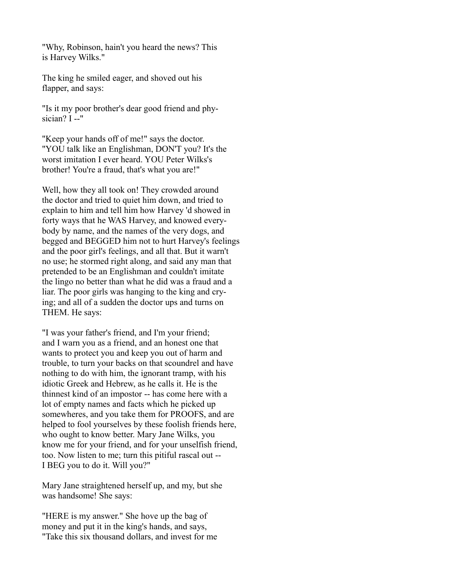"Why, Robinson, hain't you heard the news? This is Harvey Wilks."

The king he smiled eager, and shoved out his flapper, and says:

"Is it my poor brother's dear good friend and physician? I --"

"Keep your hands off of me!" says the doctor. "YOU talk like an Englishman, DON'T you? It's the worst imitation I ever heard. YOU Peter Wilks's brother! You're a fraud, that's what you are!"

Well, how they all took on! They crowded around the doctor and tried to quiet him down, and tried to explain to him and tell him how Harvey 'd showed in forty ways that he WAS Harvey, and knowed everybody by name, and the names of the very dogs, and begged and BEGGED him not to hurt Harvey's feelings and the poor girl's feelings, and all that. But it warn't no use; he stormed right along, and said any man that pretended to be an Englishman and couldn't imitate the lingo no better than what he did was a fraud and a liar. The poor girls was hanging to the king and crying; and all of a sudden the doctor ups and turns on THEM. He says:

"I was your father's friend, and I'm your friend; and I warn you as a friend, and an honest one that wants to protect you and keep you out of harm and trouble, to turn your backs on that scoundrel and have nothing to do with him, the ignorant tramp, with his idiotic Greek and Hebrew, as he calls it. He is the thinnest kind of an impostor -- has come here with a lot of empty names and facts which he picked up somewheres, and you take them for PROOFS, and are helped to fool yourselves by these foolish friends here, who ought to know better. Mary Jane Wilks, you know me for your friend, and for your unselfish friend, too. Now listen to me; turn this pitiful rascal out -- I BEG you to do it. Will you?"

Mary Jane straightened herself up, and my, but she was handsome! She says:

"HERE is my answer." She hove up the bag of money and put it in the king's hands, and says, "Take this six thousand dollars, and invest for me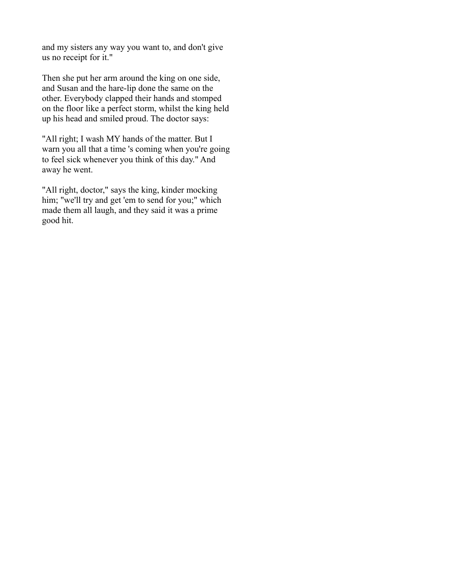and my sisters any way you want to, and don't give us no receipt for it."

Then she put her arm around the king on one side, and Susan and the hare-lip done the same on the other. Everybody clapped their hands and stomped on the floor like a perfect storm, whilst the king held up his head and smiled proud. The doctor says:

"All right; I wash MY hands of the matter. But I warn you all that a time 's coming when you're going to feel sick whenever you think of this day." And away he went.

"All right, doctor," says the king, kinder mocking him; "we'll try and get 'em to send for you;" which made them all laugh, and they said it was a prime good hit.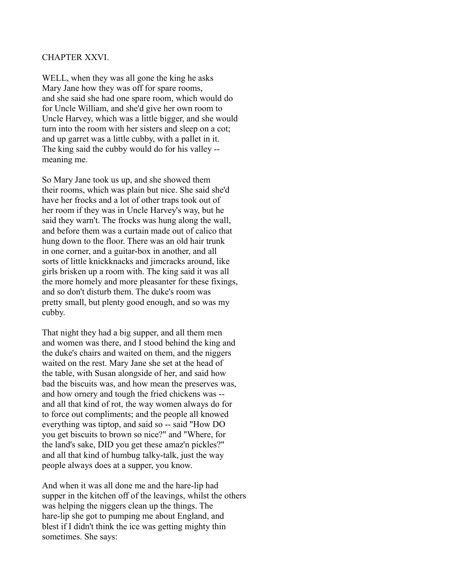## CHAPTER XXVI.

WELL, when they was all gone the king he asks Mary Jane how they was off for spare rooms, and she said she had one spare room, which would do for Uncle William, and she'd give her own room to Uncle Harvey, which was a little bigger, and she would turn into the room with her sisters and sleep on a cot; and up garret was a little cubby, with a pallet in it. The king said the cubby would do for his valley - meaning me.

So Mary Jane took us up, and she showed them their rooms, which was plain but nice. She said she'd have her frocks and a lot of other traps took out of her room if they was in Uncle Harvey's way, but he said they warn't. The frocks was hung along the wall, and before them was a curtain made out of calico that hung down to the floor. There was an old hair trunk in one corner, and a guitar-box in another, and all sorts of little knickknacks and jimcracks around, like girls brisken up a room with. The king said it was all the more homely and more pleasanter for these fixings, and so don't disturb them. The duke's room was pretty small, but plenty good enough, and so was my cubby.

That night they had a big supper, and all them men and women was there, and I stood behind the king and the duke's chairs and waited on them, and the niggers waited on the rest. Mary Jane she set at the head of the table, with Susan alongside of her, and said how bad the biscuits was, and how mean the preserves was, and how ornery and tough the fried chickens was - and all that kind of rot, the way women always do for to force out compliments; and the people all knowed everything was tiptop, and said so -- said "How DO you get biscuits to brown so nice?" and "Where, for the land's sake, DID you get these amaz'n pickles?" and all that kind of humbug talky-talk, just the way people always does at a supper, you know.

And when it was all done me and the hare-lip had supper in the kitchen off of the leavings, whilst the others was helping the niggers clean up the things. The hare-lip she got to pumping me about England, and blest if I didn't think the ice was getting mighty thin sometimes. She says: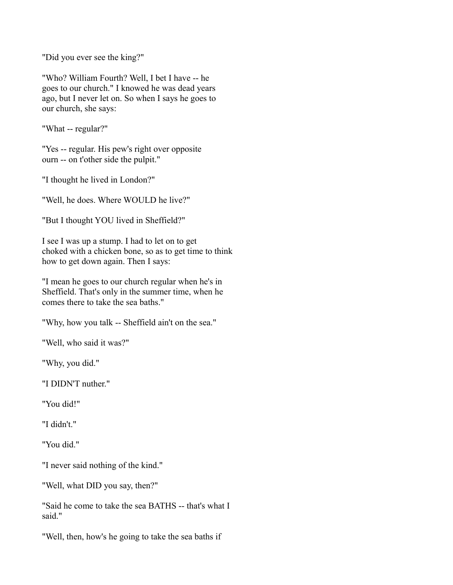"Did you ever see the king?"

"Who? William Fourth? Well, I bet I have -- he goes to our church." I knowed he was dead years ago, but I never let on. So when I says he goes to our church, she says:

"What -- regular?"

"Yes -- regular. His pew's right over opposite ourn -- on t'other side the pulpit."

"I thought he lived in London?"

"Well, he does. Where WOULD he live?"

"But I thought YOU lived in Sheffield?"

I see I was up a stump. I had to let on to get choked with a chicken bone, so as to get time to think how to get down again. Then I says:

"I mean he goes to our church regular when he's in Sheffield. That's only in the summer time, when he comes there to take the sea baths."

"Why, how you talk -- Sheffield ain't on the sea."

"Well, who said it was?"

"Why, you did."

"I DIDN'T nuther."

"You did!"

"I didn't."

"You did."

"I never said nothing of the kind."

"Well, what DID you say, then?"

"Said he come to take the sea BATHS -- that's what I said."

"Well, then, how's he going to take the sea baths if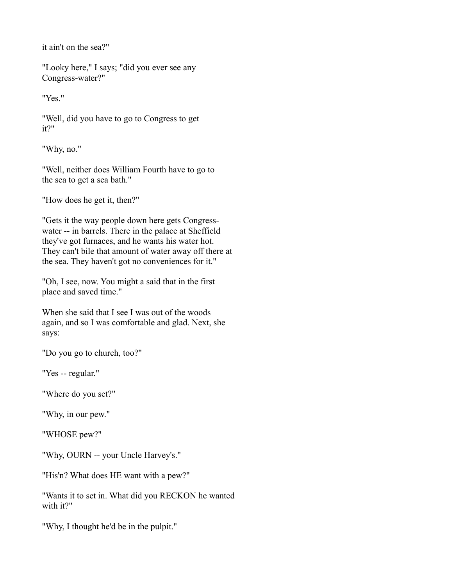it ain't on the sea?"

"Looky here," I says; "did you ever see any Congress-water?"

"Yes."

"Well, did you have to go to Congress to get it?"

"Why, no."

"Well, neither does William Fourth have to go to the sea to get a sea bath."

"How does he get it, then?"

"Gets it the way people down here gets Congresswater -- in barrels. There in the palace at Sheffield they've got furnaces, and he wants his water hot. They can't bile that amount of water away off there at the sea. They haven't got no conveniences for it."

"Oh, I see, now. You might a said that in the first place and saved time."

When she said that I see I was out of the woods again, and so I was comfortable and glad. Next, she says:

"Do you go to church, too?"

"Yes -- regular."

"Where do you set?"

"Why, in our pew."

"WHOSE pew?"

"Why, OURN -- your Uncle Harvey's."

"His'n? What does HE want with a pew?"

"Wants it to set in. What did you RECKON he wanted with it?"

"Why, I thought he'd be in the pulpit."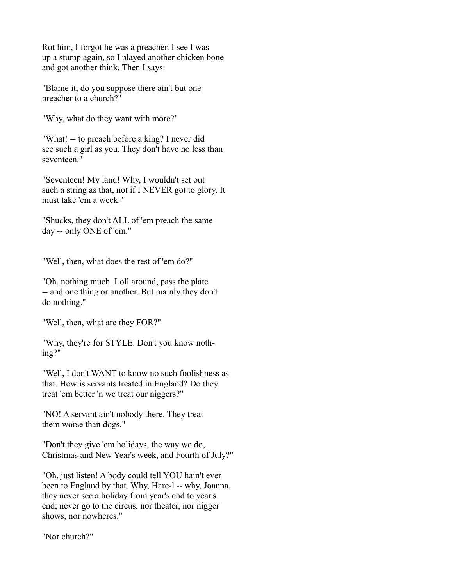Rot him, I forgot he was a preacher. I see I was up a stump again, so I played another chicken bone and got another think. Then I says:

"Blame it, do you suppose there ain't but one preacher to a church?"

"Why, what do they want with more?"

"What! -- to preach before a king? I never did see such a girl as you. They don't have no less than seventeen."

"Seventeen! My land! Why, I wouldn't set out such a string as that, not if I NEVER got to glory. It must take 'em a week."

"Shucks, they don't ALL of 'em preach the same day -- only ONE of 'em."

"Well, then, what does the rest of 'em do?"

"Oh, nothing much. Loll around, pass the plate -- and one thing or another. But mainly they don't do nothing."

"Well, then, what are they FOR?"

"Why, they're for STYLE. Don't you know nothing?"

"Well, I don't WANT to know no such foolishness as that. How is servants treated in England? Do they treat 'em better 'n we treat our niggers?"

"NO! A servant ain't nobody there. They treat them worse than dogs."

"Don't they give 'em holidays, the way we do, Christmas and New Year's week, and Fourth of July?"

"Oh, just listen! A body could tell YOU hain't ever been to England by that. Why, Hare-l -- why, Joanna, they never see a holiday from year's end to year's end; never go to the circus, nor theater, nor nigger shows, nor nowheres."

"Nor church?"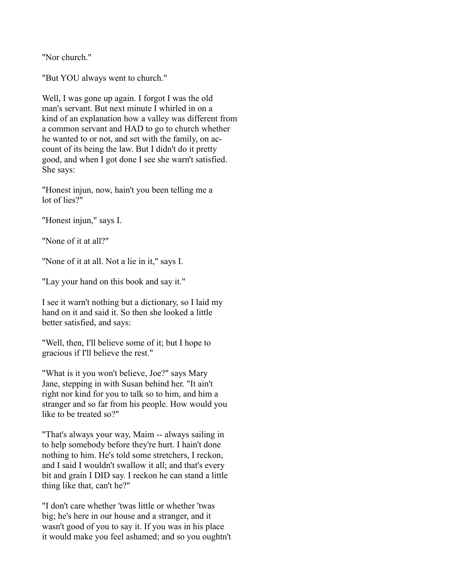"Nor church."

"But YOU always went to church."

Well, I was gone up again. I forgot I was the old man's servant. But next minute I whirled in on a kind of an explanation how a valley was different from a common servant and HAD to go to church whether he wanted to or not, and set with the family, on account of its being the law. But I didn't do it pretty good, and when I got done I see she warn't satisfied. She says:

"Honest injun, now, hain't you been telling me a lot of lies?"

"Honest injun," says I.

"None of it at all?"

"None of it at all. Not a lie in it," says I.

"Lay your hand on this book and say it."

I see it warn't nothing but a dictionary, so I laid my hand on it and said it. So then she looked a little better satisfied, and says:

"Well, then, I'll believe some of it; but I hope to gracious if I'll believe the rest."

"What is it you won't believe, Joe?" says Mary Jane, stepping in with Susan behind her. "It ain't right nor kind for you to talk so to him, and him a stranger and so far from his people. How would you like to be treated so?"

"That's always your way, Maim -- always sailing in to help somebody before they're hurt. I hain't done nothing to him. He's told some stretchers, I reckon, and I said I wouldn't swallow it all; and that's every bit and grain I DID say. I reckon he can stand a little thing like that, can't he?"

"I don't care whether 'twas little or whether 'twas big; he's here in our house and a stranger, and it wasn't good of you to say it. If you was in his place it would make you feel ashamed; and so you oughtn't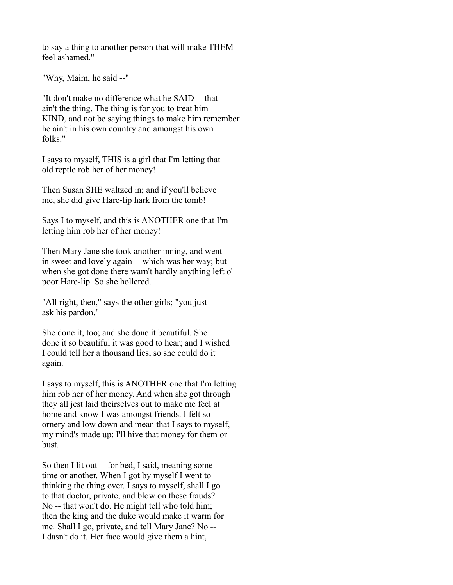to say a thing to another person that will make THEM feel ashamed."

"Why, Maim, he said --"

"It don't make no difference what he SAID -- that ain't the thing. The thing is for you to treat him KIND, and not be saying things to make him remember he ain't in his own country and amongst his own folks."

I says to myself, THIS is a girl that I'm letting that old reptle rob her of her money!

Then Susan SHE waltzed in; and if you'll believe me, she did give Hare-lip hark from the tomb!

Says I to myself, and this is ANOTHER one that I'm letting him rob her of her money!

Then Mary Jane she took another inning, and went in sweet and lovely again -- which was her way; but when she got done there warn't hardly anything left o' poor Hare-lip. So she hollered.

"All right, then," says the other girls; "you just ask his pardon."

She done it, too; and she done it beautiful. She done it so beautiful it was good to hear; and I wished I could tell her a thousand lies, so she could do it again.

I says to myself, this is ANOTHER one that I'm letting him rob her of her money. And when she got through they all jest laid theirselves out to make me feel at home and know I was amongst friends. I felt so ornery and low down and mean that I says to myself, my mind's made up; I'll hive that money for them or bust.

So then I lit out -- for bed, I said, meaning some time or another. When I got by myself I went to thinking the thing over. I says to myself, shall I go to that doctor, private, and blow on these frauds? No -- that won't do. He might tell who told him; then the king and the duke would make it warm for me. Shall I go, private, and tell Mary Jane? No -- I dasn't do it. Her face would give them a hint,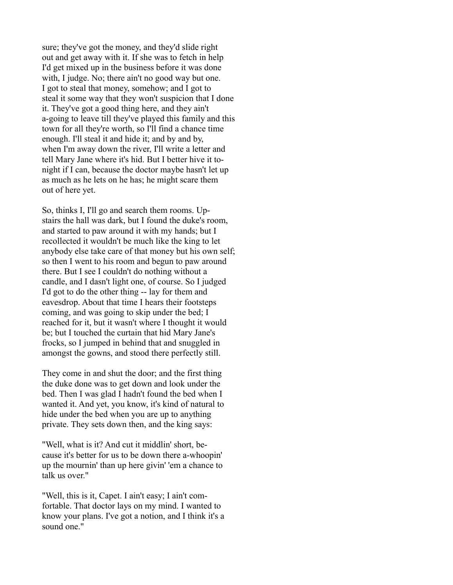sure; they've got the money, and they'd slide right out and get away with it. If she was to fetch in help I'd get mixed up in the business before it was done with, I judge. No; there ain't no good way but one. I got to steal that money, somehow; and I got to steal it some way that they won't suspicion that I done it. They've got a good thing here, and they ain't a-going to leave till they've played this family and this town for all they're worth, so I'll find a chance time enough. I'll steal it and hide it; and by and by, when I'm away down the river, I'll write a letter and tell Mary Jane where it's hid. But I better hive it tonight if I can, because the doctor maybe hasn't let up as much as he lets on he has; he might scare them out of here yet.

So, thinks I, I'll go and search them rooms. Upstairs the hall was dark, but I found the duke's room, and started to paw around it with my hands; but I recollected it wouldn't be much like the king to let anybody else take care of that money but his own self; so then I went to his room and begun to paw around there. But I see I couldn't do nothing without a candle, and I dasn't light one, of course. So I judged I'd got to do the other thing -- lay for them and eavesdrop. About that time I hears their footsteps coming, and was going to skip under the bed; I reached for it, but it wasn't where I thought it would be; but I touched the curtain that hid Mary Jane's frocks, so I jumped in behind that and snuggled in amongst the gowns, and stood there perfectly still.

They come in and shut the door; and the first thing the duke done was to get down and look under the bed. Then I was glad I hadn't found the bed when I wanted it. And yet, you know, it's kind of natural to hide under the bed when you are up to anything private. They sets down then, and the king says:

"Well, what is it? And cut it middlin' short, because it's better for us to be down there a-whoopin' up the mournin' than up here givin' 'em a chance to talk us over."

"Well, this is it, Capet. I ain't easy; I ain't comfortable. That doctor lays on my mind. I wanted to know your plans. I've got a notion, and I think it's a sound one."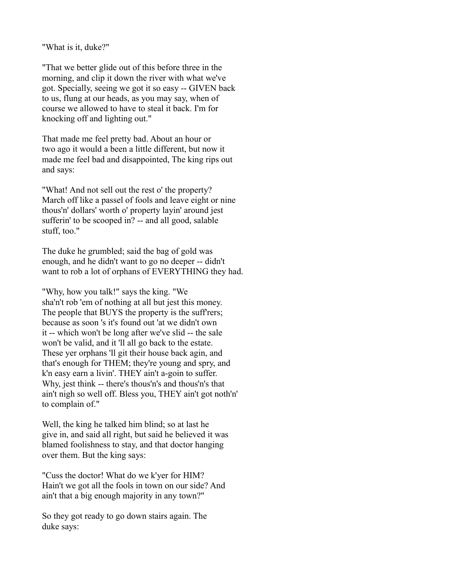"What is it, duke?"

"That we better glide out of this before three in the morning, and clip it down the river with what we've got. Specially, seeing we got it so easy -- GIVEN back to us, flung at our heads, as you may say, when of course we allowed to have to steal it back. I'm for knocking off and lighting out."

That made me feel pretty bad. About an hour or two ago it would a been a little different, but now it made me feel bad and disappointed, The king rips out and says:

"What! And not sell out the rest o' the property? March off like a passel of fools and leave eight or nine thous'n' dollars' worth o' property layin' around jest sufferin' to be scooped in? -- and all good, salable stuff, too."

The duke he grumbled; said the bag of gold was enough, and he didn't want to go no deeper -- didn't want to rob a lot of orphans of EVERYTHING they had.

"Why, how you talk!" says the king. "We sha'n't rob 'em of nothing at all but jest this money. The people that BUYS the property is the suff rers; because as soon 's it's found out 'at we didn't own it -- which won't be long after we've slid -- the sale won't be valid, and it 'll all go back to the estate. These yer orphans 'll git their house back agin, and that's enough for THEM; they're young and spry, and k'n easy earn a livin'. THEY ain't a-goin to suffer. Why, jest think -- there's thous'n's and thous'n's that ain't nigh so well off. Bless you, THEY ain't got noth'n' to complain of."

Well, the king he talked him blind; so at last he give in, and said all right, but said he believed it was blamed foolishness to stay, and that doctor hanging over them. But the king says:

"Cuss the doctor! What do we k'yer for HIM? Hain't we got all the fools in town on our side? And ain't that a big enough majority in any town?"

So they got ready to go down stairs again. The duke says: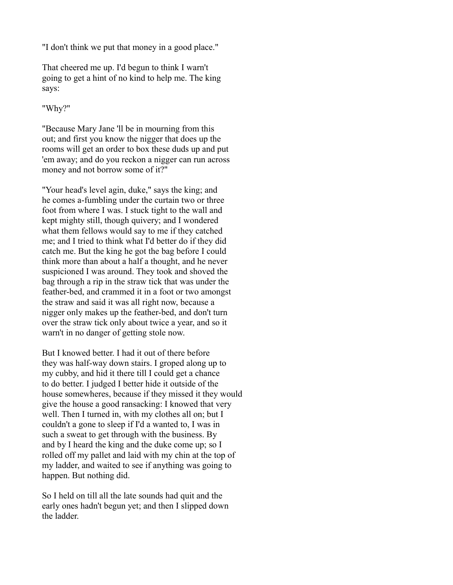"I don't think we put that money in a good place."

That cheered me up. I'd begun to think I warn't going to get a hint of no kind to help me. The king says:

"Why?"

"Because Mary Jane 'll be in mourning from this out; and first you know the nigger that does up the rooms will get an order to box these duds up and put 'em away; and do you reckon a nigger can run across money and not borrow some of it?"

"Your head's level agin, duke," says the king; and he comes a-fumbling under the curtain two or three foot from where I was. I stuck tight to the wall and kept mighty still, though quivery; and I wondered what them fellows would say to me if they catched me; and I tried to think what I'd better do if they did catch me. But the king he got the bag before I could think more than about a half a thought, and he never suspicioned I was around. They took and shoved the bag through a rip in the straw tick that was under the feather-bed, and crammed it in a foot or two amongst the straw and said it was all right now, because a nigger only makes up the feather-bed, and don't turn over the straw tick only about twice a year, and so it warn't in no danger of getting stole now.

But I knowed better. I had it out of there before they was half-way down stairs. I groped along up to my cubby, and hid it there till I could get a chance to do better. I judged I better hide it outside of the house somewheres, because if they missed it they would give the house a good ransacking: I knowed that very well. Then I turned in, with my clothes all on; but I couldn't a gone to sleep if I'd a wanted to, I was in such a sweat to get through with the business. By and by I heard the king and the duke come up; so I rolled off my pallet and laid with my chin at the top of my ladder, and waited to see if anything was going to happen. But nothing did.

So I held on till all the late sounds had quit and the early ones hadn't begun yet; and then I slipped down the ladder.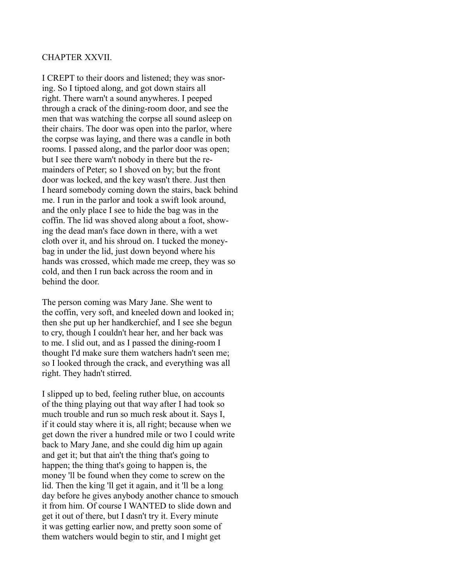#### CHAPTER XXVII.

I CREPT to their doors and listened; they was snoring. So I tiptoed along, and got down stairs all right. There warn't a sound anywheres. I peeped through a crack of the dining-room door, and see the men that was watching the corpse all sound asleep on their chairs. The door was open into the parlor, where the corpse was laying, and there was a candle in both rooms. I passed along, and the parlor door was open; but I see there warn't nobody in there but the remainders of Peter; so I shoved on by; but the front door was locked, and the key wasn't there. Just then I heard somebody coming down the stairs, back behind me. I run in the parlor and took a swift look around, and the only place I see to hide the bag was in the coffin. The lid was shoved along about a foot, showing the dead man's face down in there, with a wet cloth over it, and his shroud on. I tucked the moneybag in under the lid, just down beyond where his hands was crossed, which made me creep, they was so cold, and then I run back across the room and in behind the door.

The person coming was Mary Jane. She went to the coffin, very soft, and kneeled down and looked in; then she put up her handkerchief, and I see she begun to cry, though I couldn't hear her, and her back was to me. I slid out, and as I passed the dining-room I thought I'd make sure them watchers hadn't seen me; so I looked through the crack, and everything was all right. They hadn't stirred.

I slipped up to bed, feeling ruther blue, on accounts of the thing playing out that way after I had took so much trouble and run so much resk about it. Says I, if it could stay where it is, all right; because when we get down the river a hundred mile or two I could write back to Mary Jane, and she could dig him up again and get it; but that ain't the thing that's going to happen; the thing that's going to happen is, the money 'll be found when they come to screw on the lid. Then the king 'll get it again, and it 'll be a long day before he gives anybody another chance to smouch it from him. Of course I WANTED to slide down and get it out of there, but I dasn't try it. Every minute it was getting earlier now, and pretty soon some of them watchers would begin to stir, and I might get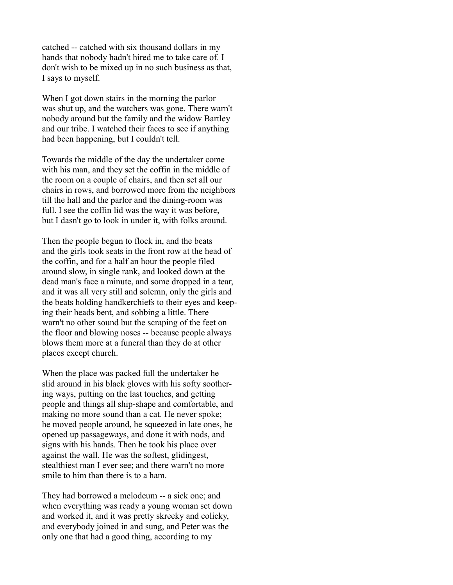catched -- catched with six thousand dollars in my hands that nobody hadn't hired me to take care of. I don't wish to be mixed up in no such business as that, I says to myself.

When I got down stairs in the morning the parlor was shut up, and the watchers was gone. There warn't nobody around but the family and the widow Bartley and our tribe. I watched their faces to see if anything had been happening, but I couldn't tell.

Towards the middle of the day the undertaker come with his man, and they set the coffin in the middle of the room on a couple of chairs, and then set all our chairs in rows, and borrowed more from the neighbors till the hall and the parlor and the dining-room was full. I see the coffin lid was the way it was before, but I dasn't go to look in under it, with folks around.

Then the people begun to flock in, and the beats and the girls took seats in the front row at the head of the coffin, and for a half an hour the people filed around slow, in single rank, and looked down at the dead man's face a minute, and some dropped in a tear, and it was all very still and solemn, only the girls and the beats holding handkerchiefs to their eyes and keeping their heads bent, and sobbing a little. There warn't no other sound but the scraping of the feet on the floor and blowing noses -- because people always blows them more at a funeral than they do at other places except church.

When the place was packed full the undertaker he slid around in his black gloves with his softy soothering ways, putting on the last touches, and getting people and things all ship-shape and comfortable, and making no more sound than a cat. He never spoke; he moved people around, he squeezed in late ones, he opened up passageways, and done it with nods, and signs with his hands. Then he took his place over against the wall. He was the softest, glidingest, stealthiest man I ever see; and there warn't no more smile to him than there is to a ham.

They had borrowed a melodeum -- a sick one; and when everything was ready a young woman set down and worked it, and it was pretty skreeky and colicky, and everybody joined in and sung, and Peter was the only one that had a good thing, according to my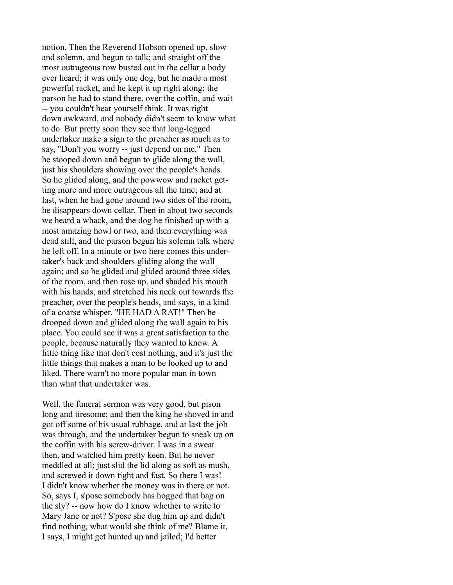notion. Then the Reverend Hobson opened up, slow and solemn, and begun to talk; and straight off the most outrageous row busted out in the cellar a body ever heard; it was only one dog, but he made a most powerful racket, and he kept it up right along; the parson he had to stand there, over the coffin, and wait -- you couldn't hear yourself think. It was right down awkward, and nobody didn't seem to know what to do. But pretty soon they see that long-legged undertaker make a sign to the preacher as much as to say, "Don't you worry -- just depend on me." Then he stooped down and begun to glide along the wall, just his shoulders showing over the people's heads. So he glided along, and the powwow and racket getting more and more outrageous all the time; and at last, when he had gone around two sides of the room, he disappears down cellar. Then in about two seconds we heard a whack, and the dog he finished up with a most amazing howl or two, and then everything was dead still, and the parson begun his solemn talk where he left off. In a minute or two here comes this undertaker's back and shoulders gliding along the wall again; and so he glided and glided around three sides of the room, and then rose up, and shaded his mouth with his hands, and stretched his neck out towards the preacher, over the people's heads, and says, in a kind of a coarse whisper, "HE HAD A RAT!" Then he drooped down and glided along the wall again to his place. You could see it was a great satisfaction to the people, because naturally they wanted to know. A little thing like that don't cost nothing, and it's just the little things that makes a man to be looked up to and liked. There warn't no more popular man in town than what that undertaker was.

Well, the funeral sermon was very good, but pison long and tiresome; and then the king he shoved in and got off some of his usual rubbage, and at last the job was through, and the undertaker begun to sneak up on the coffin with his screw-driver. I was in a sweat then, and watched him pretty keen. But he never meddled at all; just slid the lid along as soft as mush, and screwed it down tight and fast. So there I was! I didn't know whether the money was in there or not. So, says I, s'pose somebody has hogged that bag on the sly? -- now how do I know whether to write to Mary Jane or not? S'pose she dug him up and didn't find nothing, what would she think of me? Blame it, I says, I might get hunted up and jailed; I'd better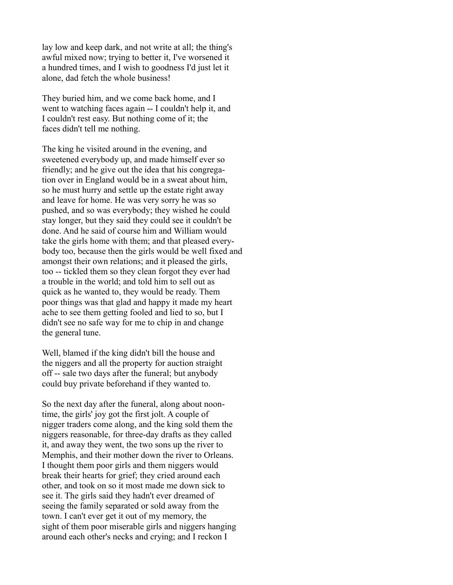lay low and keep dark, and not write at all; the thing's awful mixed now; trying to better it, I've worsened it a hundred times, and I wish to goodness I'd just let it alone, dad fetch the whole business!

They buried him, and we come back home, and I went to watching faces again -- I couldn't help it, and I couldn't rest easy. But nothing come of it; the faces didn't tell me nothing.

The king he visited around in the evening, and sweetened everybody up, and made himself ever so friendly; and he give out the idea that his congregation over in England would be in a sweat about him, so he must hurry and settle up the estate right away and leave for home. He was very sorry he was so pushed, and so was everybody; they wished he could stay longer, but they said they could see it couldn't be done. And he said of course him and William would take the girls home with them; and that pleased everybody too, because then the girls would be well fixed and amongst their own relations; and it pleased the girls, too -- tickled them so they clean forgot they ever had a trouble in the world; and told him to sell out as quick as he wanted to, they would be ready. Them poor things was that glad and happy it made my heart ache to see them getting fooled and lied to so, but I didn't see no safe way for me to chip in and change the general tune.

Well, blamed if the king didn't bill the house and the niggers and all the property for auction straight off -- sale two days after the funeral; but anybody could buy private beforehand if they wanted to.

So the next day after the funeral, along about noontime, the girls' joy got the first jolt. A couple of nigger traders come along, and the king sold them the niggers reasonable, for three-day drafts as they called it, and away they went, the two sons up the river to Memphis, and their mother down the river to Orleans. I thought them poor girls and them niggers would break their hearts for grief; they cried around each other, and took on so it most made me down sick to see it. The girls said they hadn't ever dreamed of seeing the family separated or sold away from the town. I can't ever get it out of my memory, the sight of them poor miserable girls and niggers hanging around each other's necks and crying; and I reckon I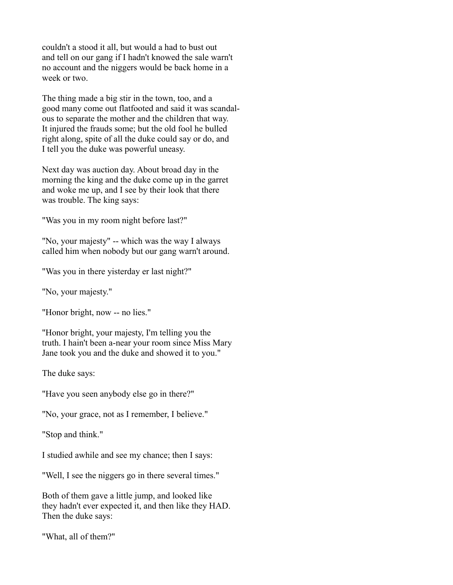couldn't a stood it all, but would a had to bust out and tell on our gang if I hadn't knowed the sale warn't no account and the niggers would be back home in a week or two.

The thing made a big stir in the town, too, and a good many come out flatfooted and said it was scandalous to separate the mother and the children that way. It injured the frauds some; but the old fool he bulled right along, spite of all the duke could say or do, and I tell you the duke was powerful uneasy.

Next day was auction day. About broad day in the morning the king and the duke come up in the garret and woke me up, and I see by their look that there was trouble. The king says:

"Was you in my room night before last?"

"No, your majesty" -- which was the way I always called him when nobody but our gang warn't around.

"Was you in there yisterday er last night?"

"No, your majesty."

"Honor bright, now -- no lies."

"Honor bright, your majesty, I'm telling you the truth. I hain't been a-near your room since Miss Mary Jane took you and the duke and showed it to you."

The duke says:

"Have you seen anybody else go in there?"

"No, your grace, not as I remember, I believe."

"Stop and think."

I studied awhile and see my chance; then I says:

"Well, I see the niggers go in there several times."

Both of them gave a little jump, and looked like they hadn't ever expected it, and then like they HAD. Then the duke says:

"What, all of them?"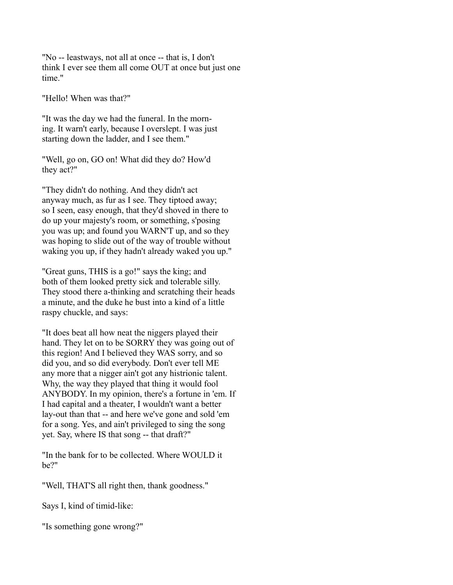"No -- leastways, not all at once -- that is, I don't think I ever see them all come OUT at once but just one time."

"Hello! When was that?"

"It was the day we had the funeral. In the morning. It warn't early, because I overslept. I was just starting down the ladder, and I see them."

"Well, go on, GO on! What did they do? How'd they act?"

"They didn't do nothing. And they didn't act anyway much, as fur as I see. They tiptoed away; so I seen, easy enough, that they'd shoved in there to do up your majesty's room, or something, s'posing you was up; and found you WARN'T up, and so they was hoping to slide out of the way of trouble without waking you up, if they hadn't already waked you up."

"Great guns, THIS is a go!" says the king; and both of them looked pretty sick and tolerable silly. They stood there a-thinking and scratching their heads a minute, and the duke he bust into a kind of a little raspy chuckle, and says:

"It does beat all how neat the niggers played their hand. They let on to be SORRY they was going out of this region! And I believed they WAS sorry, and so did you, and so did everybody. Don't ever tell ME any more that a nigger ain't got any histrionic talent. Why, the way they played that thing it would fool ANYBODY. In my opinion, there's a fortune in 'em. If I had capital and a theater, I wouldn't want a better lay-out than that -- and here we've gone and sold 'em for a song. Yes, and ain't privileged to sing the song yet. Say, where IS that song -- that draft?"

"In the bank for to be collected. Where WOULD it be?"

"Well, THAT'S all right then, thank goodness."

Says I, kind of timid-like:

"Is something gone wrong?"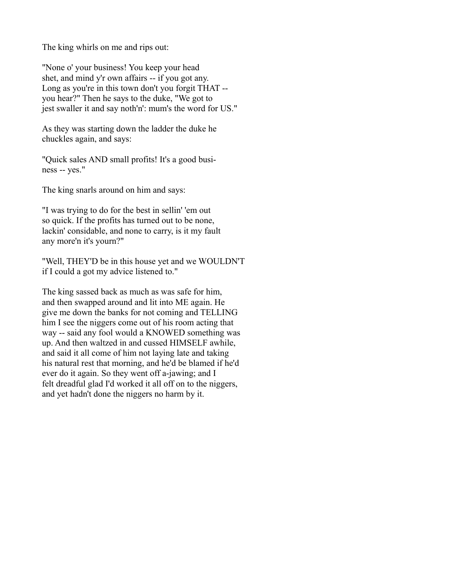The king whirls on me and rips out:

"None o' your business! You keep your head shet, and mind y'r own affairs -- if you got any. Long as you're in this town don't you forgit THAT - you hear?" Then he says to the duke, "We got to jest swaller it and say noth'n': mum's the word for US."

As they was starting down the ladder the duke he chuckles again, and says:

"Quick sales AND small profits! It's a good business -- yes."

The king snarls around on him and says:

"I was trying to do for the best in sellin' 'em out so quick. If the profits has turned out to be none, lackin' considable, and none to carry, is it my fault any more'n it's yourn?"

"Well, THEY'D be in this house yet and we WOULDN'T if I could a got my advice listened to."

The king sassed back as much as was safe for him, and then swapped around and lit into ME again. He give me down the banks for not coming and TELLING him I see the niggers come out of his room acting that way -- said any fool would a KNOWED something was up. And then waltzed in and cussed HIMSELF awhile, and said it all come of him not laying late and taking his natural rest that morning, and he'd be blamed if he'd ever do it again. So they went off a-jawing; and I felt dreadful glad I'd worked it all off on to the niggers, and yet hadn't done the niggers no harm by it.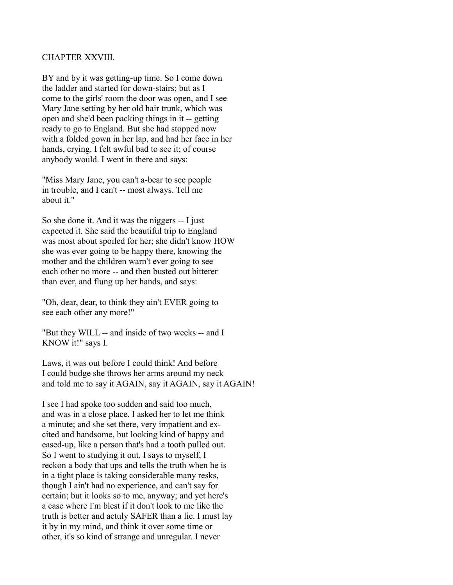### CHAPTER XXVIII.

BY and by it was getting-up time. So I come down the ladder and started for down-stairs; but as I come to the girls' room the door was open, and I see Mary Jane setting by her old hair trunk, which was open and she'd been packing things in it -- getting ready to go to England. But she had stopped now with a folded gown in her lap, and had her face in her hands, crying. I felt awful bad to see it; of course anybody would. I went in there and says:

"Miss Mary Jane, you can't a-bear to see people in trouble, and I can't -- most always. Tell me about it."

So she done it. And it was the niggers -- I just expected it. She said the beautiful trip to England was most about spoiled for her; she didn't know HOW she was ever going to be happy there, knowing the mother and the children warn't ever going to see each other no more -- and then busted out bitterer than ever, and flung up her hands, and says:

"Oh, dear, dear, to think they ain't EVER going to see each other any more!"

"But they WILL -- and inside of two weeks -- and I KNOW it!" says I.

Laws, it was out before I could think! And before I could budge she throws her arms around my neck and told me to say it AGAIN, say it AGAIN, say it AGAIN!

I see I had spoke too sudden and said too much, and was in a close place. I asked her to let me think a minute; and she set there, very impatient and excited and handsome, but looking kind of happy and eased-up, like a person that's had a tooth pulled out. So I went to studying it out. I says to myself, I reckon a body that ups and tells the truth when he is in a tight place is taking considerable many resks, though I ain't had no experience, and can't say for certain; but it looks so to me, anyway; and yet here's a case where I'm blest if it don't look to me like the truth is better and actuly SAFER than a lie. I must lay it by in my mind, and think it over some time or other, it's so kind of strange and unregular. I never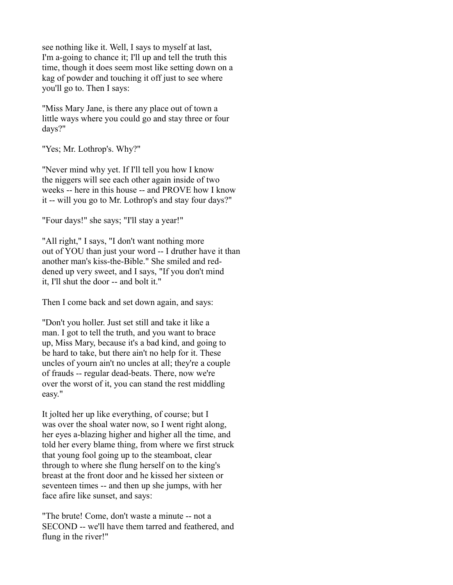see nothing like it. Well, I says to myself at last, I'm a-going to chance it; I'll up and tell the truth this time, though it does seem most like setting down on a kag of powder and touching it off just to see where you'll go to. Then I says:

"Miss Mary Jane, is there any place out of town a little ways where you could go and stay three or four days?"

"Yes; Mr. Lothrop's. Why?"

"Never mind why yet. If I'll tell you how I know the niggers will see each other again inside of two weeks -- here in this house -- and PROVE how I know it -- will you go to Mr. Lothrop's and stay four days?"

"Four days!" she says; "I'll stay a year!"

"All right," I says, "I don't want nothing more out of YOU than just your word -- I druther have it than another man's kiss-the-Bible." She smiled and reddened up very sweet, and I says, "If you don't mind it, I'll shut the door -- and bolt it."

Then I come back and set down again, and says:

"Don't you holler. Just set still and take it like a man. I got to tell the truth, and you want to brace up, Miss Mary, because it's a bad kind, and going to be hard to take, but there ain't no help for it. These uncles of yourn ain't no uncles at all; they're a couple of frauds -- regular dead-beats. There, now we're over the worst of it, you can stand the rest middling easy."

It jolted her up like everything, of course; but I was over the shoal water now, so I went right along, her eyes a-blazing higher and higher all the time, and told her every blame thing, from where we first struck that young fool going up to the steamboat, clear through to where she flung herself on to the king's breast at the front door and he kissed her sixteen or seventeen times -- and then up she jumps, with her face afire like sunset, and says:

"The brute! Come, don't waste a minute -- not a SECOND -- we'll have them tarred and feathered, and flung in the river!"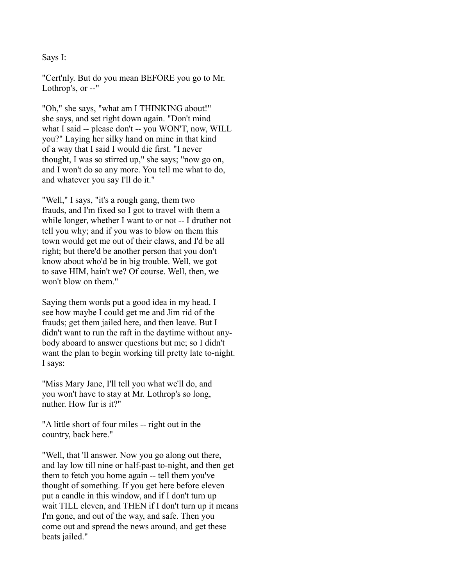### Says I:

"Cert'nly. But do you mean BEFORE you go to Mr. Lothrop's, or --"

"Oh," she says, "what am I THINKING about!" she says, and set right down again. "Don't mind what I said -- please don't -- you WON'T, now, WILL you?" Laying her silky hand on mine in that kind of a way that I said I would die first. "I never thought, I was so stirred up," she says; "now go on, and I won't do so any more. You tell me what to do, and whatever you say I'll do it."

"Well," I says, "it's a rough gang, them two frauds, and I'm fixed so I got to travel with them a while longer, whether I want to or not -- I druther not tell you why; and if you was to blow on them this town would get me out of their claws, and I'd be all right; but there'd be another person that you don't know about who'd be in big trouble. Well, we got to save HIM, hain't we? Of course. Well, then, we won't blow on them."

Saying them words put a good idea in my head. I see how maybe I could get me and Jim rid of the frauds; get them jailed here, and then leave. But I didn't want to run the raft in the daytime without anybody aboard to answer questions but me; so I didn't want the plan to begin working till pretty late to-night. I says:

"Miss Mary Jane, I'll tell you what we'll do, and you won't have to stay at Mr. Lothrop's so long, nuther. How fur is it?"

"A little short of four miles -- right out in the country, back here."

"Well, that 'll answer. Now you go along out there, and lay low till nine or half-past to-night, and then get them to fetch you home again -- tell them you've thought of something. If you get here before eleven put a candle in this window, and if I don't turn up wait TILL eleven, and THEN if I don't turn up it means I'm gone, and out of the way, and safe. Then you come out and spread the news around, and get these beats jailed."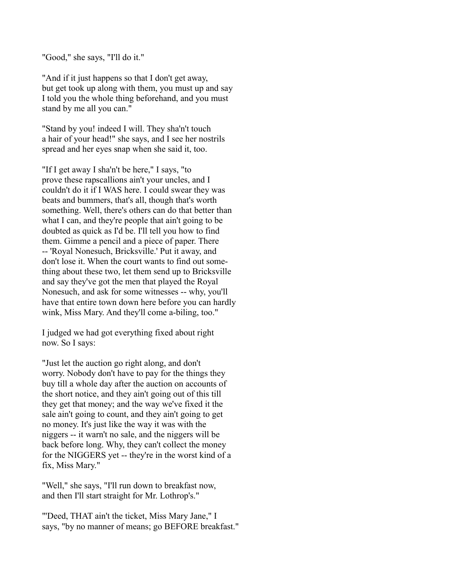"Good," she says, "I'll do it."

"And if it just happens so that I don't get away, but get took up along with them, you must up and say I told you the whole thing beforehand, and you must stand by me all you can."

"Stand by you! indeed I will. They sha'n't touch a hair of your head!" she says, and I see her nostrils spread and her eyes snap when she said it, too.

"If I get away I sha'n't be here," I says, "to prove these rapscallions ain't your uncles, and I couldn't do it if I WAS here. I could swear they was beats and bummers, that's all, though that's worth something. Well, there's others can do that better than what I can, and they're people that ain't going to be doubted as quick as I'd be. I'll tell you how to find them. Gimme a pencil and a piece of paper. There -- 'Royal Nonesuch, Bricksville.' Put it away, and don't lose it. When the court wants to find out something about these two, let them send up to Bricksville and say they've got the men that played the Royal Nonesuch, and ask for some witnesses -- why, you'll have that entire town down here before you can hardly wink, Miss Mary. And they'll come a-biling, too."

I judged we had got everything fixed about right now. So I says:

"Just let the auction go right along, and don't worry. Nobody don't have to pay for the things they buy till a whole day after the auction on accounts of the short notice, and they ain't going out of this till they get that money; and the way we've fixed it the sale ain't going to count, and they ain't going to get no money. It's just like the way it was with the niggers -- it warn't no sale, and the niggers will be back before long. Why, they can't collect the money for the NIGGERS yet -- they're in the worst kind of a fix, Miss Mary."

"Well," she says, "I'll run down to breakfast now, and then I'll start straight for Mr. Lothrop's."

"'Deed, THAT ain't the ticket, Miss Mary Jane," I says, "by no manner of means; go BEFORE breakfast."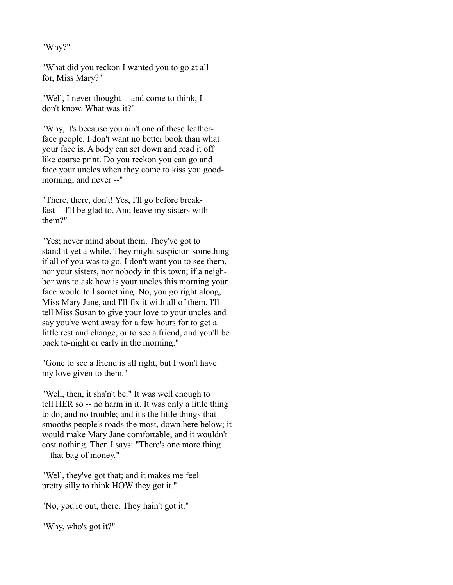## "Why?"

"What did you reckon I wanted you to go at all for, Miss Mary?"

"Well, I never thought -- and come to think, I don't know. What was it?"

"Why, it's because you ain't one of these leatherface people. I don't want no better book than what your face is. A body can set down and read it off like coarse print. Do you reckon you can go and face your uncles when they come to kiss you goodmorning, and never --"

"There, there, don't! Yes, I'll go before breakfast -- I'll be glad to. And leave my sisters with them?"

"Yes; never mind about them. They've got to stand it yet a while. They might suspicion something if all of you was to go. I don't want you to see them, nor your sisters, nor nobody in this town; if a neighbor was to ask how is your uncles this morning your face would tell something. No, you go right along, Miss Mary Jane, and I'll fix it with all of them. I'll tell Miss Susan to give your love to your uncles and say you've went away for a few hours for to get a little rest and change, or to see a friend, and you'll be back to-night or early in the morning."

"Gone to see a friend is all right, but I won't have my love given to them."

"Well, then, it sha'n't be." It was well enough to tell HER so -- no harm in it. It was only a little thing to do, and no trouble; and it's the little things that smooths people's roads the most, down here below; it would make Mary Jane comfortable, and it wouldn't cost nothing. Then I says: "There's one more thing -- that bag of money."

"Well, they've got that; and it makes me feel pretty silly to think HOW they got it."

"No, you're out, there. They hain't got it."

"Why, who's got it?"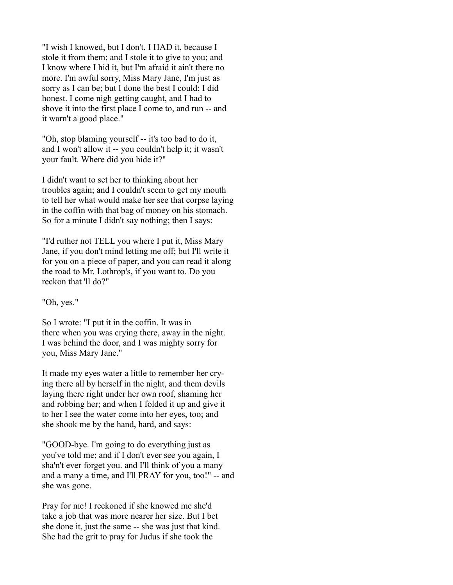"I wish I knowed, but I don't. I HAD it, because I stole it from them; and I stole it to give to you; and I know where I hid it, but I'm afraid it ain't there no more. I'm awful sorry, Miss Mary Jane, I'm just as sorry as I can be; but I done the best I could; I did honest. I come nigh getting caught, and I had to shove it into the first place I come to, and run -- and it warn't a good place."

"Oh, stop blaming yourself -- it's too bad to do it, and I won't allow it -- you couldn't help it; it wasn't your fault. Where did you hide it?"

I didn't want to set her to thinking about her troubles again; and I couldn't seem to get my mouth to tell her what would make her see that corpse laying in the coffin with that bag of money on his stomach. So for a minute I didn't say nothing; then I says:

"I'd ruther not TELL you where I put it, Miss Mary Jane, if you don't mind letting me off; but I'll write it for you on a piece of paper, and you can read it along the road to Mr. Lothrop's, if you want to. Do you reckon that 'll do?"

"Oh, yes."

So I wrote: "I put it in the coffin. It was in there when you was crying there, away in the night. I was behind the door, and I was mighty sorry for you, Miss Mary Jane."

It made my eyes water a little to remember her crying there all by herself in the night, and them devils laying there right under her own roof, shaming her and robbing her; and when I folded it up and give it to her I see the water come into her eyes, too; and she shook me by the hand, hard, and says:

"GOOD-bye. I'm going to do everything just as you've told me; and if I don't ever see you again, I sha'n't ever forget you. and I'll think of you a many and a many a time, and I'll PRAY for you, too!" -- and she was gone.

Pray for me! I reckoned if she knowed me she'd take a job that was more nearer her size. But I bet she done it, just the same -- she was just that kind. She had the grit to pray for Judus if she took the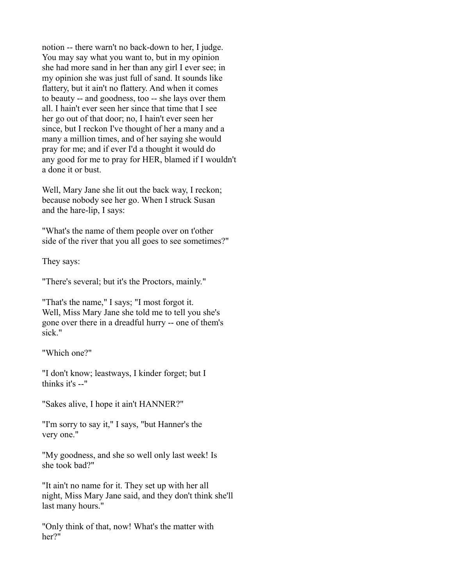notion -- there warn't no back-down to her, I judge. You may say what you want to, but in my opinion she had more sand in her than any girl I ever see; in my opinion she was just full of sand. It sounds like flattery, but it ain't no flattery. And when it comes to beauty -- and goodness, too -- she lays over them all. I hain't ever seen her since that time that I see her go out of that door; no, I hain't ever seen her since, but I reckon I've thought of her a many and a many a million times, and of her saying she would pray for me; and if ever I'd a thought it would do any good for me to pray for HER, blamed if I wouldn't a done it or bust.

Well, Mary Jane she lit out the back way, I reckon; because nobody see her go. When I struck Susan and the hare-lip, I says:

"What's the name of them people over on t'other side of the river that you all goes to see sometimes?"

They says:

"There's several; but it's the Proctors, mainly."

"That's the name," I says; "I most forgot it. Well, Miss Mary Jane she told me to tell you she's gone over there in a dreadful hurry -- one of them's sick."

"Which one?"

"I don't know; leastways, I kinder forget; but I thinks it's --"

"Sakes alive, I hope it ain't HANNER?"

"I'm sorry to say it," I says, "but Hanner's the very one."

"My goodness, and she so well only last week! Is she took bad?"

"It ain't no name for it. They set up with her all night, Miss Mary Jane said, and they don't think she'll last many hours."

"Only think of that, now! What's the matter with her?"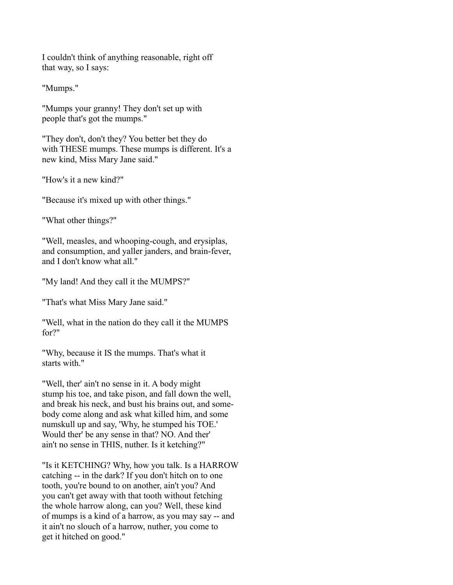I couldn't think of anything reasonable, right off that way, so I says:

"Mumps."

"Mumps your granny! They don't set up with people that's got the mumps."

"They don't, don't they? You better bet they do with THESE mumps. These mumps is different. It's a new kind, Miss Mary Jane said."

"How's it a new kind?"

"Because it's mixed up with other things."

"What other things?"

"Well, measles, and whooping-cough, and erysiplas, and consumption, and yaller janders, and brain-fever, and I don't know what all."

"My land! And they call it the MUMPS?"

"That's what Miss Mary Jane said."

"Well, what in the nation do they call it the MUMPS for?"

"Why, because it IS the mumps. That's what it starts with."

"Well, ther' ain't no sense in it. A body might stump his toe, and take pison, and fall down the well, and break his neck, and bust his brains out, and somebody come along and ask what killed him, and some numskull up and say, 'Why, he stumped his TOE.' Would ther' be any sense in that? NO. And ther' ain't no sense in THIS, nuther. Is it ketching?"

"Is it KETCHING? Why, how you talk. Is a HARROW catching -- in the dark? If you don't hitch on to one tooth, you're bound to on another, ain't you? And you can't get away with that tooth without fetching the whole harrow along, can you? Well, these kind of mumps is a kind of a harrow, as you may say -- and it ain't no slouch of a harrow, nuther, you come to get it hitched on good."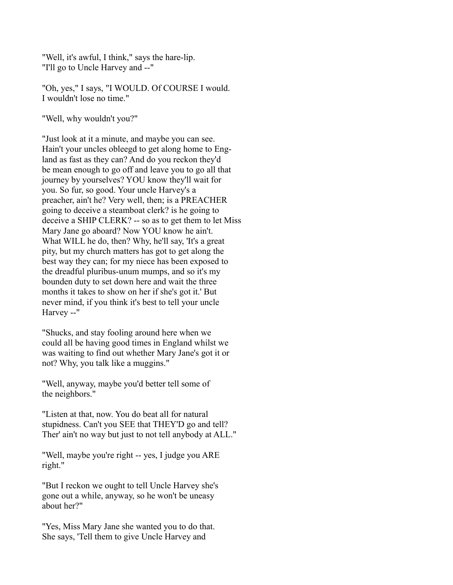"Well, it's awful, I think," says the hare-lip. "I'll go to Uncle Harvey and --"

"Oh, yes," I says, "I WOULD. Of COURSE I would. I wouldn't lose no time."

"Well, why wouldn't you?"

"Just look at it a minute, and maybe you can see. Hain't your uncles obleegd to get along home to England as fast as they can? And do you reckon they'd be mean enough to go off and leave you to go all that journey by yourselves? YOU know they'll wait for you. So fur, so good. Your uncle Harvey's a preacher, ain't he? Very well, then; is a PREACHER going to deceive a steamboat clerk? is he going to deceive a SHIP CLERK? -- so as to get them to let Miss Mary Jane go aboard? Now YOU know he ain't. What WILL he do, then? Why, he'll say, 'It's a great pity, but my church matters has got to get along the best way they can; for my niece has been exposed to the dreadful pluribus-unum mumps, and so it's my bounden duty to set down here and wait the three months it takes to show on her if she's got it.' But never mind, if you think it's best to tell your uncle Harvey --"

"Shucks, and stay fooling around here when we could all be having good times in England whilst we was waiting to find out whether Mary Jane's got it or not? Why, you talk like a muggins."

"Well, anyway, maybe you'd better tell some of the neighbors."

"Listen at that, now. You do beat all for natural stupidness. Can't you SEE that THEY'D go and tell? Ther' ain't no way but just to not tell anybody at ALL."

"Well, maybe you're right -- yes, I judge you ARE right."

"But I reckon we ought to tell Uncle Harvey she's gone out a while, anyway, so he won't be uneasy about her?"

"Yes, Miss Mary Jane she wanted you to do that. She says, 'Tell them to give Uncle Harvey and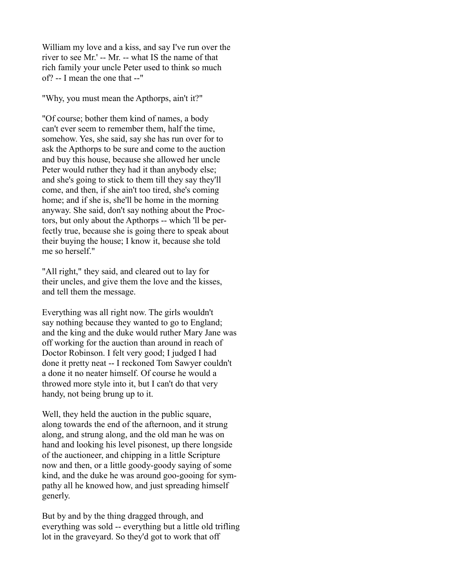William my love and a kiss, and say I've run over the river to see Mr.' -- Mr. -- what IS the name of that rich family your uncle Peter used to think so much of? -- I mean the one that --"

"Why, you must mean the Apthorps, ain't it?"

"Of course; bother them kind of names, a body can't ever seem to remember them, half the time, somehow. Yes, she said, say she has run over for to ask the Apthorps to be sure and come to the auction and buy this house, because she allowed her uncle Peter would ruther they had it than anybody else; and she's going to stick to them till they say they'll come, and then, if she ain't too tired, she's coming home; and if she is, she'll be home in the morning anyway. She said, don't say nothing about the Proctors, but only about the Apthorps -- which 'll be perfectly true, because she is going there to speak about their buying the house; I know it, because she told me so herself."

"All right," they said, and cleared out to lay for their uncles, and give them the love and the kisses, and tell them the message.

Everything was all right now. The girls wouldn't say nothing because they wanted to go to England; and the king and the duke would ruther Mary Jane was off working for the auction than around in reach of Doctor Robinson. I felt very good; I judged I had done it pretty neat -- I reckoned Tom Sawyer couldn't a done it no neater himself. Of course he would a throwed more style into it, but I can't do that very handy, not being brung up to it.

Well, they held the auction in the public square, along towards the end of the afternoon, and it strung along, and strung along, and the old man he was on hand and looking his level pisonest, up there longside of the auctioneer, and chipping in a little Scripture now and then, or a little goody-goody saying of some kind, and the duke he was around goo-gooing for sympathy all he knowed how, and just spreading himself generly.

But by and by the thing dragged through, and everything was sold -- everything but a little old trifling lot in the graveyard. So they'd got to work that off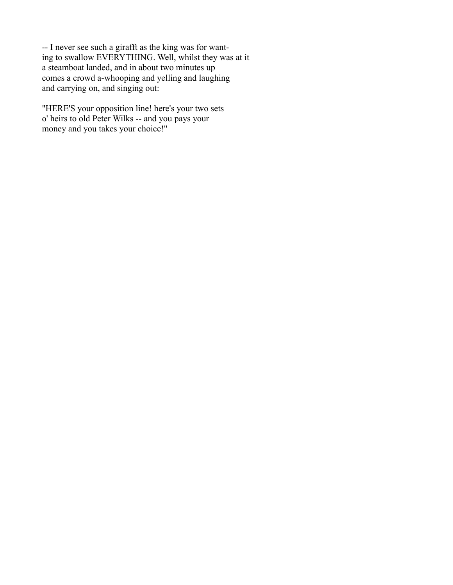-- I never see such a girafft as the king was for wanting to swallow EVERYTHING. Well, whilst they was at it a steamboat landed, and in about two minutes up comes a crowd a-whooping and yelling and laughing and carrying on, and singing out:

"HERE'S your opposition line! here's your two sets o' heirs to old Peter Wilks -- and you pays your money and you takes your choice!"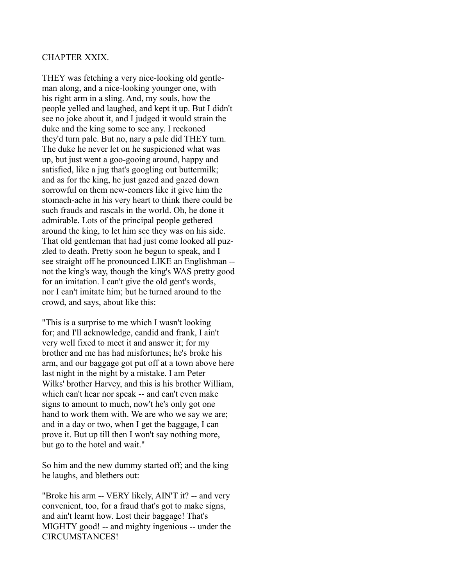# CHAPTER XXIX.

THEY was fetching a very nice-looking old gentleman along, and a nice-looking younger one, with his right arm in a sling. And, my souls, how the people yelled and laughed, and kept it up. But I didn't see no joke about it, and I judged it would strain the duke and the king some to see any. I reckoned they'd turn pale. But no, nary a pale did THEY turn. The duke he never let on he suspicioned what was up, but just went a goo-gooing around, happy and satisfied, like a jug that's googling out buttermilk; and as for the king, he just gazed and gazed down sorrowful on them new-comers like it give him the stomach-ache in his very heart to think there could be such frauds and rascals in the world. Oh, he done it admirable. Lots of the principal people gethered around the king, to let him see they was on his side. That old gentleman that had just come looked all puzzled to death. Pretty soon he begun to speak, and I see straight off he pronounced LIKE an Englishman - not the king's way, though the king's WAS pretty good for an imitation. I can't give the old gent's words, nor I can't imitate him; but he turned around to the crowd, and says, about like this:

"This is a surprise to me which I wasn't looking for; and I'll acknowledge, candid and frank, I ain't very well fixed to meet it and answer it; for my brother and me has had misfortunes; he's broke his arm, and our baggage got put off at a town above here last night in the night by a mistake. I am Peter Wilks' brother Harvey, and this is his brother William, which can't hear nor speak -- and can't even make signs to amount to much, now't he's only got one hand to work them with. We are who we say we are; and in a day or two, when I get the baggage, I can prove it. But up till then I won't say nothing more, but go to the hotel and wait."

So him and the new dummy started off; and the king he laughs, and blethers out:

"Broke his arm -- VERY likely, AIN'T it? -- and very convenient, too, for a fraud that's got to make signs, and ain't learnt how. Lost their baggage! That's MIGHTY good! -- and mighty ingenious -- under the CIRCUMSTANCES!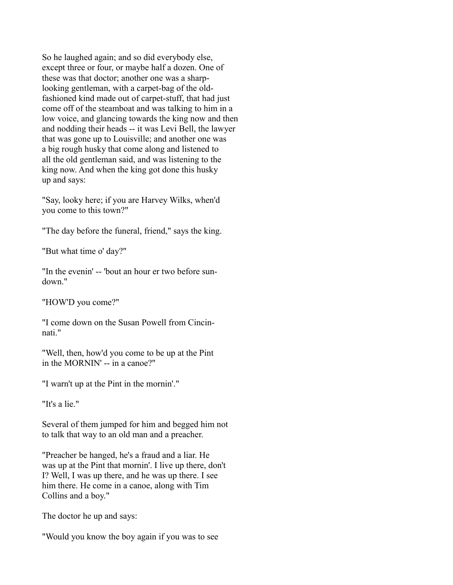So he laughed again; and so did everybody else, except three or four, or maybe half a dozen. One of these was that doctor; another one was a sharplooking gentleman, with a carpet-bag of the oldfashioned kind made out of carpet-stuff, that had just come off of the steamboat and was talking to him in a low voice, and glancing towards the king now and then and nodding their heads -- it was Levi Bell, the lawyer that was gone up to Louisville; and another one was a big rough husky that come along and listened to all the old gentleman said, and was listening to the king now. And when the king got done this husky up and says:

"Say, looky here; if you are Harvey Wilks, when'd you come to this town?"

"The day before the funeral, friend," says the king.

"But what time o' day?"

"In the evenin' -- 'bout an hour er two before sundown."

"HOW'D you come?"

"I come down on the Susan Powell from Cincinnati."

"Well, then, how'd you come to be up at the Pint in the MORNIN' -- in a canoe?"

"I warn't up at the Pint in the mornin'."

"It's a lie."

Several of them jumped for him and begged him not to talk that way to an old man and a preacher.

"Preacher be hanged, he's a fraud and a liar. He was up at the Pint that mornin'. I live up there, don't I? Well, I was up there, and he was up there. I see him there. He come in a canoe, along with Tim Collins and a boy."

The doctor he up and says:

"Would you know the boy again if you was to see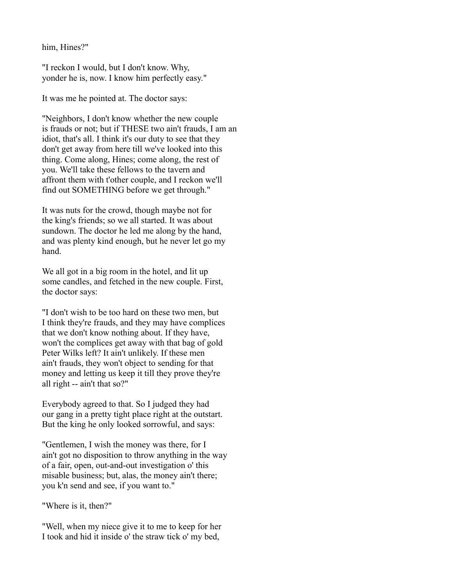him, Hines?"

"I reckon I would, but I don't know. Why, yonder he is, now. I know him perfectly easy."

It was me he pointed at. The doctor says:

"Neighbors, I don't know whether the new couple is frauds or not; but if THESE two ain't frauds, I am an idiot, that's all. I think it's our duty to see that they don't get away from here till we've looked into this thing. Come along, Hines; come along, the rest of you. We'll take these fellows to the tavern and affront them with t'other couple, and I reckon we'll find out SOMETHING before we get through."

It was nuts for the crowd, though maybe not for the king's friends; so we all started. It was about sundown. The doctor he led me along by the hand, and was plenty kind enough, but he never let go my hand.

We all got in a big room in the hotel, and lit up some candles, and fetched in the new couple. First, the doctor says:

"I don't wish to be too hard on these two men, but I think they're frauds, and they may have complices that we don't know nothing about. If they have, won't the complices get away with that bag of gold Peter Wilks left? It ain't unlikely. If these men ain't frauds, they won't object to sending for that money and letting us keep it till they prove they're all right -- ain't that so?"

Everybody agreed to that. So I judged they had our gang in a pretty tight place right at the outstart. But the king he only looked sorrowful, and says:

"Gentlemen, I wish the money was there, for I ain't got no disposition to throw anything in the way of a fair, open, out-and-out investigation o' this misable business; but, alas, the money ain't there; you k'n send and see, if you want to."

"Where is it, then?"

"Well, when my niece give it to me to keep for her I took and hid it inside o' the straw tick o' my bed,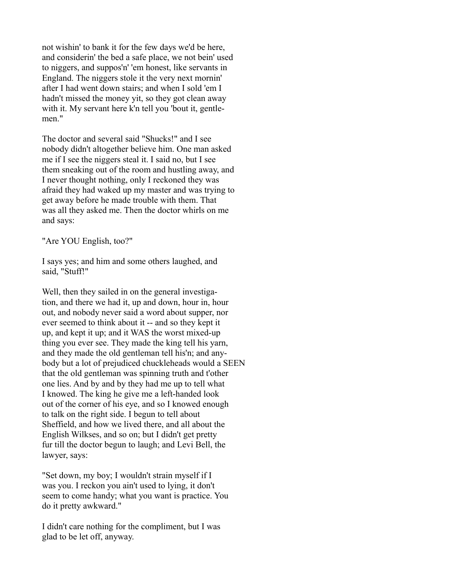not wishin' to bank it for the few days we'd be here, and considerin' the bed a safe place, we not bein' used to niggers, and suppos'n' 'em honest, like servants in England. The niggers stole it the very next mornin' after I had went down stairs; and when I sold 'em I hadn't missed the money yit, so they got clean away with it. My servant here k'n tell you 'bout it, gentlemen."

The doctor and several said "Shucks!" and I see nobody didn't altogether believe him. One man asked me if I see the niggers steal it. I said no, but I see them sneaking out of the room and hustling away, and I never thought nothing, only I reckoned they was afraid they had waked up my master and was trying to get away before he made trouble with them. That was all they asked me. Then the doctor whirls on me and says:

"Are YOU English, too?"

I says yes; and him and some others laughed, and said, "Stuff!"

Well, then they sailed in on the general investigation, and there we had it, up and down, hour in, hour out, and nobody never said a word about supper, nor ever seemed to think about it -- and so they kept it up, and kept it up; and it WAS the worst mixed-up thing you ever see. They made the king tell his yarn, and they made the old gentleman tell his'n; and anybody but a lot of prejudiced chuckleheads would a SEEN that the old gentleman was spinning truth and t'other one lies. And by and by they had me up to tell what I knowed. The king he give me a left-handed look out of the corner of his eye, and so I knowed enough to talk on the right side. I begun to tell about Sheffield, and how we lived there, and all about the English Wilkses, and so on; but I didn't get pretty fur till the doctor begun to laugh; and Levi Bell, the lawyer, says:

"Set down, my boy; I wouldn't strain myself if I was you. I reckon you ain't used to lying, it don't seem to come handy; what you want is practice. You do it pretty awkward."

I didn't care nothing for the compliment, but I was glad to be let off, anyway.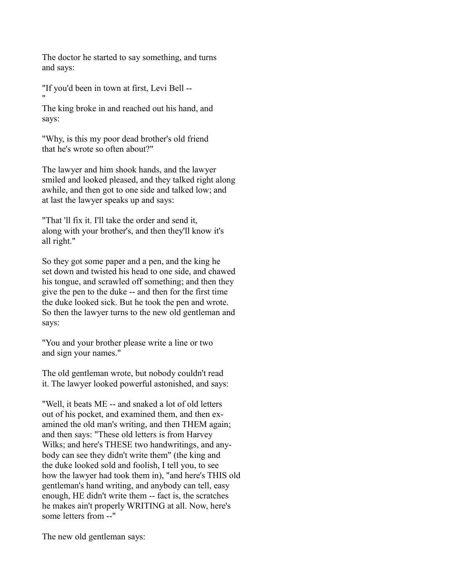The doctor he started to say something, and turns and says:

"If you'd been in town at first, Levi Bell -- "

The king broke in and reached out his hand, and says:

"Why, is this my poor dead brother's old friend that he's wrote so often about?"

The lawyer and him shook hands, and the lawyer smiled and looked pleased, and they talked right along awhile, and then got to one side and talked low; and at last the lawyer speaks up and says:

"That 'll fix it. I'll take the order and send it, along with your brother's, and then they'll know it's all right."

So they got some paper and a pen, and the king he set down and twisted his head to one side, and chawed his tongue, and scrawled off something; and then they give the pen to the duke -- and then for the first time the duke looked sick. But he took the pen and wrote. So then the lawyer turns to the new old gentleman and says:

"You and your brother please write a line or two and sign your names."

The old gentleman wrote, but nobody couldn't read it. The lawyer looked powerful astonished, and says:

"Well, it beats ME -- and snaked a lot of old letters out of his pocket, and examined them, and then examined the old man's writing, and then THEM again; and then says: "These old letters is from Harvey Wilks; and here's THESE two handwritings, and anybody can see they didn't write them" (the king and the duke looked sold and foolish, I tell you, to see how the lawyer had took them in), "and here's THIS old gentleman's hand writing, and anybody can tell, easy enough, HE didn't write them -- fact is, the scratches he makes ain't properly WRITING at all. Now, here's some letters from --"

The new old gentleman says: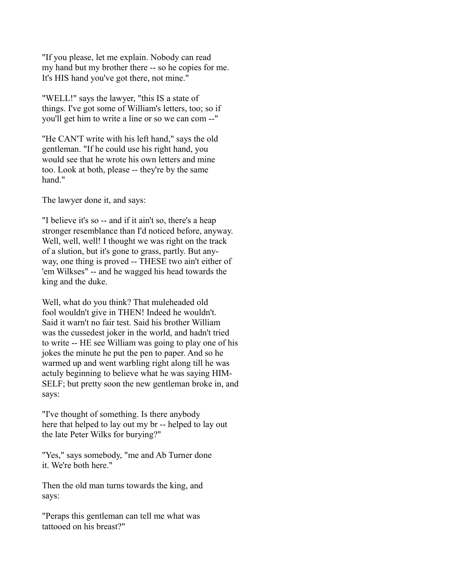"If you please, let me explain. Nobody can read my hand but my brother there -- so he copies for me. It's HIS hand you've got there, not mine."

"WELL!" says the lawyer, "this IS a state of things. I've got some of William's letters, too; so if you'll get him to write a line or so we can com --"

"He CAN'T write with his left hand," says the old gentleman. "If he could use his right hand, you would see that he wrote his own letters and mine too. Look at both, please -- they're by the same hand."

The lawyer done it, and says:

"I believe it's so -- and if it ain't so, there's a heap stronger resemblance than I'd noticed before, anyway. Well, well, well! I thought we was right on the track of a slution, but it's gone to grass, partly. But anyway, one thing is proved -- THESE two ain't either of 'em Wilkses" -- and he wagged his head towards the king and the duke.

Well, what do you think? That muleheaded old fool wouldn't give in THEN! Indeed he wouldn't. Said it warn't no fair test. Said his brother William was the cussedest joker in the world, and hadn't tried to write -- HE see William was going to play one of his jokes the minute he put the pen to paper. And so he warmed up and went warbling right along till he was actuly beginning to believe what he was saying HIM-SELF; but pretty soon the new gentleman broke in, and says:

"I've thought of something. Is there anybody here that helped to lay out my br -- helped to lay out the late Peter Wilks for burying?"

"Yes," says somebody, "me and Ab Turner done it. We're both here."

Then the old man turns towards the king, and says:

"Peraps this gentleman can tell me what was tattooed on his breast?"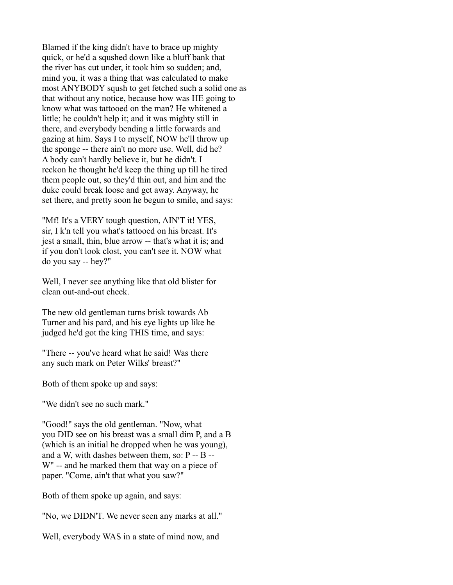Blamed if the king didn't have to brace up mighty quick, or he'd a squshed down like a bluff bank that the river has cut under, it took him so sudden; and, mind you, it was a thing that was calculated to make most ANYBODY sqush to get fetched such a solid one as that without any notice, because how was HE going to know what was tattooed on the man? He whitened a little; he couldn't help it; and it was mighty still in there, and everybody bending a little forwards and gazing at him. Says I to myself, NOW he'll throw up the sponge -- there ain't no more use. Well, did he? A body can't hardly believe it, but he didn't. I reckon he thought he'd keep the thing up till he tired them people out, so they'd thin out, and him and the duke could break loose and get away. Anyway, he set there, and pretty soon he begun to smile, and says:

"Mf! It's a VERY tough question, AIN'T it! YES, sir, I k'n tell you what's tattooed on his breast. It's jest a small, thin, blue arrow -- that's what it is; and if you don't look clost, you can't see it. NOW what do you say -- hey?"

Well, I never see anything like that old blister for clean out-and-out cheek.

The new old gentleman turns brisk towards Ab Turner and his pard, and his eye lights up like he judged he'd got the king THIS time, and says:

"There -- you've heard what he said! Was there any such mark on Peter Wilks' breast?"

Both of them spoke up and says:

"We didn't see no such mark."

"Good!" says the old gentleman. "Now, what you DID see on his breast was a small dim P, and a B (which is an initial he dropped when he was young), and a W, with dashes between them, so: P -- B -- W" -- and he marked them that way on a piece of paper. "Come, ain't that what you saw?"

Both of them spoke up again, and says:

"No, we DIDN'T. We never seen any marks at all."

Well, everybody WAS in a state of mind now, and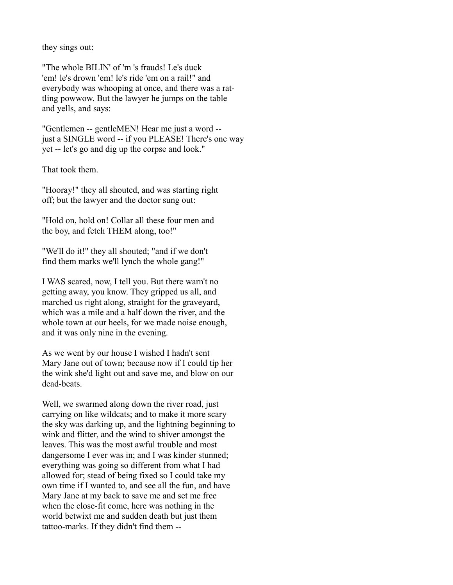they sings out:

"The whole BILIN' of 'm 's frauds! Le's duck 'em! le's drown 'em! le's ride 'em on a rail!" and everybody was whooping at once, and there was a rattling powwow. But the lawyer he jumps on the table and yells, and says:

"Gentlemen -- gentleMEN! Hear me just a word - just a SINGLE word -- if you PLEASE! There's one way yet -- let's go and dig up the corpse and look."

That took them.

"Hooray!" they all shouted, and was starting right off; but the lawyer and the doctor sung out:

"Hold on, hold on! Collar all these four men and the boy, and fetch THEM along, too!"

"We'll do it!" they all shouted; "and if we don't find them marks we'll lynch the whole gang!"

I WAS scared, now, I tell you. But there warn't no getting away, you know. They gripped us all, and marched us right along, straight for the graveyard, which was a mile and a half down the river, and the whole town at our heels, for we made noise enough, and it was only nine in the evening.

As we went by our house I wished I hadn't sent Mary Jane out of town; because now if I could tip her the wink she'd light out and save me, and blow on our dead-beats.

Well, we swarmed along down the river road, just carrying on like wildcats; and to make it more scary the sky was darking up, and the lightning beginning to wink and flitter, and the wind to shiver amongst the leaves. This was the most awful trouble and most dangersome I ever was in; and I was kinder stunned; everything was going so different from what I had allowed for; stead of being fixed so I could take my own time if I wanted to, and see all the fun, and have Mary Jane at my back to save me and set me free when the close-fit come, here was nothing in the world betwixt me and sudden death but just them tattoo-marks. If they didn't find them --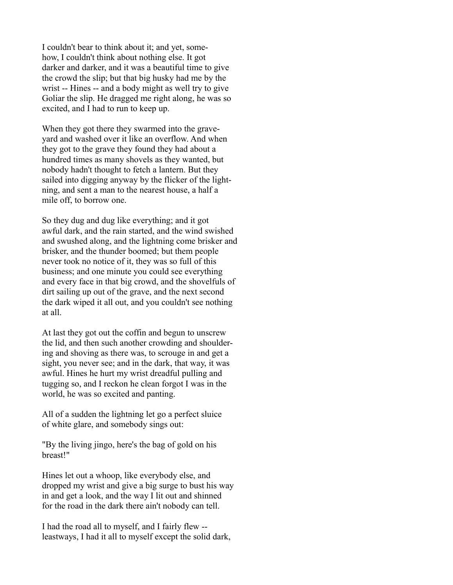I couldn't bear to think about it; and yet, somehow, I couldn't think about nothing else. It got darker and darker, and it was a beautiful time to give the crowd the slip; but that big husky had me by the wrist -- Hines -- and a body might as well try to give Goliar the slip. He dragged me right along, he was so excited, and I had to run to keep up.

When they got there they swarmed into the graveyard and washed over it like an overflow. And when they got to the grave they found they had about a hundred times as many shovels as they wanted, but nobody hadn't thought to fetch a lantern. But they sailed into digging anyway by the flicker of the lightning, and sent a man to the nearest house, a half a mile off, to borrow one.

So they dug and dug like everything; and it got awful dark, and the rain started, and the wind swished and swushed along, and the lightning come brisker and brisker, and the thunder boomed; but them people never took no notice of it, they was so full of this business; and one minute you could see everything and every face in that big crowd, and the shovelfuls of dirt sailing up out of the grave, and the next second the dark wiped it all out, and you couldn't see nothing at all.

At last they got out the coffin and begun to unscrew the lid, and then such another crowding and shouldering and shoving as there was, to scrouge in and get a sight, you never see; and in the dark, that way, it was awful. Hines he hurt my wrist dreadful pulling and tugging so, and I reckon he clean forgot I was in the world, he was so excited and panting.

All of a sudden the lightning let go a perfect sluice of white glare, and somebody sings out:

"By the living jingo, here's the bag of gold on his breast!"

Hines let out a whoop, like everybody else, and dropped my wrist and give a big surge to bust his way in and get a look, and the way I lit out and shinned for the road in the dark there ain't nobody can tell.

I had the road all to myself, and I fairly flew - leastways, I had it all to myself except the solid dark,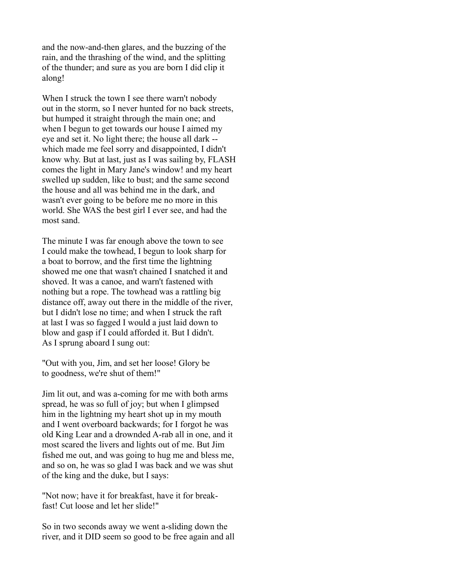and the now-and-then glares, and the buzzing of the rain, and the thrashing of the wind, and the splitting of the thunder; and sure as you are born I did clip it along!

When I struck the town I see there warn't nobody out in the storm, so I never hunted for no back streets, but humped it straight through the main one; and when I begun to get towards our house I aimed my eye and set it. No light there; the house all dark - which made me feel sorry and disappointed, I didn't know why. But at last, just as I was sailing by, FLASH comes the light in Mary Jane's window! and my heart swelled up sudden, like to bust; and the same second the house and all was behind me in the dark, and wasn't ever going to be before me no more in this world. She WAS the best girl I ever see, and had the most sand.

The minute I was far enough above the town to see I could make the towhead, I begun to look sharp for a boat to borrow, and the first time the lightning showed me one that wasn't chained I snatched it and shoved. It was a canoe, and warn't fastened with nothing but a rope. The towhead was a rattling big distance off, away out there in the middle of the river, but I didn't lose no time; and when I struck the raft at last I was so fagged I would a just laid down to blow and gasp if I could afforded it. But I didn't. As I sprung aboard I sung out:

"Out with you, Jim, and set her loose! Glory be to goodness, we're shut of them!"

Jim lit out, and was a-coming for me with both arms spread, he was so full of joy; but when I glimpsed him in the lightning my heart shot up in my mouth and I went overboard backwards; for I forgot he was old King Lear and a drownded A-rab all in one, and it most scared the livers and lights out of me. But Jim fished me out, and was going to hug me and bless me, and so on, he was so glad I was back and we was shut of the king and the duke, but I says:

"Not now; have it for breakfast, have it for breakfast! Cut loose and let her slide!"

So in two seconds away we went a-sliding down the river, and it DID seem so good to be free again and all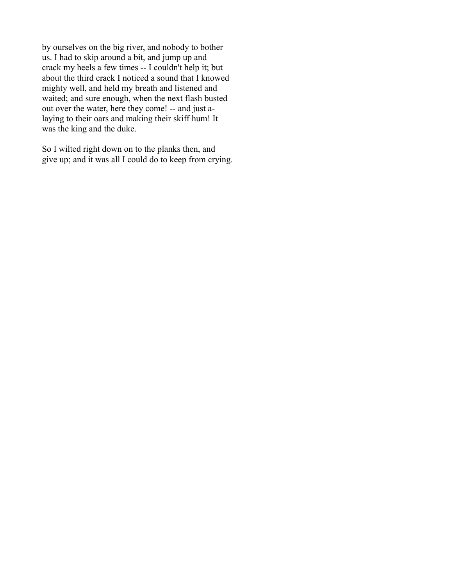by ourselves on the big river, and nobody to bother us. I had to skip around a bit, and jump up and crack my heels a few times -- I couldn't help it; but about the third crack I noticed a sound that I knowed mighty well, and held my breath and listened and waited; and sure enough, when the next flash busted out over the water, here they come! -- and just alaying to their oars and making their skiff hum! It was the king and the duke.

So I wilted right down on to the planks then, and give up; and it was all I could do to keep from crying.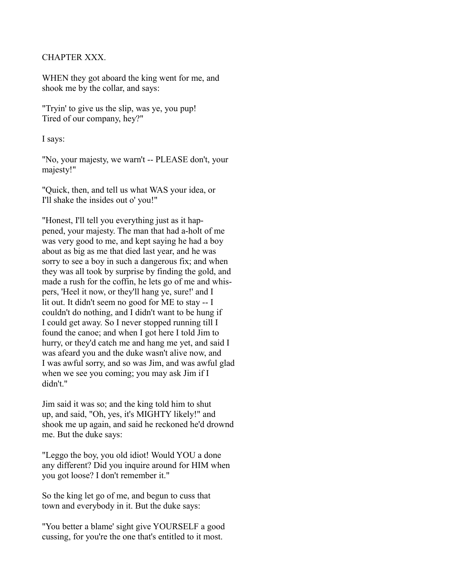### CHAPTER XXX.

WHEN they got aboard the king went for me, and shook me by the collar, and says:

"Tryin' to give us the slip, was ye, you pup! Tired of our company, hey?"

I says:

"No, your majesty, we warn't -- PLEASE don't, your majesty!"

"Quick, then, and tell us what WAS your idea, or I'll shake the insides out o' you!"

"Honest, I'll tell you everything just as it happened, your majesty. The man that had a-holt of me was very good to me, and kept saying he had a boy about as big as me that died last year, and he was sorry to see a boy in such a dangerous fix; and when they was all took by surprise by finding the gold, and made a rush for the coffin, he lets go of me and whispers, 'Heel it now, or they'll hang ye, sure!' and I lit out. It didn't seem no good for ME to stay -- I couldn't do nothing, and I didn't want to be hung if I could get away. So I never stopped running till I found the canoe; and when I got here I told Jim to hurry, or they'd catch me and hang me yet, and said I was afeard you and the duke wasn't alive now, and I was awful sorry, and so was Jim, and was awful glad when we see you coming; you may ask Jim if I didn't."

Jim said it was so; and the king told him to shut up, and said, "Oh, yes, it's MIGHTY likely!" and shook me up again, and said he reckoned he'd drownd me. But the duke says:

"Leggo the boy, you old idiot! Would YOU a done any different? Did you inquire around for HIM when you got loose? I don't remember it."

So the king let go of me, and begun to cuss that town and everybody in it. But the duke says:

"You better a blame' sight give YOURSELF a good cussing, for you're the one that's entitled to it most.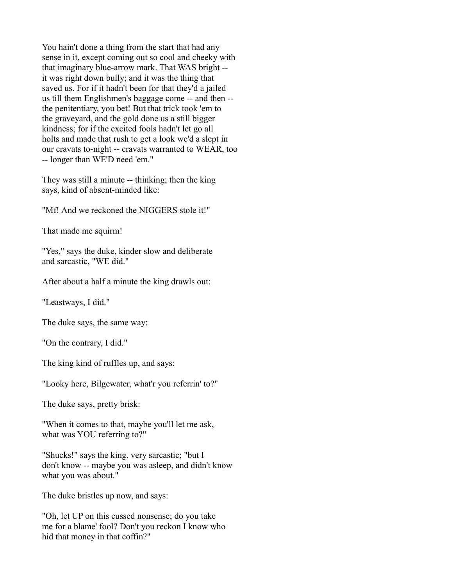You hain't done a thing from the start that had any sense in it, except coming out so cool and cheeky with that imaginary blue-arrow mark. That WAS bright - it was right down bully; and it was the thing that saved us. For if it hadn't been for that they'd a jailed us till them Englishmen's baggage come -- and then - the penitentiary, you bet! But that trick took 'em to the graveyard, and the gold done us a still bigger kindness; for if the excited fools hadn't let go all holts and made that rush to get a look we'd a slept in our cravats to-night -- cravats warranted to WEAR, too -- longer than WE'D need 'em."

They was still a minute -- thinking; then the king says, kind of absent-minded like:

"Mf! And we reckoned the NIGGERS stole it!"

That made me squirm!

"Yes," says the duke, kinder slow and deliberate and sarcastic, "WE did."

After about a half a minute the king drawls out:

"Leastways, I did."

The duke says, the same way:

"On the contrary, I did."

The king kind of ruffles up, and says:

"Looky here, Bilgewater, what'r you referrin' to?"

The duke says, pretty brisk:

"When it comes to that, maybe you'll let me ask, what was YOU referring to?"

"Shucks!" says the king, very sarcastic; "but I don't know -- maybe you was asleep, and didn't know what you was about."

The duke bristles up now, and says:

"Oh, let UP on this cussed nonsense; do you take me for a blame' fool? Don't you reckon I know who hid that money in that coffin?"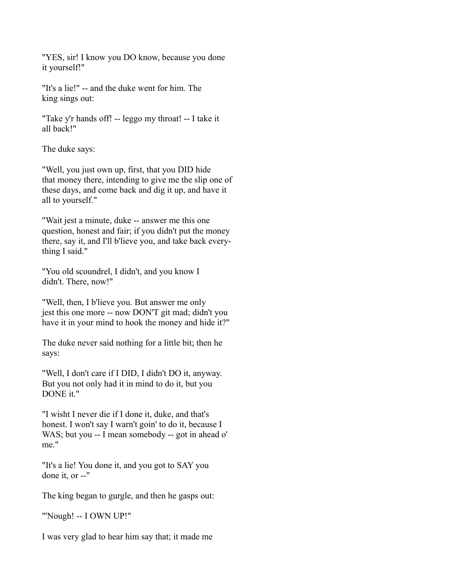"YES, sir! I know you DO know, because you done it yourself!"

"It's a lie!" -- and the duke went for him. The king sings out:

"Take y'r hands off! -- leggo my throat! -- I take it all back!"

The duke says:

"Well, you just own up, first, that you DID hide that money there, intending to give me the slip one of these days, and come back and dig it up, and have it all to yourself."

"Wait jest a minute, duke -- answer me this one question, honest and fair; if you didn't put the money there, say it, and I'll b'lieve you, and take back everything I said."

"You old scoundrel, I didn't, and you know I didn't. There, now!"

"Well, then, I b'lieve you. But answer me only jest this one more -- now DON'T git mad; didn't you have it in your mind to hook the money and hide it?"

The duke never said nothing for a little bit; then he says:

"Well, I don't care if I DID, I didn't DO it, anyway. But you not only had it in mind to do it, but you DONE it."

"I wisht I never die if I done it, duke, and that's honest. I won't say I warn't goin' to do it, because I WAS; but you -- I mean somebody -- got in ahead o' me."

"It's a lie! You done it, and you got to SAY you done it, or --"

The king began to gurgle, and then he gasps out:

"'Nough! -- I OWN UP!"

I was very glad to hear him say that; it made me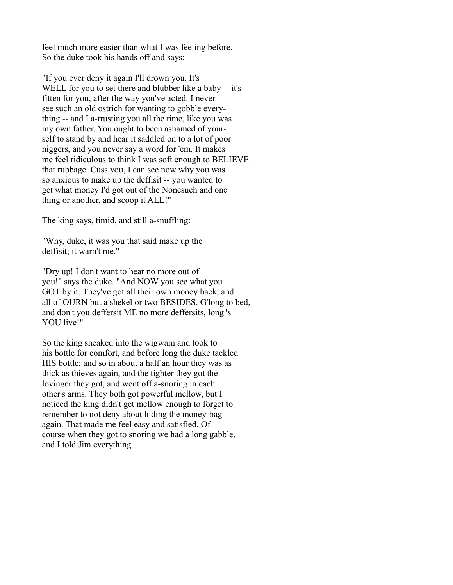feel much more easier than what I was feeling before. So the duke took his hands off and says:

"If you ever deny it again I'll drown you. It's WELL for you to set there and blubber like a baby -- it's fitten for you, after the way you've acted. I never see such an old ostrich for wanting to gobble everything -- and I a-trusting you all the time, like you was my own father. You ought to been ashamed of yourself to stand by and hear it saddled on to a lot of poor niggers, and you never say a word for 'em. It makes me feel ridiculous to think I was soft enough to BELIEVE that rubbage. Cuss you, I can see now why you was so anxious to make up the deffisit -- you wanted to get what money I'd got out of the Nonesuch and one thing or another, and scoop it ALL!"

The king says, timid, and still a-snuffling:

"Why, duke, it was you that said make up the deffisit; it warn't me."

"Dry up! I don't want to hear no more out of you!" says the duke. "And NOW you see what you GOT by it. They've got all their own money back, and all of OURN but a shekel or two BESIDES. G'long to bed, and don't you deffersit ME no more deffersits, long 's YOU live!"

So the king sneaked into the wigwam and took to his bottle for comfort, and before long the duke tackled HIS bottle; and so in about a half an hour they was as thick as thieves again, and the tighter they got the lovinger they got, and went off a-snoring in each other's arms. They both got powerful mellow, but I noticed the king didn't get mellow enough to forget to remember to not deny about hiding the money-bag again. That made me feel easy and satisfied. Of course when they got to snoring we had a long gabble, and I told Jim everything.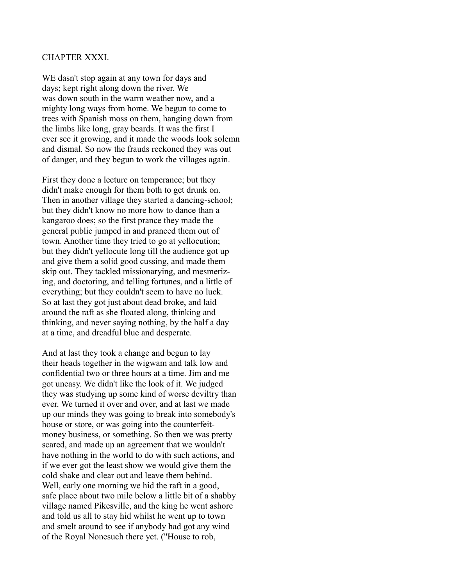#### CHAPTER XXXI.

WE dasn't stop again at any town for days and days; kept right along down the river. We was down south in the warm weather now, and a mighty long ways from home. We begun to come to trees with Spanish moss on them, hanging down from the limbs like long, gray beards. It was the first I ever see it growing, and it made the woods look solemn and dismal. So now the frauds reckoned they was out of danger, and they begun to work the villages again.

First they done a lecture on temperance; but they didn't make enough for them both to get drunk on. Then in another village they started a dancing-school; but they didn't know no more how to dance than a kangaroo does; so the first prance they made the general public jumped in and pranced them out of town. Another time they tried to go at yellocution; but they didn't yellocute long till the audience got up and give them a solid good cussing, and made them skip out. They tackled missionarying, and mesmerizing, and doctoring, and telling fortunes, and a little of everything; but they couldn't seem to have no luck. So at last they got just about dead broke, and laid around the raft as she floated along, thinking and thinking, and never saying nothing, by the half a day at a time, and dreadful blue and desperate.

And at last they took a change and begun to lay their heads together in the wigwam and talk low and confidential two or three hours at a time. Jim and me got uneasy. We didn't like the look of it. We judged they was studying up some kind of worse deviltry than ever. We turned it over and over, and at last we made up our minds they was going to break into somebody's house or store, or was going into the counterfeitmoney business, or something. So then we was pretty scared, and made up an agreement that we wouldn't have nothing in the world to do with such actions, and if we ever got the least show we would give them the cold shake and clear out and leave them behind. Well, early one morning we hid the raft in a good, safe place about two mile below a little bit of a shabby village named Pikesville, and the king he went ashore and told us all to stay hid whilst he went up to town and smelt around to see if anybody had got any wind of the Royal Nonesuch there yet. ("House to rob,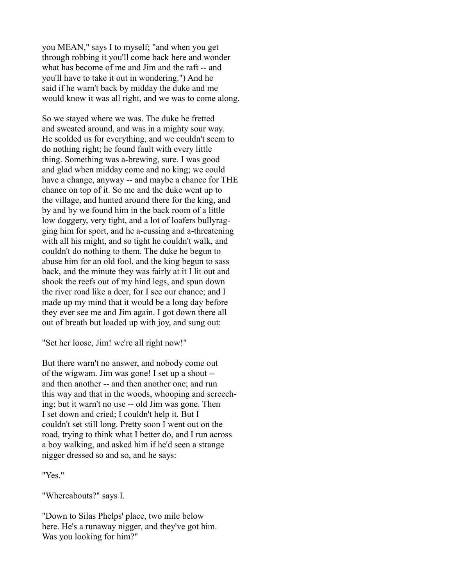you MEAN," says I to myself; "and when you get through robbing it you'll come back here and wonder what has become of me and Jim and the raft -- and you'll have to take it out in wondering.") And he said if he warn't back by midday the duke and me would know it was all right, and we was to come along.

So we stayed where we was. The duke he fretted and sweated around, and was in a mighty sour way. He scolded us for everything, and we couldn't seem to do nothing right; he found fault with every little thing. Something was a-brewing, sure. I was good and glad when midday come and no king; we could have a change, anyway -- and maybe a chance for THE chance on top of it. So me and the duke went up to the village, and hunted around there for the king, and by and by we found him in the back room of a little low doggery, very tight, and a lot of loafers bullyragging him for sport, and he a-cussing and a-threatening with all his might, and so tight he couldn't walk, and couldn't do nothing to them. The duke he begun to abuse him for an old fool, and the king begun to sass back, and the minute they was fairly at it I lit out and shook the reefs out of my hind legs, and spun down the river road like a deer, for I see our chance; and I made up my mind that it would be a long day before they ever see me and Jim again. I got down there all out of breath but loaded up with joy, and sung out:

"Set her loose, Jim! we're all right now!"

But there warn't no answer, and nobody come out of the wigwam. Jim was gone! I set up a shout - and then another -- and then another one; and run this way and that in the woods, whooping and screeching; but it warn't no use -- old Jim was gone. Then I set down and cried; I couldn't help it. But I couldn't set still long. Pretty soon I went out on the road, trying to think what I better do, and I run across a boy walking, and asked him if he'd seen a strange nigger dressed so and so, and he says:

"Yes."

"Whereabouts?" says I.

"Down to Silas Phelps' place, two mile below here. He's a runaway nigger, and they've got him. Was you looking for him?"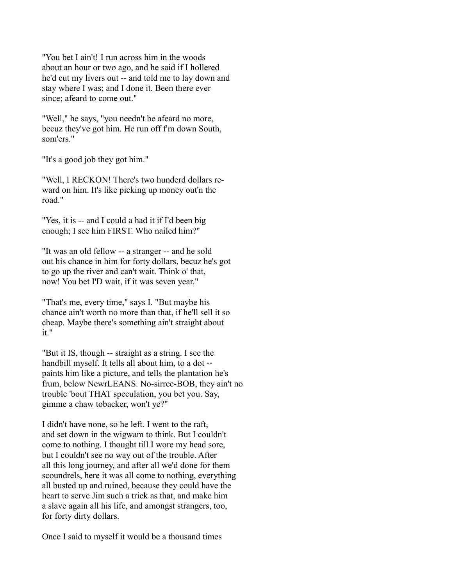"You bet I ain't! I run across him in the woods about an hour or two ago, and he said if I hollered he'd cut my livers out -- and told me to lay down and stay where I was; and I done it. Been there ever since; afeard to come out."

"Well," he says, "you needn't be afeard no more, becuz they've got him. He run off f'm down South, som'ers."

"It's a good job they got him."

"Well, I RECKON! There's two hunderd dollars reward on him. It's like picking up money out'n the road."

"Yes, it is -- and I could a had it if I'd been big enough; I see him FIRST. Who nailed him?"

"It was an old fellow -- a stranger -- and he sold out his chance in him for forty dollars, becuz he's got to go up the river and can't wait. Think o' that, now! You bet I'D wait, if it was seven year."

"That's me, every time," says I. "But maybe his chance ain't worth no more than that, if he'll sell it so cheap. Maybe there's something ain't straight about it."

"But it IS, though -- straight as a string. I see the handbill myself. It tells all about him, to a dot - paints him like a picture, and tells the plantation he's frum, below NewrLEANS. No-sirree-BOB, they ain't no trouble 'bout THAT speculation, you bet you. Say, gimme a chaw tobacker, won't ye?"

I didn't have none, so he left. I went to the raft, and set down in the wigwam to think. But I couldn't come to nothing. I thought till I wore my head sore, but I couldn't see no way out of the trouble. After all this long journey, and after all we'd done for them scoundrels, here it was all come to nothing, everything all busted up and ruined, because they could have the heart to serve Jim such a trick as that, and make him a slave again all his life, and amongst strangers, too, for forty dirty dollars.

Once I said to myself it would be a thousand times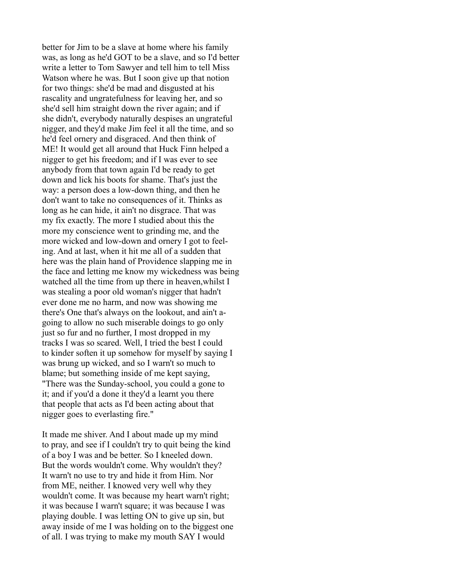better for Jim to be a slave at home where his family was, as long as he'd GOT to be a slave, and so I'd better write a letter to Tom Sawyer and tell him to tell Miss Watson where he was. But I soon give up that notion for two things: she'd be mad and disgusted at his rascality and ungratefulness for leaving her, and so she'd sell him straight down the river again; and if she didn't, everybody naturally despises an ungrateful nigger, and they'd make Jim feel it all the time, and so he'd feel ornery and disgraced. And then think of ME! It would get all around that Huck Finn helped a nigger to get his freedom; and if I was ever to see anybody from that town again I'd be ready to get down and lick his boots for shame. That's just the way: a person does a low-down thing, and then he don't want to take no consequences of it. Thinks as long as he can hide, it ain't no disgrace. That was my fix exactly. The more I studied about this the more my conscience went to grinding me, and the more wicked and low-down and ornery I got to feeling. And at last, when it hit me all of a sudden that here was the plain hand of Providence slapping me in the face and letting me know my wickedness was being watched all the time from up there in heaven,whilst I was stealing a poor old woman's nigger that hadn't ever done me no harm, and now was showing me there's One that's always on the lookout, and ain't agoing to allow no such miserable doings to go only just so fur and no further, I most dropped in my tracks I was so scared. Well, I tried the best I could to kinder soften it up somehow for myself by saying I was brung up wicked, and so I warn't so much to blame; but something inside of me kept saying, "There was the Sunday-school, you could a gone to it; and if you'd a done it they'd a learnt you there that people that acts as I'd been acting about that nigger goes to everlasting fire."

It made me shiver. And I about made up my mind to pray, and see if I couldn't try to quit being the kind of a boy I was and be better. So I kneeled down. But the words wouldn't come. Why wouldn't they? It warn't no use to try and hide it from Him. Nor from ME, neither. I knowed very well why they wouldn't come. It was because my heart warn't right; it was because I warn't square; it was because I was playing double. I was letting ON to give up sin, but away inside of me I was holding on to the biggest one of all. I was trying to make my mouth SAY I would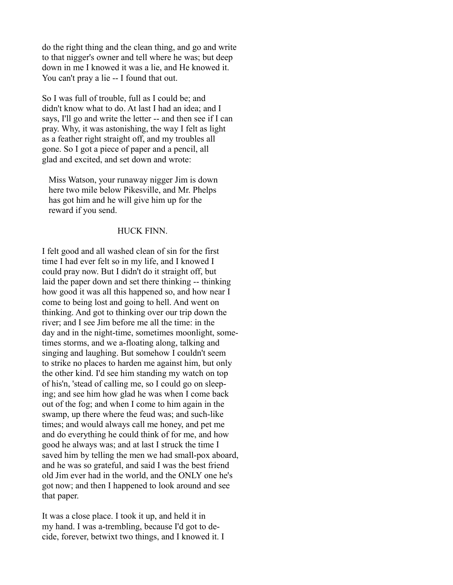do the right thing and the clean thing, and go and write to that nigger's owner and tell where he was; but deep down in me I knowed it was a lie, and He knowed it. You can't pray a lie -- I found that out.

So I was full of trouble, full as I could be; and didn't know what to do. At last I had an idea; and I says, I'll go and write the letter -- and then see if I can pray. Why, it was astonishing, the way I felt as light as a feather right straight off, and my troubles all gone. So I got a piece of paper and a pencil, all glad and excited, and set down and wrote:

 Miss Watson, your runaway nigger Jim is down here two mile below Pikesville, and Mr. Phelps has got him and he will give him up for the reward if you send.

#### HUCK FINN.

I felt good and all washed clean of sin for the first time I had ever felt so in my life, and I knowed I could pray now. But I didn't do it straight off, but laid the paper down and set there thinking -- thinking how good it was all this happened so, and how near I come to being lost and going to hell. And went on thinking. And got to thinking over our trip down the river; and I see Jim before me all the time: in the day and in the night-time, sometimes moonlight, sometimes storms, and we a-floating along, talking and singing and laughing. But somehow I couldn't seem to strike no places to harden me against him, but only the other kind. I'd see him standing my watch on top of his'n, 'stead of calling me, so I could go on sleeping; and see him how glad he was when I come back out of the fog; and when I come to him again in the swamp, up there where the feud was; and such-like times; and would always call me honey, and pet me and do everything he could think of for me, and how good he always was; and at last I struck the time I saved him by telling the men we had small-pox aboard, and he was so grateful, and said I was the best friend old Jim ever had in the world, and the ONLY one he's got now; and then I happened to look around and see that paper.

It was a close place. I took it up, and held it in my hand. I was a-trembling, because I'd got to decide, forever, betwixt two things, and I knowed it. I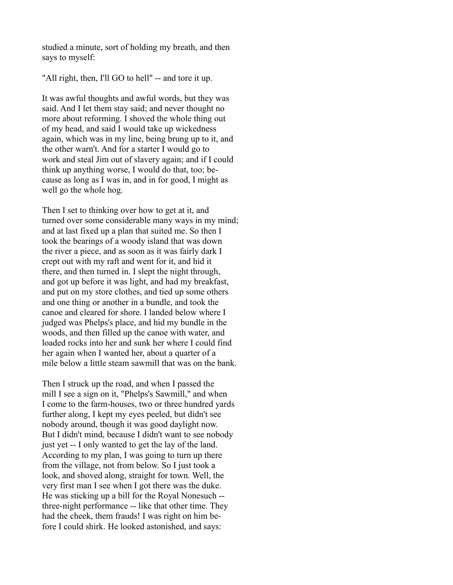studied a minute, sort of holding my breath, and then says to myself:

"All right, then, I'll GO to hell" -- and tore it up.

It was awful thoughts and awful words, but they was said. And I let them stay said; and never thought no more about reforming. I shoved the whole thing out of my head, and said I would take up wickedness again, which was in my line, being brung up to it, and the other warn't. And for a starter I would go to work and steal Jim out of slavery again; and if I could think up anything worse, I would do that, too; because as long as I was in, and in for good, I might as well go the whole hog.

Then I set to thinking over how to get at it, and turned over some considerable many ways in my mind; and at last fixed up a plan that suited me. So then I took the bearings of a woody island that was down the river a piece, and as soon as it was fairly dark I crept out with my raft and went for it, and hid it there, and then turned in. I slept the night through, and got up before it was light, and had my breakfast, and put on my store clothes, and tied up some others and one thing or another in a bundle, and took the canoe and cleared for shore. I landed below where I judged was Phelps's place, and hid my bundle in the woods, and then filled up the canoe with water, and loaded rocks into her and sunk her where I could find her again when I wanted her, about a quarter of a mile below a little steam sawmill that was on the bank.

Then I struck up the road, and when I passed the mill I see a sign on it, "Phelps's Sawmill," and when I come to the farm-houses, two or three hundred yards further along, I kept my eyes peeled, but didn't see nobody around, though it was good daylight now. But I didn't mind, because I didn't want to see nobody just yet -- I only wanted to get the lay of the land. According to my plan, I was going to turn up there from the village, not from below. So I just took a look, and shoved along, straight for town. Well, the very first man I see when I got there was the duke. He was sticking up a bill for the Royal Nonesuch - three-night performance -- like that other time. They had the cheek, them frauds! I was right on him before I could shirk. He looked astonished, and says: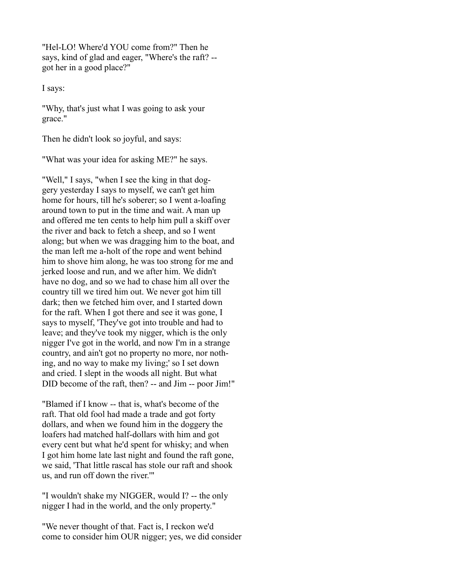"Hel-LO! Where'd YOU come from?" Then he says, kind of glad and eager, "Where's the raft? - got her in a good place?"

I says:

"Why, that's just what I was going to ask your grace."

Then he didn't look so joyful, and says:

"What was your idea for asking ME?" he says.

"Well," I says, "when I see the king in that doggery yesterday I says to myself, we can't get him home for hours, till he's soberer; so I went a-loafing around town to put in the time and wait. A man up and offered me ten cents to help him pull a skiff over the river and back to fetch a sheep, and so I went along; but when we was dragging him to the boat, and the man left me a-holt of the rope and went behind him to shove him along, he was too strong for me and jerked loose and run, and we after him. We didn't have no dog, and so we had to chase him all over the country till we tired him out. We never got him till dark; then we fetched him over, and I started down for the raft. When I got there and see it was gone, I says to myself, 'They've got into trouble and had to leave; and they've took my nigger, which is the only nigger I've got in the world, and now I'm in a strange country, and ain't got no property no more, nor nothing, and no way to make my living;' so I set down and cried. I slept in the woods all night. But what DID become of the raft, then? -- and Jim -- poor Jim!"

"Blamed if I know -- that is, what's become of the raft. That old fool had made a trade and got forty dollars, and when we found him in the doggery the loafers had matched half-dollars with him and got every cent but what he'd spent for whisky; and when I got him home late last night and found the raft gone, we said, 'That little rascal has stole our raft and shook us, and run off down the river.'"

"I wouldn't shake my NIGGER, would I? -- the only nigger I had in the world, and the only property."

"We never thought of that. Fact is, I reckon we'd come to consider him OUR nigger; yes, we did consider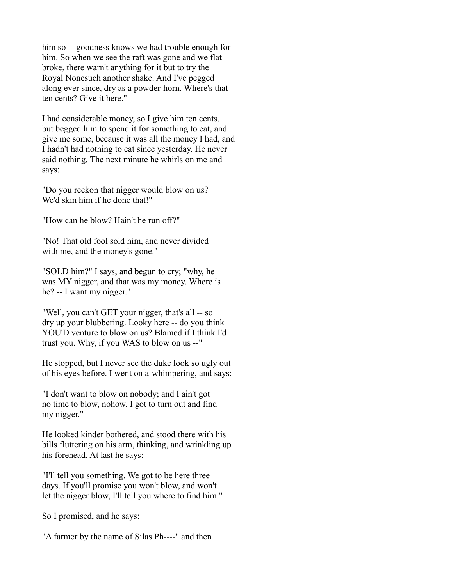him so -- goodness knows we had trouble enough for him. So when we see the raft was gone and we flat broke, there warn't anything for it but to try the Royal Nonesuch another shake. And I've pegged along ever since, dry as a powder-horn. Where's that ten cents? Give it here."

I had considerable money, so I give him ten cents, but begged him to spend it for something to eat, and give me some, because it was all the money I had, and I hadn't had nothing to eat since yesterday. He never said nothing. The next minute he whirls on me and says:

"Do you reckon that nigger would blow on us? We'd skin him if he done that!"

"How can he blow? Hain't he run off?"

"No! That old fool sold him, and never divided with me, and the money's gone."

"SOLD him?" I says, and begun to cry; "why, he was MY nigger, and that was my money. Where is he? -- I want my nigger."

"Well, you can't GET your nigger, that's all -- so dry up your blubbering. Looky here -- do you think YOU'D venture to blow on us? Blamed if I think I'd trust you. Why, if you WAS to blow on us --"

He stopped, but I never see the duke look so ugly out of his eyes before. I went on a-whimpering, and says:

"I don't want to blow on nobody; and I ain't got no time to blow, nohow. I got to turn out and find my nigger."

He looked kinder bothered, and stood there with his bills fluttering on his arm, thinking, and wrinkling up his forehead. At last he says:

"I'll tell you something. We got to be here three days. If you'll promise you won't blow, and won't let the nigger blow, I'll tell you where to find him."

So I promised, and he says:

"A farmer by the name of Silas Ph----" and then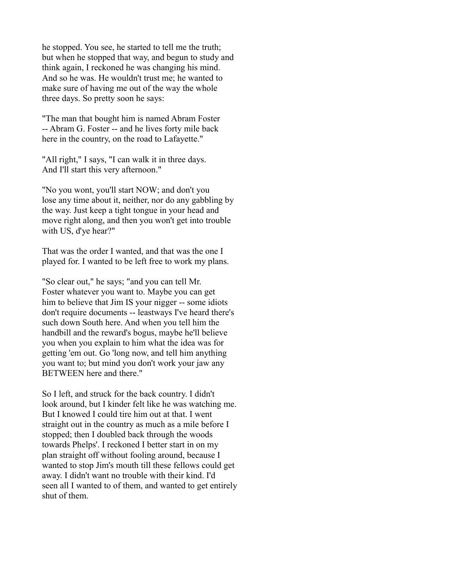he stopped. You see, he started to tell me the truth; but when he stopped that way, and begun to study and think again, I reckoned he was changing his mind. And so he was. He wouldn't trust me; he wanted to make sure of having me out of the way the whole three days. So pretty soon he says:

"The man that bought him is named Abram Foster -- Abram G. Foster -- and he lives forty mile back here in the country, on the road to Lafayette."

"All right," I says, "I can walk it in three days. And I'll start this very afternoon."

"No you wont, you'll start NOW; and don't you lose any time about it, neither, nor do any gabbling by the way. Just keep a tight tongue in your head and move right along, and then you won't get into trouble with US, d'ye hear?"

That was the order I wanted, and that was the one I played for. I wanted to be left free to work my plans.

"So clear out," he says; "and you can tell Mr. Foster whatever you want to. Maybe you can get him to believe that Jim IS your nigger -- some idiots don't require documents -- leastways I've heard there's such down South here. And when you tell him the handbill and the reward's bogus, maybe he'll believe you when you explain to him what the idea was for getting 'em out. Go 'long now, and tell him anything you want to; but mind you don't work your jaw any BETWEEN here and there."

So I left, and struck for the back country. I didn't look around, but I kinder felt like he was watching me. But I knowed I could tire him out at that. I went straight out in the country as much as a mile before I stopped; then I doubled back through the woods towards Phelps'. I reckoned I better start in on my plan straight off without fooling around, because I wanted to stop Jim's mouth till these fellows could get away. I didn't want no trouble with their kind. I'd seen all I wanted to of them, and wanted to get entirely shut of them.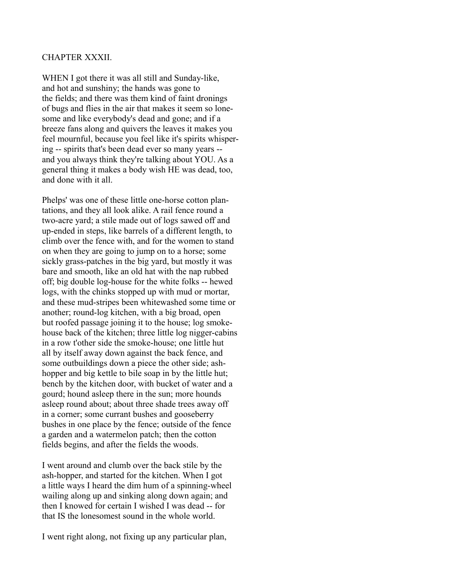#### CHAPTER XXXII.

WHEN I got there it was all still and Sunday-like, and hot and sunshiny; the hands was gone to the fields; and there was them kind of faint dronings of bugs and flies in the air that makes it seem so lonesome and like everybody's dead and gone; and if a breeze fans along and quivers the leaves it makes you feel mournful, because you feel like it's spirits whispering -- spirits that's been dead ever so many years - and you always think they're talking about YOU. As a general thing it makes a body wish HE was dead, too, and done with it all.

Phelps' was one of these little one-horse cotton plantations, and they all look alike. A rail fence round a two-acre yard; a stile made out of logs sawed off and up-ended in steps, like barrels of a different length, to climb over the fence with, and for the women to stand on when they are going to jump on to a horse; some sickly grass-patches in the big yard, but mostly it was bare and smooth, like an old hat with the nap rubbed off; big double log-house for the white folks -- hewed logs, with the chinks stopped up with mud or mortar, and these mud-stripes been whitewashed some time or another; round-log kitchen, with a big broad, open but roofed passage joining it to the house; log smokehouse back of the kitchen; three little log nigger-cabins in a row t'other side the smoke-house; one little hut all by itself away down against the back fence, and some outbuildings down a piece the other side; ashhopper and big kettle to bile soap in by the little hut; bench by the kitchen door, with bucket of water and a gourd; hound asleep there in the sun; more hounds asleep round about; about three shade trees away off in a corner; some currant bushes and gooseberry bushes in one place by the fence; outside of the fence a garden and a watermelon patch; then the cotton fields begins, and after the fields the woods.

I went around and clumb over the back stile by the ash-hopper, and started for the kitchen. When I got a little ways I heard the dim hum of a spinning-wheel wailing along up and sinking along down again; and then I knowed for certain I wished I was dead -- for that IS the lonesomest sound in the whole world.

I went right along, not fixing up any particular plan,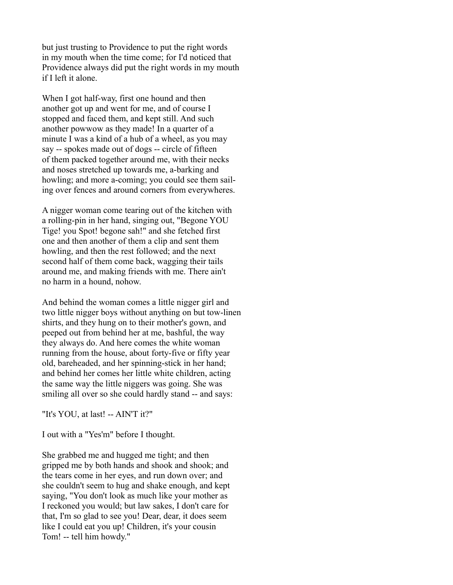but just trusting to Providence to put the right words in my mouth when the time come; for I'd noticed that Providence always did put the right words in my mouth if I left it alone.

When I got half-way, first one hound and then another got up and went for me, and of course I stopped and faced them, and kept still. And such another powwow as they made! In a quarter of a minute I was a kind of a hub of a wheel, as you may say -- spokes made out of dogs -- circle of fifteen of them packed together around me, with their necks and noses stretched up towards me, a-barking and howling; and more a-coming; you could see them sailing over fences and around corners from everywheres.

A nigger woman come tearing out of the kitchen with a rolling-pin in her hand, singing out, "Begone YOU Tige! you Spot! begone sah!" and she fetched first one and then another of them a clip and sent them howling, and then the rest followed; and the next second half of them come back, wagging their tails around me, and making friends with me. There ain't no harm in a hound, nohow.

And behind the woman comes a little nigger girl and two little nigger boys without anything on but tow-linen shirts, and they hung on to their mother's gown, and peeped out from behind her at me, bashful, the way they always do. And here comes the white woman running from the house, about forty-five or fifty year old, bareheaded, and her spinning-stick in her hand; and behind her comes her little white children, acting the same way the little niggers was going. She was smiling all over so she could hardly stand -- and says:

"It's YOU, at last! -- AIN'T it?"

I out with a "Yes'm" before I thought.

She grabbed me and hugged me tight; and then gripped me by both hands and shook and shook; and the tears come in her eyes, and run down over; and she couldn't seem to hug and shake enough, and kept saying, "You don't look as much like your mother as I reckoned you would; but law sakes, I don't care for that, I'm so glad to see you! Dear, dear, it does seem like I could eat you up! Children, it's your cousin Tom! -- tell him howdy."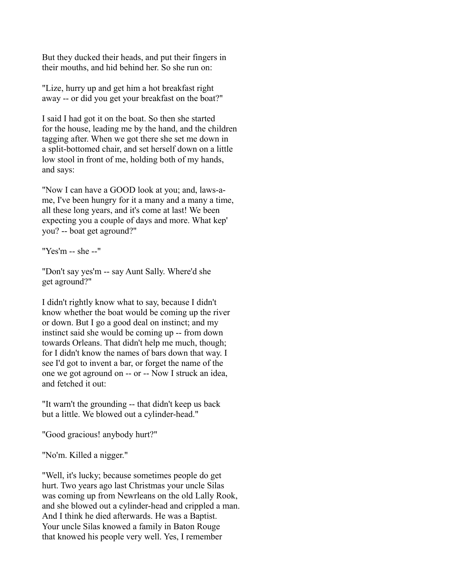But they ducked their heads, and put their fingers in their mouths, and hid behind her. So she run on:

"Lize, hurry up and get him a hot breakfast right away -- or did you get your breakfast on the boat?"

I said I had got it on the boat. So then she started for the house, leading me by the hand, and the children tagging after. When we got there she set me down in a split-bottomed chair, and set herself down on a little low stool in front of me, holding both of my hands, and says:

"Now I can have a GOOD look at you; and, laws-ame, I've been hungry for it a many and a many a time, all these long years, and it's come at last! We been expecting you a couple of days and more. What kep' you? -- boat get aground?"

"Yes'm -- she --"

"Don't say yes'm -- say Aunt Sally. Where'd she get aground?"

I didn't rightly know what to say, because I didn't know whether the boat would be coming up the river or down. But I go a good deal on instinct; and my instinct said she would be coming up -- from down towards Orleans. That didn't help me much, though; for I didn't know the names of bars down that way. I see I'd got to invent a bar, or forget the name of the one we got aground on -- or -- Now I struck an idea, and fetched it out:

"It warn't the grounding -- that didn't keep us back but a little. We blowed out a cylinder-head."

"Good gracious! anybody hurt?"

"No'm. Killed a nigger."

"Well, it's lucky; because sometimes people do get hurt. Two years ago last Christmas your uncle Silas was coming up from Newrleans on the old Lally Rook, and she blowed out a cylinder-head and crippled a man. And I think he died afterwards. He was a Baptist. Your uncle Silas knowed a family in Baton Rouge that knowed his people very well. Yes, I remember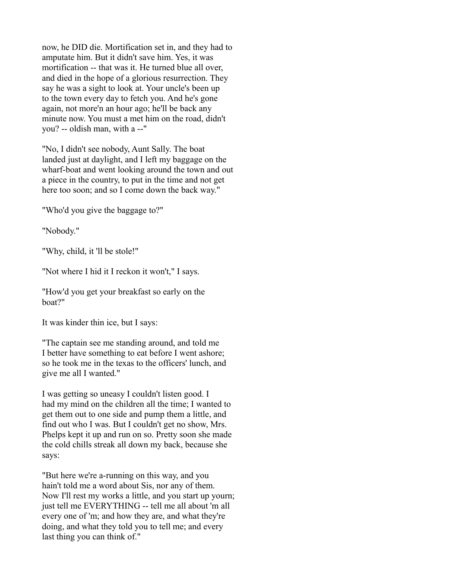now, he DID die. Mortification set in, and they had to amputate him. But it didn't save him. Yes, it was mortification -- that was it. He turned blue all over, and died in the hope of a glorious resurrection. They say he was a sight to look at. Your uncle's been up to the town every day to fetch you. And he's gone again, not more'n an hour ago; he'll be back any minute now. You must a met him on the road, didn't you? -- oldish man, with a --"

"No, I didn't see nobody, Aunt Sally. The boat landed just at daylight, and I left my baggage on the wharf-boat and went looking around the town and out a piece in the country, to put in the time and not get here too soon; and so I come down the back way."

"Who'd you give the baggage to?"

"Nobody."

"Why, child, it 'll be stole!"

"Not where I hid it I reckon it won't," I says.

"How'd you get your breakfast so early on the boat?"

It was kinder thin ice, but I says:

"The captain see me standing around, and told me I better have something to eat before I went ashore; so he took me in the texas to the officers' lunch, and give me all I wanted."

I was getting so uneasy I couldn't listen good. I had my mind on the children all the time; I wanted to get them out to one side and pump them a little, and find out who I was. But I couldn't get no show, Mrs. Phelps kept it up and run on so. Pretty soon she made the cold chills streak all down my back, because she says:

"But here we're a-running on this way, and you hain't told me a word about Sis, nor any of them. Now I'll rest my works a little, and you start up yourn; just tell me EVERYTHING -- tell me all about 'm all every one of 'm; and how they are, and what they're doing, and what they told you to tell me; and every last thing you can think of."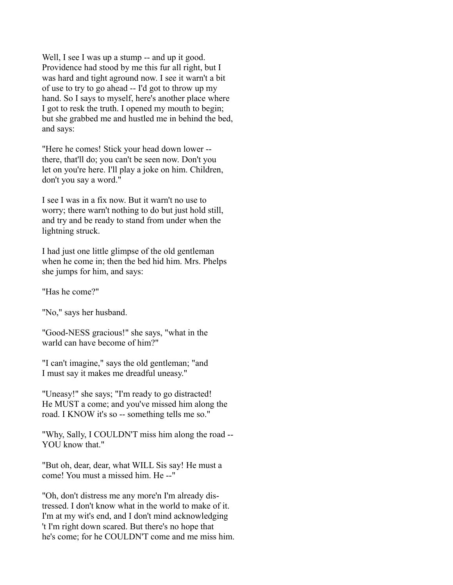Well, I see I was up a stump -- and up it good. Providence had stood by me this fur all right, but I was hard and tight aground now. I see it warn't a bit of use to try to go ahead -- I'd got to throw up my hand. So I says to myself, here's another place where I got to resk the truth. I opened my mouth to begin; but she grabbed me and hustled me in behind the bed, and says:

"Here he comes! Stick your head down lower - there, that'll do; you can't be seen now. Don't you let on you're here. I'll play a joke on him. Children, don't you say a word."

I see I was in a fix now. But it warn't no use to worry; there warn't nothing to do but just hold still, and try and be ready to stand from under when the lightning struck.

I had just one little glimpse of the old gentleman when he come in; then the bed hid him. Mrs. Phelps she jumps for him, and says:

"Has he come?"

"No," says her husband.

"Good-NESS gracious!" she says, "what in the warld can have become of him?"

"I can't imagine," says the old gentleman; "and I must say it makes me dreadful uneasy."

"Uneasy!" she says; "I'm ready to go distracted! He MUST a come; and you've missed him along the road. I KNOW it's so -- something tells me so."

"Why, Sally, I COULDN'T miss him along the road -- YOU know that."

"But oh, dear, dear, what WILL Sis say! He must a come! You must a missed him. He --"

"Oh, don't distress me any more'n I'm already distressed. I don't know what in the world to make of it. I'm at my wit's end, and I don't mind acknowledging 't I'm right down scared. But there's no hope that he's come; for he COULDN'T come and me miss him.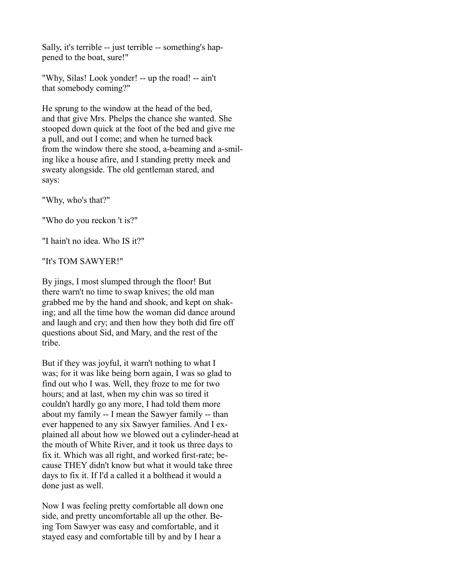Sally, it's terrible -- just terrible -- something's happened to the boat, sure!"

"Why, Silas! Look yonder! -- up the road! -- ain't that somebody coming?"

He sprung to the window at the head of the bed, and that give Mrs. Phelps the chance she wanted. She stooped down quick at the foot of the bed and give me a pull, and out I come; and when he turned back from the window there she stood, a-beaming and a-smiling like a house afire, and I standing pretty meek and sweaty alongside. The old gentleman stared, and says:

"Why, who's that?"

"Who do you reckon 't is?"

"I hain't no idea. Who IS it?"

"It's TOM SAWYER!"

By jings, I most slumped through the floor! But there warn't no time to swap knives; the old man grabbed me by the hand and shook, and kept on shaking; and all the time how the woman did dance around and laugh and cry; and then how they both did fire off questions about Sid, and Mary, and the rest of the tribe.

But if they was joyful, it warn't nothing to what I was; for it was like being born again, I was so glad to find out who I was. Well, they froze to me for two hours; and at last, when my chin was so tired it couldn't hardly go any more, I had told them more about my family -- I mean the Sawyer family -- than ever happened to any six Sawyer families. And I explained all about how we blowed out a cylinder-head at the mouth of White River, and it took us three days to fix it. Which was all right, and worked first-rate; because THEY didn't know but what it would take three days to fix it. If I'd a called it a bolthead it would a done just as well.

Now I was feeling pretty comfortable all down one side, and pretty uncomfortable all up the other. Being Tom Sawyer was easy and comfortable, and it stayed easy and comfortable till by and by I hear a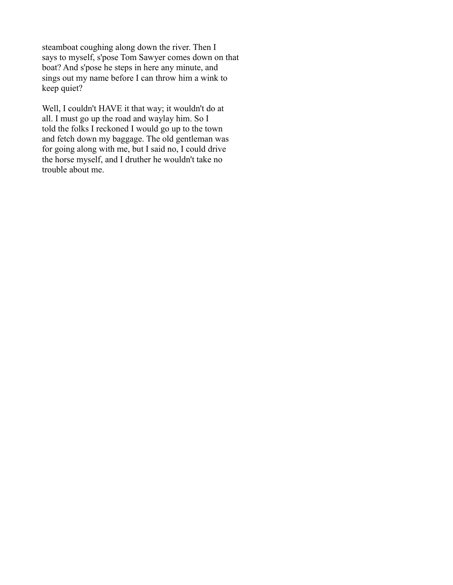steamboat coughing along down the river. Then I says to myself, s'pose Tom Sawyer comes down on that boat? And s'pose he steps in here any minute, and sings out my name before I can throw him a wink to keep quiet?

Well, I couldn't HAVE it that way; it wouldn't do at all. I must go up the road and waylay him. So I told the folks I reckoned I would go up to the town and fetch down my baggage. The old gentleman was for going along with me, but I said no, I could drive the horse myself, and I druther he wouldn't take no trouble about me.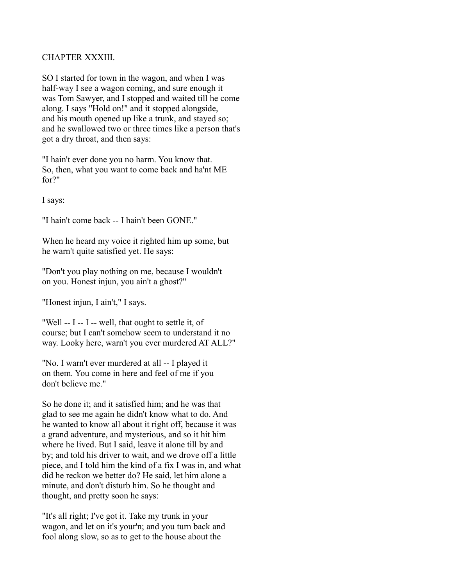## CHAPTER XXXIII.

SO I started for town in the wagon, and when I was half-way I see a wagon coming, and sure enough it was Tom Sawyer, and I stopped and waited till he come along. I says "Hold on!" and it stopped alongside, and his mouth opened up like a trunk, and stayed so; and he swallowed two or three times like a person that's got a dry throat, and then says:

"I hain't ever done you no harm. You know that. So, then, what you want to come back and ha'nt ME for?"

I says:

"I hain't come back -- I hain't been GONE."

When he heard my voice it righted him up some, but he warn't quite satisfied yet. He says:

"Don't you play nothing on me, because I wouldn't on you. Honest injun, you ain't a ghost?"

"Honest injun, I ain't," I says.

"Well -- I -- I -- well, that ought to settle it, of course; but I can't somehow seem to understand it no way. Looky here, warn't you ever murdered AT ALL?"

"No. I warn't ever murdered at all -- I played it on them. You come in here and feel of me if you don't believe me."

So he done it; and it satisfied him; and he was that glad to see me again he didn't know what to do. And he wanted to know all about it right off, because it was a grand adventure, and mysterious, and so it hit him where he lived. But I said, leave it alone till by and by; and told his driver to wait, and we drove off a little piece, and I told him the kind of a fix I was in, and what did he reckon we better do? He said, let him alone a minute, and don't disturb him. So he thought and thought, and pretty soon he says:

"It's all right; I've got it. Take my trunk in your wagon, and let on it's your'n; and you turn back and fool along slow, so as to get to the house about the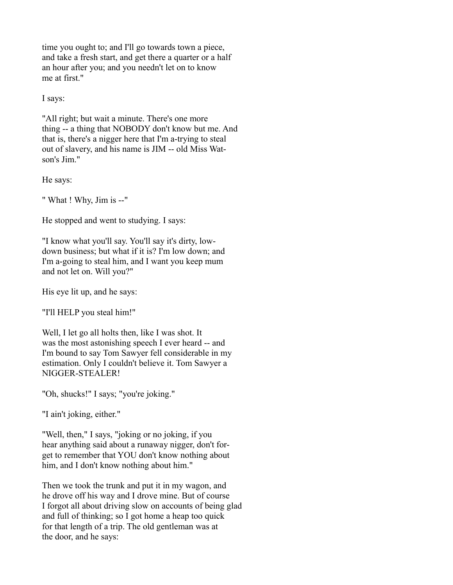time you ought to; and I'll go towards town a piece, and take a fresh start, and get there a quarter or a half an hour after you; and you needn't let on to know me at first."

I says:

"All right; but wait a minute. There's one more thing -- a thing that NOBODY don't know but me. And that is, there's a nigger here that I'm a-trying to steal out of slavery, and his name is JIM -- old Miss Watson's Jim."

He says:

" What ! Why, Jim is --"

He stopped and went to studying. I says:

"I know what you'll say. You'll say it's dirty, lowdown business; but what if it is? I'm low down; and I'm a-going to steal him, and I want you keep mum and not let on. Will you?"

His eye lit up, and he says:

"I'll HELP you steal him!"

Well, I let go all holts then, like I was shot. It was the most astonishing speech I ever heard -- and I'm bound to say Tom Sawyer fell considerable in my estimation. Only I couldn't believe it. Tom Sawyer a NIGGER-STEALER!

"Oh, shucks!" I says; "you're joking."

"I ain't joking, either."

"Well, then," I says, "joking or no joking, if you hear anything said about a runaway nigger, don't forget to remember that YOU don't know nothing about him, and I don't know nothing about him."

Then we took the trunk and put it in my wagon, and he drove off his way and I drove mine. But of course I forgot all about driving slow on accounts of being glad and full of thinking; so I got home a heap too quick for that length of a trip. The old gentleman was at the door, and he says: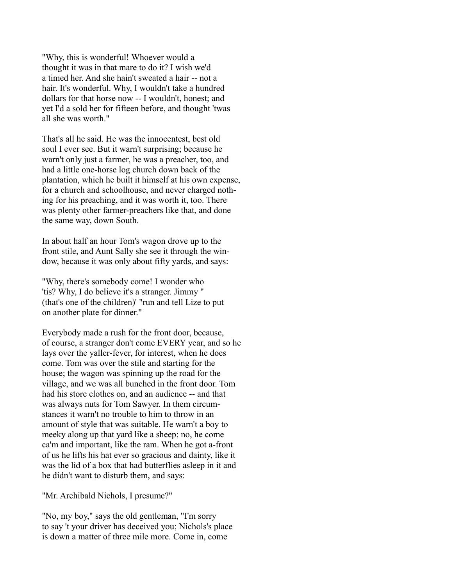"Why, this is wonderful! Whoever would a thought it was in that mare to do it? I wish we'd a timed her. And she hain't sweated a hair -- not a hair. It's wonderful. Why, I wouldn't take a hundred dollars for that horse now -- I wouldn't, honest; and yet I'd a sold her for fifteen before, and thought 'twas all she was worth."

That's all he said. He was the innocentest, best old soul I ever see. But it warn't surprising; because he warn't only just a farmer, he was a preacher, too, and had a little one-horse log church down back of the plantation, which he built it himself at his own expense, for a church and schoolhouse, and never charged nothing for his preaching, and it was worth it, too. There was plenty other farmer-preachers like that, and done the same way, down South.

In about half an hour Tom's wagon drove up to the front stile, and Aunt Sally she see it through the window, because it was only about fifty yards, and says:

"Why, there's somebody come! I wonder who 'tis? Why, I do believe it's a stranger. Jimmy " (that's one of the children)' "run and tell Lize to put on another plate for dinner."

Everybody made a rush for the front door, because, of course, a stranger don't come EVERY year, and so he lays over the yaller-fever, for interest, when he does come. Tom was over the stile and starting for the house; the wagon was spinning up the road for the village, and we was all bunched in the front door. Tom had his store clothes on, and an audience -- and that was always nuts for Tom Sawyer. In them circumstances it warn't no trouble to him to throw in an amount of style that was suitable. He warn't a boy to meeky along up that yard like a sheep; no, he come ca'm and important, like the ram. When he got a-front of us he lifts his hat ever so gracious and dainty, like it was the lid of a box that had butterflies asleep in it and he didn't want to disturb them, and says:

"Mr. Archibald Nichols, I presume?"

"No, my boy," says the old gentleman, "I'm sorry to say 't your driver has deceived you; Nichols's place is down a matter of three mile more. Come in, come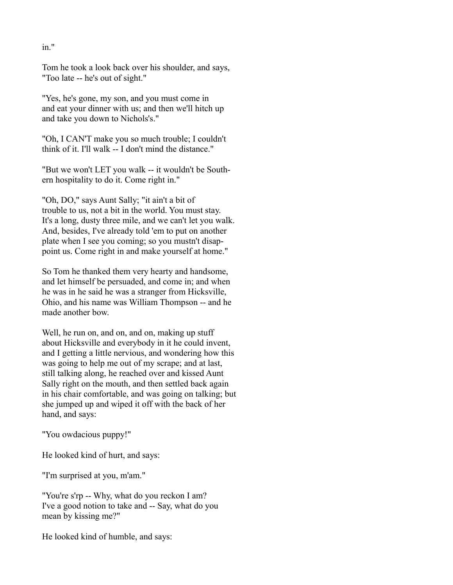Tom he took a look back over his shoulder, and says, "Too late -- he's out of sight."

"Yes, he's gone, my son, and you must come in and eat your dinner with us; and then we'll hitch up and take you down to Nichols's."

"Oh, I CAN'T make you so much trouble; I couldn't think of it. I'll walk -- I don't mind the distance."

"But we won't LET you walk -- it wouldn't be Southern hospitality to do it. Come right in."

"Oh, DO," says Aunt Sally; "it ain't a bit of trouble to us, not a bit in the world. You must stay. It's a long, dusty three mile, and we can't let you walk. And, besides, I've already told 'em to put on another plate when I see you coming; so you mustn't disappoint us. Come right in and make yourself at home."

So Tom he thanked them very hearty and handsome, and let himself be persuaded, and come in; and when he was in he said he was a stranger from Hicksville, Ohio, and his name was William Thompson -- and he made another bow.

Well, he run on, and on, and on, making up stuff about Hicksville and everybody in it he could invent, and I getting a little nervious, and wondering how this was going to help me out of my scrape; and at last, still talking along, he reached over and kissed Aunt Sally right on the mouth, and then settled back again in his chair comfortable, and was going on talking; but she jumped up and wiped it off with the back of her hand, and says:

"You owdacious puppy!"

He looked kind of hurt, and says:

"I'm surprised at you, m'am."

"You're s'rp -- Why, what do you reckon I am? I've a good notion to take and -- Say, what do you mean by kissing me?"

He looked kind of humble, and says:

in."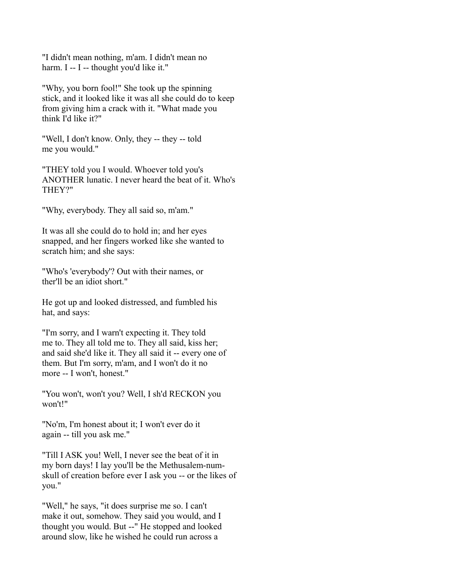"I didn't mean nothing, m'am. I didn't mean no harm. I -- I -- thought you'd like it."

"Why, you born fool!" She took up the spinning stick, and it looked like it was all she could do to keep from giving him a crack with it. "What made you think I'd like it?"

"Well, I don't know. Only, they -- they -- told me you would."

"THEY told you I would. Whoever told you's ANOTHER lunatic. I never heard the beat of it. Who's THEY?"

"Why, everybody. They all said so, m'am."

It was all she could do to hold in; and her eyes snapped, and her fingers worked like she wanted to scratch him; and she says:

"Who's 'everybody'? Out with their names, or ther'll be an idiot short."

He got up and looked distressed, and fumbled his hat, and says:

"I'm sorry, and I warn't expecting it. They told me to. They all told me to. They all said, kiss her; and said she'd like it. They all said it -- every one of them. But I'm sorry, m'am, and I won't do it no more -- I won't, honest."

"You won't, won't you? Well, I sh'd RECKON you won't!"

"No'm, I'm honest about it; I won't ever do it again -- till you ask me."

"Till I ASK you! Well, I never see the beat of it in my born days! I lay you'll be the Methusalem-numskull of creation before ever I ask you -- or the likes of you."

"Well," he says, "it does surprise me so. I can't make it out, somehow. They said you would, and I thought you would. But --" He stopped and looked around slow, like he wished he could run across a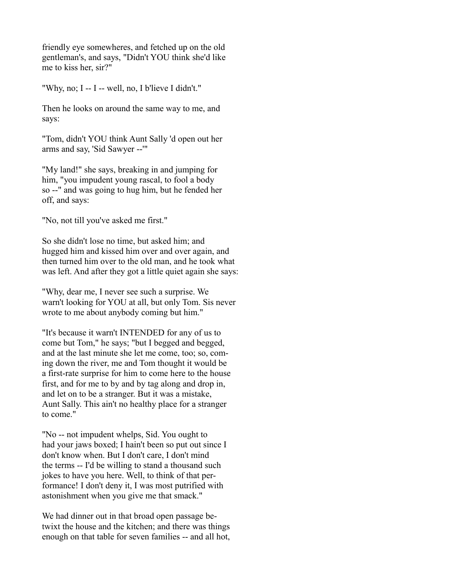friendly eye somewheres, and fetched up on the old gentleman's, and says, "Didn't YOU think she'd like me to kiss her, sir?"

"Why, no; I -- I -- well, no, I b'lieve I didn't."

Then he looks on around the same way to me, and says:

"Tom, didn't YOU think Aunt Sally 'd open out her arms and say, 'Sid Sawyer --'"

"My land!" she says, breaking in and jumping for him, "you impudent young rascal, to fool a body so --" and was going to hug him, but he fended her off, and says:

"No, not till you've asked me first."

So she didn't lose no time, but asked him; and hugged him and kissed him over and over again, and then turned him over to the old man, and he took what was left. And after they got a little quiet again she says:

"Why, dear me, I never see such a surprise. We warn't looking for YOU at all, but only Tom. Sis never wrote to me about anybody coming but him."

"It's because it warn't INTENDED for any of us to come but Tom," he says; "but I begged and begged, and at the last minute she let me come, too; so, coming down the river, me and Tom thought it would be a first-rate surprise for him to come here to the house first, and for me to by and by tag along and drop in, and let on to be a stranger. But it was a mistake, Aunt Sally. This ain't no healthy place for a stranger to come."

"No -- not impudent whelps, Sid. You ought to had your jaws boxed; I hain't been so put out since I don't know when. But I don't care, I don't mind the terms -- I'd be willing to stand a thousand such jokes to have you here. Well, to think of that performance! I don't deny it, I was most putrified with astonishment when you give me that smack."

We had dinner out in that broad open passage betwixt the house and the kitchen; and there was things enough on that table for seven families -- and all hot,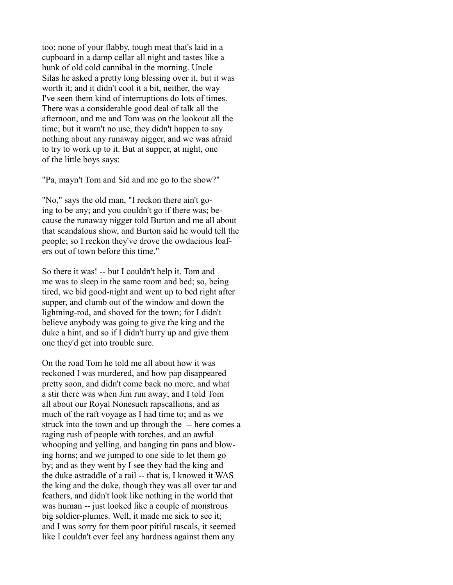too; none of your flabby, tough meat that's laid in a cupboard in a damp cellar all night and tastes like a hunk of old cold cannibal in the morning. Uncle Silas he asked a pretty long blessing over it, but it was worth it; and it didn't cool it a bit, neither, the way I've seen them kind of interruptions do lots of times. There was a considerable good deal of talk all the afternoon, and me and Tom was on the lookout all the time; but it warn't no use, they didn't happen to say nothing about any runaway nigger, and we was afraid to try to work up to it. But at supper, at night, one of the little boys says:

"Pa, mayn't Tom and Sid and me go to the show?"

"No," says the old man, "I reckon there ain't going to be any; and you couldn't go if there was; because the runaway nigger told Burton and me all about that scandalous show, and Burton said he would tell the people; so I reckon they've drove the owdacious loafers out of town before this time."

So there it was! -- but I couldn't help it. Tom and me was to sleep in the same room and bed; so, being tired, we bid good-night and went up to bed right after supper, and clumb out of the window and down the lightning-rod, and shoved for the town; for I didn't believe anybody was going to give the king and the duke a hint, and so if I didn't hurry up and give them one they'd get into trouble sure.

On the road Tom he told me all about how it was reckoned I was murdered, and how pap disappeared pretty soon, and didn't come back no more, and what a stir there was when Jim run away; and I told Tom all about our Royal Nonesuch rapscallions, and as much of the raft voyage as I had time to; and as we struck into the town and up through the -- here comes a raging rush of people with torches, and an awful whooping and yelling, and banging tin pans and blowing horns; and we jumped to one side to let them go by; and as they went by I see they had the king and the duke astraddle of a rail -- that is, I knowed it WAS the king and the duke, though they was all over tar and feathers, and didn't look like nothing in the world that was human -- just looked like a couple of monstrous big soldier-plumes. Well, it made me sick to see it; and I was sorry for them poor pitiful rascals, it seemed like I couldn't ever feel any hardness against them any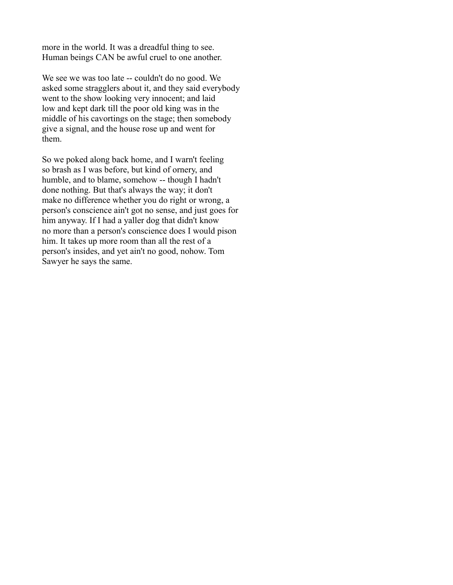more in the world. It was a dreadful thing to see. Human beings CAN be awful cruel to one another.

We see we was too late -- couldn't do no good. We asked some stragglers about it, and they said everybody went to the show looking very innocent; and laid low and kept dark till the poor old king was in the middle of his cavortings on the stage; then somebody give a signal, and the house rose up and went for them.

So we poked along back home, and I warn't feeling so brash as I was before, but kind of ornery, and humble, and to blame, somehow -- though I hadn't done nothing. But that's always the way; it don't make no difference whether you do right or wrong, a person's conscience ain't got no sense, and just goes for him anyway. If I had a yaller dog that didn't know no more than a person's conscience does I would pison him. It takes up more room than all the rest of a person's insides, and yet ain't no good, nohow. Tom Sawyer he says the same.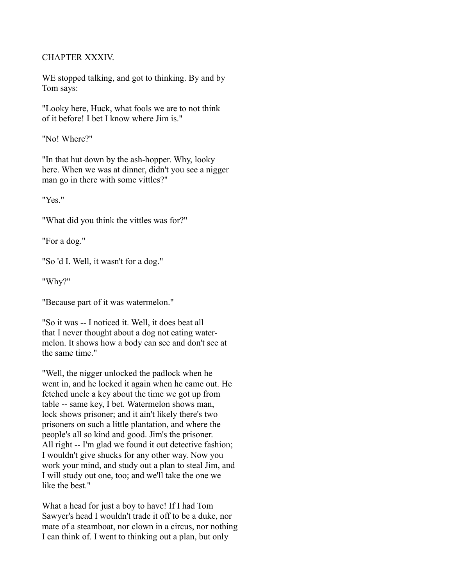# CHAPTER XXXIV.

WE stopped talking, and got to thinking. By and by Tom says:

"Looky here, Huck, what fools we are to not think of it before! I bet I know where Jim is."

"No! Where?"

"In that hut down by the ash-hopper. Why, looky here. When we was at dinner, didn't you see a nigger man go in there with some vittles?"

"Yes."

"What did you think the vittles was for?"

"For a dog."

"So 'd I. Well, it wasn't for a dog."

"Why?"

"Because part of it was watermelon."

"So it was -- I noticed it. Well, it does beat all that I never thought about a dog not eating watermelon. It shows how a body can see and don't see at the same time."

"Well, the nigger unlocked the padlock when he went in, and he locked it again when he came out. He fetched uncle a key about the time we got up from table -- same key, I bet. Watermelon shows man, lock shows prisoner; and it ain't likely there's two prisoners on such a little plantation, and where the people's all so kind and good. Jim's the prisoner. All right -- I'm glad we found it out detective fashion; I wouldn't give shucks for any other way. Now you work your mind, and study out a plan to steal Jim, and I will study out one, too; and we'll take the one we like the best."

What a head for just a boy to have! If I had Tom Sawyer's head I wouldn't trade it off to be a duke, nor mate of a steamboat, nor clown in a circus, nor nothing I can think of. I went to thinking out a plan, but only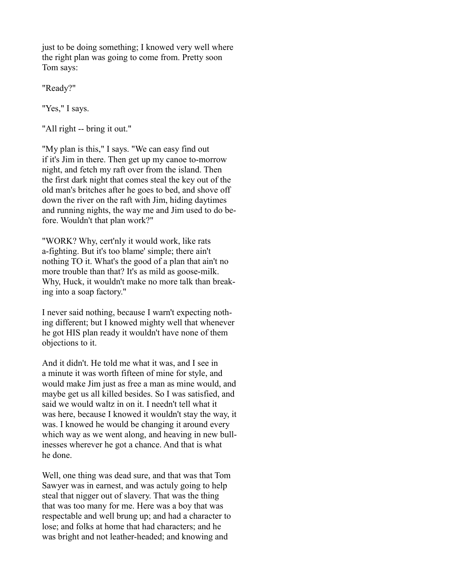just to be doing something; I knowed very well where the right plan was going to come from. Pretty soon Tom says:

"Ready?"

"Yes," I says.

"All right -- bring it out."

"My plan is this," I says. "We can easy find out if it's Jim in there. Then get up my canoe to-morrow night, and fetch my raft over from the island. Then the first dark night that comes steal the key out of the old man's britches after he goes to bed, and shove off down the river on the raft with Jim, hiding daytimes and running nights, the way me and Jim used to do before. Wouldn't that plan work?"

"WORK? Why, cert'nly it would work, like rats a-fighting. But it's too blame' simple; there ain't nothing TO it. What's the good of a plan that ain't no more trouble than that? It's as mild as goose-milk. Why, Huck, it wouldn't make no more talk than breaking into a soap factory."

I never said nothing, because I warn't expecting nothing different; but I knowed mighty well that whenever he got HIS plan ready it wouldn't have none of them objections to it.

And it didn't. He told me what it was, and I see in a minute it was worth fifteen of mine for style, and would make Jim just as free a man as mine would, and maybe get us all killed besides. So I was satisfied, and said we would waltz in on it. I needn't tell what it was here, because I knowed it wouldn't stay the way, it was. I knowed he would be changing it around every which way as we went along, and heaving in new bullinesses wherever he got a chance. And that is what he done.

Well, one thing was dead sure, and that was that Tom Sawyer was in earnest, and was actuly going to help steal that nigger out of slavery. That was the thing that was too many for me. Here was a boy that was respectable and well brung up; and had a character to lose; and folks at home that had characters; and he was bright and not leather-headed; and knowing and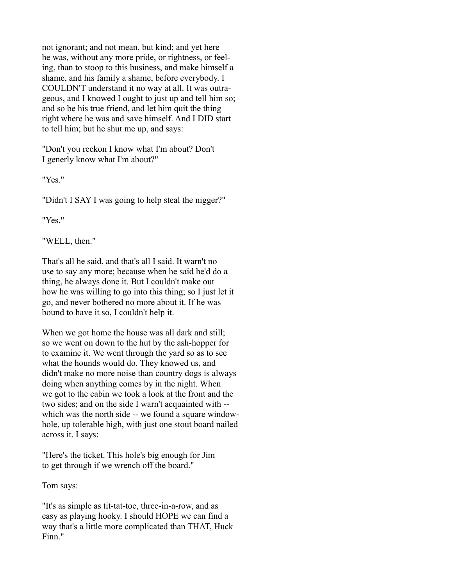not ignorant; and not mean, but kind; and yet here he was, without any more pride, or rightness, or feeling, than to stoop to this business, and make himself a shame, and his family a shame, before everybody. I COULDN'T understand it no way at all. It was outrageous, and I knowed I ought to just up and tell him so; and so be his true friend, and let him quit the thing right where he was and save himself. And I DID start to tell him; but he shut me up, and says:

"Don't you reckon I know what I'm about? Don't I generly know what I'm about?"

"Yes."

"Didn't I SAY I was going to help steal the nigger?"

"Yes."

"WELL, then."

That's all he said, and that's all I said. It warn't no use to say any more; because when he said he'd do a thing, he always done it. But I couldn't make out how he was willing to go into this thing; so I just let it go, and never bothered no more about it. If he was bound to have it so, I couldn't help it.

When we got home the house was all dark and still; so we went on down to the hut by the ash-hopper for to examine it. We went through the yard so as to see what the hounds would do. They knowed us, and didn't make no more noise than country dogs is always doing when anything comes by in the night. When we got to the cabin we took a look at the front and the two sides; and on the side I warn't acquainted with - which was the north side -- we found a square windowhole, up tolerable high, with just one stout board nailed across it. I says:

"Here's the ticket. This hole's big enough for Jim to get through if we wrench off the board."

Tom says:

"It's as simple as tit-tat-toe, three-in-a-row, and as easy as playing hooky. I should HOPE we can find a way that's a little more complicated than THAT, Huck Finn."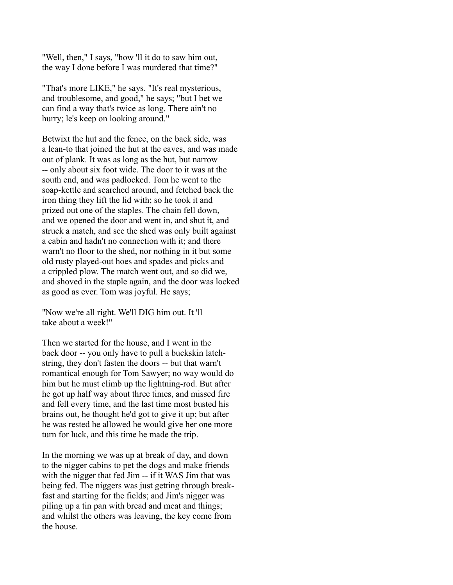"Well, then," I says, "how 'll it do to saw him out, the way I done before I was murdered that time?"

"That's more LIKE," he says. "It's real mysterious, and troublesome, and good," he says; "but I bet we can find a way that's twice as long. There ain't no hurry; le's keep on looking around."

Betwixt the hut and the fence, on the back side, was a lean-to that joined the hut at the eaves, and was made out of plank. It was as long as the hut, but narrow -- only about six foot wide. The door to it was at the south end, and was padlocked. Tom he went to the soap-kettle and searched around, and fetched back the iron thing they lift the lid with; so he took it and prized out one of the staples. The chain fell down, and we opened the door and went in, and shut it, and struck a match, and see the shed was only built against a cabin and hadn't no connection with it; and there warn't no floor to the shed, nor nothing in it but some old rusty played-out hoes and spades and picks and a crippled plow. The match went out, and so did we, and shoved in the staple again, and the door was locked as good as ever. Tom was joyful. He says;

"Now we're all right. We'll DIG him out. It 'll take about a week!"

Then we started for the house, and I went in the back door -- you only have to pull a buckskin latchstring, they don't fasten the doors -- but that warn't romantical enough for Tom Sawyer; no way would do him but he must climb up the lightning-rod. But after he got up half way about three times, and missed fire and fell every time, and the last time most busted his brains out, he thought he'd got to give it up; but after he was rested he allowed he would give her one more turn for luck, and this time he made the trip.

In the morning we was up at break of day, and down to the nigger cabins to pet the dogs and make friends with the nigger that fed Jim -- if it WAS Jim that was being fed. The niggers was just getting through breakfast and starting for the fields; and Jim's nigger was piling up a tin pan with bread and meat and things; and whilst the others was leaving, the key come from the house.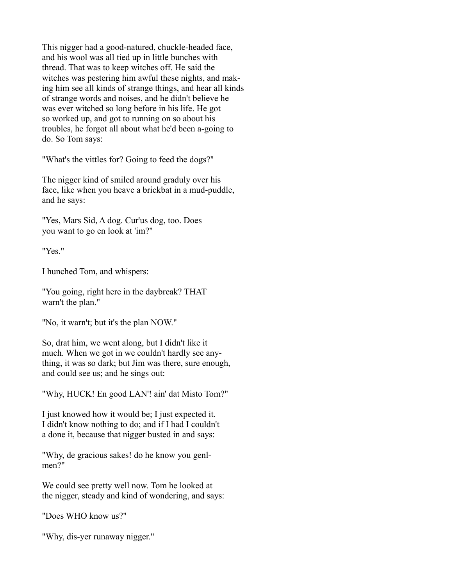This nigger had a good-natured, chuckle-headed face, and his wool was all tied up in little bunches with thread. That was to keep witches off. He said the witches was pestering him awful these nights, and making him see all kinds of strange things, and hear all kinds of strange words and noises, and he didn't believe he was ever witched so long before in his life. He got so worked up, and got to running on so about his troubles, he forgot all about what he'd been a-going to do. So Tom says:

"What's the vittles for? Going to feed the dogs?"

The nigger kind of smiled around graduly over his face, like when you heave a brickbat in a mud-puddle, and he says:

"Yes, Mars Sid, A dog. Cur'us dog, too. Does you want to go en look at 'im?"

"Yes."

I hunched Tom, and whispers:

"You going, right here in the daybreak? THAT warn't the plan."

"No, it warn't; but it's the plan NOW."

So, drat him, we went along, but I didn't like it much. When we got in we couldn't hardly see anything, it was so dark; but Jim was there, sure enough, and could see us; and he sings out:

"Why, HUCK! En good LAN'! ain' dat Misto Tom?"

I just knowed how it would be; I just expected it. I didn't know nothing to do; and if I had I couldn't a done it, because that nigger busted in and says:

"Why, de gracious sakes! do he know you genlmen?"

We could see pretty well now. Tom he looked at the nigger, steady and kind of wondering, and says:

"Does WHO know us?"

"Why, dis-yer runaway nigger."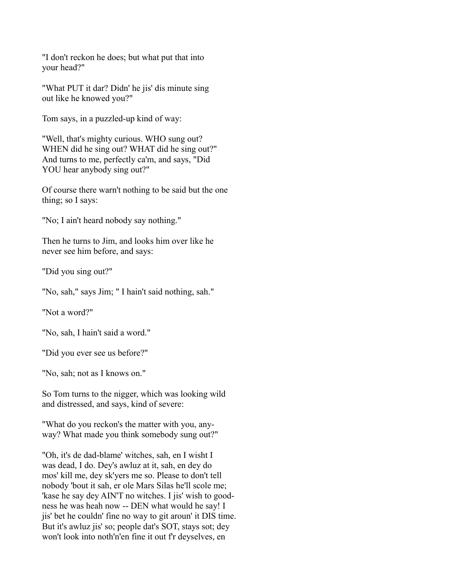"I don't reckon he does; but what put that into your head?"

"What PUT it dar? Didn' he jis' dis minute sing out like he knowed you?"

Tom says, in a puzzled-up kind of way:

"Well, that's mighty curious. WHO sung out? WHEN did he sing out? WHAT did he sing out?" And turns to me, perfectly ca'm, and says, "Did YOU hear anybody sing out?"

Of course there warn't nothing to be said but the one thing; so I says:

"No; I ain't heard nobody say nothing."

Then he turns to Jim, and looks him over like he never see him before, and says:

"Did you sing out?"

"No, sah," says Jim; " I hain't said nothing, sah."

"Not a word?"

"No, sah, I hain't said a word."

"Did you ever see us before?"

"No, sah; not as I knows on."

So Tom turns to the nigger, which was looking wild and distressed, and says, kind of severe:

"What do you reckon's the matter with you, anyway? What made you think somebody sung out?"

"Oh, it's de dad-blame' witches, sah, en I wisht I was dead, I do. Dey's awluz at it, sah, en dey do mos' kill me, dey sk'yers me so. Please to don't tell nobody 'bout it sah, er ole Mars Silas he'll scole me; 'kase he say dey AIN'T no witches. I jis' wish to goodness he was heah now -- DEN what would he say! I jis' bet he couldn' fine no way to git aroun' it DIS time. But it's awluz jis' so; people dat's SOT, stays sot; dey won't look into noth'n'en fine it out f'r deyselves, en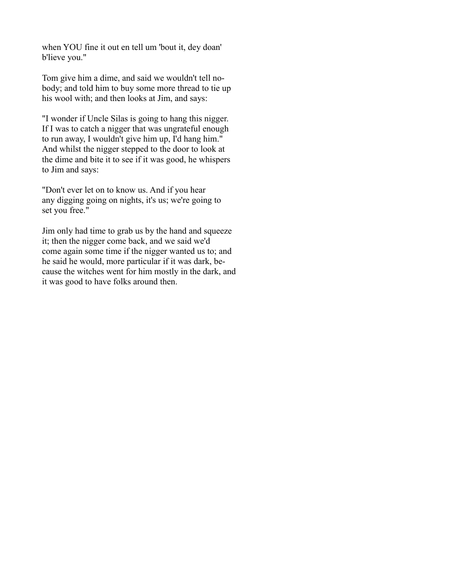when YOU fine it out en tell um 'bout it, dey doan' b'lieve you."

Tom give him a dime, and said we wouldn't tell nobody; and told him to buy some more thread to tie up his wool with; and then looks at Jim, and says:

"I wonder if Uncle Silas is going to hang this nigger. If I was to catch a nigger that was ungrateful enough to run away, I wouldn't give him up, I'd hang him." And whilst the nigger stepped to the door to look at the dime and bite it to see if it was good, he whispers to Jim and says:

"Don't ever let on to know us. And if you hear any digging going on nights, it's us; we're going to set you free."

Jim only had time to grab us by the hand and squeeze it; then the nigger come back, and we said we'd come again some time if the nigger wanted us to; and he said he would, more particular if it was dark, because the witches went for him mostly in the dark, and it was good to have folks around then.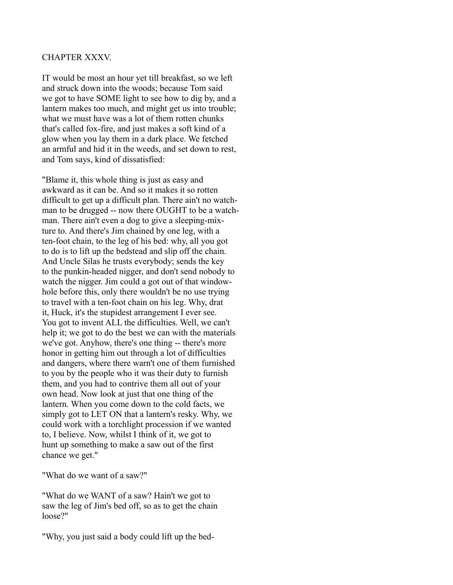#### CHAPTER XXXV.

IT would be most an hour yet till breakfast, so we left and struck down into the woods; because Tom said we got to have SOME light to see how to dig by, and a lantern makes too much, and might get us into trouble; what we must have was a lot of them rotten chunks that's called fox-fire, and just makes a soft kind of a glow when you lay them in a dark place. We fetched an armful and hid it in the weeds, and set down to rest, and Tom says, kind of dissatisfied:

"Blame it, this whole thing is just as easy and awkward as it can be. And so it makes it so rotten difficult to get up a difficult plan. There ain't no watchman to be drugged -- now there OUGHT to be a watchman. There ain't even a dog to give a sleeping-mixture to. And there's Jim chained by one leg, with a ten-foot chain, to the leg of his bed: why, all you got to do is to lift up the bedstead and slip off the chain. And Uncle Silas he trusts everybody; sends the key to the punkin-headed nigger, and don't send nobody to watch the nigger. Jim could a got out of that windowhole before this, only there wouldn't be no use trying to travel with a ten-foot chain on his leg. Why, drat it, Huck, it's the stupidest arrangement I ever see. You got to invent ALL the difficulties. Well, we can't help it; we got to do the best we can with the materials we've got. Anyhow, there's one thing -- there's more honor in getting him out through a lot of difficulties and dangers, where there warn't one of them furnished to you by the people who it was their duty to furnish them, and you had to contrive them all out of your own head. Now look at just that one thing of the lantern. When you come down to the cold facts, we simply got to LET ON that a lantern's resky. Why, we could work with a torchlight procession if we wanted to, I believe. Now, whilst I think of it, we got to hunt up something to make a saw out of the first chance we get."

"What do we want of a saw?"

"What do we WANT of a saw? Hain't we got to saw the leg of Jim's bed off, so as to get the chain loose?"

"Why, you just said a body could lift up the bed-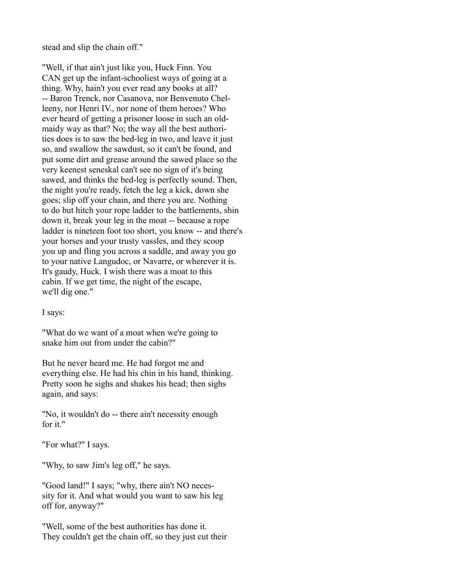stead and slip the chain off."

"Well, if that ain't just like you, Huck Finn. You CAN get up the infant-schooliest ways of going at a thing. Why, hain't you ever read any books at all? -- Baron Trenck, nor Casanova, nor Benvenuto Chelleeny, nor Henri IV., nor none of them heroes? Who ever heard of getting a prisoner loose in such an oldmaidy way as that? No; the way all the best authorities does is to saw the bed-leg in two, and leave it just so, and swallow the sawdust, so it can't be found, and put some dirt and grease around the sawed place so the very keenest seneskal can't see no sign of it's being sawed, and thinks the bed-leg is perfectly sound. Then, the night you're ready, fetch the leg a kick, down she goes; slip off your chain, and there you are. Nothing to do but hitch your rope ladder to the battlements, shin down it, break your leg in the moat -- because a rope ladder is nineteen foot too short, you know -- and there's your horses and your trusty vassles, and they scoop you up and fling you across a saddle, and away you go to your native Langudoc, or Navarre, or wherever it is. It's gaudy, Huck. I wish there was a moat to this cabin. If we get time, the night of the escape, we'll dig one."

I says:

"What do we want of a moat when we're going to snake him out from under the cabin?"

But he never heard me. He had forgot me and everything else. He had his chin in his hand, thinking. Pretty soon he sighs and shakes his head; then sighs again, and says:

"No, it wouldn't do -- there ain't necessity enough for it."

"For what?" I says.

"Why, to saw Jim's leg off," he says.

"Good land!" I says; "why, there ain't NO necessity for it. And what would you want to saw his leg off for, anyway?"

"Well, some of the best authorities has done it. They couldn't get the chain off, so they just cut their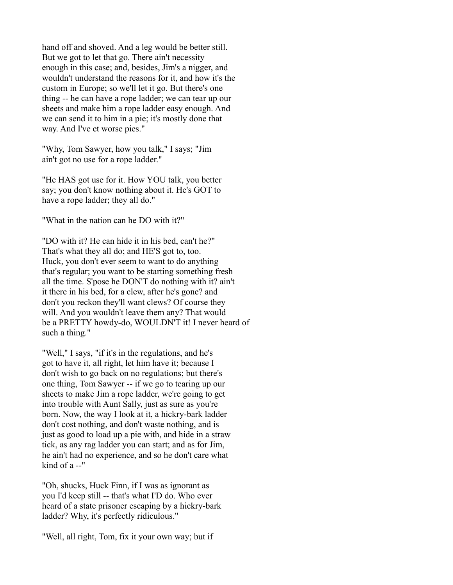hand off and shoved. And a leg would be better still. But we got to let that go. There ain't necessity enough in this case; and, besides, Jim's a nigger, and wouldn't understand the reasons for it, and how it's the custom in Europe; so we'll let it go. But there's one thing -- he can have a rope ladder; we can tear up our sheets and make him a rope ladder easy enough. And we can send it to him in a pie; it's mostly done that way. And I've et worse pies."

"Why, Tom Sawyer, how you talk," I says; "Jim ain't got no use for a rope ladder."

"He HAS got use for it. How YOU talk, you better say; you don't know nothing about it. He's GOT to have a rope ladder; they all do."

"What in the nation can he DO with it?"

"DO with it? He can hide it in his bed, can't he?" That's what they all do; and HE'S got to, too. Huck, you don't ever seem to want to do anything that's regular; you want to be starting something fresh all the time. S'pose he DON'T do nothing with it? ain't it there in his bed, for a clew, after he's gone? and don't you reckon they'll want clews? Of course they will. And you wouldn't leave them any? That would be a PRETTY howdy-do, WOULDN'T it! I never heard of such a thing."

"Well," I says, "if it's in the regulations, and he's got to have it, all right, let him have it; because I don't wish to go back on no regulations; but there's one thing, Tom Sawyer -- if we go to tearing up our sheets to make Jim a rope ladder, we're going to get into trouble with Aunt Sally, just as sure as you're born. Now, the way I look at it, a hickry-bark ladder don't cost nothing, and don't waste nothing, and is just as good to load up a pie with, and hide in a straw tick, as any rag ladder you can start; and as for Jim, he ain't had no experience, and so he don't care what kind of a --"

"Oh, shucks, Huck Finn, if I was as ignorant as you I'd keep still -- that's what I'D do. Who ever heard of a state prisoner escaping by a hickry-bark ladder? Why, it's perfectly ridiculous."

"Well, all right, Tom, fix it your own way; but if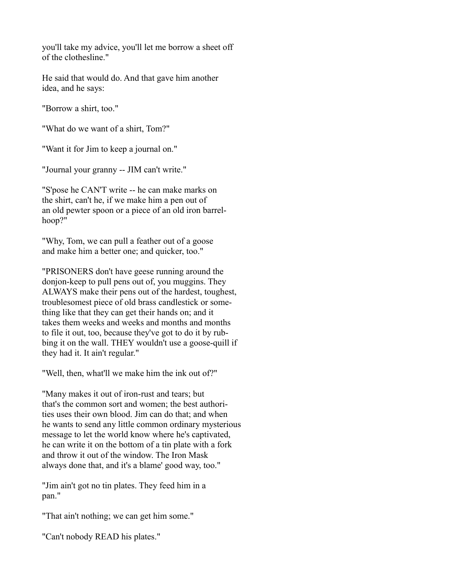you'll take my advice, you'll let me borrow a sheet off of the clothesline."

He said that would do. And that gave him another idea, and he says:

"Borrow a shirt, too."

"What do we want of a shirt, Tom?"

"Want it for Jim to keep a journal on."

"Journal your granny -- JIM can't write."

"S'pose he CAN'T write -- he can make marks on the shirt, can't he, if we make him a pen out of an old pewter spoon or a piece of an old iron barrelhoop?"

"Why, Tom, we can pull a feather out of a goose and make him a better one; and quicker, too."

"PRISONERS don't have geese running around the donjon-keep to pull pens out of, you muggins. They ALWAYS make their pens out of the hardest, toughest, troublesomest piece of old brass candlestick or something like that they can get their hands on; and it takes them weeks and weeks and months and months to file it out, too, because they've got to do it by rubbing it on the wall. THEY wouldn't use a goose-quill if they had it. It ain't regular."

"Well, then, what'll we make him the ink out of?"

"Many makes it out of iron-rust and tears; but that's the common sort and women; the best authorities uses their own blood. Jim can do that; and when he wants to send any little common ordinary mysterious message to let the world know where he's captivated, he can write it on the bottom of a tin plate with a fork and throw it out of the window. The Iron Mask always done that, and it's a blame' good way, too."

"Jim ain't got no tin plates. They feed him in a pan."

"That ain't nothing; we can get him some."

"Can't nobody READ his plates."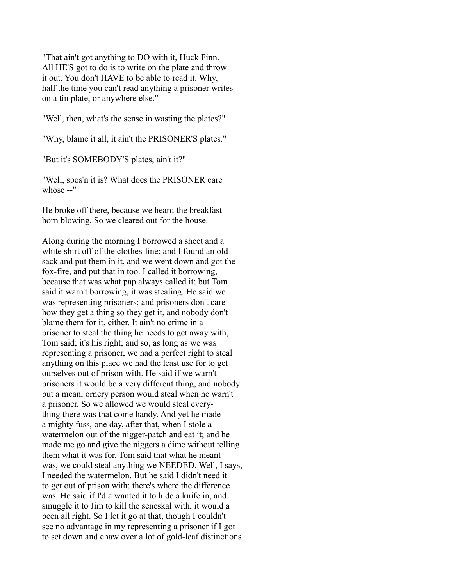"That ain't got anything to DO with it, Huck Finn. All HE'S got to do is to write on the plate and throw it out. You don't HAVE to be able to read it. Why, half the time you can't read anything a prisoner writes on a tin plate, or anywhere else."

"Well, then, what's the sense in wasting the plates?"

"Why, blame it all, it ain't the PRISONER'S plates."

"But it's SOMEBODY'S plates, ain't it?"

"Well, spos'n it is? What does the PRISONER care whose --"

He broke off there, because we heard the breakfasthorn blowing. So we cleared out for the house.

Along during the morning I borrowed a sheet and a white shirt off of the clothes-line; and I found an old sack and put them in it, and we went down and got the fox-fire, and put that in too. I called it borrowing, because that was what pap always called it; but Tom said it warn't borrowing, it was stealing. He said we was representing prisoners; and prisoners don't care how they get a thing so they get it, and nobody don't blame them for it, either. It ain't no crime in a prisoner to steal the thing he needs to get away with, Tom said; it's his right; and so, as long as we was representing a prisoner, we had a perfect right to steal anything on this place we had the least use for to get ourselves out of prison with. He said if we warn't prisoners it would be a very different thing, and nobody but a mean, ornery person would steal when he warn't a prisoner. So we allowed we would steal everything there was that come handy. And yet he made a mighty fuss, one day, after that, when I stole a watermelon out of the nigger-patch and eat it; and he made me go and give the niggers a dime without telling them what it was for. Tom said that what he meant was, we could steal anything we NEEDED. Well, I says, I needed the watermelon. But he said I didn't need it to get out of prison with; there's where the difference was. He said if I'd a wanted it to hide a knife in, and smuggle it to Jim to kill the seneskal with, it would a been all right. So I let it go at that, though I couldn't see no advantage in my representing a prisoner if I got to set down and chaw over a lot of gold-leaf distinctions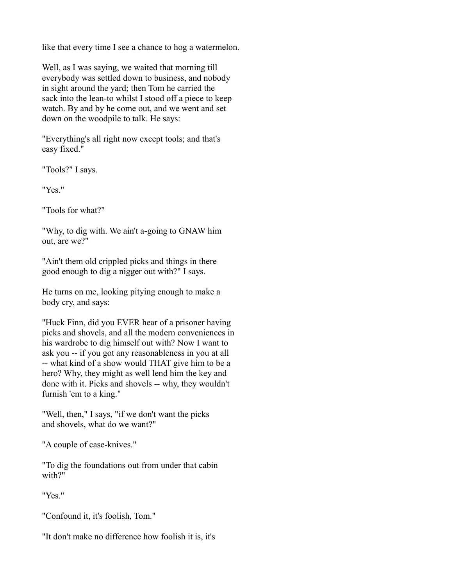like that every time I see a chance to hog a watermelon.

Well, as I was saying, we waited that morning till everybody was settled down to business, and nobody in sight around the yard; then Tom he carried the sack into the lean-to whilst I stood off a piece to keep watch. By and by he come out, and we went and set down on the woodpile to talk. He says:

"Everything's all right now except tools; and that's easy fixed."

"Tools?" I says.

"Yes."

"Tools for what?"

"Why, to dig with. We ain't a-going to GNAW him out, are we?"

"Ain't them old crippled picks and things in there good enough to dig a nigger out with?" I says.

He turns on me, looking pitying enough to make a body cry, and says:

"Huck Finn, did you EVER hear of a prisoner having picks and shovels, and all the modern conveniences in his wardrobe to dig himself out with? Now I want to ask you -- if you got any reasonableness in you at all -- what kind of a show would THAT give him to be a hero? Why, they might as well lend him the key and done with it. Picks and shovels -- why, they wouldn't furnish 'em to a king."

"Well, then," I says, "if we don't want the picks and shovels, what do we want?"

"A couple of case-knives."

"To dig the foundations out from under that cabin with?"

"Yes."

"Confound it, it's foolish, Tom."

"It don't make no difference how foolish it is, it's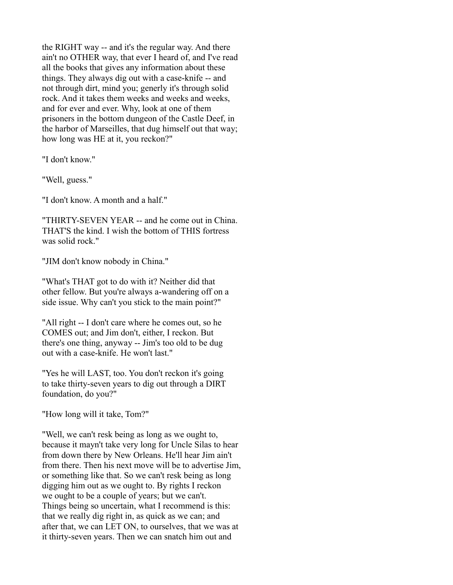the RIGHT way -- and it's the regular way. And there ain't no OTHER way, that ever I heard of, and I've read all the books that gives any information about these things. They always dig out with a case-knife -- and not through dirt, mind you; generly it's through solid rock. And it takes them weeks and weeks and weeks, and for ever and ever. Why, look at one of them prisoners in the bottom dungeon of the Castle Deef, in the harbor of Marseilles, that dug himself out that way; how long was HE at it, you reckon?"

"I don't know."

"Well, guess."

"I don't know. A month and a half."

"THIRTY-SEVEN YEAR -- and he come out in China. THAT'S the kind. I wish the bottom of THIS fortress was solid rock."

"JIM don't know nobody in China."

"What's THAT got to do with it? Neither did that other fellow. But you're always a-wandering off on a side issue. Why can't you stick to the main point?"

"All right -- I don't care where he comes out, so he COMES out; and Jim don't, either, I reckon. But there's one thing, anyway -- Jim's too old to be dug out with a case-knife. He won't last."

"Yes he will LAST, too. You don't reckon it's going to take thirty-seven years to dig out through a DIRT foundation, do you?"

"How long will it take, Tom?"

"Well, we can't resk being as long as we ought to, because it mayn't take very long for Uncle Silas to hear from down there by New Orleans. He'll hear Jim ain't from there. Then his next move will be to advertise Jim, or something like that. So we can't resk being as long digging him out as we ought to. By rights I reckon we ought to be a couple of years; but we can't. Things being so uncertain, what I recommend is this: that we really dig right in, as quick as we can; and after that, we can LET ON, to ourselves, that we was at it thirty-seven years. Then we can snatch him out and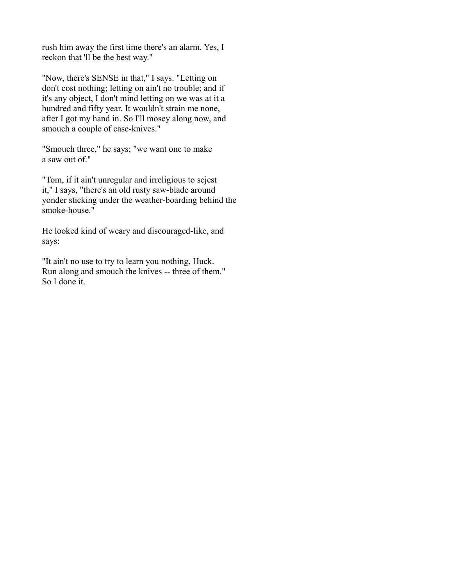rush him away the first time there's an alarm. Yes, I reckon that 'll be the best way."

"Now, there's SENSE in that," I says. "Letting on don't cost nothing; letting on ain't no trouble; and if it's any object, I don't mind letting on we was at it a hundred and fifty year. It wouldn't strain me none, after I got my hand in. So I'll mosey along now, and smouch a couple of case-knives."

"Smouch three," he says; "we want one to make a saw out of."

"Tom, if it ain't unregular and irreligious to sejest it," I says, "there's an old rusty saw-blade around yonder sticking under the weather-boarding behind the smoke-house."

He looked kind of weary and discouraged-like, and says:

"It ain't no use to try to learn you nothing, Huck. Run along and smouch the knives -- three of them." So I done it.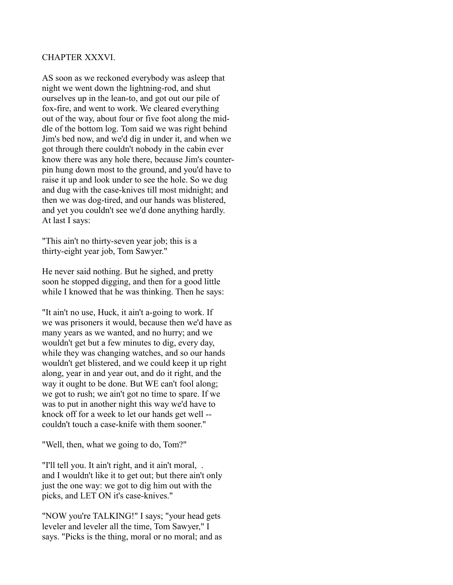#### CHAPTER XXXVI.

AS soon as we reckoned everybody was asleep that night we went down the lightning-rod, and shut ourselves up in the lean-to, and got out our pile of fox-fire, and went to work. We cleared everything out of the way, about four or five foot along the middle of the bottom log. Tom said we was right behind Jim's bed now, and we'd dig in under it, and when we got through there couldn't nobody in the cabin ever know there was any hole there, because Jim's counterpin hung down most to the ground, and you'd have to raise it up and look under to see the hole. So we dug and dug with the case-knives till most midnight; and then we was dog-tired, and our hands was blistered, and yet you couldn't see we'd done anything hardly. At last I says:

"This ain't no thirty-seven year job; this is a thirty-eight year job, Tom Sawyer."

He never said nothing. But he sighed, and pretty soon he stopped digging, and then for a good little while I knowed that he was thinking. Then he says:

"It ain't no use, Huck, it ain't a-going to work. If we was prisoners it would, because then we'd have as many years as we wanted, and no hurry; and we wouldn't get but a few minutes to dig, every day, while they was changing watches, and so our hands wouldn't get blistered, and we could keep it up right along, year in and year out, and do it right, and the way it ought to be done. But WE can't fool along; we got to rush; we ain't got no time to spare. If we was to put in another night this way we'd have to knock off for a week to let our hands get well - couldn't touch a case-knife with them sooner."

"Well, then, what we going to do, Tom?"

"I'll tell you. It ain't right, and it ain't moral, . and I wouldn't like it to get out; but there ain't only just the one way: we got to dig him out with the picks, and LET ON it's case-knives."

"NOW you're TALKING!" I says; "your head gets leveler and leveler all the time, Tom Sawyer," I says. "Picks is the thing, moral or no moral; and as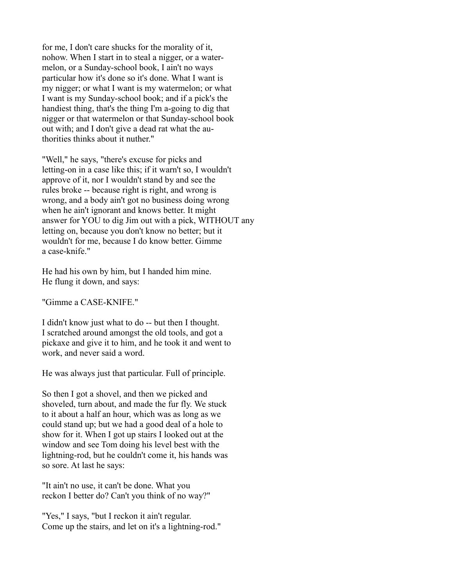for me, I don't care shucks for the morality of it, nohow. When I start in to steal a nigger, or a watermelon, or a Sunday-school book, I ain't no ways particular how it's done so it's done. What I want is my nigger; or what I want is my watermelon; or what I want is my Sunday-school book; and if a pick's the handiest thing, that's the thing I'm a-going to dig that nigger or that watermelon or that Sunday-school book out with; and I don't give a dead rat what the authorities thinks about it nuther."

"Well," he says, "there's excuse for picks and letting-on in a case like this; if it warn't so, I wouldn't approve of it, nor I wouldn't stand by and see the rules broke -- because right is right, and wrong is wrong, and a body ain't got no business doing wrong when he ain't ignorant and knows better. It might answer for YOU to dig Jim out with a pick, WITHOUT any letting on, because you don't know no better; but it wouldn't for me, because I do know better. Gimme a case-knife."

He had his own by him, but I handed him mine. He flung it down, and says:

"Gimme a CASE-KNIFE."

I didn't know just what to do -- but then I thought. I scratched around amongst the old tools, and got a pickaxe and give it to him, and he took it and went to work, and never said a word.

He was always just that particular. Full of principle.

So then I got a shovel, and then we picked and shoveled, turn about, and made the fur fly. We stuck to it about a half an hour, which was as long as we could stand up; but we had a good deal of a hole to show for it. When I got up stairs I looked out at the window and see Tom doing his level best with the lightning-rod, but he couldn't come it, his hands was so sore. At last he says:

"It ain't no use, it can't be done. What you reckon I better do? Can't you think of no way?"

"Yes," I says, "but I reckon it ain't regular. Come up the stairs, and let on it's a lightning-rod."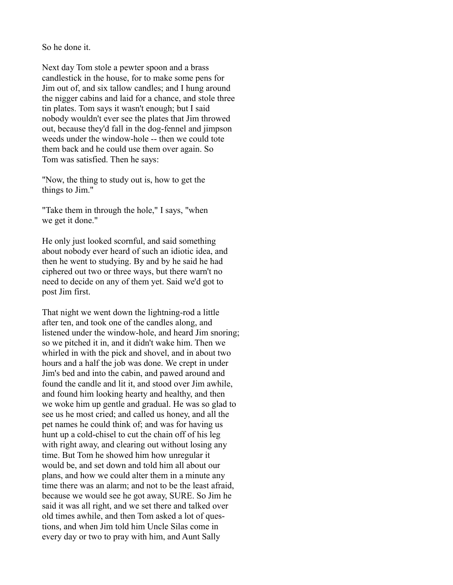So he done it.

Next day Tom stole a pewter spoon and a brass candlestick in the house, for to make some pens for Jim out of, and six tallow candles; and I hung around the nigger cabins and laid for a chance, and stole three tin plates. Tom says it wasn't enough; but I said nobody wouldn't ever see the plates that Jim throwed out, because they'd fall in the dog-fennel and jimpson weeds under the window-hole -- then we could tote them back and he could use them over again. So Tom was satisfied. Then he says:

"Now, the thing to study out is, how to get the things to Jim."

"Take them in through the hole," I says, "when we get it done."

He only just looked scornful, and said something about nobody ever heard of such an idiotic idea, and then he went to studying. By and by he said he had ciphered out two or three ways, but there warn't no need to decide on any of them yet. Said we'd got to post Jim first.

That night we went down the lightning-rod a little after ten, and took one of the candles along, and listened under the window-hole, and heard Jim snoring; so we pitched it in, and it didn't wake him. Then we whirled in with the pick and shovel, and in about two hours and a half the job was done. We crept in under Jim's bed and into the cabin, and pawed around and found the candle and lit it, and stood over Jim awhile, and found him looking hearty and healthy, and then we woke him up gentle and gradual. He was so glad to see us he most cried; and called us honey, and all the pet names he could think of; and was for having us hunt up a cold-chisel to cut the chain off of his leg with right away, and clearing out without losing any time. But Tom he showed him how unregular it would be, and set down and told him all about our plans, and how we could alter them in a minute any time there was an alarm; and not to be the least afraid, because we would see he got away, SURE. So Jim he said it was all right, and we set there and talked over old times awhile, and then Tom asked a lot of questions, and when Jim told him Uncle Silas come in every day or two to pray with him, and Aunt Sally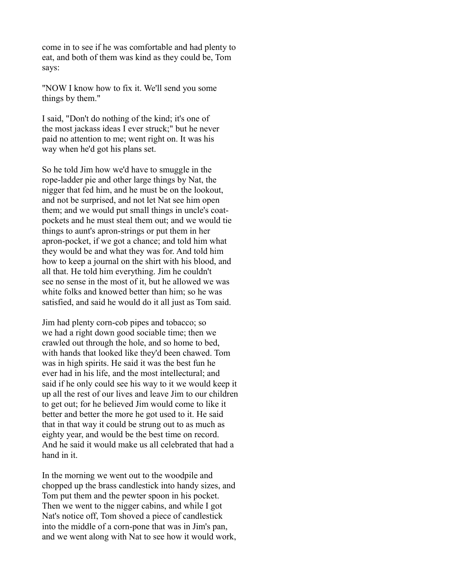come in to see if he was comfortable and had plenty to eat, and both of them was kind as they could be, Tom says:

"NOW I know how to fix it. We'll send you some things by them."

I said, "Don't do nothing of the kind; it's one of the most jackass ideas I ever struck;" but he never paid no attention to me; went right on. It was his way when he'd got his plans set.

So he told Jim how we'd have to smuggle in the rope-ladder pie and other large things by Nat, the nigger that fed him, and he must be on the lookout, and not be surprised, and not let Nat see him open them; and we would put small things in uncle's coatpockets and he must steal them out; and we would tie things to aunt's apron-strings or put them in her apron-pocket, if we got a chance; and told him what they would be and what they was for. And told him how to keep a journal on the shirt with his blood, and all that. He told him everything. Jim he couldn't see no sense in the most of it, but he allowed we was white folks and knowed better than him; so he was satisfied, and said he would do it all just as Tom said.

Jim had plenty corn-cob pipes and tobacco; so we had a right down good sociable time; then we crawled out through the hole, and so home to bed, with hands that looked like they'd been chawed. Tom was in high spirits. He said it was the best fun he ever had in his life, and the most intellectural; and said if he only could see his way to it we would keep it up all the rest of our lives and leave Jim to our children to get out; for he believed Jim would come to like it better and better the more he got used to it. He said that in that way it could be strung out to as much as eighty year, and would be the best time on record. And he said it would make us all celebrated that had a hand in it.

In the morning we went out to the woodpile and chopped up the brass candlestick into handy sizes, and Tom put them and the pewter spoon in his pocket. Then we went to the nigger cabins, and while I got Nat's notice off, Tom shoved a piece of candlestick into the middle of a corn-pone that was in Jim's pan, and we went along with Nat to see how it would work,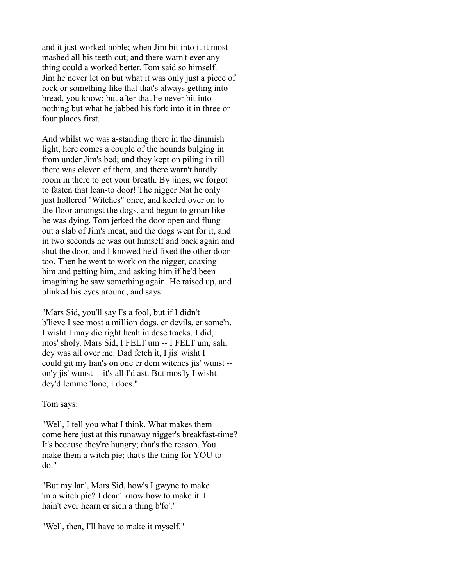and it just worked noble; when Jim bit into it it most mashed all his teeth out; and there warn't ever anything could a worked better. Tom said so himself. Jim he never let on but what it was only just a piece of rock or something like that that's always getting into bread, you know; but after that he never bit into nothing but what he jabbed his fork into it in three or four places first.

And whilst we was a-standing there in the dimmish light, here comes a couple of the hounds bulging in from under Jim's bed; and they kept on piling in till there was eleven of them, and there warn't hardly room in there to get your breath. By jings, we forgot to fasten that lean-to door! The nigger Nat he only just hollered "Witches" once, and keeled over on to the floor amongst the dogs, and begun to groan like he was dying. Tom jerked the door open and flung out a slab of Jim's meat, and the dogs went for it, and in two seconds he was out himself and back again and shut the door, and I knowed he'd fixed the other door too. Then he went to work on the nigger, coaxing him and petting him, and asking him if he'd been imagining he saw something again. He raised up, and blinked his eyes around, and says:

"Mars Sid, you'll say I's a fool, but if I didn't b'lieve I see most a million dogs, er devils, er some'n, I wisht I may die right heah in dese tracks. I did, mos' sholy. Mars Sid, I FELT um -- I FELT um, sah; dey was all over me. Dad fetch it, I jis' wisht I could git my han's on one er dem witches jis' wunst - on'y jis' wunst -- it's all I'd ast. But mos'ly I wisht dey'd lemme 'lone, I does."

Tom says:

"Well, I tell you what I think. What makes them come here just at this runaway nigger's breakfast-time? It's because they're hungry; that's the reason. You make them a witch pie; that's the thing for YOU to do."

"But my lan', Mars Sid, how's I gwyne to make 'm a witch pie? I doan' know how to make it. I hain't ever hearn er sich a thing b'fo'."

"Well, then, I'll have to make it myself."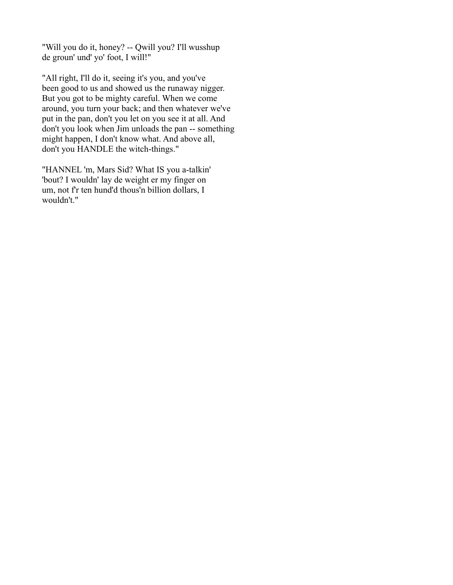"Will you do it, honey? -- Qwill you? I'll wusshup de groun' und' yo' foot, I will!"

"All right, I'll do it, seeing it's you, and you've been good to us and showed us the runaway nigger. But you got to be mighty careful. When we come around, you turn your back; and then whatever we've put in the pan, don't you let on you see it at all. And don't you look when Jim unloads the pan -- something might happen, I don't know what. And above all, don't you HANDLE the witch-things."

"HANNEL 'm, Mars Sid? What IS you a-talkin' 'bout? I wouldn' lay de weight er my finger on um, not f'r ten hund'd thous'n billion dollars, I wouldn't."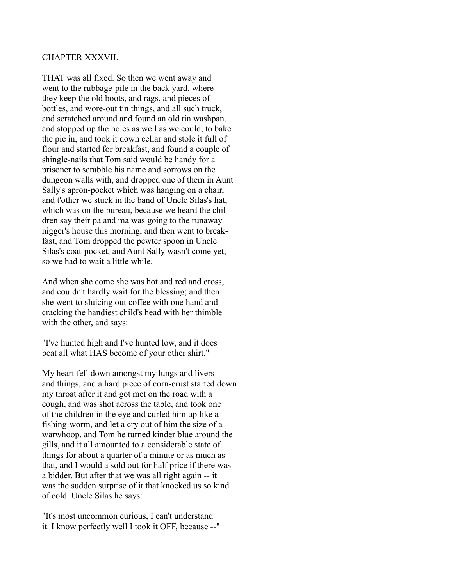## CHAPTER XXXVII.

THAT was all fixed. So then we went away and went to the rubbage-pile in the back yard, where they keep the old boots, and rags, and pieces of bottles, and wore-out tin things, and all such truck, and scratched around and found an old tin washpan, and stopped up the holes as well as we could, to bake the pie in, and took it down cellar and stole it full of flour and started for breakfast, and found a couple of shingle-nails that Tom said would be handy for a prisoner to scrabble his name and sorrows on the dungeon walls with, and dropped one of them in Aunt Sally's apron-pocket which was hanging on a chair, and t'other we stuck in the band of Uncle Silas's hat, which was on the bureau, because we heard the children say their pa and ma was going to the runaway nigger's house this morning, and then went to breakfast, and Tom dropped the pewter spoon in Uncle Silas's coat-pocket, and Aunt Sally wasn't come yet, so we had to wait a little while.

And when she come she was hot and red and cross, and couldn't hardly wait for the blessing; and then she went to sluicing out coffee with one hand and cracking the handiest child's head with her thimble with the other, and says:

"I've hunted high and I've hunted low, and it does beat all what HAS become of your other shirt."

My heart fell down amongst my lungs and livers and things, and a hard piece of corn-crust started down my throat after it and got met on the road with a cough, and was shot across the table, and took one of the children in the eye and curled him up like a fishing-worm, and let a cry out of him the size of a warwhoop, and Tom he turned kinder blue around the gills, and it all amounted to a considerable state of things for about a quarter of a minute or as much as that, and I would a sold out for half price if there was a bidder. But after that we was all right again -- it was the sudden surprise of it that knocked us so kind of cold. Uncle Silas he says:

"It's most uncommon curious, I can't understand it. I know perfectly well I took it OFF, because --"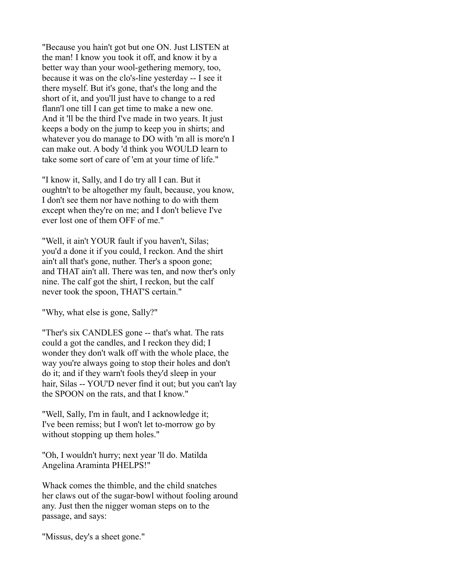"Because you hain't got but one ON. Just LISTEN at the man! I know you took it off, and know it by a better way than your wool-gethering memory, too, because it was on the clo's-line yesterday -- I see it there myself. But it's gone, that's the long and the short of it, and you'll just have to change to a red flann'l one till I can get time to make a new one. And it 'll be the third I've made in two years. It just keeps a body on the jump to keep you in shirts; and whatever you do manage to DO with 'm all is more'n I can make out. A body 'd think you WOULD learn to take some sort of care of 'em at your time of life."

"I know it, Sally, and I do try all I can. But it oughtn't to be altogether my fault, because, you know, I don't see them nor have nothing to do with them except when they're on me; and I don't believe I've ever lost one of them OFF of me."

"Well, it ain't YOUR fault if you haven't, Silas; you'd a done it if you could, I reckon. And the shirt ain't all that's gone, nuther. Ther's a spoon gone; and THAT ain't all. There was ten, and now ther's only nine. The calf got the shirt, I reckon, but the calf never took the spoon, THAT'S certain."

"Why, what else is gone, Sally?"

"Ther's six CANDLES gone -- that's what. The rats could a got the candles, and I reckon they did; I wonder they don't walk off with the whole place, the way you're always going to stop their holes and don't do it; and if they warn't fools they'd sleep in your hair, Silas -- YOU'D never find it out; but you can't lay the SPOON on the rats, and that I know."

"Well, Sally, I'm in fault, and I acknowledge it; I've been remiss; but I won't let to-morrow go by without stopping up them holes."

"Oh, I wouldn't hurry; next year 'll do. Matilda Angelina Araminta PHELPS!"

Whack comes the thimble, and the child snatches her claws out of the sugar-bowl without fooling around any. Just then the nigger woman steps on to the passage, and says:

"Missus, dey's a sheet gone."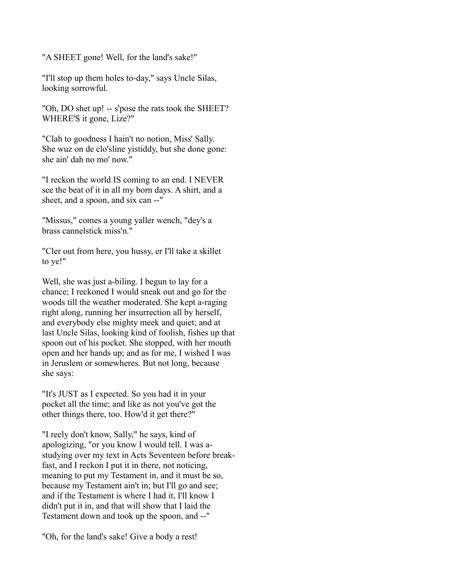"A SHEET gone! Well, for the land's sake!"

"I'll stop up them holes to-day," says Uncle Silas, looking sorrowful.

"Oh, DO shet up! -- s'pose the rats took the SHEET? WHERE'S it gone, Lize?"

"Clah to goodness I hain't no notion, Miss' Sally. She wuz on de clo'sline yistiddy, but she done gone: she ain' dah no mo' now."

"I reckon the world IS coming to an end. I NEVER see the beat of it in all my born days. A shirt, and a sheet, and a spoon, and six can --"

"Missus," comes a young yaller wench, "dey's a brass cannelstick miss'n."

"Cler out from here, you hussy, er I'll take a skillet to ye!"

Well, she was just a-biling. I begun to lay for a chance; I reckoned I would sneak out and go for the woods till the weather moderated. She kept a-raging right along, running her insurrection all by herself, and everybody else mighty meek and quiet; and at last Uncle Silas, looking kind of foolish, fishes up that spoon out of his pocket. She stopped, with her mouth open and her hands up; and as for me, I wished I was in Jeruslem or somewheres. But not long, because she says:

"It's JUST as I expected. So you had it in your pocket all the time; and like as not you've got the other things there, too. How'd it get there?"

"I reely don't know, Sally," he says, kind of apologizing, "or you know I would tell. I was astudying over my text in Acts Seventeen before breakfast, and I reckon I put it in there, not noticing, meaning to put my Testament in, and it must be so, because my Testament ain't in; but I'll go and see; and if the Testament is where I had it, I'll know I didn't put it in, and that will show that I laid the Testament down and took up the spoon, and --"

"Oh, for the land's sake! Give a body a rest!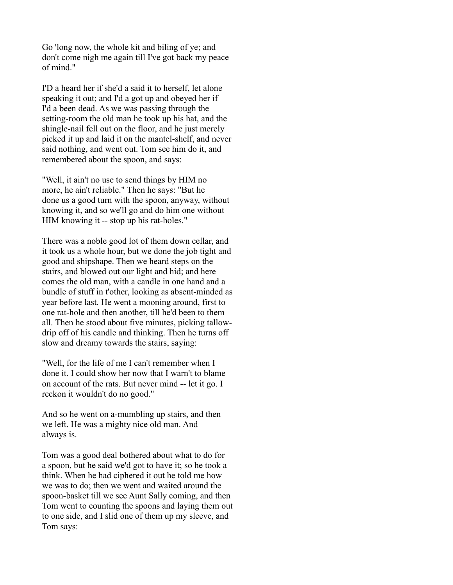Go 'long now, the whole kit and biling of ye; and don't come nigh me again till I've got back my peace of mind."

I'D a heard her if she'd a said it to herself, let alone speaking it out; and I'd a got up and obeyed her if I'd a been dead. As we was passing through the setting-room the old man he took up his hat, and the shingle-nail fell out on the floor, and he just merely picked it up and laid it on the mantel-shelf, and never said nothing, and went out. Tom see him do it, and remembered about the spoon, and says:

"Well, it ain't no use to send things by HIM no more, he ain't reliable." Then he says: "But he done us a good turn with the spoon, anyway, without knowing it, and so we'll go and do him one without HIM knowing it -- stop up his rat-holes."

There was a noble good lot of them down cellar, and it took us a whole hour, but we done the job tight and good and shipshape. Then we heard steps on the stairs, and blowed out our light and hid; and here comes the old man, with a candle in one hand and a bundle of stuff in t'other, looking as absent-minded as year before last. He went a mooning around, first to one rat-hole and then another, till he'd been to them all. Then he stood about five minutes, picking tallowdrip off of his candle and thinking. Then he turns off slow and dreamy towards the stairs, saying:

"Well, for the life of me I can't remember when I done it. I could show her now that I warn't to blame on account of the rats. But never mind -- let it go. I reckon it wouldn't do no good."

And so he went on a-mumbling up stairs, and then we left. He was a mighty nice old man. And always is.

Tom was a good deal bothered about what to do for a spoon, but he said we'd got to have it; so he took a think. When he had ciphered it out he told me how we was to do; then we went and waited around the spoon-basket till we see Aunt Sally coming, and then Tom went to counting the spoons and laying them out to one side, and I slid one of them up my sleeve, and Tom says: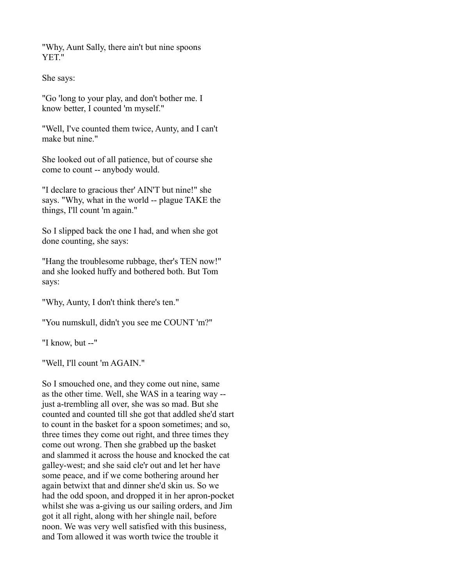"Why, Aunt Sally, there ain't but nine spoons YET."

She says:

"Go 'long to your play, and don't bother me. I know better, I counted 'm myself."

"Well, I've counted them twice, Aunty, and I can't make but nine."

She looked out of all patience, but of course she come to count -- anybody would.

"I declare to gracious ther' AIN'T but nine!" she says. "Why, what in the world -- plague TAKE the things, I'll count 'm again."

So I slipped back the one I had, and when she got done counting, she says:

"Hang the troublesome rubbage, ther's TEN now!" and she looked huffy and bothered both. But Tom says:

"Why, Aunty, I don't think there's ten."

"You numskull, didn't you see me COUNT 'm?"

"I know, but --"

"Well, I'll count 'm AGAIN."

So I smouched one, and they come out nine, same as the other time. Well, she WAS in a tearing way - just a-trembling all over, she was so mad. But she counted and counted till she got that addled she'd start to count in the basket for a spoon sometimes; and so, three times they come out right, and three times they come out wrong. Then she grabbed up the basket and slammed it across the house and knocked the cat galley-west; and she said cle'r out and let her have some peace, and if we come bothering around her again betwixt that and dinner she'd skin us. So we had the odd spoon, and dropped it in her apron-pocket whilst she was a-giving us our sailing orders, and Jim got it all right, along with her shingle nail, before noon. We was very well satisfied with this business, and Tom allowed it was worth twice the trouble it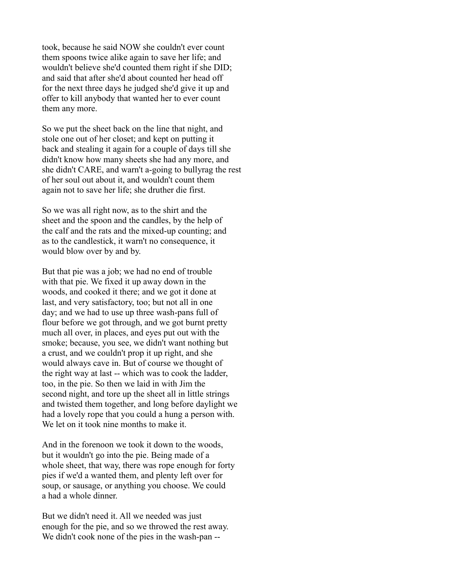took, because he said NOW she couldn't ever count them spoons twice alike again to save her life; and wouldn't believe she'd counted them right if she DID; and said that after she'd about counted her head off for the next three days he judged she'd give it up and offer to kill anybody that wanted her to ever count them any more.

So we put the sheet back on the line that night, and stole one out of her closet; and kept on putting it back and stealing it again for a couple of days till she didn't know how many sheets she had any more, and she didn't CARE, and warn't a-going to bullyrag the rest of her soul out about it, and wouldn't count them again not to save her life; she druther die first.

So we was all right now, as to the shirt and the sheet and the spoon and the candles, by the help of the calf and the rats and the mixed-up counting; and as to the candlestick, it warn't no consequence, it would blow over by and by.

But that pie was a job; we had no end of trouble with that pie. We fixed it up away down in the woods, and cooked it there; and we got it done at last, and very satisfactory, too; but not all in one day; and we had to use up three wash-pans full of flour before we got through, and we got burnt pretty much all over, in places, and eyes put out with the smoke; because, you see, we didn't want nothing but a crust, and we couldn't prop it up right, and she would always cave in. But of course we thought of the right way at last -- which was to cook the ladder, too, in the pie. So then we laid in with Jim the second night, and tore up the sheet all in little strings and twisted them together, and long before daylight we had a lovely rope that you could a hung a person with. We let on it took nine months to make it.

And in the forenoon we took it down to the woods, but it wouldn't go into the pie. Being made of a whole sheet, that way, there was rope enough for forty pies if we'd a wanted them, and plenty left over for soup, or sausage, or anything you choose. We could a had a whole dinner.

But we didn't need it. All we needed was just enough for the pie, and so we throwed the rest away. We didn't cook none of the pies in the wash-pan --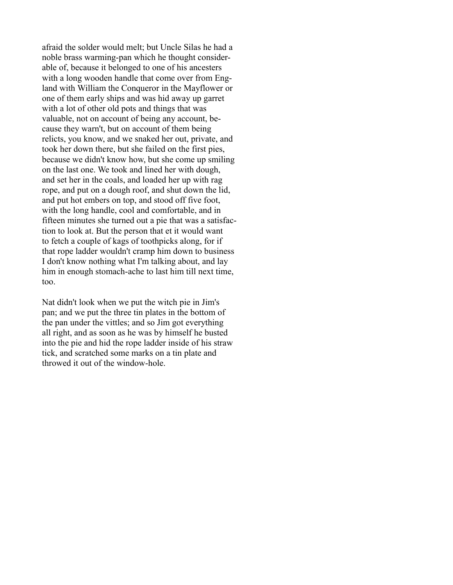afraid the solder would melt; but Uncle Silas he had a noble brass warming-pan which he thought considerable of, because it belonged to one of his ancesters with a long wooden handle that come over from England with William the Conqueror in the Mayflower or one of them early ships and was hid away up garret with a lot of other old pots and things that was valuable, not on account of being any account, because they warn't, but on account of them being relicts, you know, and we snaked her out, private, and took her down there, but she failed on the first pies, because we didn't know how, but she come up smiling on the last one. We took and lined her with dough, and set her in the coals, and loaded her up with rag rope, and put on a dough roof, and shut down the lid, and put hot embers on top, and stood off five foot, with the long handle, cool and comfortable, and in fifteen minutes she turned out a pie that was a satisfaction to look at. But the person that et it would want to fetch a couple of kags of toothpicks along, for if that rope ladder wouldn't cramp him down to business I don't know nothing what I'm talking about, and lay him in enough stomach-ache to last him till next time, too.

Nat didn't look when we put the witch pie in Jim's pan; and we put the three tin plates in the bottom of the pan under the vittles; and so Jim got everything all right, and as soon as he was by himself he busted into the pie and hid the rope ladder inside of his straw tick, and scratched some marks on a tin plate and throwed it out of the window-hole.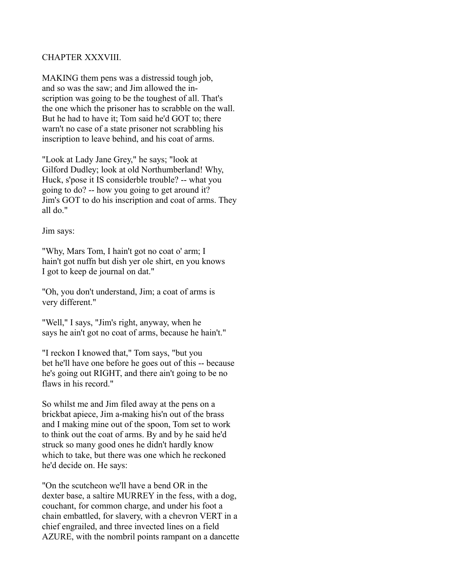## CHAPTER XXXVIII.

MAKING them pens was a distressid tough job, and so was the saw; and Jim allowed the inscription was going to be the toughest of all. That's the one which the prisoner has to scrabble on the wall. But he had to have it; Tom said he'd GOT to; there warn't no case of a state prisoner not scrabbling his inscription to leave behind, and his coat of arms.

"Look at Lady Jane Grey," he says; "look at Gilford Dudley; look at old Northumberland! Why, Huck, s'pose it IS considerble trouble? -- what you going to do? -- how you going to get around it? Jim's GOT to do his inscription and coat of arms. They all do."

Jim says:

"Why, Mars Tom, I hain't got no coat o' arm; I hain't got nuffn but dish yer ole shirt, en you knows I got to keep de journal on dat."

"Oh, you don't understand, Jim; a coat of arms is very different."

"Well," I says, "Jim's right, anyway, when he says he ain't got no coat of arms, because he hain't."

"I reckon I knowed that," Tom says, "but you bet he'll have one before he goes out of this -- because he's going out RIGHT, and there ain't going to be no flaws in his record."

So whilst me and Jim filed away at the pens on a brickbat apiece, Jim a-making his'n out of the brass and I making mine out of the spoon, Tom set to work to think out the coat of arms. By and by he said he'd struck so many good ones he didn't hardly know which to take, but there was one which he reckoned he'd decide on. He says:

"On the scutcheon we'll have a bend OR in the dexter base, a saltire MURREY in the fess, with a dog, couchant, for common charge, and under his foot a chain embattled, for slavery, with a chevron VERT in a chief engrailed, and three invected lines on a field AZURE, with the nombril points rampant on a dancette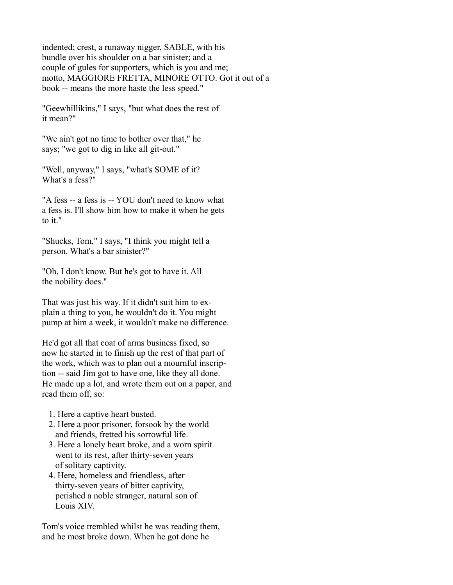indented; crest, a runaway nigger, SABLE, with his bundle over his shoulder on a bar sinister; and a couple of gules for supporters, which is you and me; motto, MAGGIORE FRETTA, MINORE OTTO. Got it out of a book -- means the more haste the less speed."

"Geewhillikins," I says, "but what does the rest of it mean?"

"We ain't got no time to bother over that," he says; "we got to dig in like all git-out."

"Well, anyway," I says, "what's SOME of it? What's a fess?"

"A fess -- a fess is -- YOU don't need to know what a fess is. I'll show him how to make it when he gets to it."

"Shucks, Tom," I says, "I think you might tell a person. What's a bar sinister?"

"Oh, I don't know. But he's got to have it. All the nobility does."

That was just his way. If it didn't suit him to explain a thing to you, he wouldn't do it. You might pump at him a week, it wouldn't make no difference.

He'd got all that coat of arms business fixed, so now he started in to finish up the rest of that part of the work, which was to plan out a mournful inscription -- said Jim got to have one, like they all done. He made up a lot, and wrote them out on a paper, and read them off, so:

- 1. Here a captive heart busted.
- 2. Here a poor prisoner, forsook by the world and friends, fretted his sorrowful life.
- 3. Here a lonely heart broke, and a worn spirit went to its rest, after thirty-seven years of solitary captivity.
- 4. Here, homeless and friendless, after thirty-seven years of bitter captivity, perished a noble stranger, natural son of Louis XIV.

Tom's voice trembled whilst he was reading them, and he most broke down. When he got done he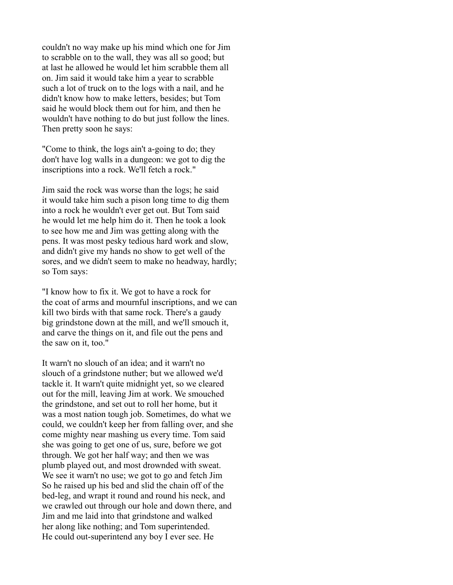couldn't no way make up his mind which one for Jim to scrabble on to the wall, they was all so good; but at last he allowed he would let him scrabble them all on. Jim said it would take him a year to scrabble such a lot of truck on to the logs with a nail, and he didn't know how to make letters, besides; but Tom said he would block them out for him, and then he wouldn't have nothing to do but just follow the lines. Then pretty soon he says:

"Come to think, the logs ain't a-going to do; they don't have log walls in a dungeon: we got to dig the inscriptions into a rock. We'll fetch a rock."

Jim said the rock was worse than the logs; he said it would take him such a pison long time to dig them into a rock he wouldn't ever get out. But Tom said he would let me help him do it. Then he took a look to see how me and Jim was getting along with the pens. It was most pesky tedious hard work and slow, and didn't give my hands no show to get well of the sores, and we didn't seem to make no headway, hardly; so Tom says:

"I know how to fix it. We got to have a rock for the coat of arms and mournful inscriptions, and we can kill two birds with that same rock. There's a gaudy big grindstone down at the mill, and we'll smouch it, and carve the things on it, and file out the pens and the saw on it, too."

It warn't no slouch of an idea; and it warn't no slouch of a grindstone nuther; but we allowed we'd tackle it. It warn't quite midnight yet, so we cleared out for the mill, leaving Jim at work. We smouched the grindstone, and set out to roll her home, but it was a most nation tough job. Sometimes, do what we could, we couldn't keep her from falling over, and she come mighty near mashing us every time. Tom said she was going to get one of us, sure, before we got through. We got her half way; and then we was plumb played out, and most drownded with sweat. We see it warn't no use; we got to go and fetch Jim So he raised up his bed and slid the chain off of the bed-leg, and wrapt it round and round his neck, and we crawled out through our hole and down there, and Jim and me laid into that grindstone and walked her along like nothing; and Tom superintended. He could out-superintend any boy I ever see. He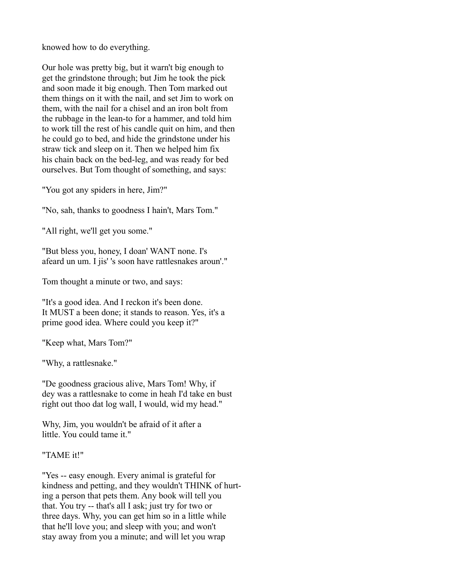knowed how to do everything.

Our hole was pretty big, but it warn't big enough to get the grindstone through; but Jim he took the pick and soon made it big enough. Then Tom marked out them things on it with the nail, and set Jim to work on them, with the nail for a chisel and an iron bolt from the rubbage in the lean-to for a hammer, and told him to work till the rest of his candle quit on him, and then he could go to bed, and hide the grindstone under his straw tick and sleep on it. Then we helped him fix his chain back on the bed-leg, and was ready for bed ourselves. But Tom thought of something, and says:

"You got any spiders in here, Jim?"

"No, sah, thanks to goodness I hain't, Mars Tom."

"All right, we'll get you some."

"But bless you, honey, I doan' WANT none. I's afeard un um. I jis' 's soon have rattlesnakes aroun'."

Tom thought a minute or two, and says:

"It's a good idea. And I reckon it's been done. It MUST a been done; it stands to reason. Yes, it's a prime good idea. Where could you keep it?"

"Keep what, Mars Tom?"

"Why, a rattlesnake."

"De goodness gracious alive, Mars Tom! Why, if dey was a rattlesnake to come in heah I'd take en bust right out thoo dat log wall, I would, wid my head."

Why, Jim, you wouldn't be afraid of it after a little. You could tame it."

"TAME it!"

"Yes -- easy enough. Every animal is grateful for kindness and petting, and they wouldn't THINK of hurting a person that pets them. Any book will tell you that. You try -- that's all I ask; just try for two or three days. Why, you can get him so in a little while that he'll love you; and sleep with you; and won't stay away from you a minute; and will let you wrap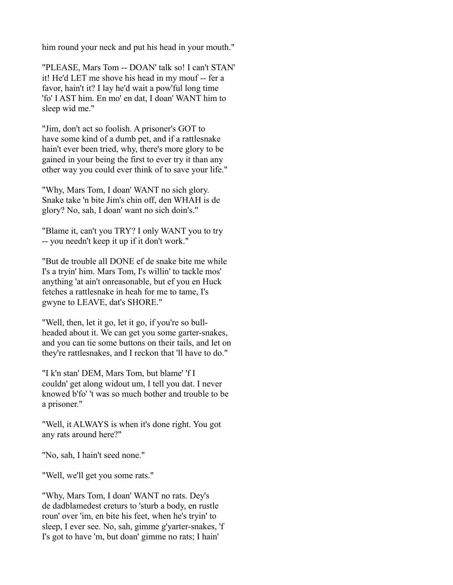him round your neck and put his head in your mouth."

"PLEASE, Mars Tom -- DOAN' talk so! I can't STAN' it! He'd LET me shove his head in my mouf -- fer a favor, hain't it? I lay he'd wait a pow'ful long time 'fo' I AST him. En mo' en dat, I doan' WANT him to sleep wid me."

"Jim, don't act so foolish. A prisoner's GOT to have some kind of a dumb pet, and if a rattlesnake hain't ever been tried, why, there's more glory to be gained in your being the first to ever try it than any other way you could ever think of to save your life."

"Why, Mars Tom, I doan' WANT no sich glory. Snake take 'n bite Jim's chin off, den WHAH is de glory? No, sah, I doan' want no sich doin's."

"Blame it, can't you TRY? I only WANT you to try -- you needn't keep it up if it don't work."

"But de trouble all DONE ef de snake bite me while I's a tryin' him. Mars Tom, I's willin' to tackle mos' anything 'at ain't onreasonable, but ef you en Huck fetches a rattlesnake in heah for me to tame, I's gwyne to LEAVE, dat's SHORE."

"Well, then, let it go, let it go, if you're so bullheaded about it. We can get you some garter-snakes, and you can tie some buttons on their tails, and let on they're rattlesnakes, and I reckon that 'll have to do."

"I k'n stan' DEM, Mars Tom, but blame' 'f I couldn' get along widout um, I tell you dat. I never knowed b'fo' 't was so much bother and trouble to be a prisoner."

"Well, it ALWAYS is when it's done right. You got any rats around here?"

"No, sah, I hain't seed none."

"Well, we'll get you some rats."

"Why, Mars Tom, I doan' WANT no rats. Dey's de dadblamedest creturs to 'sturb a body, en rustle roun' over 'im, en bite his feet, when he's tryin' to sleep, I ever see. No, sah, gimme g'yarter-snakes, 'f I's got to have 'm, but doan' gimme no rats; I hain'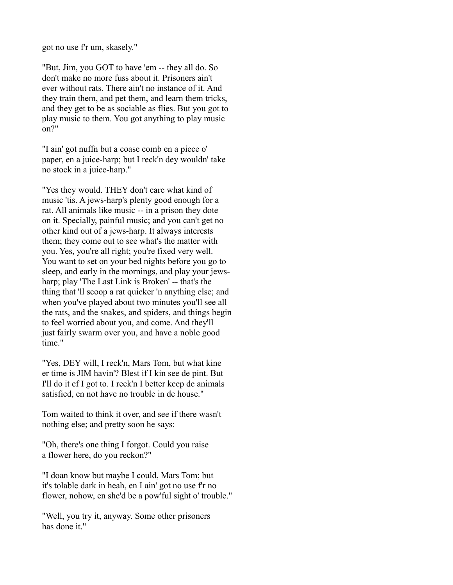got no use f'r um, skasely."

"But, Jim, you GOT to have 'em -- they all do. So don't make no more fuss about it. Prisoners ain't ever without rats. There ain't no instance of it. And they train them, and pet them, and learn them tricks, and they get to be as sociable as flies. But you got to play music to them. You got anything to play music on?"

"I ain' got nuffn but a coase comb en a piece o' paper, en a juice-harp; but I reck'n dey wouldn' take no stock in a juice-harp."

"Yes they would. THEY don't care what kind of music 'tis. A jews-harp's plenty good enough for a rat. All animals like music -- in a prison they dote on it. Specially, painful music; and you can't get no other kind out of a jews-harp. It always interests them; they come out to see what's the matter with you. Yes, you're all right; you're fixed very well. You want to set on your bed nights before you go to sleep, and early in the mornings, and play your jewsharp; play 'The Last Link is Broken' -- that's the thing that 'll scoop a rat quicker 'n anything else; and when you've played about two minutes you'll see all the rats, and the snakes, and spiders, and things begin to feel worried about you, and come. And they'll just fairly swarm over you, and have a noble good time."

"Yes, DEY will, I reck'n, Mars Tom, but what kine er time is JIM havin'? Blest if I kin see de pint. But I'll do it ef I got to. I reck'n I better keep de animals satisfied, en not have no trouble in de house."

Tom waited to think it over, and see if there wasn't nothing else; and pretty soon he says:

"Oh, there's one thing I forgot. Could you raise a flower here, do you reckon?"

"I doan know but maybe I could, Mars Tom; but it's tolable dark in heah, en I ain' got no use f'r no flower, nohow, en she'd be a pow'ful sight o' trouble."

"Well, you try it, anyway. Some other prisoners has done it."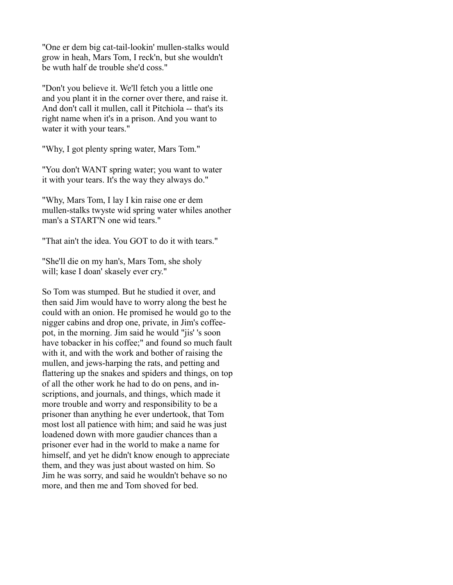"One er dem big cat-tail-lookin' mullen-stalks would grow in heah, Mars Tom, I reck'n, but she wouldn't be wuth half de trouble she'd coss."

"Don't you believe it. We'll fetch you a little one and you plant it in the corner over there, and raise it. And don't call it mullen, call it Pitchiola -- that's its right name when it's in a prison. And you want to water it with your tears."

"Why, I got plenty spring water, Mars Tom."

"You don't WANT spring water; you want to water it with your tears. It's the way they always do."

"Why, Mars Tom, I lay I kin raise one er dem mullen-stalks twyste wid spring water whiles another man's a START'N one wid tears."

"That ain't the idea. You GOT to do it with tears."

"She'll die on my han's, Mars Tom, she sholy will; kase I doan' skasely ever cry."

So Tom was stumped. But he studied it over, and then said Jim would have to worry along the best he could with an onion. He promised he would go to the nigger cabins and drop one, private, in Jim's coffeepot, in the morning. Jim said he would "jis' 's soon have tobacker in his coffee;" and found so much fault with it, and with the work and bother of raising the mullen, and jews-harping the rats, and petting and flattering up the snakes and spiders and things, on top of all the other work he had to do on pens, and inscriptions, and journals, and things, which made it more trouble and worry and responsibility to be a prisoner than anything he ever undertook, that Tom most lost all patience with him; and said he was just loadened down with more gaudier chances than a prisoner ever had in the world to make a name for himself, and yet he didn't know enough to appreciate them, and they was just about wasted on him. So Jim he was sorry, and said he wouldn't behave so no more, and then me and Tom shoved for bed.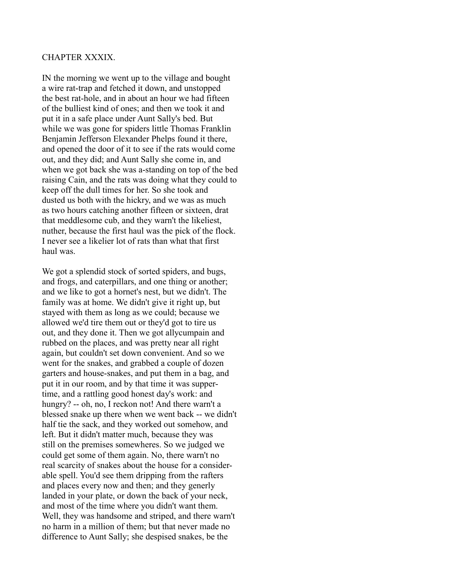## CHAPTER XXXIX.

IN the morning we went up to the village and bought a wire rat-trap and fetched it down, and unstopped the best rat-hole, and in about an hour we had fifteen of the bulliest kind of ones; and then we took it and put it in a safe place under Aunt Sally's bed. But while we was gone for spiders little Thomas Franklin Benjamin Jefferson Elexander Phelps found it there, and opened the door of it to see if the rats would come out, and they did; and Aunt Sally she come in, and when we got back she was a-standing on top of the bed raising Cain, and the rats was doing what they could to keep off the dull times for her. So she took and dusted us both with the hickry, and we was as much as two hours catching another fifteen or sixteen, drat that meddlesome cub, and they warn't the likeliest, nuther, because the first haul was the pick of the flock. I never see a likelier lot of rats than what that first haul was.

We got a splendid stock of sorted spiders, and bugs, and frogs, and caterpillars, and one thing or another; and we like to got a hornet's nest, but we didn't. The family was at home. We didn't give it right up, but stayed with them as long as we could; because we allowed we'd tire them out or they'd got to tire us out, and they done it. Then we got allycumpain and rubbed on the places, and was pretty near all right again, but couldn't set down convenient. And so we went for the snakes, and grabbed a couple of dozen garters and house-snakes, and put them in a bag, and put it in our room, and by that time it was suppertime, and a rattling good honest day's work: and hungry? -- oh, no, I reckon not! And there warn't a blessed snake up there when we went back -- we didn't half tie the sack, and they worked out somehow, and left. But it didn't matter much, because they was still on the premises somewheres. So we judged we could get some of them again. No, there warn't no real scarcity of snakes about the house for a considerable spell. You'd see them dripping from the rafters and places every now and then; and they generly landed in your plate, or down the back of your neck, and most of the time where you didn't want them. Well, they was handsome and striped, and there warn't no harm in a million of them; but that never made no difference to Aunt Sally; she despised snakes, be the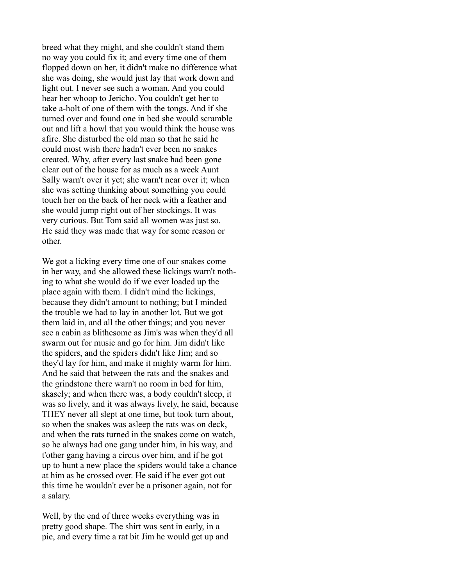breed what they might, and she couldn't stand them no way you could fix it; and every time one of them flopped down on her, it didn't make no difference what she was doing, she would just lay that work down and light out. I never see such a woman. And you could hear her whoop to Jericho. You couldn't get her to take a-holt of one of them with the tongs. And if she turned over and found one in bed she would scramble out and lift a howl that you would think the house was afire. She disturbed the old man so that he said he could most wish there hadn't ever been no snakes created. Why, after every last snake had been gone clear out of the house for as much as a week Aunt Sally warn't over it yet; she warn't near over it; when she was setting thinking about something you could touch her on the back of her neck with a feather and she would jump right out of her stockings. It was very curious. But Tom said all women was just so. He said they was made that way for some reason or other.

We got a licking every time one of our snakes come in her way, and she allowed these lickings warn't nothing to what she would do if we ever loaded up the place again with them. I didn't mind the lickings, because they didn't amount to nothing; but I minded the trouble we had to lay in another lot. But we got them laid in, and all the other things; and you never see a cabin as blithesome as Jim's was when they'd all swarm out for music and go for him. Jim didn't like the spiders, and the spiders didn't like Jim; and so they'd lay for him, and make it mighty warm for him. And he said that between the rats and the snakes and the grindstone there warn't no room in bed for him, skasely; and when there was, a body couldn't sleep, it was so lively, and it was always lively, he said, because THEY never all slept at one time, but took turn about, so when the snakes was asleep the rats was on deck, and when the rats turned in the snakes come on watch, so he always had one gang under him, in his way, and t'other gang having a circus over him, and if he got up to hunt a new place the spiders would take a chance at him as he crossed over. He said if he ever got out this time he wouldn't ever be a prisoner again, not for a salary.

Well, by the end of three weeks everything was in pretty good shape. The shirt was sent in early, in a pie, and every time a rat bit Jim he would get up and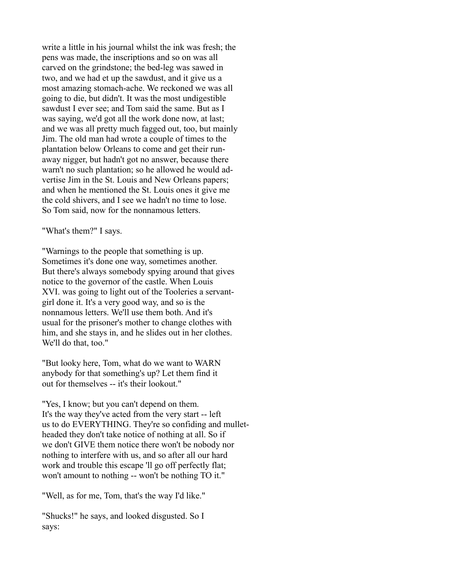write a little in his journal whilst the ink was fresh; the pens was made, the inscriptions and so on was all carved on the grindstone; the bed-leg was sawed in two, and we had et up the sawdust, and it give us a most amazing stomach-ache. We reckoned we was all going to die, but didn't. It was the most undigestible sawdust I ever see; and Tom said the same. But as I was saying, we'd got all the work done now, at last; and we was all pretty much fagged out, too, but mainly Jim. The old man had wrote a couple of times to the plantation below Orleans to come and get their runaway nigger, but hadn't got no answer, because there warn't no such plantation; so he allowed he would advertise Jim in the St. Louis and New Orleans papers; and when he mentioned the St. Louis ones it give me the cold shivers, and I see we hadn't no time to lose. So Tom said, now for the nonnamous letters.

"What's them?" I says.

"Warnings to the people that something is up. Sometimes it's done one way, sometimes another. But there's always somebody spying around that gives notice to the governor of the castle. When Louis XVI. was going to light out of the Tooleries a servantgirl done it. It's a very good way, and so is the nonnamous letters. We'll use them both. And it's usual for the prisoner's mother to change clothes with him, and she stays in, and he slides out in her clothes. We'll do that, too."

"But looky here, Tom, what do we want to WARN anybody for that something's up? Let them find it out for themselves -- it's their lookout."

"Yes, I know; but you can't depend on them. It's the way they've acted from the very start -- left us to do EVERYTHING. They're so confiding and mulletheaded they don't take notice of nothing at all. So if we don't GIVE them notice there won't be nobody nor nothing to interfere with us, and so after all our hard work and trouble this escape 'll go off perfectly flat; won't amount to nothing -- won't be nothing TO it."

"Well, as for me, Tom, that's the way I'd like."

"Shucks!" he says, and looked disgusted. So I says: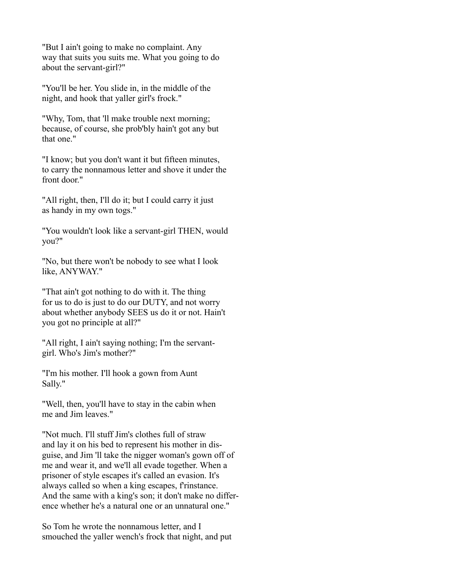"But I ain't going to make no complaint. Any way that suits you suits me. What you going to do about the servant-girl?"

"You'll be her. You slide in, in the middle of the night, and hook that yaller girl's frock."

"Why, Tom, that 'll make trouble next morning; because, of course, she prob'bly hain't got any but that one."

"I know; but you don't want it but fifteen minutes, to carry the nonnamous letter and shove it under the front door."

"All right, then, I'll do it; but I could carry it just as handy in my own togs."

"You wouldn't look like a servant-girl THEN, would you?"

"No, but there won't be nobody to see what I look like, ANYWAY."

"That ain't got nothing to do with it. The thing for us to do is just to do our DUTY, and not worry about whether anybody SEES us do it or not. Hain't you got no principle at all?"

"All right, I ain't saying nothing; I'm the servantgirl. Who's Jim's mother?"

"I'm his mother. I'll hook a gown from Aunt Sally."

"Well, then, you'll have to stay in the cabin when me and Jim leaves."

"Not much. I'll stuff Jim's clothes full of straw and lay it on his bed to represent his mother in disguise, and Jim 'll take the nigger woman's gown off of me and wear it, and we'll all evade together. When a prisoner of style escapes it's called an evasion. It's always called so when a king escapes, f'rinstance. And the same with a king's son; it don't make no difference whether he's a natural one or an unnatural one."

So Tom he wrote the nonnamous letter, and I smouched the yaller wench's frock that night, and put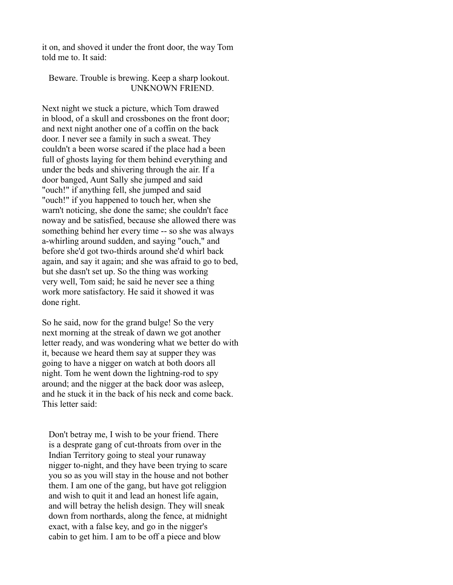it on, and shoved it under the front door, the way Tom told me to. It said:

#### Beware. Trouble is brewing. Keep a sharp lookout. UNKNOWN FRIEND.

Next night we stuck a picture, which Tom drawed in blood, of a skull and crossbones on the front door; and next night another one of a coffin on the back door. I never see a family in such a sweat. They couldn't a been worse scared if the place had a been full of ghosts laying for them behind everything and under the beds and shivering through the air. If a door banged, Aunt Sally she jumped and said "ouch!" if anything fell, she jumped and said "ouch!" if you happened to touch her, when she warn't noticing, she done the same; she couldn't face noway and be satisfied, because she allowed there was something behind her every time -- so she was always a-whirling around sudden, and saying "ouch," and before she'd got two-thirds around she'd whirl back again, and say it again; and she was afraid to go to bed, but she dasn't set up. So the thing was working very well, Tom said; he said he never see a thing work more satisfactory. He said it showed it was done right.

So he said, now for the grand bulge! So the very next morning at the streak of dawn we got another letter ready, and was wondering what we better do with it, because we heard them say at supper they was going to have a nigger on watch at both doors all night. Tom he went down the lightning-rod to spy around; and the nigger at the back door was asleep, and he stuck it in the back of his neck and come back. This letter said:

 Don't betray me, I wish to be your friend. There is a desprate gang of cut-throats from over in the Indian Territory going to steal your runaway nigger to-night, and they have been trying to scare you so as you will stay in the house and not bother them. I am one of the gang, but have got religgion and wish to quit it and lead an honest life again, and will betray the helish design. They will sneak down from northards, along the fence, at midnight exact, with a false key, and go in the nigger's cabin to get him. I am to be off a piece and blow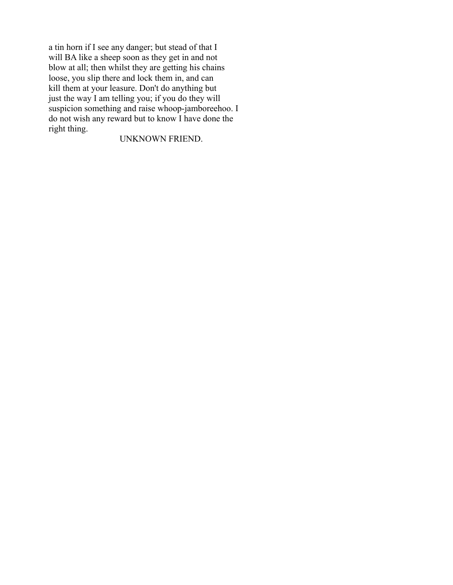a tin horn if I see any danger; but stead of that I will BA like a sheep soon as they get in and not blow at all; then whilst they are getting his chains loose, you slip there and lock them in, and can kill them at your leasure. Don't do anything but just the way I am telling you; if you do they will suspicion something and raise whoop-jamboreehoo. I do not wish any reward but to know I have done the right thing.

# UNKNOWN FRIEND.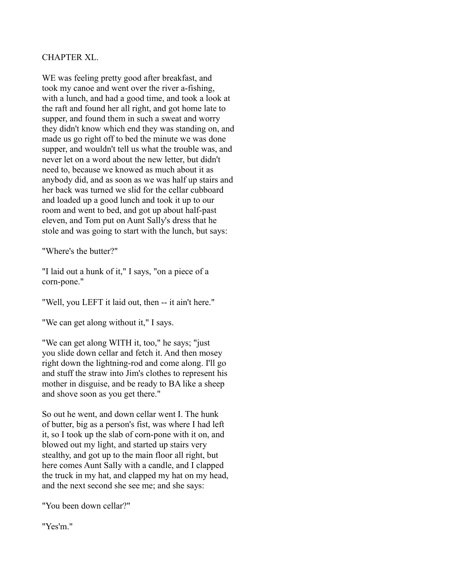## CHAPTER XL.

WE was feeling pretty good after breakfast, and took my canoe and went over the river a-fishing, with a lunch, and had a good time, and took a look at the raft and found her all right, and got home late to supper, and found them in such a sweat and worry they didn't know which end they was standing on, and made us go right off to bed the minute we was done supper, and wouldn't tell us what the trouble was, and never let on a word about the new letter, but didn't need to, because we knowed as much about it as anybody did, and as soon as we was half up stairs and her back was turned we slid for the cellar cubboard and loaded up a good lunch and took it up to our room and went to bed, and got up about half-past eleven, and Tom put on Aunt Sally's dress that he stole and was going to start with the lunch, but says:

"Where's the butter?"

"I laid out a hunk of it," I says, "on a piece of a corn-pone."

"Well, you LEFT it laid out, then -- it ain't here."

"We can get along without it," I says.

"We can get along WITH it, too," he says; "just you slide down cellar and fetch it. And then mosey right down the lightning-rod and come along. I'll go and stuff the straw into Jim's clothes to represent his mother in disguise, and be ready to BA like a sheep and shove soon as you get there."

So out he went, and down cellar went I. The hunk of butter, big as a person's fist, was where I had left it, so I took up the slab of corn-pone with it on, and blowed out my light, and started up stairs very stealthy, and got up to the main floor all right, but here comes Aunt Sally with a candle, and I clapped the truck in my hat, and clapped my hat on my head, and the next second she see me; and she says:

"You been down cellar?"

"Yes'm."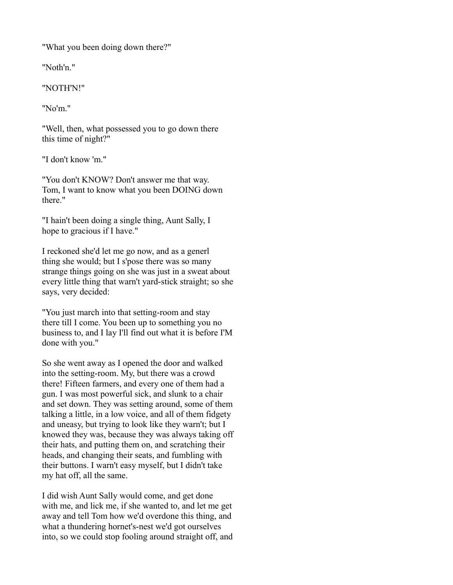"What you been doing down there?"

"Noth'n."

"NOTH'N!"

"No'm."

"Well, then, what possessed you to go down there this time of night?"

"I don't know 'm."

"You don't KNOW? Don't answer me that way. Tom, I want to know what you been DOING down there."

"I hain't been doing a single thing, Aunt Sally, I hope to gracious if I have."

I reckoned she'd let me go now, and as a generl thing she would; but I s'pose there was so many strange things going on she was just in a sweat about every little thing that warn't yard-stick straight; so she says, very decided:

"You just march into that setting-room and stay there till I come. You been up to something you no business to, and I lay I'll find out what it is before I'M done with you."

So she went away as I opened the door and walked into the setting-room. My, but there was a crowd there! Fifteen farmers, and every one of them had a gun. I was most powerful sick, and slunk to a chair and set down. They was setting around, some of them talking a little, in a low voice, and all of them fidgety and uneasy, but trying to look like they warn't; but I knowed they was, because they was always taking off their hats, and putting them on, and scratching their heads, and changing their seats, and fumbling with their buttons. I warn't easy myself, but I didn't take my hat off, all the same.

I did wish Aunt Sally would come, and get done with me, and lick me, if she wanted to, and let me get away and tell Tom how we'd overdone this thing, and what a thundering hornet's-nest we'd got ourselves into, so we could stop fooling around straight off, and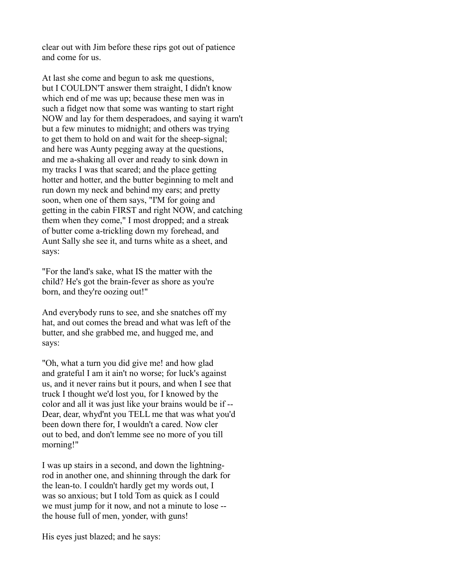clear out with Jim before these rips got out of patience and come for us.

At last she come and begun to ask me questions, but I COULDN'T answer them straight, I didn't know which end of me was up; because these men was in such a fidget now that some was wanting to start right NOW and lay for them desperadoes, and saying it warn't but a few minutes to midnight; and others was trying to get them to hold on and wait for the sheep-signal; and here was Aunty pegging away at the questions, and me a-shaking all over and ready to sink down in my tracks I was that scared; and the place getting hotter and hotter, and the butter beginning to melt and run down my neck and behind my ears; and pretty soon, when one of them says, "I'M for going and getting in the cabin FIRST and right NOW, and catching them when they come," I most dropped; and a streak of butter come a-trickling down my forehead, and Aunt Sally she see it, and turns white as a sheet, and says:

"For the land's sake, what IS the matter with the child? He's got the brain-fever as shore as you're born, and they're oozing out!"

And everybody runs to see, and she snatches off my hat, and out comes the bread and what was left of the butter, and she grabbed me, and hugged me, and says:

"Oh, what a turn you did give me! and how glad and grateful I am it ain't no worse; for luck's against us, and it never rains but it pours, and when I see that truck I thought we'd lost you, for I knowed by the color and all it was just like your brains would be if -- Dear, dear, whyd'nt you TELL me that was what you'd been down there for, I wouldn't a cared. Now cler out to bed, and don't lemme see no more of you till morning!"

I was up stairs in a second, and down the lightningrod in another one, and shinning through the dark for the lean-to. I couldn't hardly get my words out, I was so anxious; but I told Tom as quick as I could we must jump for it now, and not a minute to lose - the house full of men, yonder, with guns!

His eyes just blazed; and he says: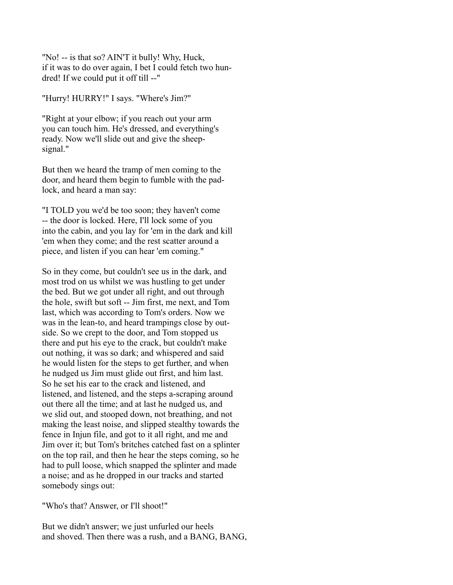"No! -- is that so? AIN'T it bully! Why, Huck, if it was to do over again, I bet I could fetch two hundred! If we could put it off till --"

"Hurry! HURRY!" I says. "Where's Jim?"

"Right at your elbow; if you reach out your arm you can touch him. He's dressed, and everything's ready. Now we'll slide out and give the sheepsignal."

But then we heard the tramp of men coming to the door, and heard them begin to fumble with the padlock, and heard a man say:

"I TOLD you we'd be too soon; they haven't come -- the door is locked. Here, I'll lock some of you into the cabin, and you lay for 'em in the dark and kill 'em when they come; and the rest scatter around a piece, and listen if you can hear 'em coming."

So in they come, but couldn't see us in the dark, and most trod on us whilst we was hustling to get under the bed. But we got under all right, and out through the hole, swift but soft -- Jim first, me next, and Tom last, which was according to Tom's orders. Now we was in the lean-to, and heard trampings close by outside. So we crept to the door, and Tom stopped us there and put his eye to the crack, but couldn't make out nothing, it was so dark; and whispered and said he would listen for the steps to get further, and when he nudged us Jim must glide out first, and him last. So he set his ear to the crack and listened, and listened, and listened, and the steps a-scraping around out there all the time; and at last he nudged us, and we slid out, and stooped down, not breathing, and not making the least noise, and slipped stealthy towards the fence in Injun file, and got to it all right, and me and Jim over it; but Tom's britches catched fast on a splinter on the top rail, and then he hear the steps coming, so he had to pull loose, which snapped the splinter and made a noise; and as he dropped in our tracks and started somebody sings out:

"Who's that? Answer, or I'll shoot!"

But we didn't answer; we just unfurled our heels and shoved. Then there was a rush, and a BANG, BANG,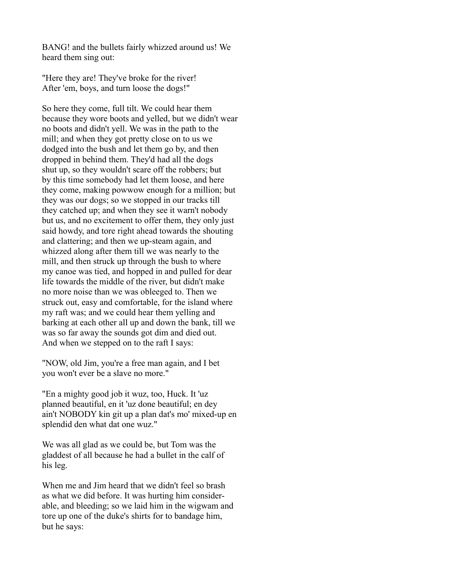BANG! and the bullets fairly whizzed around us! We heard them sing out:

"Here they are! They've broke for the river! After 'em, boys, and turn loose the dogs!"

So here they come, full tilt. We could hear them because they wore boots and yelled, but we didn't wear no boots and didn't yell. We was in the path to the mill; and when they got pretty close on to us we dodged into the bush and let them go by, and then dropped in behind them. They'd had all the dogs shut up, so they wouldn't scare off the robbers; but by this time somebody had let them loose, and here they come, making powwow enough for a million; but they was our dogs; so we stopped in our tracks till they catched up; and when they see it warn't nobody but us, and no excitement to offer them, they only just said howdy, and tore right ahead towards the shouting and clattering; and then we up-steam again, and whizzed along after them till we was nearly to the mill, and then struck up through the bush to where my canoe was tied, and hopped in and pulled for dear life towards the middle of the river, but didn't make no more noise than we was obleeged to. Then we struck out, easy and comfortable, for the island where my raft was; and we could hear them yelling and barking at each other all up and down the bank, till we was so far away the sounds got dim and died out. And when we stepped on to the raft I says:

"NOW, old Jim, you're a free man again, and I bet you won't ever be a slave no more."

"En a mighty good job it wuz, too, Huck. It 'uz planned beautiful, en it 'uz done beautiful; en dey ain't NOBODY kin git up a plan dat's mo' mixed-up en splendid den what dat one wuz."

We was all glad as we could be, but Tom was the gladdest of all because he had a bullet in the calf of his leg.

When me and Jim heard that we didn't feel so brash as what we did before. It was hurting him considerable, and bleeding; so we laid him in the wigwam and tore up one of the duke's shirts for to bandage him, but he says: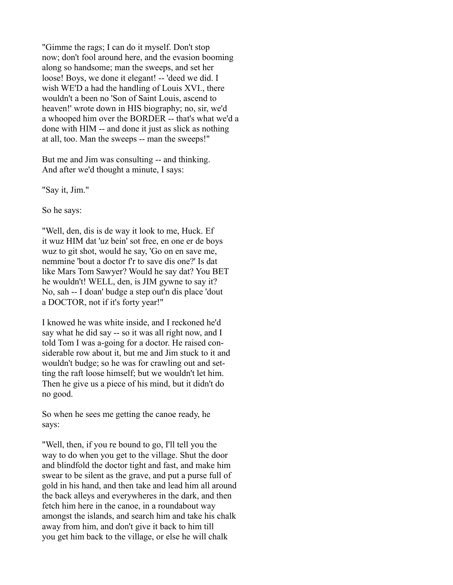"Gimme the rags; I can do it myself. Don't stop now; don't fool around here, and the evasion booming along so handsome; man the sweeps, and set her loose! Boys, we done it elegant! -- 'deed we did. I wish WE'D a had the handling of Louis XVI., there wouldn't a been no 'Son of Saint Louis, ascend to heaven!' wrote down in HIS biography; no, sir, we'd a whooped him over the BORDER -- that's what we'd a done with HIM -- and done it just as slick as nothing at all, too. Man the sweeps -- man the sweeps!"

But me and Jim was consulting -- and thinking. And after we'd thought a minute, I says:

"Say it, Jim."

So he says:

"Well, den, dis is de way it look to me, Huck. Ef it wuz HIM dat 'uz bein' sot free, en one er de boys wuz to git shot, would he say, 'Go on en save me, nemmine 'bout a doctor f'r to save dis one?' Is dat like Mars Tom Sawyer? Would he say dat? You BET he wouldn't! WELL, den, is JIM gywne to say it? No, sah -- I doan' budge a step out'n dis place 'dout a DOCTOR, not if it's forty year!"

I knowed he was white inside, and I reckoned he'd say what he did say -- so it was all right now, and I told Tom I was a-going for a doctor. He raised considerable row about it, but me and Jim stuck to it and wouldn't budge; so he was for crawling out and setting the raft loose himself; but we wouldn't let him. Then he give us a piece of his mind, but it didn't do no good.

So when he sees me getting the canoe ready, he says:

"Well, then, if you re bound to go, I'll tell you the way to do when you get to the village. Shut the door and blindfold the doctor tight and fast, and make him swear to be silent as the grave, and put a purse full of gold in his hand, and then take and lead him all around the back alleys and everywheres in the dark, and then fetch him here in the canoe, in a roundabout way amongst the islands, and search him and take his chalk away from him, and don't give it back to him till you get him back to the village, or else he will chalk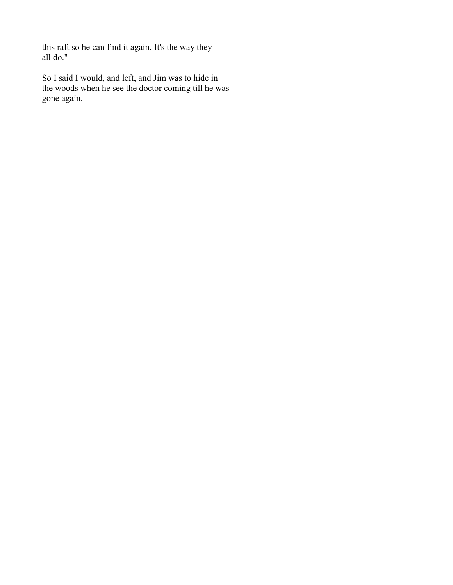this raft so he can find it again. It's the way they all do."

So I said I would, and left, and Jim was to hide in the woods when he see the doctor coming till he was gone again.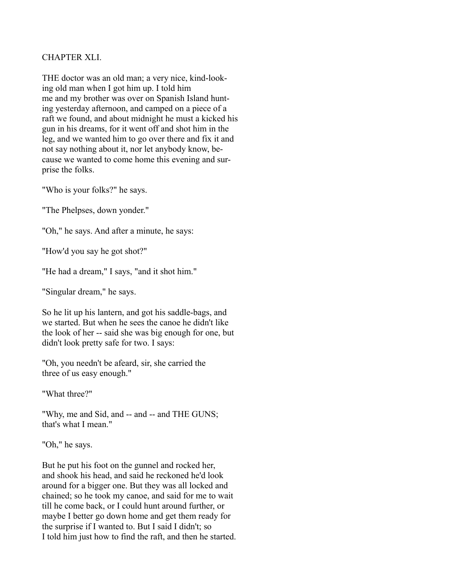## CHAPTER XLI.

THE doctor was an old man; a very nice, kind-looking old man when I got him up. I told him me and my brother was over on Spanish Island hunting yesterday afternoon, and camped on a piece of a raft we found, and about midnight he must a kicked his gun in his dreams, for it went off and shot him in the leg, and we wanted him to go over there and fix it and not say nothing about it, nor let anybody know, because we wanted to come home this evening and surprise the folks.

"Who is your folks?" he says.

"The Phelpses, down yonder."

"Oh," he says. And after a minute, he says:

"How'd you say he got shot?"

"He had a dream," I says, "and it shot him."

"Singular dream," he says.

So he lit up his lantern, and got his saddle-bags, and we started. But when he sees the canoe he didn't like the look of her -- said she was big enough for one, but didn't look pretty safe for two. I says:

"Oh, you needn't be afeard, sir, she carried the three of us easy enough."

"What three?"

"Why, me and Sid, and -- and -- and THE GUNS; that's what I mean."

"Oh," he says.

But he put his foot on the gunnel and rocked her, and shook his head, and said he reckoned he'd look around for a bigger one. But they was all locked and chained; so he took my canoe, and said for me to wait till he come back, or I could hunt around further, or maybe I better go down home and get them ready for the surprise if I wanted to. But I said I didn't; so I told him just how to find the raft, and then he started.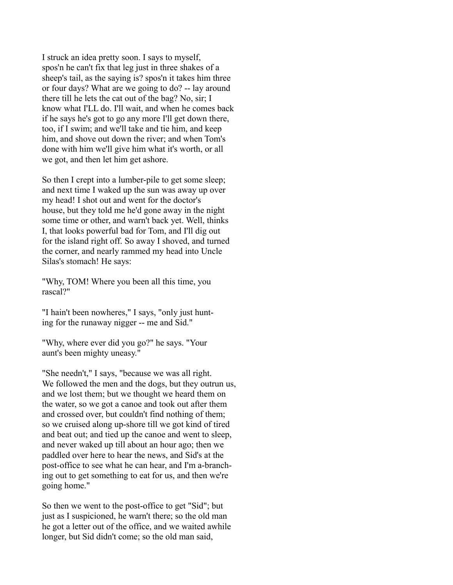I struck an idea pretty soon. I says to myself, spos'n he can't fix that leg just in three shakes of a sheep's tail, as the saying is? spos'n it takes him three or four days? What are we going to do? -- lay around there till he lets the cat out of the bag? No, sir; I know what I'LL do. I'll wait, and when he comes back if he says he's got to go any more I'll get down there, too, if I swim; and we'll take and tie him, and keep him, and shove out down the river; and when Tom's done with him we'll give him what it's worth, or all we got, and then let him get ashore.

So then I crept into a lumber-pile to get some sleep; and next time I waked up the sun was away up over my head! I shot out and went for the doctor's house, but they told me he'd gone away in the night some time or other, and warn't back yet. Well, thinks I, that looks powerful bad for Tom, and I'll dig out for the island right off. So away I shoved, and turned the corner, and nearly rammed my head into Uncle Silas's stomach! He says:

"Why, TOM! Where you been all this time, you rascal?"

"I hain't been nowheres," I says, "only just hunting for the runaway nigger -- me and Sid."

"Why, where ever did you go?" he says. "Your aunt's been mighty uneasy."

"She needn't," I says, "because we was all right. We followed the men and the dogs, but they outrun us, and we lost them; but we thought we heard them on the water, so we got a canoe and took out after them and crossed over, but couldn't find nothing of them; so we cruised along up-shore till we got kind of tired and beat out; and tied up the canoe and went to sleep, and never waked up till about an hour ago; then we paddled over here to hear the news, and Sid's at the post-office to see what he can hear, and I'm a-branching out to get something to eat for us, and then we're going home."

So then we went to the post-office to get "Sid"; but just as I suspicioned, he warn't there; so the old man he got a letter out of the office, and we waited awhile longer, but Sid didn't come; so the old man said,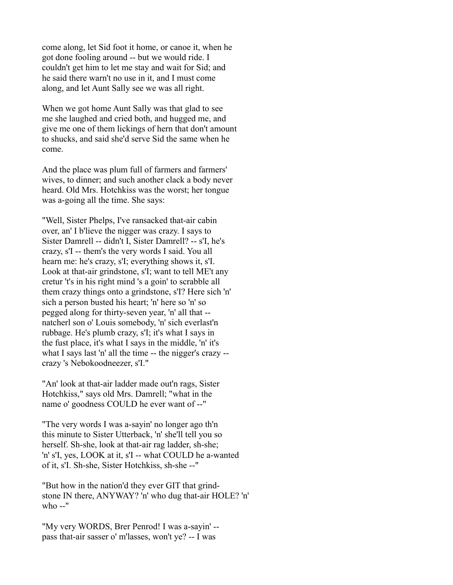come along, let Sid foot it home, or canoe it, when he got done fooling around -- but we would ride. I couldn't get him to let me stay and wait for Sid; and he said there warn't no use in it, and I must come along, and let Aunt Sally see we was all right.

When we got home Aunt Sally was that glad to see me she laughed and cried both, and hugged me, and give me one of them lickings of hern that don't amount to shucks, and said she'd serve Sid the same when he come.

And the place was plum full of farmers and farmers' wives, to dinner; and such another clack a body never heard. Old Mrs. Hotchkiss was the worst; her tongue was a-going all the time. She says:

"Well, Sister Phelps, I've ransacked that-air cabin over, an' I b'lieve the nigger was crazy. I says to Sister Damrell -- didn't I, Sister Damrell? -- s'I, he's crazy, s'I -- them's the very words I said. You all hearn me: he's crazy, s'I; everything shows it, s'I. Look at that-air grindstone, s'I; want to tell ME't any cretur 't's in his right mind 's a goin' to scrabble all them crazy things onto a grindstone, s'I? Here sich 'n' sich a person busted his heart; 'n' here so 'n' so pegged along for thirty-seven year, 'n' all that - natcherl son o' Louis somebody, 'n' sich everlast'n rubbage. He's plumb crazy, s'I; it's what I says in the fust place, it's what I says in the middle, 'n' it's what I says last 'n' all the time -- the nigger's crazy - crazy 's Nebokoodneezer, s'I."

"An' look at that-air ladder made out'n rags, Sister Hotchkiss," says old Mrs. Damrell; "what in the name o' goodness COULD he ever want of --"

"The very words I was a-sayin' no longer ago th'n this minute to Sister Utterback, 'n' she'll tell you so herself. Sh-she, look at that-air rag ladder, sh-she; 'n' s'I, yes, LOOK at it, s'I -- what COULD he a-wanted of it, s'I. Sh-she, Sister Hotchkiss, sh-she --"

"But how in the nation'd they ever GIT that grindstone IN there, ANYWAY? 'n' who dug that-air HOLE? 'n' who --"

"My very WORDS, Brer Penrod! I was a-sayin' - pass that-air sasser o' m'lasses, won't ye? -- I was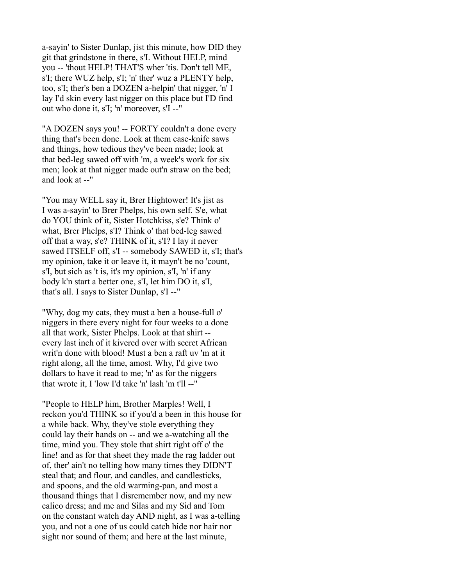a-sayin' to Sister Dunlap, jist this minute, how DID they git that grindstone in there, s'I. Without HELP, mind you -- 'thout HELP! THAT'S wher 'tis. Don't tell ME, s'I; there WUZ help, s'I; 'n' ther' wuz a PLENTY help, too, s'I; ther's ben a DOZEN a-helpin' that nigger, 'n' I lay I'd skin every last nigger on this place but I'D find out who done it, s'I; 'n' moreover, s'I --"

"A DOZEN says you! -- FORTY couldn't a done every thing that's been done. Look at them case-knife saws and things, how tedious they've been made; look at that bed-leg sawed off with 'm, a week's work for six men; look at that nigger made out'n straw on the bed; and look at --"

"You may WELL say it, Brer Hightower! It's jist as I was a-sayin' to Brer Phelps, his own self. S'e, what do YOU think of it, Sister Hotchkiss, s'e? Think o' what, Brer Phelps, s'I? Think o' that bed-leg sawed off that a way, s'e? THINK of it, s'I? I lay it never sawed ITSELF off, s'I -- somebody SAWED it, s'I; that's my opinion, take it or leave it, it mayn't be no 'count, s'I, but sich as 't is, it's my opinion, s'I, 'n' if any body k'n start a better one, s'I, let him DO it, s'I, that's all. I says to Sister Dunlap, s'I --"

"Why, dog my cats, they must a ben a house-full o' niggers in there every night for four weeks to a done all that work, Sister Phelps. Look at that shirt - every last inch of it kivered over with secret African writ'n done with blood! Must a ben a raft uv 'm at it right along, all the time, amost. Why, I'd give two dollars to have it read to me; 'n' as for the niggers that wrote it, I 'low I'd take 'n' lash 'm t'll --"

"People to HELP him, Brother Marples! Well, I reckon you'd THINK so if you'd a been in this house for a while back. Why, they've stole everything they could lay their hands on -- and we a-watching all the time, mind you. They stole that shirt right off o' the line! and as for that sheet they made the rag ladder out of, ther' ain't no telling how many times they DIDN'T steal that; and flour, and candles, and candlesticks, and spoons, and the old warming-pan, and most a thousand things that I disremember now, and my new calico dress; and me and Silas and my Sid and Tom on the constant watch day AND night, as I was a-telling you, and not a one of us could catch hide nor hair nor sight nor sound of them; and here at the last minute,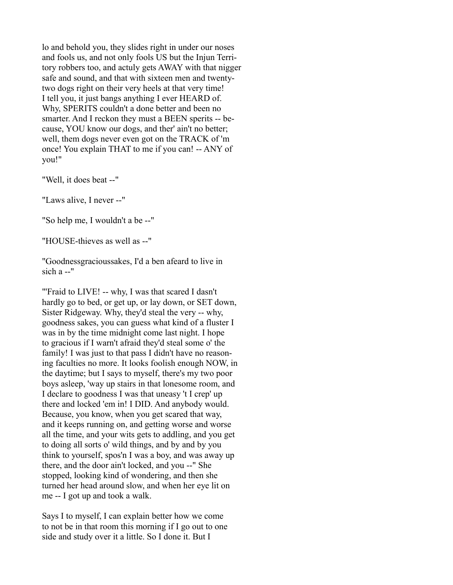lo and behold you, they slides right in under our noses and fools us, and not only fools US but the Injun Territory robbers too, and actuly gets AWAY with that nigger safe and sound, and that with sixteen men and twentytwo dogs right on their very heels at that very time! I tell you, it just bangs anything I ever HEARD of. Why, SPERITS couldn't a done better and been no smarter. And I reckon they must a BEEN sperits -- because, YOU know our dogs, and ther' ain't no better; well, them dogs never even got on the TRACK of 'm once! You explain THAT to me if you can! -- ANY of you!"

"Well, it does beat --"

"Laws alive, I never --"

"So help me, I wouldn't a be --"

"HOUSE-thieves as well as --"

"Goodnessgracioussakes, I'd a ben afeard to live in sich  $a -$ "

"'Fraid to LIVE! -- why, I was that scared I dasn't hardly go to bed, or get up, or lay down, or SET down, Sister Ridgeway. Why, they'd steal the very -- why, goodness sakes, you can guess what kind of a fluster I was in by the time midnight come last night. I hope to gracious if I warn't afraid they'd steal some o' the family! I was just to that pass I didn't have no reasoning faculties no more. It looks foolish enough NOW, in the daytime; but I says to myself, there's my two poor boys asleep, 'way up stairs in that lonesome room, and I declare to goodness I was that uneasy 't I crep' up there and locked 'em in! I DID. And anybody would. Because, you know, when you get scared that way, and it keeps running on, and getting worse and worse all the time, and your wits gets to addling, and you get to doing all sorts o' wild things, and by and by you think to yourself, spos'n I was a boy, and was away up there, and the door ain't locked, and you --" She stopped, looking kind of wondering, and then she turned her head around slow, and when her eye lit on me -- I got up and took a walk.

Says I to myself, I can explain better how we come to not be in that room this morning if I go out to one side and study over it a little. So I done it. But I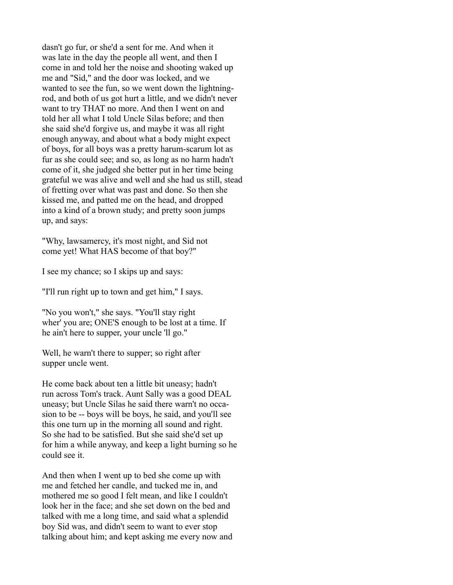dasn't go fur, or she'd a sent for me. And when it was late in the day the people all went, and then I come in and told her the noise and shooting waked up me and "Sid," and the door was locked, and we wanted to see the fun, so we went down the lightningrod, and both of us got hurt a little, and we didn't never want to try THAT no more. And then I went on and told her all what I told Uncle Silas before; and then she said she'd forgive us, and maybe it was all right enough anyway, and about what a body might expect of boys, for all boys was a pretty harum-scarum lot as fur as she could see; and so, as long as no harm hadn't come of it, she judged she better put in her time being grateful we was alive and well and she had us still, stead of fretting over what was past and done. So then she kissed me, and patted me on the head, and dropped into a kind of a brown study; and pretty soon jumps up, and says:

"Why, lawsamercy, it's most night, and Sid not come yet! What HAS become of that boy?"

I see my chance; so I skips up and says:

"I'll run right up to town and get him," I says.

"No you won't," she says. "You'll stay right wher' you are; ONE'S enough to be lost at a time. If he ain't here to supper, your uncle 'll go."

Well, he warn't there to supper; so right after supper uncle went.

He come back about ten a little bit uneasy; hadn't run across Tom's track. Aunt Sally was a good DEAL uneasy; but Uncle Silas he said there warn't no occasion to be -- boys will be boys, he said, and you'll see this one turn up in the morning all sound and right. So she had to be satisfied. But she said she'd set up for him a while anyway, and keep a light burning so he could see it.

And then when I went up to bed she come up with me and fetched her candle, and tucked me in, and mothered me so good I felt mean, and like I couldn't look her in the face; and she set down on the bed and talked with me a long time, and said what a splendid boy Sid was, and didn't seem to want to ever stop talking about him; and kept asking me every now and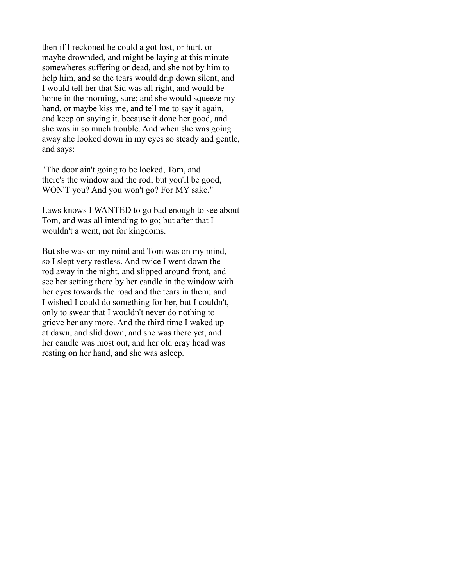then if I reckoned he could a got lost, or hurt, or maybe drownded, and might be laying at this minute somewheres suffering or dead, and she not by him to help him, and so the tears would drip down silent, and I would tell her that Sid was all right, and would be home in the morning, sure; and she would squeeze my hand, or maybe kiss me, and tell me to say it again, and keep on saying it, because it done her good, and she was in so much trouble. And when she was going away she looked down in my eyes so steady and gentle, and says:

"The door ain't going to be locked, Tom, and there's the window and the rod; but you'll be good, WON'T you? And you won't go? For MY sake."

Laws knows I WANTED to go bad enough to see about Tom, and was all intending to go; but after that I wouldn't a went, not for kingdoms.

But she was on my mind and Tom was on my mind, so I slept very restless. And twice I went down the rod away in the night, and slipped around front, and see her setting there by her candle in the window with her eyes towards the road and the tears in them; and I wished I could do something for her, but I couldn't, only to swear that I wouldn't never do nothing to grieve her any more. And the third time I waked up at dawn, and slid down, and she was there yet, and her candle was most out, and her old gray head was resting on her hand, and she was asleep.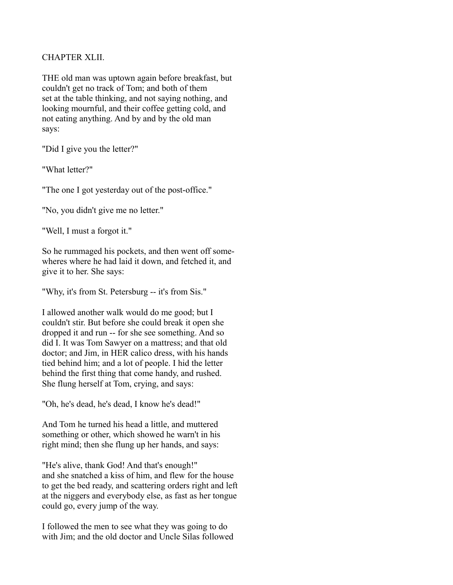## CHAPTER XLII.

THE old man was uptown again before breakfast, but couldn't get no track of Tom; and both of them set at the table thinking, and not saying nothing, and looking mournful, and their coffee getting cold, and not eating anything. And by and by the old man says:

"Did I give you the letter?"

"What letter?"

"The one I got yesterday out of the post-office."

"No, you didn't give me no letter."

"Well, I must a forgot it."

So he rummaged his pockets, and then went off somewheres where he had laid it down, and fetched it, and give it to her. She says:

"Why, it's from St. Petersburg -- it's from Sis."

I allowed another walk would do me good; but I couldn't stir. But before she could break it open she dropped it and run -- for she see something. And so did I. It was Tom Sawyer on a mattress; and that old doctor; and Jim, in HER calico dress, with his hands tied behind him; and a lot of people. I hid the letter behind the first thing that come handy, and rushed. She flung herself at Tom, crying, and says:

"Oh, he's dead, he's dead, I know he's dead!"

And Tom he turned his head a little, and muttered something or other, which showed he warn't in his right mind; then she flung up her hands, and says:

"He's alive, thank God! And that's enough!" and she snatched a kiss of him, and flew for the house to get the bed ready, and scattering orders right and left at the niggers and everybody else, as fast as her tongue could go, every jump of the way.

I followed the men to see what they was going to do with Jim; and the old doctor and Uncle Silas followed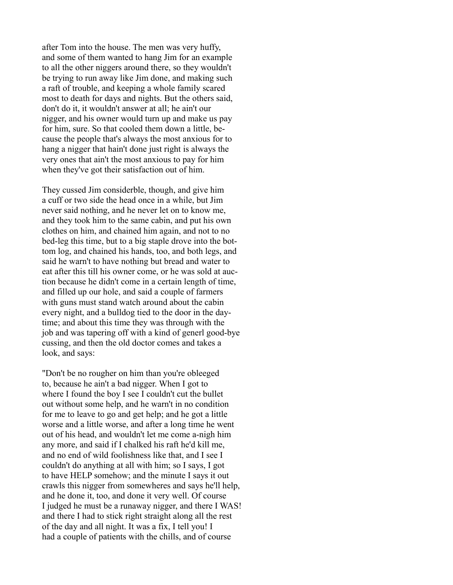after Tom into the house. The men was very huffy, and some of them wanted to hang Jim for an example to all the other niggers around there, so they wouldn't be trying to run away like Jim done, and making such a raft of trouble, and keeping a whole family scared most to death for days and nights. But the others said, don't do it, it wouldn't answer at all; he ain't our nigger, and his owner would turn up and make us pay for him, sure. So that cooled them down a little, because the people that's always the most anxious for to hang a nigger that hain't done just right is always the very ones that ain't the most anxious to pay for him when they've got their satisfaction out of him.

They cussed Jim considerble, though, and give him a cuff or two side the head once in a while, but Jim never said nothing, and he never let on to know me, and they took him to the same cabin, and put his own clothes on him, and chained him again, and not to no bed-leg this time, but to a big staple drove into the bottom log, and chained his hands, too, and both legs, and said he warn't to have nothing but bread and water to eat after this till his owner come, or he was sold at auction because he didn't come in a certain length of time, and filled up our hole, and said a couple of farmers with guns must stand watch around about the cabin every night, and a bulldog tied to the door in the daytime; and about this time they was through with the job and was tapering off with a kind of generl good-bye cussing, and then the old doctor comes and takes a look, and says:

"Don't be no rougher on him than you're obleeged to, because he ain't a bad nigger. When I got to where I found the boy I see I couldn't cut the bullet out without some help, and he warn't in no condition for me to leave to go and get help; and he got a little worse and a little worse, and after a long time he went out of his head, and wouldn't let me come a-nigh him any more, and said if I chalked his raft he'd kill me, and no end of wild foolishness like that, and I see I couldn't do anything at all with him; so I says, I got to have HELP somehow; and the minute I says it out crawls this nigger from somewheres and says he'll help, and he done it, too, and done it very well. Of course I judged he must be a runaway nigger, and there I WAS! and there I had to stick right straight along all the rest of the day and all night. It was a fix, I tell you! I had a couple of patients with the chills, and of course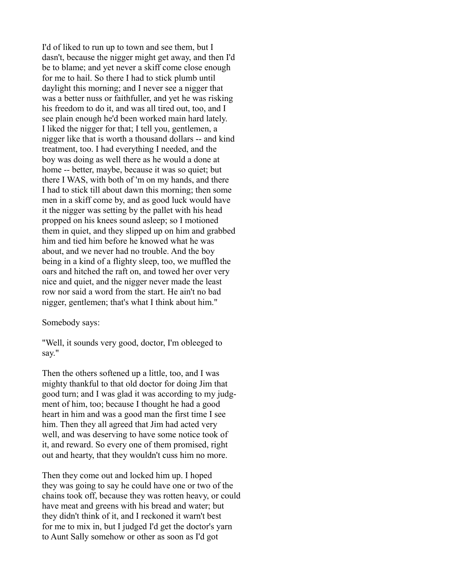I'd of liked to run up to town and see them, but I dasn't, because the nigger might get away, and then I'd be to blame; and yet never a skiff come close enough for me to hail. So there I had to stick plumb until daylight this morning; and I never see a nigger that was a better nuss or faithfuller, and yet he was risking his freedom to do it, and was all tired out, too, and I see plain enough he'd been worked main hard lately. I liked the nigger for that; I tell you, gentlemen, a nigger like that is worth a thousand dollars -- and kind treatment, too. I had everything I needed, and the boy was doing as well there as he would a done at home -- better, maybe, because it was so quiet; but there I WAS, with both of 'm on my hands, and there I had to stick till about dawn this morning; then some men in a skiff come by, and as good luck would have it the nigger was setting by the pallet with his head propped on his knees sound asleep; so I motioned them in quiet, and they slipped up on him and grabbed him and tied him before he knowed what he was about, and we never had no trouble. And the boy being in a kind of a flighty sleep, too, we muffled the oars and hitched the raft on, and towed her over very nice and quiet, and the nigger never made the least row nor said a word from the start. He ain't no bad nigger, gentlemen; that's what I think about him."

Somebody says:

"Well, it sounds very good, doctor, I'm obleeged to say."

Then the others softened up a little, too, and I was mighty thankful to that old doctor for doing Jim that good turn; and I was glad it was according to my judgment of him, too; because I thought he had a good heart in him and was a good man the first time I see him. Then they all agreed that Jim had acted very well, and was deserving to have some notice took of it, and reward. So every one of them promised, right out and hearty, that they wouldn't cuss him no more.

Then they come out and locked him up. I hoped they was going to say he could have one or two of the chains took off, because they was rotten heavy, or could have meat and greens with his bread and water; but they didn't think of it, and I reckoned it warn't best for me to mix in, but I judged I'd get the doctor's yarn to Aunt Sally somehow or other as soon as I'd got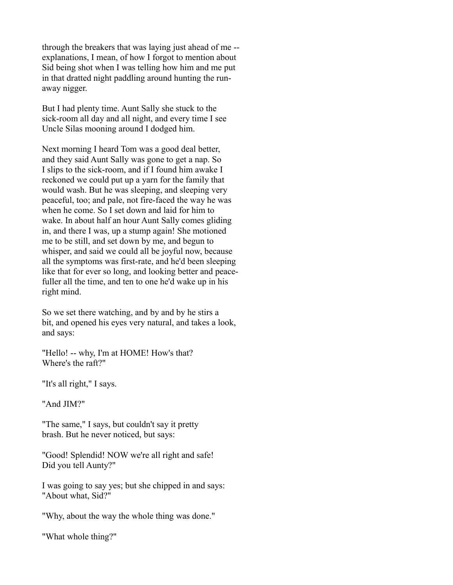through the breakers that was laying just ahead of me - explanations, I mean, of how I forgot to mention about Sid being shot when I was telling how him and me put in that dratted night paddling around hunting the runaway nigger.

But I had plenty time. Aunt Sally she stuck to the sick-room all day and all night, and every time I see Uncle Silas mooning around I dodged him.

Next morning I heard Tom was a good deal better, and they said Aunt Sally was gone to get a nap. So I slips to the sick-room, and if I found him awake I reckoned we could put up a yarn for the family that would wash. But he was sleeping, and sleeping very peaceful, too; and pale, not fire-faced the way he was when he come. So I set down and laid for him to wake. In about half an hour Aunt Sally comes gliding in, and there I was, up a stump again! She motioned me to be still, and set down by me, and begun to whisper, and said we could all be joyful now, because all the symptoms was first-rate, and he'd been sleeping like that for ever so long, and looking better and peacefuller all the time, and ten to one he'd wake up in his right mind.

So we set there watching, and by and by he stirs a bit, and opened his eyes very natural, and takes a look, and says:

"Hello! -- why, I'm at HOME! How's that? Where's the raft?"

"It's all right," I says.

"And JIM?"

"The same," I says, but couldn't say it pretty brash. But he never noticed, but says:

"Good! Splendid! NOW we're all right and safe! Did you tell Aunty?"

I was going to say yes; but she chipped in and says: "About what, Sid?"

"Why, about the way the whole thing was done."

"What whole thing?"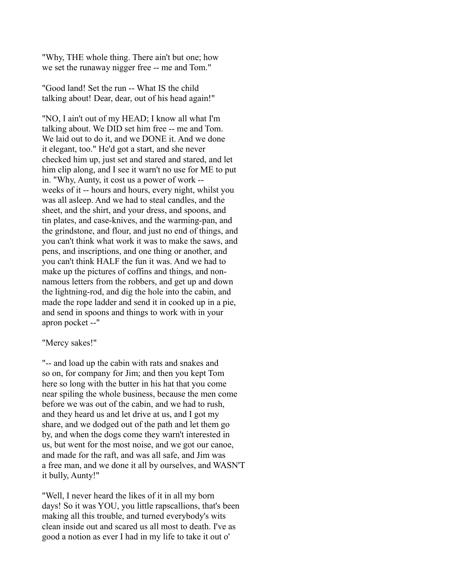"Why, THE whole thing. There ain't but one; how we set the runaway nigger free -- me and Tom."

"Good land! Set the run -- What IS the child talking about! Dear, dear, out of his head again!"

"NO, I ain't out of my HEAD; I know all what I'm talking about. We DID set him free -- me and Tom. We laid out to do it, and we DONE it. And we done it elegant, too." He'd got a start, and she never checked him up, just set and stared and stared, and let him clip along, and I see it warn't no use for ME to put in. "Why, Aunty, it cost us a power of work - weeks of it -- hours and hours, every night, whilst you was all asleep. And we had to steal candles, and the sheet, and the shirt, and your dress, and spoons, and tin plates, and case-knives, and the warming-pan, and the grindstone, and flour, and just no end of things, and you can't think what work it was to make the saws, and pens, and inscriptions, and one thing or another, and you can't think HALF the fun it was. And we had to make up the pictures of coffins and things, and nonnamous letters from the robbers, and get up and down the lightning-rod, and dig the hole into the cabin, and made the rope ladder and send it in cooked up in a pie, and send in spoons and things to work with in your apron pocket --"

#### "Mercy sakes!"

"-- and load up the cabin with rats and snakes and so on, for company for Jim; and then you kept Tom here so long with the butter in his hat that you come near spiling the whole business, because the men come before we was out of the cabin, and we had to rush, and they heard us and let drive at us, and I got my share, and we dodged out of the path and let them go by, and when the dogs come they warn't interested in us, but went for the most noise, and we got our canoe, and made for the raft, and was all safe, and Jim was a free man, and we done it all by ourselves, and WASN'T it bully, Aunty!"

"Well, I never heard the likes of it in all my born days! So it was YOU, you little rapscallions, that's been making all this trouble, and turned everybody's wits clean inside out and scared us all most to death. I've as good a notion as ever I had in my life to take it out o'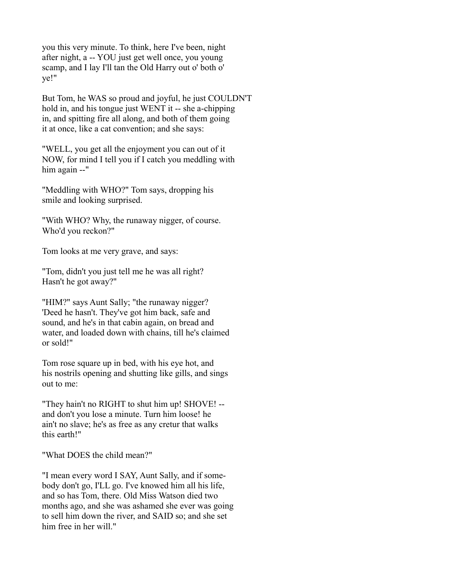you this very minute. To think, here I've been, night after night, a -- YOU just get well once, you young scamp, and I lay I'll tan the Old Harry out o' both o' ye!"

But Tom, he WAS so proud and joyful, he just COULDN'T hold in, and his tongue just WENT it -- she a-chipping in, and spitting fire all along, and both of them going it at once, like a cat convention; and she says:

"WELL, you get all the enjoyment you can out of it NOW, for mind I tell you if I catch you meddling with him again --"

"Meddling with WHO?" Tom says, dropping his smile and looking surprised.

"With WHO? Why, the runaway nigger, of course. Who'd you reckon?"

Tom looks at me very grave, and says:

"Tom, didn't you just tell me he was all right? Hasn't he got away?"

"HIM?" says Aunt Sally; "the runaway nigger? 'Deed he hasn't. They've got him back, safe and sound, and he's in that cabin again, on bread and water, and loaded down with chains, till he's claimed or sold!"

Tom rose square up in bed, with his eye hot, and his nostrils opening and shutting like gills, and sings out to me:

"They hain't no RIGHT to shut him up! SHOVE! - and don't you lose a minute. Turn him loose! he ain't no slave; he's as free as any cretur that walks this earth!"

"What DOES the child mean?"

"I mean every word I SAY, Aunt Sally, and if somebody don't go, I'LL go. I've knowed him all his life, and so has Tom, there. Old Miss Watson died two months ago, and she was ashamed she ever was going to sell him down the river, and SAID so; and she set him free in her will."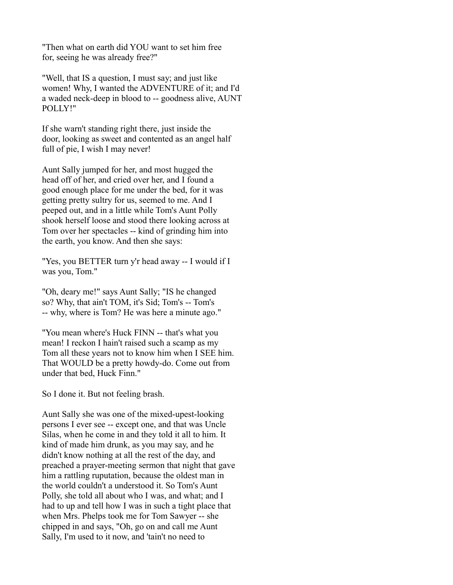"Then what on earth did YOU want to set him free for, seeing he was already free?"

"Well, that IS a question, I must say; and just like women! Why, I wanted the ADVENTURE of it; and I'd a waded neck-deep in blood to -- goodness alive, AUNT POLLY!"

If she warn't standing right there, just inside the door, looking as sweet and contented as an angel half full of pie, I wish I may never!

Aunt Sally jumped for her, and most hugged the head off of her, and cried over her, and I found a good enough place for me under the bed, for it was getting pretty sultry for us, seemed to me. And I peeped out, and in a little while Tom's Aunt Polly shook herself loose and stood there looking across at Tom over her spectacles -- kind of grinding him into the earth, you know. And then she says:

"Yes, you BETTER turn y'r head away -- I would if I was you, Tom."

"Oh, deary me!" says Aunt Sally; "IS he changed so? Why, that ain't TOM, it's Sid; Tom's -- Tom's -- why, where is Tom? He was here a minute ago."

"You mean where's Huck FINN -- that's what you mean! I reckon I hain't raised such a scamp as my Tom all these years not to know him when I SEE him. That WOULD be a pretty howdy-do. Come out from under that bed, Huck Finn."

So I done it. But not feeling brash.

Aunt Sally she was one of the mixed-upest-looking persons I ever see -- except one, and that was Uncle Silas, when he come in and they told it all to him. It kind of made him drunk, as you may say, and he didn't know nothing at all the rest of the day, and preached a prayer-meeting sermon that night that gave him a rattling ruputation, because the oldest man in the world couldn't a understood it. So Tom's Aunt Polly, she told all about who I was, and what; and I had to up and tell how I was in such a tight place that when Mrs. Phelps took me for Tom Sawyer -- she chipped in and says, "Oh, go on and call me Aunt Sally, I'm used to it now, and 'tain't no need to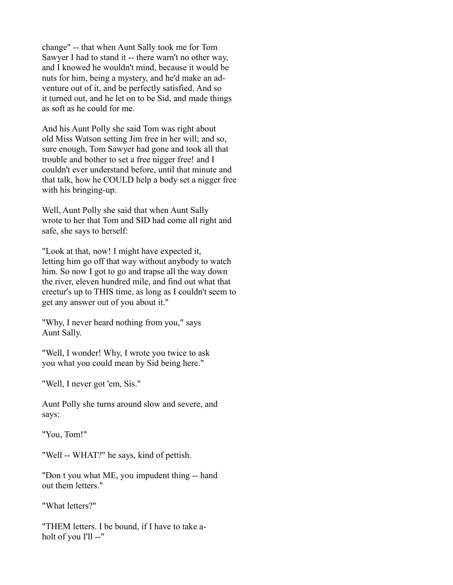change" -- that when Aunt Sally took me for Tom Sawyer I had to stand it -- there warn't no other way, and I knowed he wouldn't mind, because it would be nuts for him, being a mystery, and he'd make an adventure out of it, and be perfectly satisfied. And so it turned out, and he let on to be Sid, and made things as soft as he could for me.

And his Aunt Polly she said Tom was right about old Miss Watson setting Jim free in her will; and so, sure enough, Tom Sawyer had gone and took all that trouble and bother to set a free nigger free! and I couldn't ever understand before, until that minute and that talk, how he COULD help a body set a nigger free with his bringing-up.

Well, Aunt Polly she said that when Aunt Sally wrote to her that Tom and SID had come all right and safe, she says to herself:

"Look at that, now! I might have expected it, letting him go off that way without anybody to watch him. So now I got to go and trapse all the way down the river, eleven hundred mile, and find out what that creetur's up to THIS time, as long as I couldn't seem to get any answer out of you about it."

"Why, I never heard nothing from you," says Aunt Sally.

"Well, I wonder! Why, I wrote you twice to ask you what you could mean by Sid being here."

"Well, I never got 'em, Sis."

Aunt Polly she turns around slow and severe, and says:

"You, Tom!"

"Well -- WHAT?" he says, kind of pettish.

"Don t you what ME, you impudent thing -- hand out them letters."

"What letters?"

"THEM letters. I be bound, if I have to take aholt of you I'll --"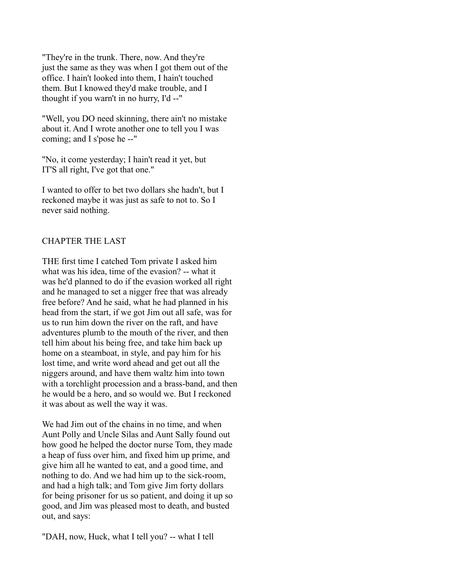"They're in the trunk. There, now. And they're just the same as they was when I got them out of the office. I hain't looked into them, I hain't touched them. But I knowed they'd make trouble, and I thought if you warn't in no hurry, I'd --"

"Well, you DO need skinning, there ain't no mistake about it. And I wrote another one to tell you I was coming; and I s'pose he --"

"No, it come yesterday; I hain't read it yet, but IT'S all right, I've got that one."

I wanted to offer to bet two dollars she hadn't, but I reckoned maybe it was just as safe to not to. So I never said nothing.

## CHAPTER THE LAST

THE first time I catched Tom private I asked him what was his idea, time of the evasion? -- what it was he'd planned to do if the evasion worked all right and he managed to set a nigger free that was already free before? And he said, what he had planned in his head from the start, if we got Jim out all safe, was for us to run him down the river on the raft, and have adventures plumb to the mouth of the river, and then tell him about his being free, and take him back up home on a steamboat, in style, and pay him for his lost time, and write word ahead and get out all the niggers around, and have them waltz him into town with a torchlight procession and a brass-band, and then he would be a hero, and so would we. But I reckoned it was about as well the way it was.

We had Jim out of the chains in no time, and when Aunt Polly and Uncle Silas and Aunt Sally found out how good he helped the doctor nurse Tom, they made a heap of fuss over him, and fixed him up prime, and give him all he wanted to eat, and a good time, and nothing to do. And we had him up to the sick-room, and had a high talk; and Tom give Jim forty dollars for being prisoner for us so patient, and doing it up so good, and Jim was pleased most to death, and busted out, and says:

"DAH, now, Huck, what I tell you? -- what I tell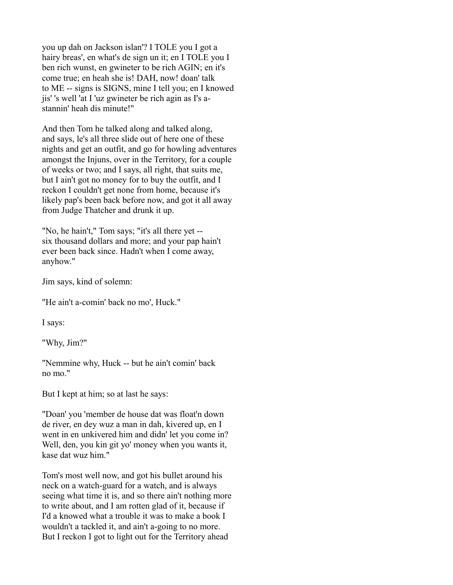you up dah on Jackson islan'? I TOLE you I got a hairy breas', en what's de sign un it; en I TOLE you I ben rich wunst, en gwineter to be rich AGIN; en it's come true; en heah she is! DAH, now! doan' talk to ME -- signs is SIGNS, mine I tell you; en I knowed jis' 's well 'at I 'uz gwineter be rich agin as I's astannin' heah dis minute!"

And then Tom he talked along and talked along, and says, le's all three slide out of here one of these nights and get an outfit, and go for howling adventures amongst the Injuns, over in the Territory, for a couple of weeks or two; and I says, all right, that suits me, but I ain't got no money for to buy the outfit, and I reckon I couldn't get none from home, because it's likely pap's been back before now, and got it all away from Judge Thatcher and drunk it up.

"No, he hain't," Tom says; "it's all there yet - six thousand dollars and more; and your pap hain't ever been back since. Hadn't when I come away, anyhow."

Jim says, kind of solemn:

"He ain't a-comin' back no mo', Huck."

I says:

"Why, Jim?"

"Nemmine why, Huck -- but he ain't comin' back no mo."

But I kept at him; so at last he says:

"Doan' you 'member de house dat was float'n down de river, en dey wuz a man in dah, kivered up, en I went in en unkivered him and didn' let you come in? Well, den, you kin git yo' money when you wants it, kase dat wuz him."

Tom's most well now, and got his bullet around his neck on a watch-guard for a watch, and is always seeing what time it is, and so there ain't nothing more to write about, and I am rotten glad of it, because if I'd a knowed what a trouble it was to make a book I wouldn't a tackled it, and ain't a-going to no more. But I reckon I got to light out for the Territory ahead